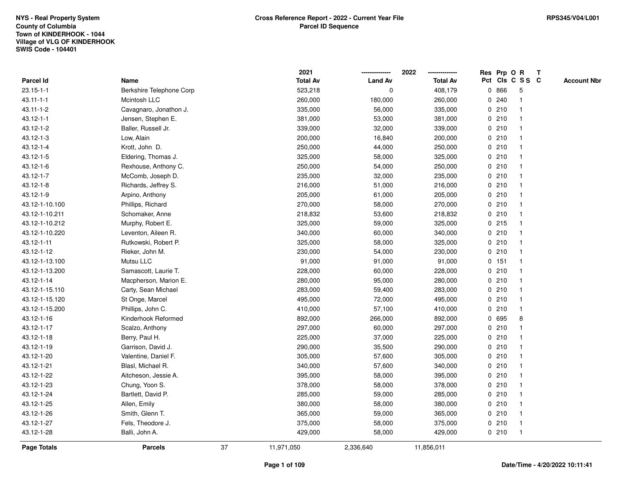|                 |                          |    | 2021            |                | 2022            |             | Res Prp O R |                 | Т |                    |
|-----------------|--------------------------|----|-----------------|----------------|-----------------|-------------|-------------|-----------------|---|--------------------|
| Parcel Id       | Name                     |    | <b>Total Av</b> | <b>Land Av</b> | <b>Total Av</b> |             |             | Pct Cls C S S C |   | <b>Account Nbr</b> |
| $23.15 - 1 - 1$ | Berkshire Telephone Corp |    | 523,218         | 0              | 408,179         | $\mathbf 0$ | 866         | 5               |   |                    |
| $43.11 - 1 - 1$ | Mcintosh LLC             |    | 260,000         | 180,000        | 260,000         | 0           | 240         |                 |   |                    |
| $43.11 - 1 - 2$ | Cavagnaro, Jonathon J.   |    | 335,000         | 56,000         | 335,000         |             | 0210        | $\mathbf 1$     |   |                    |
| $43.12 - 1 - 1$ | Jensen, Stephen E.       |    | 381,000         | 53,000         | 381,000         |             | 0210        |                 |   |                    |
| 43.12-1-2       | Baller, Russell Jr.      |    | 339,000         | 32,000         | 339,000         |             | 0210        |                 |   |                    |
| 43.12-1-3       | Low, Alain               |    | 200,000         | 16,840         | 200,000         |             | 0210        |                 |   |                    |
| 43.12-1-4       | Krott, John D.           |    | 250,000         | 44,000         | 250,000         |             | 0210        |                 |   |                    |
| 43.12-1-5       | Eldering, Thomas J.      |    | 325,000         | 58,000         | 325,000         |             | 0210        |                 |   |                    |
| 43.12-1-6       | Rexhouse, Anthony C.     |    | 250,000         | 54,000         | 250,000         |             | 0210        | $\mathbf 1$     |   |                    |
| 43.12-1-7       | McComb, Joseph D.        |    | 235,000         | 32,000         | 235,000         |             | 0210        | $\mathbf 1$     |   |                    |
| 43.12-1-8       | Richards, Jeffrey S.     |    | 216,000         | 51,000         | 216,000         |             | 0210        |                 |   |                    |
| 43.12-1-9       | Arpino, Anthony          |    | 205,000         | 61,000         | 205,000         |             | 0210        |                 |   |                    |
| 43.12-1-10.100  | Phillips, Richard        |    | 270,000         | 58,000         | 270,000         |             | 0210        |                 |   |                    |
| 43.12-1-10.211  | Schomaker, Anne          |    | 218,832         | 53,600         | 218,832         |             | 0210        |                 |   |                    |
| 43.12-1-10.212  | Murphy, Robert E.        |    | 325,000         | 59,000         | 325,000         |             | 0.215       |                 |   |                    |
| 43.12-1-10.220  | Leventon, Aileen R.      |    | 340,000         | 60,000         | 340,000         |             | 0210        | -1              |   |                    |
| 43.12-1-11      | Rutkowski, Robert P.     |    | 325,000         | 58,000         | 325,000         |             | 0210        |                 |   |                    |
| 43.12-1-12      | Rieker, John M.          |    | 230,000         | 54,000         | 230,000         |             | 0210        |                 |   |                    |
| 43.12-1-13.100  | Mutsu LLC                |    | 91,000          | 91,000         | 91,000          |             | 0.151       |                 |   |                    |
| 43.12-1-13.200  | Samascott, Laurie T.     |    | 228,000         | 60,000         | 228,000         |             | 0210        |                 |   |                    |
| 43.12-1-14      | Macpherson, Marion E.    |    | 280,000         | 95,000         | 280,000         |             | 0210        |                 |   |                    |
| 43.12-1-15.110  | Carty, Sean Michael      |    | 283,000         | 59,400         | 283,000         |             | 0210        |                 |   |                    |
| 43.12-1-15.120  | St Onge, Marcel          |    | 495,000         | 72,000         | 495,000         |             | 0210        | -1              |   |                    |
| 43.12-1-15.200  | Phillips, John C.        |    | 410,000         | 57,100         | 410,000         |             | 0210        | $\mathbf{1}$    |   |                    |
| 43.12-1-16      | Kinderhook Reformed      |    | 892,000         | 266,000        | 892,000         |             | 0 695       | 8               |   |                    |
| 43.12-1-17      | Scalzo, Anthony          |    | 297,000         | 60,000         | 297,000         |             | 0210        |                 |   |                    |
| 43.12-1-18      | Berry, Paul H.           |    | 225,000         | 37,000         | 225,000         |             | 0210        |                 |   |                    |
| 43.12-1-19      | Garrison, David J.       |    | 290,000         | 35,500         | 290,000         |             | 0210        |                 |   |                    |
| 43.12-1-20      | Valentine, Daniel F.     |    | 305,000         | 57,600         | 305,000         |             | 0210        |                 |   |                    |
| 43.12-1-21      | Blasl, Michael R.        |    | 340,000         | 57,600         | 340,000         |             | 0210        | -1              |   |                    |
| 43.12-1-22      | Aitcheson, Jessie A.     |    | 395,000         | 58,000         | 395,000         |             | 0210        |                 |   |                    |
| 43.12-1-23      | Chung, Yoon S.           |    | 378,000         | 58,000         | 378,000         |             | 0210        | $\mathbf 1$     |   |                    |
| 43.12-1-24      | Bartlett, David P.       |    | 285,000         | 59,000         | 285,000         |             | 0210        |                 |   |                    |
| 43.12-1-25      | Allen, Emily             |    | 380,000         | 58,000         | 380,000         |             | 0210        |                 |   |                    |
| 43.12-1-26      | Smith, Glenn T.          |    | 365,000         | 59,000         | 365,000         |             | 0210        |                 |   |                    |
| 43.12-1-27      | Fels, Theodore J.        |    | 375,000         | 58,000         | 375,000         |             | 0210        | $\mathbf 1$     |   |                    |
| 43.12-1-28      | Balli, John A.           |    | 429,000         | 58,000         | 429,000         |             | 0210        | $\mathbf{1}$    |   |                    |
| Page Totals     | <b>Parcels</b>           | 37 | 11,971,050      | 2,336,640      | 11,856,011      |             |             |                 |   |                    |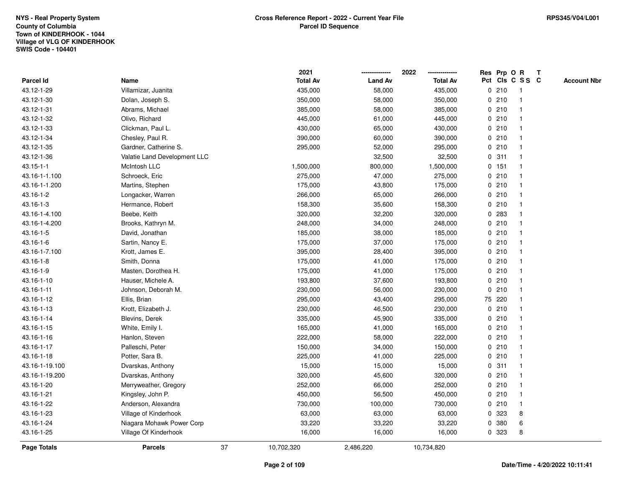|                 |                              |    | 2021            |                | 2022            |             |        | Res Prp O R     | T |                    |
|-----------------|------------------------------|----|-----------------|----------------|-----------------|-------------|--------|-----------------|---|--------------------|
| Parcel Id       | Name                         |    | <b>Total Av</b> | <b>Land Av</b> | <b>Total Av</b> |             |        | Pct Cls C S S C |   | <b>Account Nbr</b> |
| 43.12-1-29      | Villamizar, Juanita          |    | 435,000         | 58,000         | 435,000         |             | 0210   | $\mathbf{1}$    |   |                    |
| 43.12-1-30      | Dolan, Joseph S.             |    | 350,000         | 58,000         | 350,000         |             | 0210   | $\mathbf{1}$    |   |                    |
| 43.12-1-31      | Abrams, Michael              |    | 385,000         | 58,000         | 385,000         |             | 0210   | $\mathbf 1$     |   |                    |
| 43.12-1-32      | Olivo, Richard               |    | 445,000         | 61,000         | 445,000         |             | 0210   | -1              |   |                    |
| 43.12-1-33      | Clickman, Paul L.            |    | 430,000         | 65,000         | 430,000         |             | 0210   |                 |   |                    |
| 43.12-1-34      | Chesley, Paul R.             |    | 390,000         | 60,000         | 390,000         |             | 0210   |                 |   |                    |
| 43.12-1-35      | Gardner, Catherine S.        |    | 295,000         | 52,000         | 295,000         |             | 0210   | $\mathbf{1}$    |   |                    |
| 43.12-1-36      | Valatie Land Development LLC |    |                 | 32,500         | 32,500          | $\mathbf 0$ | 311    | $\mathbf{1}$    |   |                    |
| $43.15 - 1 - 1$ | McIntosh LLC                 |    | 1,500,000       | 800,000        | 1,500,000       |             | 0 151  | $\mathbf{1}$    |   |                    |
| 43.16-1-1.100   | Schroeck, Eric               |    | 275,000         | 47,000         | 275,000         |             | 0210   | $\mathbf{1}$    |   |                    |
| 43.16-1-1.200   | Martins, Stephen             |    | 175,000         | 43,800         | 175,000         |             | 0210   | 1               |   |                    |
| 43.16-1-2       | Longacker, Warren            |    | 266,000         | 65,000         | 266,000         |             | 0210   |                 |   |                    |
| 43.16-1-3       | Hermance, Robert             |    | 158,300         | 35,600         | 158,300         |             | 0210   |                 |   |                    |
| 43.16-1-4.100   | Beebe, Keith                 |    | 320,000         | 32,200         | 320,000         |             | 0 283  | 1               |   |                    |
| 43.16-1-4.200   | Brooks, Kathryn M.           |    | 248,000         | 34,000         | 248,000         |             | 0210   | $\mathbf{1}$    |   |                    |
| 43.16-1-5       | David, Jonathan              |    | 185,000         | 38,000         | 185,000         |             | 0210   | $\mathbf{1}$    |   |                    |
| 43.16-1-6       | Sartin, Nancy E.             |    | 175,000         | 37,000         | 175,000         |             | 0210   | $\mathbf{1}$    |   |                    |
| 43.16-1-7.100   | Krott, James E.              |    | 395,000         | 28,400         | 395,000         |             | 0210   | $\mathbf 1$     |   |                    |
| 43.16-1-8       | Smith, Donna                 |    | 175,000         | 41,000         | 175,000         |             | 0210   |                 |   |                    |
| 43.16-1-9       | Masten, Dorothea H.          |    | 175,000         | 41,000         | 175,000         |             | 0210   |                 |   |                    |
| 43.16-1-10      | Hauser, Michele A.           |    | 193,800         | 37,600         | 193,800         |             | 0210   | $\mathbf{1}$    |   |                    |
| 43.16-1-11      | Johnson, Deborah M.          |    | 230,000         | 56,000         | 230,000         |             | 0210   | $\mathbf 1$     |   |                    |
| 43.16-1-12      | Ellis, Brian                 |    | 295,000         | 43,400         | 295,000         |             | 75 220 | $\mathbf{1}$    |   |                    |
| 43.16-1-13      | Krott, Elizabeth J.          |    | 230,000         | 46,500         | 230,000         |             | 0210   | $\mathbf 1$     |   |                    |
| 43.16-1-14      | Blevins, Derek               |    | 335,000         | 45,900         | 335,000         |             | 0210   | $\mathbf 1$     |   |                    |
| 43.16-1-15      | White, Emily I.              |    | 165,000         | 41,000         | 165,000         |             | 0210   |                 |   |                    |
| 43.16-1-16      | Hanlon, Steven               |    | 222,000         | 58,000         | 222,000         |             | 0210   |                 |   |                    |
| 43.16-1-17      | Palleschi, Peter             |    | 150,000         | 34,000         | 150,000         |             | 0210   |                 |   |                    |
| 43.16-1-18      | Potter, Sara B.              |    | 225,000         | 41,000         | 225,000         |             | 0210   | $\mathbf{1}$    |   |                    |
| 43.16-1-19.100  | Dvarskas, Anthony            |    | 15,000          | 15,000         | 15,000          | $\mathbf 0$ | 311    | 1               |   |                    |
| 43.16-1-19.200  | Dvarskas, Anthony            |    | 320,000         | 45,600         | 320,000         |             | 0210   | $\mathbf{1}$    |   |                    |
| 43.16-1-20      | Merryweather, Gregory        |    | 252,000         | 66,000         | 252,000         |             | 0210   | $\mathbf 1$     |   |                    |
| 43.16-1-21      | Kingsley, John P.            |    | 450,000         | 56,500         | 450,000         |             | 0210   | -1              |   |                    |
| 43.16-1-22      | Anderson, Alexandra          |    | 730,000         | 100,000        | 730,000         |             | 0210   | -1              |   |                    |
| 43.16-1-23      | Village of Kinderhook        |    | 63,000          | 63,000         | 63,000          |             | 0 323  | 8               |   |                    |
| 43.16-1-24      | Niagara Mohawk Power Corp    |    | 33,220          | 33,220         | 33,220          | 0           | 380    | 6               |   |                    |
| 43.16-1-25      | Village Of Kinderhook        |    | 16,000          | 16,000         | 16,000          |             | 0 323  | 8               |   |                    |
| Page Totals     | <b>Parcels</b>               | 37 | 10,702,320      | 2,486,220      | 10,734,820      |             |        |                 |   |                    |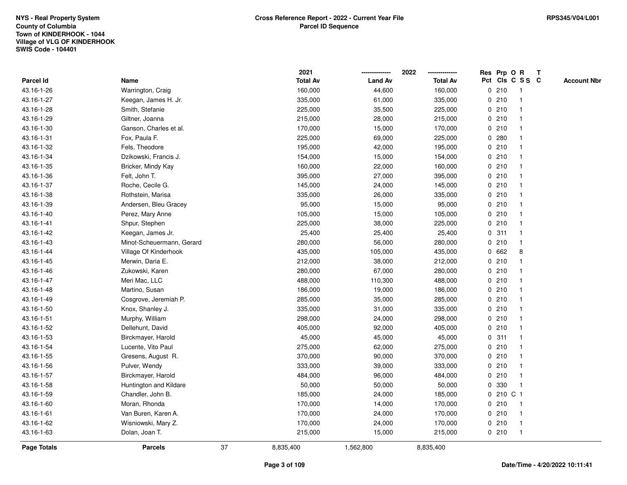|                    |                           |    | 2021            |                | 2022            | Res Prp O R |                         | Т |                    |
|--------------------|---------------------------|----|-----------------|----------------|-----------------|-------------|-------------------------|---|--------------------|
| Parcel Id          | Name                      |    | <b>Total Av</b> | <b>Land Av</b> | <b>Total Av</b> |             | Pct Cls C S S C         |   | <b>Account Nbr</b> |
| 43.16-1-26         | Warrington, Craig         |    | 160,000         | 44,600         | 160,000         | 0210        | $\mathbf{1}$            |   |                    |
| 43.16-1-27         | Keegan, James H. Jr.      |    | 335,000         | 61,000         | 335,000         | 0210        | -1                      |   |                    |
| 43.16-1-28         | Smith, Stefanie           |    | 225,000         | 35,500         | 225,000         | 0210        | $\mathbf{1}$            |   |                    |
| 43.16-1-29         | Giltner, Joanna           |    | 215,000         | 28,000         | 215,000         | 0210        |                         |   |                    |
| 43.16-1-30         | Ganson, Charles et al.    |    | 170,000         | 15,000         | 170,000         | 0210        |                         |   |                    |
| 43.16-1-31         | Fox, Paula F.             |    | 225,000         | 69,000         | 225,000         | 0.280       |                         |   |                    |
| 43.16-1-32         | Fels, Theodore            |    | 195,000         | 42,000         | 195,000         | 0210        |                         |   |                    |
| 43.16-1-34         | Dzikowski, Francis J.     |    | 154,000         | 15,000         | 154,000         | 0210        | $\overline{\mathbf{1}}$ |   |                    |
| 43.16-1-35         | Bricker, Mindy Kay        |    | 160,000         | 22,000         | 160,000         | 0210        | -1                      |   |                    |
| 43.16-1-36         | Felt, John T.             |    | 395,000         | 27,000         | 395,000         | 0210        | $\mathbf 1$             |   |                    |
| 43.16-1-37         | Roche, Cecile G.          |    | 145,000         | 24,000         | 145,000         | 0210        | -1                      |   |                    |
| 43.16-1-38         | Rothstein, Marisa         |    | 335,000         | 26,000         | 335,000         | 0210        |                         |   |                    |
| 43.16-1-39         | Andersen, Bleu Gracey     |    | 95,000          | 15,000         | 95,000          | 0210        |                         |   |                    |
| 43.16-1-40         | Perez, Mary Anne          |    | 105,000         | 15,000         | 105,000         | 0210        | -1                      |   |                    |
| 43.16-1-41         | Shpur, Stephen            |    | 225,000         | 38,000         | 225,000         | 0210        | $\overline{\mathbf{1}}$ |   |                    |
| 43.16-1-42         | Keegan, James Jr.         |    | 25,400          | 25,400         | 25,400          | 0.311       | -1                      |   |                    |
| 43.16-1-43         | Minot-Scheuermann, Gerard |    | 280,000         | 56,000         | 280,000         | 0210        | $\mathbf{1}$            |   |                    |
| 43.16-1-44         | Village Of Kinderhook     |    | 435,000         | 105,000        | 435,000         | 0662        | 8                       |   |                    |
| 43.16-1-45         | Merwin, Daria E.          |    | 212,000         | 38,000         | 212,000         | 0210        |                         |   |                    |
| 43.16-1-46         | Zukowski, Karen           |    | 280,000         | 67,000         | 280,000         | 0210        |                         |   |                    |
| 43.16-1-47         | Meri Mac, LLC             |    | 488,000         | 110,300        | 488,000         | 0210        | $\overline{\mathbf{1}}$ |   |                    |
| 43.16-1-48         | Martino, Susan            |    | 186,000         | 19,000         | 186,000         | 0210        |                         |   |                    |
| 43.16-1-49         | Cosgrove, Jeremiah P.     |    | 285,000         | 35,000         | 285,000         | 0210        | $\mathbf{1}$            |   |                    |
| 43.16-1-50         | Knox, Shanley J.          |    | 335,000         | 31,000         | 335,000         | 0210        | -1                      |   |                    |
| 43.16-1-51         | Murphy, William           |    | 298,000         | 24,000         | 298,000         | 0210        | -1                      |   |                    |
| 43.16-1-52         | Dellehunt, David          |    | 405,000         | 92,000         | 405,000         | 0210        |                         |   |                    |
| 43.16-1-53         | Birckmayer, Harold        |    | 45,000          | 45,000         | 45,000          | 0.311       |                         |   |                    |
| 43.16-1-54         | Lucente, Vito Paul        |    | 275,000         | 62,000         | 275,000         | 0210        | -1                      |   |                    |
| 43.16-1-55         | Gresens, August R.        |    | 370,000         | 90,000         | 370,000         | 0210        | $\overline{\mathbf{1}}$ |   |                    |
| 43.16-1-56         | Pulver, Wendy             |    | 333,000         | 39,000         | 333,000         | 0210        | -1                      |   |                    |
| 43.16-1-57         | Birckmayer, Harold        |    | 484,000         | 96,000         | 484,000         | 0210        | -1                      |   |                    |
| 43.16-1-58         | Huntington and Kildare    |    | 50,000          | 50,000         | 50,000          | 0 330       | -1                      |   |                    |
| 43.16-1-59         | Chandler, John B.         |    | 185,000         | 24,000         | 185,000         | 0 210 C 1   |                         |   |                    |
| 43.16-1-60         | Moran, Rhonda             |    | 170,000         | 14,000         | 170,000         | 0210        | -1                      |   |                    |
| 43.16-1-61         | Van Buren, Karen A.       |    | 170,000         | 24,000         | 170,000         | 0210        | $\mathbf 1$             |   |                    |
| 43.16-1-62         | Wisniowski, Mary Z.       |    | 170,000         | 24,000         | 170,000         | 0210        | $\mathbf{1}$            |   |                    |
| 43.16-1-63         | Dolan, Joan T.            |    | 215,000         | 15,000         | 215,000         | 0210        | $\mathbf{1}$            |   |                    |
| <b>Page Totals</b> | <b>Parcels</b>            | 37 | 8,835,400       | 1,562,800      | 8,835,400       |             |                         |   |                    |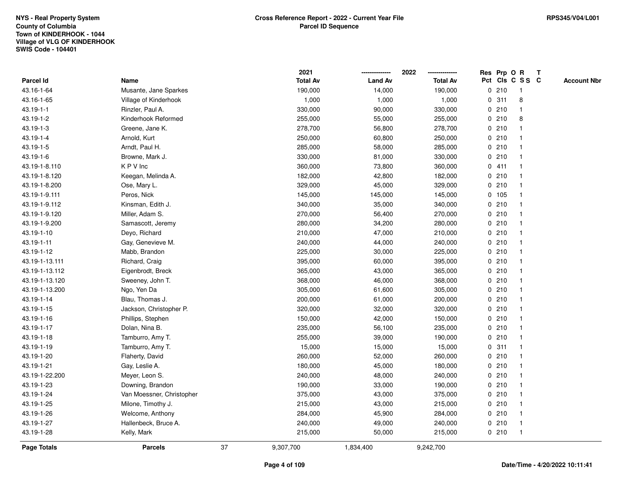|                 |                           |    | 2021            |                | 2022            |   |       | Res Prp O R     | Т |                    |
|-----------------|---------------------------|----|-----------------|----------------|-----------------|---|-------|-----------------|---|--------------------|
| Parcel Id       | Name                      |    | <b>Total Av</b> | <b>Land Av</b> | <b>Total Av</b> |   |       | Pct Cls C S S C |   | <b>Account Nbr</b> |
| 43.16-1-64      | Musante, Jane Sparkes     |    | 190,000         | 14,000         | 190,000         |   | 0210  | $\mathbf{1}$    |   |                    |
| 43.16-1-65      | Village of Kinderhook     |    | 1,000           | 1,000          | 1,000           | 0 | 311   | 8               |   |                    |
| $43.19 - 1 - 1$ | Rinzler, Paul A.          |    | 330,000         | 90,000         | 330,000         |   | 0210  | $\mathbf{1}$    |   |                    |
| 43.19-1-2       | Kinderhook Reformed       |    | 255,000         | 55,000         | 255,000         |   | 0210  | 8               |   |                    |
| 43.19-1-3       | Greene, Jane K.           |    | 278,700         | 56,800         | 278,700         |   | 0210  |                 |   |                    |
| 43.19-1-4       | Arnold, Kurt              |    | 250,000         | 60,800         | 250,000         |   | 0210  |                 |   |                    |
| 43.19-1-5       | Arndt, Paul H.            |    | 285,000         | 58,000         | 285,000         |   | 0210  | -1              |   |                    |
| 43.19-1-6       | Browne, Mark J.           |    | 330,000         | 81,000         | 330,000         |   | 0210  | $\mathbf{1}$    |   |                    |
| 43.19-1-8.110   | KPV Inc                   |    | 360,000         | 73,800         | 360,000         |   | 0411  | 1               |   |                    |
| 43.19-1-8.120   | Keegan, Melinda A.        |    | 182,000         | 42,800         | 182,000         |   | 0210  | 1               |   |                    |
| 43.19-1-8.200   | Ose, Mary L.              |    | 329,000         | 45,000         | 329,000         |   | 0210  | $\mathbf 1$     |   |                    |
| 43.19-1-9.111   | Peros, Nick               |    | 145,000         | 145,000        | 145,000         |   | 0 105 |                 |   |                    |
| 43.19-1-9.112   | Kinsman, Edith J.         |    | 340,000         | 35,000         | 340,000         |   | 0210  |                 |   |                    |
| 43.19-1-9.120   | Miller, Adam S.           |    | 270,000         | 56,400         | 270,000         |   | 0210  | $\mathbf 1$     |   |                    |
| 43.19-1-9.200   | Samascott, Jeremy         |    | 280,000         | 34,200         | 280,000         |   | 0210  | $\mathbf{1}$    |   |                    |
| 43.19-1-10      | Deyo, Richard             |    | 210,000         | 47,000         | 210,000         |   | 0210  | $\mathbf{1}$    |   |                    |
| 43.19-1-11      | Gay, Genevieve M.         |    | 240,000         | 44,000         | 240,000         |   | 0210  | $\mathbf{1}$    |   |                    |
| 43.19-1-12      | Mabb, Brandon             |    | 225,000         | 30,000         | 225,000         |   | 0210  | 1               |   |                    |
| 43.19-1-13.111  | Richard, Craig            |    | 395,000         | 60,000         | 395,000         |   | 0210  |                 |   |                    |
| 43.19-1-13.112  | Eigenbrodt, Breck         |    | 365,000         | 43,000         | 365,000         |   | 0210  |                 |   |                    |
| 43.19-1-13.120  | Sweeney, John T.          |    | 368,000         | 46,000         | 368,000         |   | 0210  | $\mathbf{1}$    |   |                    |
| 43.19-1-13.200  | Ngo, Yen Da               |    | 305,000         | 61,600         | 305,000         |   | 0210  | -1              |   |                    |
| 43.19-1-14      | Blau, Thomas J.           |    | 200,000         | 61,000         | 200,000         |   | 0210  | $\mathbf{1}$    |   |                    |
| 43.19-1-15      | Jackson, Christopher P.   |    | 320,000         | 32,000         | 320,000         |   | 0210  | $\mathbf 1$     |   |                    |
| 43.19-1-16      | Phillips, Stephen         |    | 150,000         | 42,000         | 150,000         |   | 0210  | $\mathbf 1$     |   |                    |
| 43.19-1-17      | Dolan, Nina B.            |    | 235,000         | 56,100         | 235,000         |   | 0210  |                 |   |                    |
| 43.19-1-18      | Tamburro, Amy T.          |    | 255,000         | 39,000         | 190,000         |   | 0210  |                 |   |                    |
| 43.19-1-19      | Tamburro, Amy T.          |    | 15,000          | 15,000         | 15,000          |   | 0.311 | $\mathbf 1$     |   |                    |
| 43.19-1-20      | Flaherty, David           |    | 260,000         | 52,000         | 260,000         |   | 0210  | $\mathbf{1}$    |   |                    |
| 43.19-1-21      | Gay, Leslie A.            |    | 180,000         | 45,000         | 180,000         |   | 0210  | 1               |   |                    |
| 43.19-1-22.200  | Meyer, Leon S.            |    | 240,000         | 48,000         | 240,000         |   | 0210  | 1               |   |                    |
| 43.19-1-23      | Downing, Brandon          |    | 190,000         | 33,000         | 190,000         |   | 0210  | $\mathbf 1$     |   |                    |
| 43.19-1-24      | Van Moessner, Christopher |    | 375,000         | 43,000         | 375,000         |   | 0210  |                 |   |                    |
| 43.19-1-25      | Milone, Timothy J.        |    | 215,000         | 43,000         | 215,000         |   | 0210  |                 |   |                    |
| 43.19-1-26      | Welcome, Anthony          |    | 284,000         | 45,900         | 284,000         |   | 0210  | $\mathbf 1$     |   |                    |
| 43.19-1-27      | Hallenbeck, Bruce A.      |    | 240,000         | 49,000         | 240,000         |   | 0210  | $\mathbf{1}$    |   |                    |
| 43.19-1-28      | Kelly, Mark               |    | 215,000         | 50,000         | 215,000         |   | 0210  | $\mathbf{1}$    |   |                    |
| Page Totals     | <b>Parcels</b>            | 37 | 9,307,700       | 1,834,400      | 9,242,700       |   |       |                 |   |                    |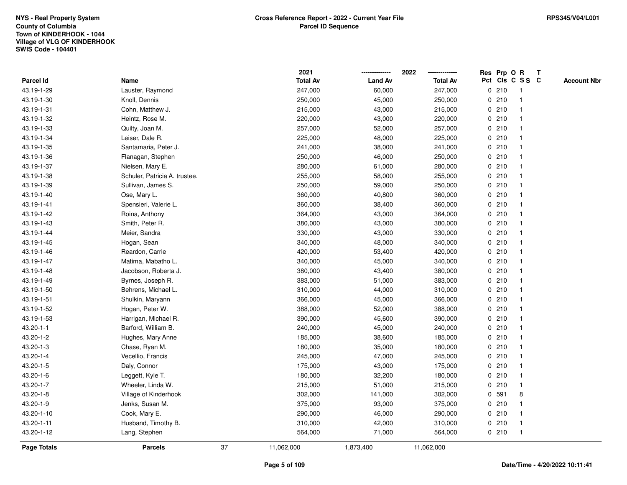|                    |                               |    | 2021            |                | 2022            | Res Prp O R |                         | Т |                    |
|--------------------|-------------------------------|----|-----------------|----------------|-----------------|-------------|-------------------------|---|--------------------|
| Parcel Id          | Name                          |    | <b>Total Av</b> | <b>Land Av</b> | <b>Total Av</b> |             | Pct Cls C S S C         |   | <b>Account Nbr</b> |
| 43.19-1-29         | Lauster, Raymond              |    | 247,000         | 60,000         | 247,000         | 0210        | $\mathbf{1}$            |   |                    |
| 43.19-1-30         | Knoll, Dennis                 |    | 250,000         | 45,000         | 250,000         | 0210        | -1                      |   |                    |
| 43.19-1-31         | Cohn, Matthew J.              |    | 215,000         | 43,000         | 215,000         | 0210        | $\mathbf{1}$            |   |                    |
| 43.19-1-32         | Heintz, Rose M.               |    | 220,000         | 43,000         | 220,000         | 0210        |                         |   |                    |
| 43.19-1-33         | Quilty, Joan M.               |    | 257,000         | 52,000         | 257,000         | 0210        |                         |   |                    |
| 43.19-1-34         | Leiser, Dale R.               |    | 225,000         | 48,000         | 225,000         | 0210        |                         |   |                    |
| 43.19-1-35         | Santamaria, Peter J.          |    | 241,000         | 38,000         | 241,000         | 0210        |                         |   |                    |
| 43.19-1-36         | Flanagan, Stephen             |    | 250,000         | 46,000         | 250,000         | 0210        | $\overline{\mathbf{1}}$ |   |                    |
| 43.19-1-37         | Nielsen, Mary E.              |    | 280,000         | 61,000         | 280,000         | 0210        | -1                      |   |                    |
| 43.19-1-38         | Schuler, Patricia A. trustee. |    | 255,000         | 58,000         | 255,000         | 0210        | $\mathbf 1$             |   |                    |
| 43.19-1-39         | Sullivan, James S.            |    | 250,000         | 59,000         | 250,000         | 0210        | -1                      |   |                    |
| 43.19-1-40         | Ose, Mary L.                  |    | 360,000         | 40,800         | 360,000         | 0210        |                         |   |                    |
| 43.19-1-41         | Spensieri, Valerie L.         |    | 360,000         | 38,400         | 360,000         | 0210        |                         |   |                    |
| 43.19-1-42         | Roina, Anthony                |    | 364,000         | 43,000         | 364,000         | 0210        |                         |   |                    |
| 43.19-1-43         | Smith, Peter R.               |    | 380,000         | 43,000         | 380,000         | 0210        |                         |   |                    |
| 43.19-1-44         | Meier, Sandra                 |    | 330,000         | 43,000         | 330,000         | 0210        | $\mathbf{1}$            |   |                    |
| 43.19-1-45         | Hogan, Sean                   |    | 340,000         | 48,000         | 340,000         | 0210        | $\mathbf{1}$            |   |                    |
| 43.19-1-46         | Reardon, Carrie               |    | 420,000         | 53,400         | 420,000         | 0210        |                         |   |                    |
| 43.19-1-47         | Matima, Mabatho L.            |    | 340,000         | 45,000         | 340,000         | 0210        |                         |   |                    |
| 43.19-1-48         | Jacobson, Roberta J.          |    | 380,000         | 43,400         | 380,000         | 0210        |                         |   |                    |
| 43.19-1-49         | Byrnes, Joseph R.             |    | 383,000         | 51,000         | 383,000         | 0210        | $\overline{\mathbf{1}}$ |   |                    |
| 43.19-1-50         | Behrens, Michael L.           |    | 310,000         | 44,000         | 310,000         | 0210        |                         |   |                    |
| 43.19-1-51         | Shulkin, Maryann              |    | 366,000         | 45,000         | 366,000         | 0210        | $\mathbf{1}$            |   |                    |
| 43.19-1-52         | Hogan, Peter W.               |    | 388,000         | 52,000         | 388,000         | 0210        | -1                      |   |                    |
| 43.19-1-53         | Harrigan, Michael R.          |    | 390,000         | 45,600         | 390,000         | 0210        | -1                      |   |                    |
| $43.20 - 1 - 1$    | Barford, William B.           |    | 240,000         | 45,000         | 240,000         | 0210        |                         |   |                    |
| 43.20-1-2          | Hughes, Mary Anne             |    | 185,000         | 38,600         | 185,000         | 0210        |                         |   |                    |
| 43.20-1-3          | Chase, Ryan M.                |    | 180,000         | 35,000         | 180,000         | 0210        | -1                      |   |                    |
| $43.20 - 1 - 4$    | Vecellio, Francis             |    | 245,000         | 47,000         | 245,000         | 0210        | $\overline{\mathbf{1}}$ |   |                    |
| 43.20-1-5          | Daly, Connor                  |    | 175,000         | 43,000         | 175,000         | 0210        | -1                      |   |                    |
| 43.20-1-6          | Leggett, Kyle T.              |    | 180,000         | 32,200         | 180,000         | 0210        | $\mathbf 1$             |   |                    |
| 43.20-1-7          | Wheeler, Linda W.             |    | 215,000         | 51,000         | 215,000         | 0210        | $\mathbf 1$             |   |                    |
| 43.20-1-8          | Village of Kinderhook         |    | 302,000         | 141,000        | 302,000         | 0 591       | 8                       |   |                    |
| 43.20-1-9          | Jenks, Susan M.               |    | 375,000         | 93,000         | 375,000         | 0210        |                         |   |                    |
| 43.20-1-10         | Cook, Mary E.                 |    | 290,000         | 46,000         | 290,000         | 0210        | -1                      |   |                    |
| 43.20-1-11         | Husband, Timothy B.           |    | 310,000         | 42,000         | 310,000         | 0210        | $\mathbf{1}$            |   |                    |
| 43.20-1-12         | Lang, Stephen                 |    | 564,000         | 71,000         | 564,000         | 0210        | $\mathbf{1}$            |   |                    |
| <b>Page Totals</b> | <b>Parcels</b>                | 37 | 11,062,000      | 1,873,400      | 11,062,000      |             |                         |   |                    |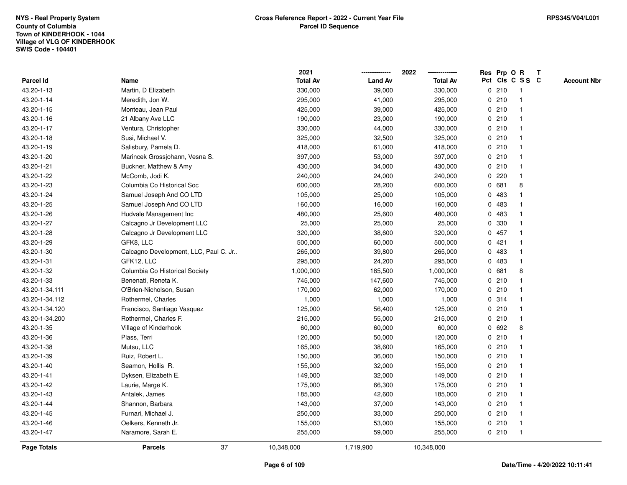|                    |                                       | 2021            |                | 2022            |              |         | Res Prp O R             | Т |                    |
|--------------------|---------------------------------------|-----------------|----------------|-----------------|--------------|---------|-------------------------|---|--------------------|
| Parcel Id          | Name                                  | <b>Total Av</b> | <b>Land Av</b> | <b>Total Av</b> |              |         | Pct Cls C S S C         |   | <b>Account Nbr</b> |
| 43.20-1-13         | Martin, D Elizabeth                   | 330,000         | 39,000         | 330,000         |              | 0210    | $\mathbf{1}$            |   |                    |
| 43.20-1-14         | Meredith, Jon W.                      | 295,000         | 41,000         | 295,000         |              | 0210    | -1                      |   |                    |
| 43.20-1-15         | Monteau, Jean Paul                    | 425,000         | 39,000         | 425,000         |              | 0210    | $\mathbf 1$             |   |                    |
| 43.20-1-16         | 21 Albany Ave LLC                     | 190,000         | 23,000         | 190,000         |              | 0210    |                         |   |                    |
| 43.20-1-17         | Ventura, Christopher                  | 330,000         | 44,000         | 330,000         |              | 0210    |                         |   |                    |
| 43.20-1-18         | Susi, Michael V.                      | 325,000         | 32,500         | 325,000         |              | 0210    |                         |   |                    |
| 43.20-1-19         | Salisbury, Pamela D.                  | 418,000         | 61,000         | 418,000         |              | 0210    |                         |   |                    |
| 43.20-1-20         | Marincek Grossjohann, Vesna S.        | 397,000         | 53,000         | 397,000         |              | 0210    | $\overline{\mathbf{1}}$ |   |                    |
| 43.20-1-21         | Buckner, Matthew & Amy                | 430,000         | 34,000         | 430,000         |              | 0210    | -1                      |   |                    |
| 43.20-1-22         | McComb, Jodi K.                       | 240,000         | 24,000         | 240,000         |              | $0$ 220 | $\mathbf 1$             |   |                    |
| 43.20-1-23         | Columbia Co Historical Soc            | 600,000         | 28,200         | 600,000         |              | 0 681   | 8                       |   |                    |
| 43.20-1-24         | Samuel Joseph And CO LTD              | 105,000         | 25,000         | 105,000         |              | 0 483   |                         |   |                    |
| 43.20-1-25         | Samuel Joseph And CO LTD              | 160,000         | 16,000         | 160,000         | 0            | 483     |                         |   |                    |
| 43.20-1-26         | Hudvale Management Inc                | 480,000         | 25,600         | 480,000         | 0            | 483     |                         |   |                    |
| 43.20-1-27         | Calcagno Jr Development LLC           | 25,000          | 25,000         | 25,000          | 0            | 330     |                         |   |                    |
| 43.20-1-28         | Calcagno Jr Development LLC           | 320,000         | 38,600         | 320,000         | $\mathbf{0}$ | 457     | -1                      |   |                    |
| 43.20-1-29         | GFK8, LLC                             | 500,000         | 60,000         | 500,000         |              | 0421    | -1                      |   |                    |
| 43.20-1-30         | Calcagno Development, LLC, Paul C. Jr | 265,000         | 39,800         | 265,000         |              | 0 483   | -1                      |   |                    |
| 43.20-1-31         | GFK12, LLC                            | 295,000         | 24,200         | 295,000         |              | 0 483   |                         |   |                    |
| 43.20-1-32         | Columbia Co Historical Society        | 1,000,000       | 185,500        | 1,000,000       |              | 0 681   | 8                       |   |                    |
| 43.20-1-33         | Benenati, Reneta K.                   | 745,000         | 147,600        | 745,000         |              | 0210    |                         |   |                    |
| 43.20-1-34.111     | O'Brien-Nicholson, Susan              | 170,000         | 62,000         | 170,000         |              | 0210    |                         |   |                    |
| 43.20-1-34.112     | Rothermel, Charles                    | 1,000           | 1,000          | 1,000           |              | 0.314   | -1                      |   |                    |
| 43.20-1-34.120     | Francisco, Santiago Vasquez           | 125,000         | 56,400         | 125,000         |              | 0210    | -1                      |   |                    |
| 43.20-1-34.200     | Rothermel, Charles F.                 | 215,000         | 55,000         | 215,000         |              | 0210    | $\mathbf 1$             |   |                    |
| 43.20-1-35         | Village of Kinderhook                 | 60,000          | 60,000         | 60,000          |              | 0 692   | 8                       |   |                    |
| 43.20-1-36         | Plass, Terri                          | 120,000         | 50,000         | 120,000         |              | 0210    |                         |   |                    |
| 43.20-1-38         | Mutsu, LLC                            | 165,000         | 38,600         | 165,000         |              | 0210    |                         |   |                    |
| 43.20-1-39         | Ruiz, Robert L.                       | 150,000         | 36,000         | 150,000         |              | 0210    | -1                      |   |                    |
| 43.20-1-40         | Seamon, Hollis R.                     | 155,000         | 32,000         | 155,000         |              | 0210    | -1                      |   |                    |
| 43.20-1-41         | Dyksen, Elizabeth E.                  | 149,000         | 32,000         | 149,000         |              | 0210    | -1                      |   |                    |
| 43.20-1-42         | Laurie, Marge K.                      | 175,000         | 66,300         | 175,000         |              | 0210    | -1                      |   |                    |
| 43.20-1-43         | Antalek, James                        | 185,000         | 42,600         | 185,000         |              | 0210    |                         |   |                    |
| 43.20-1-44         | Shannon, Barbara                      | 143,000         | 37,000         | 143,000         |              | 0210    |                         |   |                    |
| 43.20-1-45         | Furnari, Michael J.                   | 250,000         | 33,000         | 250,000         |              | 0210    | -1                      |   |                    |
| 43.20-1-46         | Oelkers, Kenneth Jr.                  | 155,000         | 53,000         | 155,000         |              | 0210    | -1                      |   |                    |
| 43.20-1-47         | Naramore, Sarah E.                    | 255,000         | 59,000         | 255,000         |              | 0210    | $\mathbf{1}$            |   |                    |
| <b>Page Totals</b> | 37<br><b>Parcels</b>                  | 10,348,000      | 1,719,900      | 10,348,000      |              |         |                         |   |                    |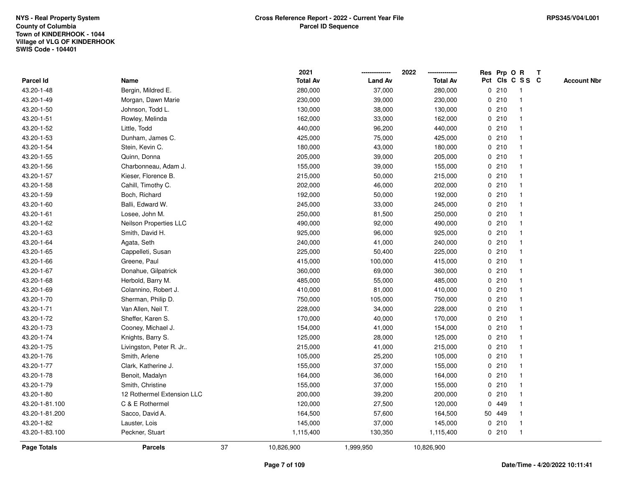|                |                            |    | 2021            |                | 2022            | Res Prp O R |                 | Т |                    |
|----------------|----------------------------|----|-----------------|----------------|-----------------|-------------|-----------------|---|--------------------|
| Parcel Id      | Name                       |    | <b>Total Av</b> | <b>Land Av</b> | <b>Total Av</b> |             | Pct Cls C S S C |   | <b>Account Nbr</b> |
| 43.20-1-48     | Bergin, Mildred E.         |    | 280,000         | 37,000         | 280,000         | 0210        | $\mathbf{1}$    |   |                    |
| 43.20-1-49     | Morgan, Dawn Marie         |    | 230,000         | 39,000         | 230,000         | 0210        | 1               |   |                    |
| 43.20-1-50     | Johnson, Todd L.           |    | 130,000         | 38,000         | 130,000         | 0210        | $\mathbf 1$     |   |                    |
| 43.20-1-51     | Rowley, Melinda            |    | 162,000         | 33,000         | 162,000         | 0210        |                 |   |                    |
| 43.20-1-52     | Little, Todd               |    | 440,000         | 96,200         | 440,000         | 0210        |                 |   |                    |
| 43.20-1-53     | Dunham, James C.           |    | 425,000         | 75,000         | 425,000         | 0210        |                 |   |                    |
| 43.20-1-54     | Stein, Kevin C.            |    | 180,000         | 43,000         | 180,000         | 0210        | $\mathbf 1$     |   |                    |
| 43.20-1-55     | Quinn, Donna               |    | 205,000         | 39,000         | 205,000         | 0210        | $\mathbf{1}$    |   |                    |
| 43.20-1-56     | Charbonneau, Adam J.       |    | 155,000         | 39,000         | 155,000         | 0210        | 1               |   |                    |
| 43.20-1-57     | Kieser, Florence B.        |    | 215,000         | 50,000         | 215,000         | 0210        | 1               |   |                    |
| 43.20-1-58     | Cahill, Timothy C.         |    | 202,000         | 46,000         | 202,000         | 0210        | $\mathbf 1$     |   |                    |
| 43.20-1-59     | Boch, Richard              |    | 192,000         | 50,000         | 192,000         | 0210        |                 |   |                    |
| 43.20-1-60     | Balli, Edward W.           |    | 245,000         | 33,000         | 245,000         | 0210        |                 |   |                    |
| 43.20-1-61     | Losee, John M.             |    | 250,000         | 81,500         | 250,000         | 0210        | $\mathbf 1$     |   |                    |
| 43.20-1-62     | Neilson Properties LLC     |    | 490,000         | 92,000         | 490,000         | 0210        | $\mathbf{1}$    |   |                    |
| 43.20-1-63     | Smith, David H.            |    | 925,000         | 96,000         | 925,000         | 0210        | $\mathbf{1}$    |   |                    |
| 43.20-1-64     | Agata, Seth                |    | 240,000         | 41,000         | 240,000         | 0210        | $\mathbf{1}$    |   |                    |
| 43.20-1-65     | Cappelleti, Susan          |    | 225,000         | 50,400         | 225,000         | 0210        | 1               |   |                    |
| 43.20-1-66     | Greene, Paul               |    | 415,000         | 100,000        | 415,000         | 0210        |                 |   |                    |
| 43.20-1-67     | Donahue, Gilpatrick        |    | 360,000         | 69,000         | 360,000         | 0210        |                 |   |                    |
| 43.20-1-68     | Herbold, Barry M.          |    | 485,000         | 55,000         | 485,000         | 0210        | $\mathbf{1}$    |   |                    |
| 43.20-1-69     | Colannino, Robert J.       |    | 410,000         | 81,000         | 410,000         | 0210        |                 |   |                    |
| 43.20-1-70     | Sherman, Philip D.         |    | 750,000         | 105,000        | 750,000         | 0210        | $\mathbf{1}$    |   |                    |
| 43.20-1-71     | Van Allen, Neil T.         |    | 228,000         | 34,000         | 228,000         | 0210        | $\mathbf 1$     |   |                    |
| 43.20-1-72     | Sheffer, Karen S.          |    | 170,000         | 40,000         | 170,000         | 0210        | $\mathbf 1$     |   |                    |
| 43.20-1-73     | Cooney, Michael J.         |    | 154,000         | 41,000         | 154,000         | 0210        |                 |   |                    |
| 43.20-1-74     | Knights, Barry S.          |    | 125,000         | 28,000         | 125,000         | 0210        |                 |   |                    |
| 43.20-1-75     | Livingston, Peter R. Jr    |    | 215,000         | 41,000         | 215,000         | 0210        | $\mathbf 1$     |   |                    |
| 43.20-1-76     | Smith, Arlene              |    | 105,000         | 25,200         | 105,000         | 0210        | $\mathbf{1}$    |   |                    |
| 43.20-1-77     | Clark, Katherine J.        |    | 155,000         | 37,000         | 155,000         | 0210        | 1               |   |                    |
| 43.20-1-78     | Benoit, Madalyn            |    | 164,000         | 36,000         | 164,000         | 0210        | 1               |   |                    |
| 43.20-1-79     | Smith, Christine           |    | 155,000         | 37,000         | 155,000         | 0210        | 1               |   |                    |
| 43.20-1-80     | 12 Rothermel Extension LLC |    | 200,000         | 39,200         | 200,000         | 0210        |                 |   |                    |
| 43.20-1-81.100 | C & E Rothermel            |    | 120,000         | 27,500         | 120,000         | 0 449       |                 |   |                    |
| 43.20-1-81.200 | Sacco, David A.            |    | 164,500         | 57,600         | 164,500         | 50 449      | 1               |   |                    |
| 43.20-1-82     | Lauster, Lois              |    | 145,000         | 37,000         | 145,000         | 0210        | 1               |   |                    |
| 43.20-1-83.100 | Peckner, Stuart            |    | 1,115,400       | 130,350        | 1,115,400       | 0210        | $\mathbf{1}$    |   |                    |
| Page Totals    | <b>Parcels</b>             | 37 | 10,826,900      | 1,999,950      | 10,826,900      |             |                 |   |                    |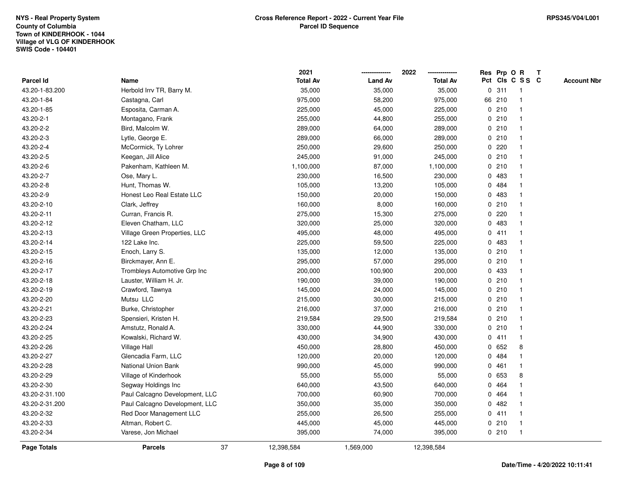|                |                                | 2021             |                | 2022            |             |         | Res Prp O R     | T |                    |
|----------------|--------------------------------|------------------|----------------|-----------------|-------------|---------|-----------------|---|--------------------|
| Parcel Id      | Name                           | <b>Total Av</b>  | <b>Land Av</b> | <b>Total Av</b> |             |         | Pct Cls C S S C |   | <b>Account Nbr</b> |
| 43.20-1-83.200 | Herbold Irrv TR, Barry M.      | 35,000           | 35,000         | 35,000          | $\mathbf 0$ | 311     | $\mathbf{1}$    |   |                    |
| 43.20-1-84     | Castagna, Carl                 | 975,000          | 58,200         | 975,000         |             | 66 210  | -1              |   |                    |
| 43.20-1-85     | Esposita, Carman A.            | 225,000          | 45,000         | 225,000         |             | 0210    | $\mathbf{1}$    |   |                    |
| 43.20-2-1      | Montagano, Frank               | 255,000          | 44,800         | 255,000         |             | 0210    |                 |   |                    |
| 43.20-2-2      | Bird, Malcolm W.               | 289,000          | 64,000         | 289,000         |             | 0210    |                 |   |                    |
| 43.20-2-3      | Lytle, George E.               | 289,000          | 66,000         | 289,000         |             | 0210    |                 |   |                    |
| 43.20-2-4      | McCormick, Ty Lohrer           | 250,000          | 29,600         | 250,000         |             | $0$ 220 |                 |   |                    |
| 43.20-2-5      | Keegan, Jill Alice             | 245,000          | 91,000         | 245,000         | 0           | 210     |                 |   |                    |
| 43.20-2-6      | Pakenham, Kathleen M.          | 1,100,000        | 87,000         | 1,100,000       | 0           | 210     | $\mathbf{1}$    |   |                    |
| 43.20-2-7      | Ose, Mary L.                   | 230,000          | 16,500         | 230,000         |             | 0 483   | $\mathbf 1$     |   |                    |
| 43.20-2-8      | Hunt, Thomas W.                | 105,000          | 13,200         | 105,000         |             | 0 484   |                 |   |                    |
| 43.20-2-9      | Honest Leo Real Estate LLC     | 150,000          | 20,000         | 150,000         |             | 0 483   |                 |   |                    |
| 43.20-2-10     | Clark, Jeffrey                 | 160,000          | 8,000          | 160,000         | 0           | 210     |                 |   |                    |
| 43.20-2-11     | Curran, Francis R.             | 275,000          | 15,300         | 275,000         | 0           | 220     |                 |   |                    |
| 43.20-2-12     | Eleven Chatham, LLC            | 320,000          | 25,000         | 320,000         | 0           | 483     |                 |   |                    |
| 43.20-2-13     | Village Green Properties, LLC  | 495,000          | 48,000         | 495,000         | 0           | 411     | $\mathbf{1}$    |   |                    |
| 43.20-2-14     | 122 Lake Inc.                  | 225,000          | 59,500         | 225,000         |             | 0 483   | $\mathbf 1$     |   |                    |
| 43.20-2-15     | Enoch, Larry S.                | 135,000          | 12,000         | 135,000         |             | 0210    |                 |   |                    |
| 43.20-2-16     | Birckmayer, Ann E.             | 295,000          | 57,000         | 295,000         |             | 0210    |                 |   |                    |
| 43.20-2-17     | Trombleys Automotive Grp Inc   | 200,000          | 100,900        | 200,000         |             | 0 433   |                 |   |                    |
| 43.20-2-18     | Lauster, William H. Jr.        | 190,000          | 39,000         | 190,000         |             | 0210    |                 |   |                    |
| 43.20-2-19     | Crawford, Tawnya               | 145,000          | 24,000         | 145,000         | 0           | 210     |                 |   |                    |
| 43.20-2-20     | Mutsu LLC                      | 215,000          | 30,000         | 215,000         |             | 0210    | -1              |   |                    |
| 43.20-2-21     | Burke, Christopher             | 216,000          | 37,000         | 216,000         |             | 0210    | -1              |   |                    |
| 43.20-2-23     | Spensieri, Kristen H.          | 219,584          | 29,500         | 219,584         |             | 0210    |                 |   |                    |
| 43.20-2-24     | Amstutz, Ronald A.             | 330,000          | 44,900         | 330,000         |             | 0210    |                 |   |                    |
| 43.20-2-25     | Kowalski, Richard W.           | 430,000          | 34,900         | 430,000         |             | 0411    |                 |   |                    |
| 43.20-2-26     | Village Hall                   | 450,000          | 28,800         | 450,000         |             | 0 652   | 8               |   |                    |
| 43.20-2-27     | Glencadia Farm, LLC            | 120,000          | 20,000         | 120,000         | 0           | 484     |                 |   |                    |
| 43.20-2-28     | National Union Bank            | 990,000          | 45,000         | 990,000         | 0           | 461     | $\mathbf{1}$    |   |                    |
| 43.20-2-29     | Village of Kinderhook          | 55,000           | 55,000         | 55,000          |             | 0 653   | 8               |   |                    |
| 43.20-2-30     | Segway Holdings Inc            | 640,000          | 43,500         | 640,000         |             | 0 464   |                 |   |                    |
| 43.20-2-31.100 | Paul Calcagno Development, LLC | 700,000          | 60,900         | 700,000         |             | 0 464   |                 |   |                    |
| 43.20-2-31.200 | Paul Calcagno Development, LLC | 350,000          | 35,000         | 350,000         | 0           | 482     |                 |   |                    |
| 43.20-2-32     | Red Door Management LLC        | 255,000          | 26,500         | 255,000         |             | 0411    | $\mathbf{1}$    |   |                    |
| 43.20-2-33     | Altman, Robert C.              | 445,000          | 45,000         | 445,000         | 0           | 210     | -1              |   |                    |
| 43.20-2-34     | Varese, Jon Michael            | 395,000          | 74,000         | 395,000         |             | 0210    | $\mathbf{1}$    |   |                    |
| Page Totals    | <b>Parcels</b>                 | 37<br>12,398,584 | 1,569,000      | 12,398,584      |             |         |                 |   |                    |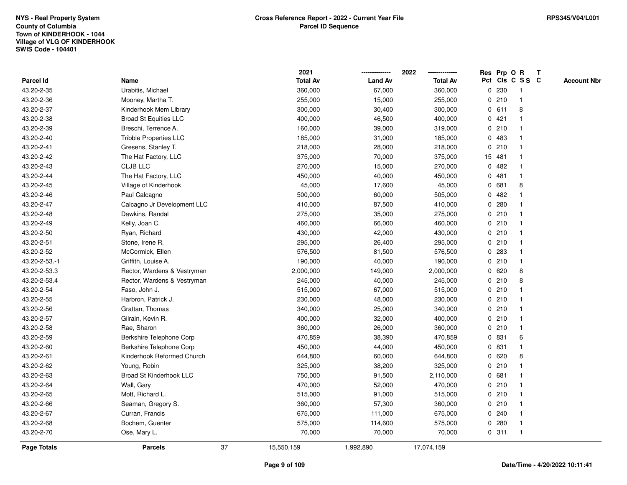|               |                               |    | 2021            |                | 2022            |              |        | Res Prp O R             | Т |                    |
|---------------|-------------------------------|----|-----------------|----------------|-----------------|--------------|--------|-------------------------|---|--------------------|
| Parcel Id     | Name                          |    | <b>Total Av</b> | <b>Land Av</b> | <b>Total Av</b> |              |        | Pct Cls C S S C         |   | <b>Account Nbr</b> |
| 43.20-2-35    | Urabitis, Michael             |    | 360,000         | 67,000         | 360,000         | 0            | 230    | -1                      |   |                    |
| 43.20-2-36    | Mooney, Martha T.             |    | 255,000         | 15,000         | 255,000         | 0            | 210    | $\mathbf 1$             |   |                    |
| 43.20-2-37    | Kinderhook Mem Library        |    | 300,000         | 30,400         | 300,000         |              | 0 611  | 8                       |   |                    |
| 43.20-2-38    | <b>Broad St Equities LLC</b>  |    | 400,000         | 46,500         | 400,000         |              | 0421   |                         |   |                    |
| 43.20-2-39    | Breschi, Terrence A.          |    | 160,000         | 39,000         | 319,000         |              | 0210   |                         |   |                    |
| 43.20-2-40    | <b>Tribble Properties LLC</b> |    | 185,000         | 31,000         | 185,000         | 0            | 483    |                         |   |                    |
| 43.20-2-41    | Gresens, Stanley T.           |    | 218,000         | 28,000         | 218,000         |              | 0210   |                         |   |                    |
| 43.20-2-42    | The Hat Factory, LLC          |    | 375,000         | 70,000         | 375,000         |              | 15 481 |                         |   |                    |
| 43.20-2-43    | <b>CLJB LLC</b>               |    | 270,000         | 15,000         | 270,000         | 0            | 482    | -1                      |   |                    |
| 43.20-2-44    | The Hat Factory, LLC          |    | 450,000         | 40,000         | 450,000         | $\mathbf 0$  | 481    | $\mathbf{1}$            |   |                    |
| 43.20-2-45    | Village of Kinderhook         |    | 45,000          | 17,600         | 45,000          |              | 0 681  | 8                       |   |                    |
| 43.20-2-46    | Paul Calcagno                 |    | 500,000         | 60,000         | 505,000         |              | 0.482  |                         |   |                    |
| 43.20-2-47    | Calcagno Jr Development LLC   |    | 410,000         | 87,500         | 410,000         | $\mathbf{0}$ | 280    |                         |   |                    |
| 43.20-2-48    | Dawkins, Randal               |    | 275,000         | 35,000         | 275,000         |              | 0210   |                         |   |                    |
| 43.20-2-49    | Kelly, Joan C.                |    | 460,000         | 66,000         | 460,000         | $\mathbf 0$  | 210    | $\overline{\mathbf{1}}$ |   |                    |
| 43.20-2-50    | Ryan, Richard                 |    | 430,000         | 42,000         | 430,000         |              | 0210   | -1                      |   |                    |
| 43.20-2-51    | Stone, Irene R.               |    | 295,000         | 26,400         | 295,000         |              | 0210   | $\mathbf 1$             |   |                    |
| 43.20-2-52    | McCormick, Ellen              |    | 576,500         | 81,500         | 576,500         |              | 0.283  |                         |   |                    |
| 43.20-2-53.-1 | Griffith, Louise A.           |    | 190,000         | 40,000         | 190,000         |              | 0210   |                         |   |                    |
| 43.20-2-53.3  | Rector, Wardens & Vestryman   |    | 2,000,000       | 149,000        | 2,000,000       |              | 0620   | 8                       |   |                    |
| 43.20-2-53.4  | Rector, Wardens & Vestryman   |    | 245,000         | 40,000         | 245,000         |              | 0210   | 8                       |   |                    |
| 43.20-2-54    | Faso, John J.                 |    | 515,000         | 67,000         | 515,000         |              | 0210   |                         |   |                    |
| 43.20-2-55    | Harbron, Patrick J.           |    | 230,000         | 48,000         | 230,000         |              | 0210   | $\overline{\mathbf{1}}$ |   |                    |
| 43.20-2-56    | Grattan, Thomas               |    | 340,000         | 25,000         | 340,000         |              | 0210   | $\mathbf 1$             |   |                    |
| 43.20-2-57    | Gilrain, Kevin R.             |    | 400,000         | 32,000         | 400,000         |              | 0210   | -1                      |   |                    |
| 43.20-2-58    | Rae, Sharon                   |    | 360,000         | 26,000         | 360,000         |              | 0210   |                         |   |                    |
| 43.20-2-59    | Berkshire Telephone Corp      |    | 470,859         | 38,390         | 470,859         |              | 0 831  | 6                       |   |                    |
| 43.20-2-60    | Berkshire Telephone Corp      |    | 450,000         | 44,000         | 450,000         |              | 0 831  |                         |   |                    |
| 43.20-2-61    | Kinderhook Reformed Church    |    | 644,800         | 60,000         | 644,800         | 0            | 620    | 8                       |   |                    |
| 43.20-2-62    | Young, Robin                  |    | 325,000         | 38,200         | 325,000         |              | 0210   | -1                      |   |                    |
| 43.20-2-63    | Broad St Kinderhook LLC       |    | 750,000         | 91,500         | 2,110,000       | $\mathbf 0$  | 681    |                         |   |                    |
| 43.20-2-64    | Wall, Gary                    |    | 470,000         | 52,000         | 470,000         |              | 0210   | -1                      |   |                    |
| 43.20-2-65    | Mott, Richard L.              |    | 515,000         | 91,000         | 515,000         |              | 0210   |                         |   |                    |
| 43.20-2-66    | Seaman, Gregory S.            |    | 360,000         | 57,300         | 360,000         |              | 0210   |                         |   |                    |
| 43.20-2-67    | Curran, Francis               |    | 675,000         | 111,000        | 675,000         |              | 0.240  |                         |   |                    |
| 43.20-2-68    | Bochem, Guenter               |    | 575,000         | 114,600        | 575,000         | $\mathbf{0}$ | 280    | -1                      |   |                    |
| 43.20-2-70    | Ose, Mary L.                  |    | 70,000          | 70,000         | 70,000          |              | 0.311  | $\mathbf{1}$            |   |                    |
| Page Totals   | <b>Parcels</b>                | 37 | 15,550,159      | 1,992,890      | 17,074,159      |              |        |                         |   |                    |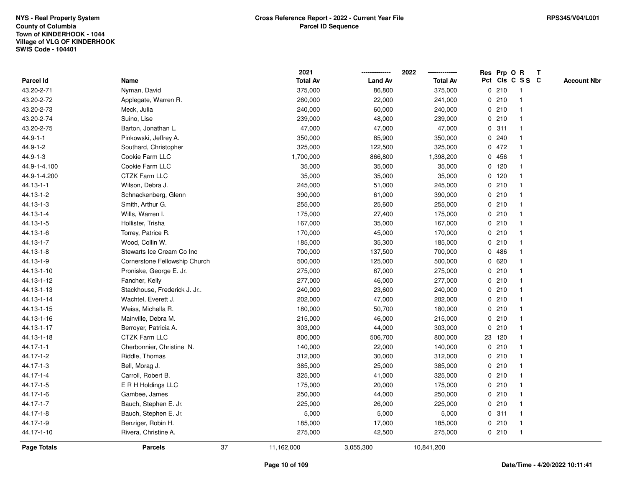|                    |                               |    | 2021            |                | 2022            | Res Prp O R |                         | Т |                    |
|--------------------|-------------------------------|----|-----------------|----------------|-----------------|-------------|-------------------------|---|--------------------|
| Parcel Id          | Name                          |    | <b>Total Av</b> | <b>Land Av</b> | <b>Total Av</b> |             | Pct Cls C S S C         |   | <b>Account Nbr</b> |
| 43.20-2-71         | Nyman, David                  |    | 375,000         | 86,800         | 375,000         | 0210        | $\mathbf{1}$            |   |                    |
| 43.20-2-72         | Applegate, Warren R.          |    | 260,000         | 22,000         | 241,000         | 0210        | $\mathbf 1$             |   |                    |
| 43.20-2-73         | Meck, Julia                   |    | 240,000         | 60,000         | 240,000         | 0210        | $\mathbf{1}$            |   |                    |
| 43.20-2-74         | Suino, Lise                   |    | 239,000         | 48,000         | 239,000         | 0210        |                         |   |                    |
| 43.20-2-75         | Barton, Jonathan L.           |    | 47,000          | 47,000         | 47,000          | 0.311       |                         |   |                    |
| $44.9 - 1 - 1$     | Pinkowski, Jeffrey A.         |    | 350,000         | 85,900         | 350,000         | 0.240       |                         |   |                    |
| 44.9-1-2           | Southard, Christopher         |    | 325,000         | 122,500        | 325,000         | 0472        |                         |   |                    |
| $44.9 - 1 - 3$     | Cookie Farm LLC               |    | 1,700,000       | 866,800        | 1,398,200       | 0456        |                         |   |                    |
| 44.9-1-4.100       | Cookie Farm LLC               |    | 35,000          | 35,000         | 35,000          | $0$ 120     | -1                      |   |                    |
| 44.9-1-4.200       | <b>CTZK Farm LLC</b>          |    | 35,000          | 35,000         | 35,000          | $0$ 120     | $\mathbf{1}$            |   |                    |
| 44.13-1-1          | Wilson, Debra J.              |    | 245,000         | 51,000         | 245,000         | 0210        | -1                      |   |                    |
| 44.13-1-2          | Schnackenberg, Glenn          |    | 390,000         | 61,000         | 390,000         | 0210        |                         |   |                    |
| 44.13-1-3          | Smith, Arthur G.              |    | 255,000         | 25,600         | 255,000         | 0210        |                         |   |                    |
| 44.13-1-4          | Wills, Warren I.              |    | 175,000         | 27,400         | 175,000         | 0210        | -1                      |   |                    |
| 44.13-1-5          | Hollister, Trisha             |    | 167,000         | 35,000         | 167,000         | 0210        |                         |   |                    |
| 44.13-1-6          | Torrey, Patrice R.            |    | 170,000         | 45,000         | 170,000         | 0210        | $\mathbf{1}$            |   |                    |
| 44.13-1-7          | Wood, Collin W.               |    | 185,000         | 35,300         | 185,000         | 0210        | $\mathbf{1}$            |   |                    |
| 44.13-1-8          | Stewarts Ice Cream Co Inc     |    | 700,000         | 137,500        | 700,000         | 0486        |                         |   |                    |
| 44.13-1-9          | Cornerstone Fellowship Church |    | 500,000         | 125,000        | 500,000         | 0620        |                         |   |                    |
| 44.13-1-10         | Proniske, George E. Jr.       |    | 275,000         | 67,000         | 275,000         | 0210        |                         |   |                    |
| 44.13-1-12         | Fancher, Kelly                |    | 277,000         | 46,000         | 277,000         | 0210        | $\overline{\mathbf{1}}$ |   |                    |
| 44.13-1-13         | Stackhouse, Frederick J. Jr   |    | 240,000         | 23,600         | 240,000         | 0210        |                         |   |                    |
| 44.13-1-14         | Wachtel, Everett J.           |    | 202,000         | 47,000         | 202,000         | 0210        | $\mathbf{1}$            |   |                    |
| 44.13-1-15         | Weiss, Michella R.            |    | 180,000         | 50,700         | 180,000         | 0210        | $\mathbf 1$             |   |                    |
| 44.13-1-16         | Mainville, Debra M.           |    | 215,000         | 46,000         | 215,000         | 0210        | $\mathbf 1$             |   |                    |
| 44.13-1-17         | Berroyer, Patricia A.         |    | 303,000         | 44,000         | 303,000         | 0210        |                         |   |                    |
| 44.13-1-18         | <b>CTZK Farm LLC</b>          |    | 800,000         | 506,700        | 800,000         | 23 120      |                         |   |                    |
| 44.17-1-1          | Cherbonnier, Christine N.     |    | 140,000         | 22,000         | 140,000         | 0210        |                         |   |                    |
| 44.17-1-2          | Riddle, Thomas                |    | 312,000         | 30,000         | 312,000         | 0210        | $\overline{\mathbf{1}}$ |   |                    |
| 44.17-1-3          | Bell, Morag J.                |    | 385,000         | 25,000         | 385,000         | 0210        | -1                      |   |                    |
| 44.17-1-4          | Carroll, Robert B.            |    | 325,000         | 41,000         | 325,000         | 0210        | -1                      |   |                    |
| 44.17-1-5          | E R H Holdings LLC            |    | 175,000         | 20,000         | 175,000         | 0210        | -1                      |   |                    |
| 44.17-1-6          | Gambee, James                 |    | 250,000         | 44,000         | 250,000         | 0210        |                         |   |                    |
| 44.17-1-7          | Bauch, Stephen E. Jr.         |    | 225,000         | 26,000         | 225,000         | 0210        |                         |   |                    |
| 44.17-1-8          | Bauch, Stephen E. Jr.         |    | 5,000           | 5,000          | 5,000           | 0.311       | $\mathbf 1$             |   |                    |
| 44.17-1-9          | Benziger, Robin H.            |    | 185,000         | 17,000         | 185,000         | 0210        | $\mathbf{1}$            |   |                    |
| 44.17-1-10         | Rivera, Christine A.          |    | 275,000         | 42,500         | 275,000         | 0210        | $\mathbf{1}$            |   |                    |
| <b>Page Totals</b> | <b>Parcels</b>                | 37 | 11,162,000      | 3,055,300      | 10,841,200      |             |                         |   |                    |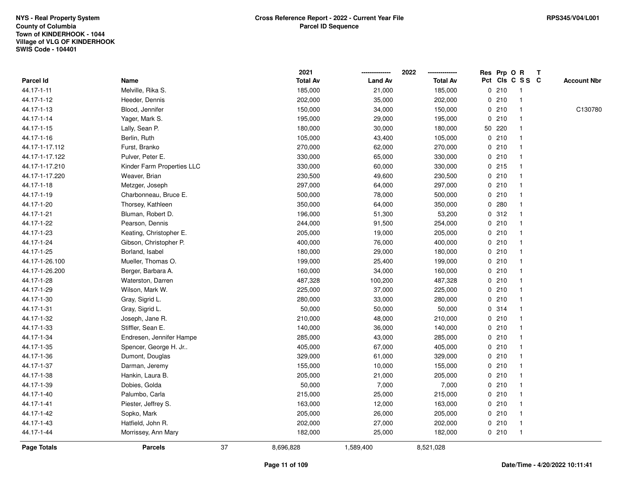|                |                            |    | 2021            |                | 2022            |         | Res Prp O R     | $\mathbf{T}$ |                    |
|----------------|----------------------------|----|-----------------|----------------|-----------------|---------|-----------------|--------------|--------------------|
| Parcel Id      | Name                       |    | <b>Total Av</b> | <b>Land Av</b> | <b>Total Av</b> |         | Pct Cls C S S C |              | <b>Account Nbr</b> |
| 44.17-1-11     | Melville, Rika S.          |    | 185,000         | 21,000         | 185,000         | 0210    | 1               |              |                    |
| 44.17-1-12     | Heeder, Dennis             |    | 202,000         | 35,000         | 202,000         | 0210    |                 |              |                    |
| 44.17-1-13     | Blood, Jennifer            |    | 150,000         | 34,000         | 150,000         | 0210    | $\mathbf 1$     |              | C130780            |
| 44.17-1-14     | Yager, Mark S.             |    | 195,000         | 29,000         | 195,000         | 0210    | $\mathbf{1}$    |              |                    |
| 44.17-1-15     | Lally, Sean P.             |    | 180,000         | 30,000         | 180,000         | 50 220  | $\mathbf{1}$    |              |                    |
| 44.17-1-16     | Berlin, Ruth               |    | 105,000         | 43,400         | 105,000         | 0210    | 1               |              |                    |
| 44.17-1-17.112 | Furst, Branko              |    | 270,000         | 62,000         | 270,000         | 0210    |                 |              |                    |
| 44.17-1-17.122 | Pulver, Peter E.           |    | 330,000         | 65,000         | 330,000         | 0210    |                 |              |                    |
| 44.17-1-17.210 | Kinder Farm Properties LLC |    | 330,000         | 60,000         | 330,000         | $0$ 215 | $\mathbf{1}$    |              |                    |
| 44.17-1-17.220 | Weaver, Brian              |    | 230,500         | 49,600         | 230,500         | 0210    | $\mathbf{1}$    |              |                    |
| 44.17-1-18     | Metzger, Joseph            |    | 297,000         | 64,000         | 297,000         | 0210    | $\mathbf{1}$    |              |                    |
| 44.17-1-19     | Charbonneau, Bruce E.      |    | 500,000         | 78,000         | 500,000         | 0210    | $\mathbf{1}$    |              |                    |
| 44.17-1-20     | Thorsey, Kathleen          |    | 350,000         | 64,000         | 350,000         | 0.280   | 1               |              |                    |
| 44.17-1-21     | Bluman, Robert D.          |    | 196,000         | 51,300         | 53,200          | 0.312   |                 |              |                    |
| 44.17-1-22     | Pearson, Dennis            |    | 244,000         | 91,500         | 254,000         | 0210    |                 |              |                    |
| 44.17-1-23     | Keating, Christopher E.    |    | 205,000         | 19,000         | 205,000         | 0210    | $\mathbf 1$     |              |                    |
| 44.17-1-24     | Gibson, Christopher P.     |    | 400,000         | 76,000         | 400,000         | 0210    | $\mathbf{1}$    |              |                    |
| 44.17-1-25     | Borland, Isabel            |    | 180,000         | 29,000         | 180,000         | 0210    | 1               |              |                    |
| 44.17-1-26.100 | Mueller, Thomas O.         |    | 199,000         | 25,400         | 199,000         | 0210    | $\mathbf{1}$    |              |                    |
| 44.17-1-26.200 | Berger, Barbara A.         |    | 160,000         | 34,000         | 160,000         | 0210    |                 |              |                    |
| 44.17-1-28     | Waterston, Darren          |    | 487,328         | 100,200        | 487,328         | 0210    |                 |              |                    |
| 44.17-1-29     | Wilson, Mark W.            |    | 225,000         | 37,000         | 225,000         | 0210    |                 |              |                    |
| 44.17-1-30     | Gray, Sigrid L.            |    | 280,000         | 33,000         | 280,000         | 0210    | $\mathbf 1$     |              |                    |
| 44.17-1-31     | Gray, Sigrid L.            |    | 50,000          | 50,000         | 50,000          | 0.314   | $\mathbf{1}$    |              |                    |
| 44.17-1-32     | Joseph, Jane R.            |    | 210,000         | 48,000         | 210,000         | 0210    | 1               |              |                    |
| 44.17-1-33     | Stiffler, Sean E.          |    | 140,000         | 36,000         | 140,000         | 0210    | $\mathbf 1$     |              |                    |
| 44.17-1-34     | Endresen, Jennifer Hampe   |    | 285,000         | 43,000         | 285,000         | 0210    | -1              |              |                    |
| 44.17-1-35     | Spencer, George H. Jr      |    | 405,000         | 67,000         | 405,000         | 0210    |                 |              |                    |
| 44.17-1-36     | Dumont, Douglas            |    | 329,000         | 61,000         | 329,000         | 0210    | $\mathbf{1}$    |              |                    |
| 44.17-1-37     | Darman, Jeremy             |    | 155,000         | 10,000         | 155,000         | 0210    | 1               |              |                    |
| 44.17-1-38     | Hankin, Laura B.           |    | 205,000         | 21,000         | 205,000         | 0210    | $\mathbf{1}$    |              |                    |
| 44.17-1-39     | Dobies, Golda              |    | 50,000          | 7,000          | 7,000           | 0210    | 1               |              |                    |
| 44.17-1-40     | Palumbo, Carla             |    | 215,000         | 25,000         | 215,000         | 0210    | $\mathbf 1$     |              |                    |
| 44.17-1-41     | Piester, Jeffrey S.        |    | 163,000         | 12,000         | 163,000         | 0210    |                 |              |                    |
| 44.17-1-42     | Sopko, Mark                |    | 205,000         | 26,000         | 205,000         | 0210    | $\mathbf 1$     |              |                    |
| 44.17-1-43     | Hatfield, John R.          |    | 202,000         | 27,000         | 202,000         | 0210    | $\mathbf{1}$    |              |                    |
| 44.17-1-44     | Morrissey, Ann Mary        |    | 182,000         | 25,000         | 182,000         | 0210    | $\mathbf{1}$    |              |                    |
| Page Totals    | <b>Parcels</b>             | 37 | 8,696,828       | 1,589,400      | 8,521,028       |         |                 |              |                    |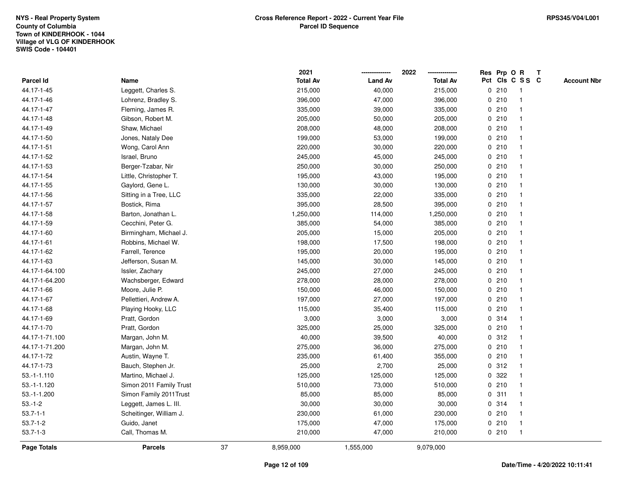|                |                         |    | 2021            |                | 2022            | Res Prp O R |                 | Т |                    |
|----------------|-------------------------|----|-----------------|----------------|-----------------|-------------|-----------------|---|--------------------|
| Parcel Id      | Name                    |    | <b>Total Av</b> | <b>Land Av</b> | <b>Total Av</b> |             | Pct Cls C S S C |   | <b>Account Nbr</b> |
| 44.17-1-45     | Leggett, Charles S.     |    | 215,000         | 40,000         | 215,000         | 0210        | $\mathbf{1}$    |   |                    |
| 44.17-1-46     | Lohrenz, Bradley S.     |    | 396,000         | 47,000         | 396,000         | 0210        | $\mathbf{1}$    |   |                    |
| 44.17-1-47     | Fleming, James R.       |    | 335,000         | 39,000         | 335,000         | 0210        | $\mathbf{1}$    |   |                    |
| 44.17-1-48     | Gibson, Robert M.       |    | 205,000         | 50,000         | 205,000         | 0210        | -1              |   |                    |
| 44.17-1-49     | Shaw, Michael           |    | 208,000         | 48,000         | 208,000         | 0210        |                 |   |                    |
| 44.17-1-50     | Jones, Nataly Dee       |    | 199,000         | 53,000         | 199,000         | 0210        |                 |   |                    |
| 44.17-1-51     | Wong, Carol Ann         |    | 220,000         | 30,000         | 220,000         | 0210        | $\mathbf{1}$    |   |                    |
| 44.17-1-52     | Israel, Bruno           |    | 245,000         | 45,000         | 245,000         | 0210        | $\mathbf{1}$    |   |                    |
| 44.17-1-53     | Berger-Tzabar, Nir      |    | 250,000         | 30,000         | 250,000         | 0210        | $\mathbf{1}$    |   |                    |
| 44.17-1-54     | Little, Christopher T.  |    | 195,000         | 43,000         | 195,000         | 0210        | $\mathbf{1}$    |   |                    |
| 44.17-1-55     | Gaylord, Gene L.        |    | 130,000         | 30,000         | 130,000         | 0210        | $\mathbf 1$     |   |                    |
| 44.17-1-56     | Sitting in a Tree, LLC  |    | 335,000         | 22,000         | 335,000         | 0210        | 1               |   |                    |
| 44.17-1-57     | Bostick, Rima           |    | 395,000         | 28,500         | 395,000         | 0210        |                 |   |                    |
| 44.17-1-58     | Barton, Jonathan L.     |    | 1,250,000       | 114,000        | 1,250,000       | 0210        | $\mathbf 1$     |   |                    |
| 44.17-1-59     | Cecchini, Peter G.      |    | 385,000         | 54,000         | 385,000         | 0210        | $\mathbf{1}$    |   |                    |
| 44.17-1-60     | Birmingham, Michael J.  |    | 205,000         | 15,000         | 205,000         | 0210        | $\mathbf{1}$    |   |                    |
| 44.17-1-61     | Robbins, Michael W.     |    | 198,000         | 17,500         | 198,000         | 0210        | $\mathbf{1}$    |   |                    |
| 44.17-1-62     | Farrell, Terence        |    | 195,000         | 20,000         | 195,000         | 0210        | $\mathbf{1}$    |   |                    |
| 44.17-1-63     | Jefferson, Susan M.     |    | 145,000         | 30,000         | 145,000         | 0210        | $\mathbf{1}$    |   |                    |
| 44.17-1-64.100 | Issler, Zachary         |    | 245,000         | 27,000         | 245,000         | 0210        |                 |   |                    |
| 44.17-1-64.200 | Wachsberger, Edward     |    | 278,000         | 28,000         | 278,000         | 0210        | $\mathbf{1}$    |   |                    |
| 44.17-1-66     | Moore, Julie P.         |    | 150,000         | 46,000         | 150,000         | 0210        | $\mathbf 1$     |   |                    |
| 44.17-1-67     | Pellettieri, Andrew A.  |    | 197,000         | 27,000         | 197,000         | 0210        | $\mathbf{1}$    |   |                    |
| 44.17-1-68     | Playing Hooky, LLC      |    | 115,000         | 35,400         | 115,000         | 0210        | $\mathbf{1}$    |   |                    |
| 44.17-1-69     | Pratt, Gordon           |    | 3,000           | 3,000          | 3,000           | 0.314       | $\mathbf 1$     |   |                    |
| 44.17-1-70     | Pratt, Gordon           |    | 325,000         | 25,000         | 325,000         | 0210        | -1              |   |                    |
| 44.17-1-71.100 | Margan, John M.         |    | 40,000          | 39,500         | 40,000          | 0.312       |                 |   |                    |
| 44.17-1-71.200 | Margan, John M.         |    | 275,000         | 36,000         | 275,000         | 0210        | $\mathbf 1$     |   |                    |
| 44.17-1-72     | Austin, Wayne T.        |    | 235,000         | 61,400         | 355,000         | 0210        | $\mathbf{1}$    |   |                    |
| 44.17-1-73     | Bauch, Stephen Jr.      |    | 25,000          | 2,700          | 25,000          | 0.312       | $\mathbf{1}$    |   |                    |
| $53.-1-1.110$  | Martino, Michael J.     |    | 125,000         | 125,000        | 125,000         | 0.322       | $\mathbf{1}$    |   |                    |
| 53.-1-1.120    | Simon 2011 Family Trust |    | 510,000         | 73,000         | 510,000         | 0210        | $\mathbf{1}$    |   |                    |
| 53.-1-1.200    | Simon Family 2011 Trust |    | 85,000          | 85,000         | 85,000          | 0.311       | -1              |   |                    |
| $53.-1-2$      | Leggett, James L. III.  |    | 30,000          | 30,000         | 30,000          | 0.314       |                 |   |                    |
| $53.7 - 1 - 1$ | Scheitinger, William J. |    | 230,000         | 61,000         | 230,000         | 0210        | $\mathbf{1}$    |   |                    |
| $53.7 - 1 - 2$ | Guido, Janet            |    | 175,000         | 47,000         | 175,000         | 0210        | $\mathbf{1}$    |   |                    |
| $53.7 - 1 - 3$ | Call, Thomas M.         |    | 210,000         | 47,000         | 210,000         | 0210        | $\mathbf{1}$    |   |                    |
| Page Totals    | <b>Parcels</b>          | 37 | 8,959,000       | 1,555,000      | 9,079,000       |             |                 |   |                    |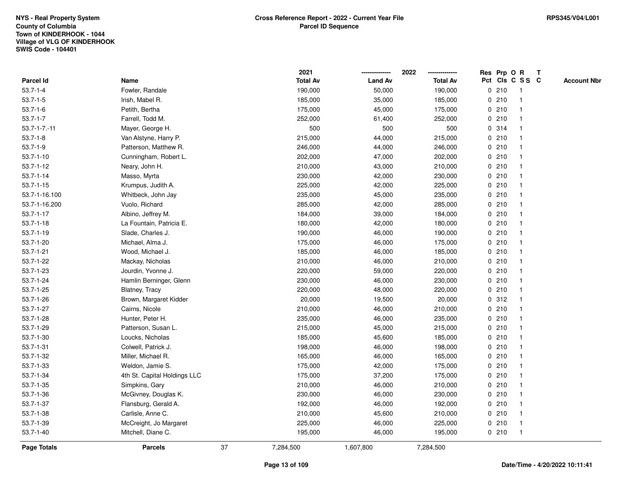|                     |                              |    | 2021            |                | 2022            |       | Res Prp O R             | Т |                    |
|---------------------|------------------------------|----|-----------------|----------------|-----------------|-------|-------------------------|---|--------------------|
| Parcel Id           | Name                         |    | <b>Total Av</b> | <b>Land Av</b> | <b>Total Av</b> |       | Pct Cls C S S C         |   | <b>Account Nbr</b> |
| $53.7 - 1 - 4$      | Fowler, Randale              |    | 190,000         | 50,000         | 190,000         | 0210  | $\mathbf{1}$            |   |                    |
| $53.7 - 1 - 5$      | Irish, Mabel R.              |    | 185,000         | 35,000         | 185,000         | 0210  | -1                      |   |                    |
| $53.7 - 1 - 6$      | Petith, Bertha               |    | 175,000         | 45,000         | 175,000         | 0210  | $\mathbf 1$             |   |                    |
| $53.7 - 1 - 7$      | Farrell, Todd M.             |    | 252,000         | 61,400         | 252,000         | 0210  |                         |   |                    |
| $53.7 - 1 - 7 - 11$ | Mayer, George H.             |    | 500             | 500            | 500             | 0.314 |                         |   |                    |
| $53.7 - 1 - 8$      | Van Alstyne, Harry P.        |    | 215,000         | 44,000         | 215,000         | 0210  |                         |   |                    |
| $53.7 - 1 - 9$      | Patterson, Matthew R.        |    | 246,000         | 44,000         | 246,000         | 0210  |                         |   |                    |
| $53.7 - 1 - 10$     | Cunningham, Robert L.        |    | 202,000         | 47,000         | 202,000         | 0210  |                         |   |                    |
| 53.7-1-12           | Neary, John H.               |    | 210,000         | 43,000         | 210,000         | 0210  | -1                      |   |                    |
| $53.7 - 1 - 14$     | Masso, Myrta                 |    | 230,000         | 42,000         | 230,000         | 0210  | $\mathbf 1$             |   |                    |
| $53.7 - 1 - 15$     | Krumpus, Judith A.           |    | 225,000         | 42,000         | 225,000         | 0210  | -1                      |   |                    |
| 53.7-1-16.100       | Whitbeck, John Jay           |    | 235,000         | 45,000         | 235,000         | 0210  |                         |   |                    |
| 53.7-1-16.200       | Vuolo, Richard               |    | 285,000         | 42,000         | 285,000         | 0210  |                         |   |                    |
| $53.7 - 1 - 17$     | Albino, Jeffrey M.           |    | 184,000         | 39,000         | 184,000         | 0210  |                         |   |                    |
| $53.7 - 1 - 18$     | La Fountain, Patricia E.     |    | 180,000         | 42,000         | 180,000         | 0210  |                         |   |                    |
| $53.7 - 1 - 19$     | Slade, Charles J.            |    | 190,000         | 46,000         | 190,000         | 0210  | $\mathbf{1}$            |   |                    |
| 53.7-1-20           | Michael, Alma J.             |    | 175,000         | 46,000         | 175,000         | 0210  | $\mathbf{1}$            |   |                    |
| $53.7 - 1 - 21$     | Wood, Michael J.             |    | 185,000         | 46,000         | 185,000         | 0210  |                         |   |                    |
| 53.7-1-22           | Mackay, Nicholas             |    | 210,000         | 46,000         | 210,000         | 0210  |                         |   |                    |
| 53.7-1-23           | Jourdin, Yvonne J.           |    | 220,000         | 59,000         | 220,000         | 0210  |                         |   |                    |
| 53.7-1-24           | Hamlin Berninger, Glenn      |    | 230,000         | 46,000         | 230,000         | 0210  |                         |   |                    |
| $53.7 - 1 - 25$     | Blatney, Tracy               |    | 220,000         | 48,000         | 220,000         | 0210  |                         |   |                    |
| 53.7-1-26           | Brown, Margaret Kidder       |    | 20,000          | 19,500         | 20,000          | 0.312 | $\mathbf{1}$            |   |                    |
| 53.7-1-27           | Cairns, Nicole               |    | 210,000         | 46,000         | 210,000         | 0210  | -1                      |   |                    |
| 53.7-1-28           | Hunter, Peter H.             |    | 235,000         | 46,000         | 235,000         | 0210  | -1                      |   |                    |
| 53.7-1-29           | Patterson, Susan L.          |    | 215,000         | 45,000         | 215,000         | 0210  |                         |   |                    |
| $53.7 - 1 - 30$     | Loucks, Nicholas             |    | 185,000         | 45,600         | 185,000         | 0210  |                         |   |                    |
| $53.7 - 1 - 31$     | Colwell, Patrick J.          |    | 198,000         | 46,000         | 198,000         | 0210  |                         |   |                    |
| 53.7-1-32           | Miller, Michael R.           |    | 165,000         | 46,000         | 165,000         | 0210  | $\overline{\mathbf{1}}$ |   |                    |
| $53.7 - 1 - 33$     | Weldon, Jamie S.             |    | 175,000         | 42,000         | 175,000         | 0210  | -1                      |   |                    |
| 53.7-1-34           | 4th St. Capital Holdings LLC |    | 175,000         | 37,200         | 175,000         | 0210  | -1                      |   |                    |
| 53.7-1-35           | Simpkins, Gary               |    | 210,000         | 46,000         | 210,000         | 0210  | -1                      |   |                    |
| 53.7-1-36           | McGivney, Douglas K.         |    | 230,000         | 46,000         | 230,000         | 0210  |                         |   |                    |
| 53.7-1-37           | Flansburg, Gerald A.         |    | 192,000         | 46,000         | 192,000         | 0210  |                         |   |                    |
| 53.7-1-38           | Carlisle, Anne C.            |    | 210,000         | 45,600         | 210,000         | 0210  | -1                      |   |                    |
| 53.7-1-39           | McCreight, Jo Margaret       |    | 225,000         | 46,000         | 225,000         | 0210  | -1                      |   |                    |
| $53.7 - 1 - 40$     | Mitchell, Diane C.           |    | 195,000         | 46,000         | 195,000         | 0210  | $\mathbf{1}$            |   |                    |
| <b>Page Totals</b>  | <b>Parcels</b>               | 37 | 7,284,500       | 1,607,800      | 7,284,500       |       |                         |   |                    |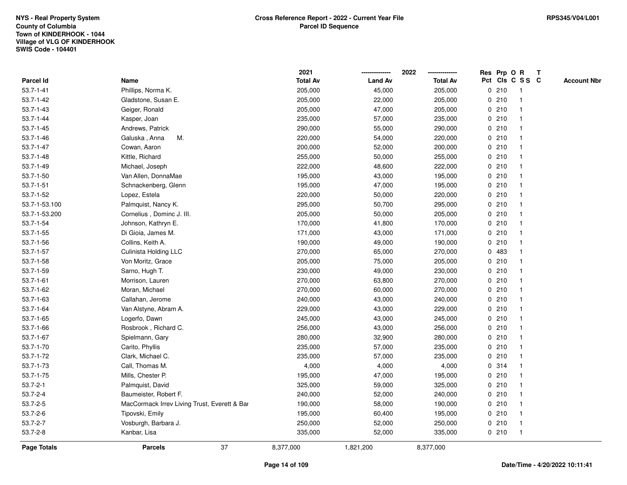|                 |                                              | 2021            |                | 2022            |       | Res Prp O R     | Т |                    |
|-----------------|----------------------------------------------|-----------------|----------------|-----------------|-------|-----------------|---|--------------------|
| Parcel Id       | Name                                         | <b>Total Av</b> | <b>Land Av</b> | <b>Total Av</b> |       | Pct Cls C S S C |   | <b>Account Nbr</b> |
| $53.7 - 1 - 41$ | Phillips, Norma K.                           | 205,000         | 45,000         | 205,000         | 0210  | $\mathbf{1}$    |   |                    |
| $53.7 - 1 - 42$ | Gladstone, Susan E.                          | 205,000         | 22,000         | 205,000         | 0210  | -1              |   |                    |
| $53.7 - 1 - 43$ | Geiger, Ronald                               | 205,000         | 47,000         | 205,000         | 0210  | $\mathbf 1$     |   |                    |
| $53.7 - 1 - 44$ | Kasper, Joan                                 | 235,000         | 57,000         | 235,000         | 0210  |                 |   |                    |
| $53.7 - 1 - 45$ | Andrews, Patrick                             | 290,000         | 55,000         | 290,000         | 0210  |                 |   |                    |
| $53.7 - 1 - 46$ | М.<br>Galuska, Anna                          | 220,000         | 54,000         | 220,000         | 0210  |                 |   |                    |
| $53.7 - 1 - 47$ | Cowan, Aaron                                 | 200,000         | 52,000         | 200,000         | 0210  |                 |   |                    |
| $53.7 - 1 - 48$ | Kittle, Richard                              | 255,000         | 50,000         | 255,000         | 0210  |                 |   |                    |
| $53.7 - 1 - 49$ | Michael, Joseph                              | 222,000         | 48,600         | 222,000         | 0210  | -1              |   |                    |
| 53.7-1-50       | Van Allen, DonnaMae                          | 195,000         | 43,000         | 195,000         | 0210  | $\mathbf 1$     |   |                    |
| $53.7 - 1 - 51$ | Schnackenberg, Glenn                         | 195,000         | 47,000         | 195,000         | 0210  |                 |   |                    |
| $53.7 - 1 - 52$ | Lopez, Estela                                | 220,000         | 50,000         | 220,000         | 0210  |                 |   |                    |
| 53.7-1-53.100   | Palmquist, Nancy K.                          | 295,000         | 50,700         | 295,000         | 0210  |                 |   |                    |
| 53.7-1-53.200   | Cornelius, Dominc J. III.                    | 205,000         | 50,000         | 205,000         | 0210  |                 |   |                    |
| 53.7-1-54       | Johnson, Kathryn E.                          | 170,000         | 41,800         | 170,000         | 0210  |                 |   |                    |
| 53.7-1-55       | Di Gioia, James M.                           | 171,000         | 43,000         | 171,000         | 0210  | -1              |   |                    |
| 53.7-1-56       | Collins, Keith A.                            | 190,000         | 49,000         | 190,000         | 0210  | -1              |   |                    |
| 53.7-1-57       | Culinista Holding LLC                        | 270,000         | 65,000         | 270,000         | 0 483 |                 |   |                    |
| 53.7-1-58       | Von Moritz, Grace                            | 205,000         | 75,000         | 205,000         | 0210  |                 |   |                    |
| 53.7-1-59       | Sarno, Hugh T.                               | 230,000         | 49,000         | 230,000         | 0210  |                 |   |                    |
| $53.7 - 1 - 61$ | Morrison, Lauren                             | 270,000         | 63,800         | 270,000         | 0210  |                 |   |                    |
| 53.7-1-62       | Moran, Michael                               | 270,000         | 60,000         | 270,000         | 0210  |                 |   |                    |
| $53.7 - 1 - 63$ | Callahan, Jerome                             | 240,000         | 43,000         | 240,000         | 0210  | -1              |   |                    |
| $53.7 - 1 - 64$ | Van Alstyne, Abram A.                        | 229,000         | 43,000         | 229,000         | 0210  | -1              |   |                    |
| $53.7 - 1 - 65$ | Logerfo, Dawn                                | 245,000         | 43,000         | 245,000         | 0210  | -1              |   |                    |
| 53.7-1-66       | Rosbrook, Richard C.                         | 256,000         | 43,000         | 256,000         | 0210  |                 |   |                    |
| 53.7-1-67       | Spielmann, Gary                              | 280,000         | 32,900         | 280,000         | 0210  |                 |   |                    |
| 53.7-1-70       | Carito, Phyllis                              | 235,000         | 57,000         | 235,000         | 0210  |                 |   |                    |
| 53.7-1-72       | Clark, Michael C.                            | 235,000         | 57,000         | 235,000         | 0210  |                 |   |                    |
| 53.7-1-73       | Call, Thomas M.                              | 4,000           | 4,000          | 4,000           | 0.314 | -1              |   |                    |
| 53.7-1-75       | Mills, Chester P.                            | 195,000         | 47,000         | 195,000         | 0210  | -1              |   |                    |
| $53.7 - 2 - 1$  | Palmquist, David                             | 325,000         | 59,000         | 325,000         | 0210  | -1              |   |                    |
| $53.7 - 2 - 4$  | Baumeister, Robert F.                        | 240,000         | 52,000         | 240,000         | 0210  |                 |   |                    |
| $53.7 - 2 - 5$  | MacCormack Irrev Living Trust, Everett & Bar | 190,000         | 58,000         | 190,000         | 0210  |                 |   |                    |
| $53.7 - 2 - 6$  | Tipovski, Emily                              | 195,000         | 60,400         | 195,000         | 0210  |                 |   |                    |
| 53.7-2-7        | Vosburgh, Barbara J.                         | 250,000         | 52,000         | 250,000         | 0210  | -1              |   |                    |
| $53.7 - 2 - 8$  | Kanbar, Lisa                                 | 335,000         | 52,000         | 335,000         | 0210  | $\mathbf{1}$    |   |                    |
| Page Totals     | 37<br><b>Parcels</b>                         | 8,377,000       | 1,821,200      | 8,377,000       |       |                 |   |                    |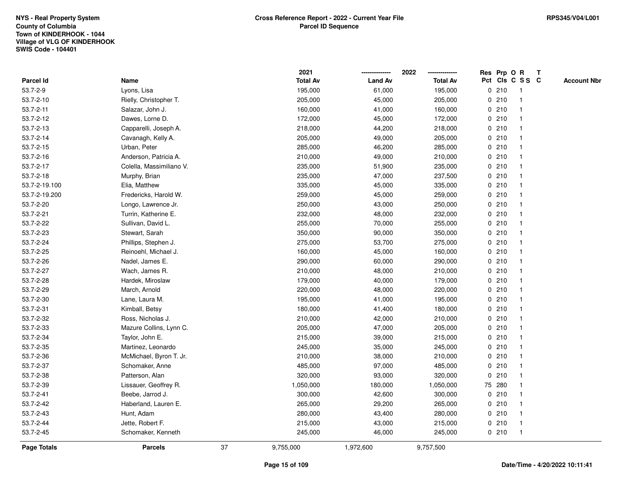|                    |                          |    | 2021            |                | 2022            | Res Prp O R |                 | Т |                    |
|--------------------|--------------------------|----|-----------------|----------------|-----------------|-------------|-----------------|---|--------------------|
| Parcel Id          | Name                     |    | <b>Total Av</b> | <b>Land Av</b> | <b>Total Av</b> |             | Pct Cls C S S C |   | <b>Account Nbr</b> |
| 53.7-2-9           | Lyons, Lisa              |    | 195,000         | 61,000         | 195,000         | 0210        | $\mathbf{1}$    |   |                    |
| 53.7-2-10          | Rielly, Christopher T.   |    | 205,000         | 45,000         | 205,000         | 0210        | -1              |   |                    |
| $53.7 - 2 - 11$    | Salazar, John J.         |    | 160,000         | 41,000         | 160,000         | 0210        | $\mathbf 1$     |   |                    |
| 53.7-2-12          | Dawes, Lorne D.          |    | 172,000         | 45,000         | 172,000         | 0210        |                 |   |                    |
| 53.7-2-13          | Capparelli, Joseph A.    |    | 218,000         | 44,200         | 218,000         | 0210        |                 |   |                    |
| 53.7-2-14          | Cavanagh, Kelly A.       |    | 205,000         | 49,000         | 205,000         | 0210        |                 |   |                    |
| 53.7-2-15          | Urban, Peter             |    | 285,000         | 46,200         | 285,000         | 0210        |                 |   |                    |
| 53.7-2-16          | Anderson, Patricia A.    |    | 210,000         | 49,000         | 210,000         | 0210        |                 |   |                    |
| 53.7-2-17          | Colella, Massimiliano V. |    | 235,000         | 51,900         | 235,000         | 0210        | -1              |   |                    |
| 53.7-2-18          | Murphy, Brian            |    | 235,000         | 47,000         | 237,500         | 0210        | $\mathbf 1$     |   |                    |
| 53.7-2-19.100      | Elia, Matthew            |    | 335,000         | 45,000         | 335,000         | 0210        | -1              |   |                    |
| 53.7-2-19.200      | Fredericks, Harold W.    |    | 259,000         | 45,000         | 259,000         | 0210        |                 |   |                    |
| 53.7-2-20          | Longo, Lawrence Jr.      |    | 250,000         | 43,000         | 250,000         | 0210        |                 |   |                    |
| 53.7-2-21          | Turrin, Katherine E.     |    | 232,000         | 48,000         | 232,000         | 0210        |                 |   |                    |
| 53.7-2-22          | Sullivan, David L.       |    | 255,000         | 70,000         | 255,000         | 0210        |                 |   |                    |
| 53.7-2-23          | Stewart, Sarah           |    | 350,000         | 90,000         | 350,000         | 0210        | -1              |   |                    |
| 53.7-2-24          | Phillips, Stephen J.     |    | 275,000         | 53,700         | 275,000         | 0210        | -1              |   |                    |
| 53.7-2-25          | Reinoehl, Michael J.     |    | 160,000         | 45,000         | 160,000         | 0210        |                 |   |                    |
| 53.7-2-26          | Nadel, James E.          |    | 290,000         | 60,000         | 290,000         | 0210        |                 |   |                    |
| 53.7-2-27          | Wach, James R.           |    | 210,000         | 48,000         | 210,000         | 0210        |                 |   |                    |
| 53.7-2-28          | Hardek, Miroslaw         |    | 179,000         | 40,000         | 179,000         | 0210        |                 |   |                    |
| 53.7-2-29          | March, Arnold            |    | 220,000         | 48,000         | 220,000         | 0210        |                 |   |                    |
| 53.7-2-30          | Lane, Laura M.           |    | 195,000         | 41,000         | 195,000         | 0210        | -1              |   |                    |
| 53.7-2-31          | Kimball, Betsy           |    | 180,000         | 41,400         | 180,000         | 0210        | -1              |   |                    |
| 53.7-2-32          | Ross, Nicholas J.        |    | 210,000         | 42,000         | 210,000         | 0210        | -1              |   |                    |
| 53.7-2-33          | Mazure Collins, Lynn C.  |    | 205,000         | 47,000         | 205,000         | 0210        |                 |   |                    |
| 53.7-2-34          | Taylor, John E.          |    | 215,000         | 39,000         | 215,000         | 0210        |                 |   |                    |
| 53.7-2-35          | Martinez, Leonardo       |    | 245,000         | 35,000         | 245,000         | 0210        | -1              |   |                    |
| 53.7-2-36          | McMichael, Byron T. Jr.  |    | 210,000         | 38,000         | 210,000         | 0210        | -1              |   |                    |
| 53.7-2-37          | Schomaker, Anne          |    | 485,000         | 97,000         | 485,000         | 0210        | -1              |   |                    |
| 53.7-2-38          | Patterson, Alan          |    | 320,000         | 93,000         | 320,000         | 0210        | -1              |   |                    |
| 53.7-2-39          | Lissauer, Geoffrey R.    |    | 1,050,000       | 180,000        | 1,050,000       | 75 280      | -1              |   |                    |
| 53.7-2-41          | Beebe, Jarrod J.         |    | 300,000         | 42,600         | 300,000         | 0210        |                 |   |                    |
| 53.7-2-42          | Haberland, Lauren E.     |    | 265,000         | 29,200         | 265,000         | 0210        |                 |   |                    |
| 53.7-2-43          | Hunt, Adam               |    | 280,000         | 43,400         | 280,000         | 0210        | -1              |   |                    |
| 53.7-2-44          | Jette, Robert F.         |    | 215,000         | 43,000         | 215,000         | 0210        | -1              |   |                    |
| 53.7-2-45          | Schomaker, Kenneth       |    | 245,000         | 46,000         | 245,000         | 0210        | $\mathbf{1}$    |   |                    |
| <b>Page Totals</b> | <b>Parcels</b>           | 37 | 9,755,000       | 1,972,600      | 9,757,500       |             |                 |   |                    |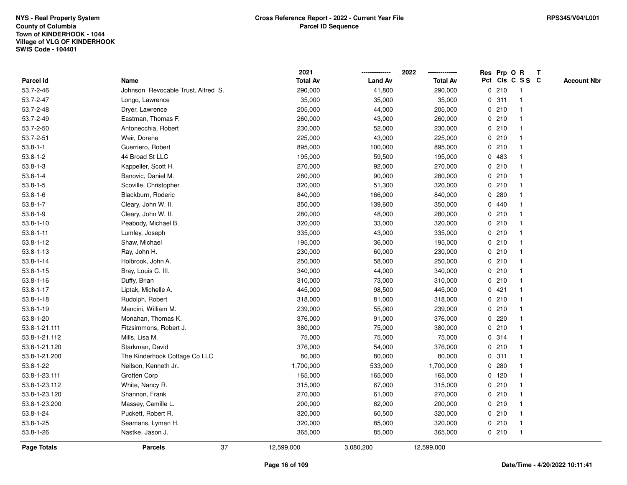|                    |                                    | 2021            |                | 2022            |             | Res Prp O R |                 | T |                    |
|--------------------|------------------------------------|-----------------|----------------|-----------------|-------------|-------------|-----------------|---|--------------------|
| Parcel Id          | Name                               | <b>Total Av</b> | <b>Land Av</b> | <b>Total Av</b> |             |             | Pct Cls C S S C |   | <b>Account Nbr</b> |
| 53.7-2-46          | Johnson Revocable Trust, Alfred S. | 290,000         | 41,800         | 290,000         |             | 0210        | -1              |   |                    |
| 53.7-2-47          | Longo, Lawrence                    | 35,000          | 35,000         | 35,000          | 0           | 311         | $\mathbf 1$     |   |                    |
| 53.7-2-48          | Dryer, Lawrence                    | 205,000         | 44,000         | 205,000         |             | 0210        | $\mathbf{1}$    |   |                    |
| 53.7-2-49          | Eastman, Thomas F.                 | 260,000         | 43,000         | 260,000         |             | 0210        |                 |   |                    |
| 53.7-2-50          | Antonecchia, Robert                | 230,000         | 52,000         | 230,000         |             | 0210        |                 |   |                    |
| 53.7-2-51          | Weir, Dorene                       | 225,000         | 43,000         | 225,000         |             | 0210        |                 |   |                    |
| $53.8 - 1 - 1$     | Guerriero, Robert                  | 895,000         | 100,000        | 895,000         |             | 0210        |                 |   |                    |
| $53.8 - 1 - 2$     | 44 Broad St LLC                    | 195,000         | 59,500         | 195,000         |             | 0 483       |                 |   |                    |
| $53.8 - 1 - 3$     | Kappeller, Scott H.                | 270,000         | 92,000         | 270,000         |             | 0210        | -1              |   |                    |
| $53.8 - 1 - 4$     | Banovic, Daniel M.                 | 280,000         | 90,000         | 280,000         |             | 0210        | $\mathbf 1$     |   |                    |
| $53.8 - 1 - 5$     | Scoville, Christopher              | 320,000         | 51,300         | 320,000         |             | 0210        |                 |   |                    |
| $53.8 - 1 - 6$     | Blackburn, Roderic                 | 840,000         | 166,000        | 840,000         |             | 0.280       |                 |   |                    |
| $53.8 - 1 - 7$     | Cleary, John W. II.                | 350,000         | 139,600        | 350,000         |             | 0440        |                 |   |                    |
| $53.8 - 1 - 9$     | Cleary, John W. II.                | 280,000         | 48,000         | 280,000         |             | 0210        |                 |   |                    |
| $53.8 - 1 - 10$    | Peabody, Michael B.                | 320,000         | 33,000         | 320,000         | $\mathbf 0$ | 210         |                 |   |                    |
| $53.8 - 1 - 11$    | Lumley, Joseph                     | 335,000         | 43,000         | 335,000         |             | 0210        | $\mathbf{1}$    |   |                    |
| $53.8 - 1 - 12$    | Shaw, Michael                      | 195,000         | 36,000         | 195,000         |             | 0210        | $\mathbf{1}$    |   |                    |
| $53.8 - 1 - 13$    | Ray, John H.                       | 230,000         | 60,000         | 230,000         |             | 0210        |                 |   |                    |
| $53.8 - 1 - 14$    | Holbrook, John A.                  | 250,000         | 58,000         | 250,000         |             | 0210        |                 |   |                    |
| $53.8 - 1 - 15$    | Bray, Louis C. III.                | 340,000         | 44,000         | 340,000         |             | 0210        |                 |   |                    |
| $53.8 - 1 - 16$    | Duffy, Brian                       | 310,000         | 73,000         | 310,000         |             | 0210        |                 |   |                    |
| 53.8-1-17          | Liptak, Michelle A.                | 445,000         | 98,500         | 445,000         |             | 0421        |                 |   |                    |
| $53.8 - 1 - 18$    | Rudolph, Robert                    | 318,000         | 81,000         | 318,000         |             | 0210        | $\overline{1}$  |   |                    |
| $53.8 - 1 - 19$    | Mancini, William M.                | 239,000         | 55,000         | 239,000         |             | 0210        | $\mathbf{1}$    |   |                    |
| 53.8-1-20          | Monahan, Thomas K.                 | 376,000         | 91,000         | 376,000         |             | $0$ 220     |                 |   |                    |
| 53.8-1-21.111      | Fitzsimmons, Robert J.             | 380,000         | 75,000         | 380,000         |             | 0210        |                 |   |                    |
| 53.8-1-21.112      | Mills, Lisa M.                     | 75,000          | 75,000         | 75,000          |             | 0.314       |                 |   |                    |
| 53.8-1-21.120      | Starkman, David                    | 376,000         | 54,000         | 376,000         |             | 0210        |                 |   |                    |
| 53.8-1-21.200      | The Kinderhook Cottage Co LLC      | 80,000          | 80,000         | 80,000          | $\mathbf 0$ | 311         |                 |   |                    |
| 53.8-1-22          | Neilson, Kenneth Jr                | 1,700,000       | 533,000        | 1,700,000       | $\mathbf 0$ | 280         |                 |   |                    |
| 53.8-1-23.111      | Grotten Corp                       | 165,000         | 165,000        | 165,000         |             | $0$ 120     | $\mathbf 1$     |   |                    |
| 53.8-1-23.112      | White, Nancy R.                    | 315,000         | 67,000         | 315,000         |             | 0210        | $\mathbf 1$     |   |                    |
| 53.8-1-23.120      | Shannon, Frank                     | 270,000         | 61,000         | 270,000         |             | 0210        |                 |   |                    |
| 53.8-1-23.200      | Massey, Camille L.                 | 200,000         | 62,000         | 200,000         |             | 0210        |                 |   |                    |
| 53.8-1-24          | Puckett, Robert R.                 | 320,000         | 60,500         | 320,000         |             | 0210        |                 |   |                    |
| $53.8 - 1 - 25$    | Seamans, Lyman H.                  | 320,000         | 85,000         | 320,000         |             | 0210        | -1              |   |                    |
| $53.8 - 1 - 26$    | Nastke, Jason J.                   | 365,000         | 85,000         | 365,000         |             | 0210        | $\overline{1}$  |   |                    |
| <b>Page Totals</b> | 37<br><b>Parcels</b>               | 12,599,000      | 3,080,200      | 12,599,000      |             |             |                 |   |                    |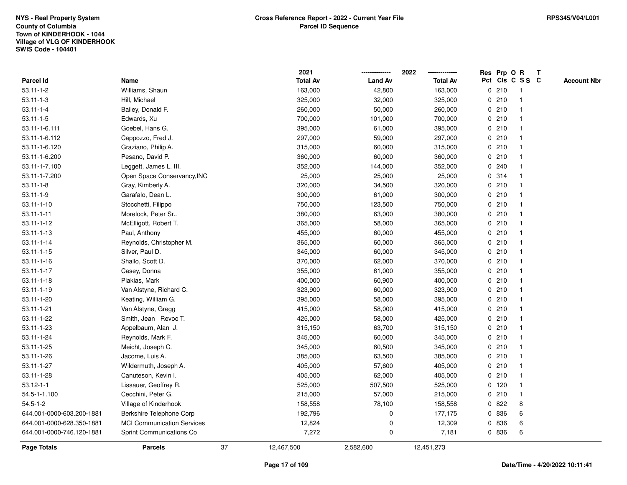|                           |                                   |    | 2021            |                | 2022            |         | Res Prp O R     | Т |                    |
|---------------------------|-----------------------------------|----|-----------------|----------------|-----------------|---------|-----------------|---|--------------------|
| Parcel Id                 | Name                              |    | <b>Total Av</b> | <b>Land Av</b> | <b>Total Av</b> |         | Pct Cls C S S C |   | <b>Account Nbr</b> |
| $53.11 - 1 - 2$           | Williams, Shaun                   |    | 163,000         | 42,800         | 163,000         | 0210    | $\mathbf{1}$    |   |                    |
| $53.11 - 1 - 3$           | Hill, Michael                     |    | 325,000         | 32,000         | 325,000         | 0210    | $\mathbf 1$     |   |                    |
| $53.11 - 1 - 4$           | Bailey, Donald F.                 |    | 260,000         | 50,000         | 260,000         | 0210    | $\mathbf 1$     |   |                    |
| $53.11 - 1 - 5$           | Edwards, Xu                       |    | 700,000         | 101,000        | 700,000         | 0210    |                 |   |                    |
| 53.11-1-6.111             | Goebel, Hans G.                   |    | 395,000         | 61,000         | 395,000         | 0210    |                 |   |                    |
| 53.11-1-6.112             | Cappozzo, Fred J.                 |    | 297,000         | 59,000         | 297,000         | 0210    |                 |   |                    |
| 53.11-1-6.120             | Graziano, Philip A.               |    | 315,000         | 60,000         | 315,000         | 0210    |                 |   |                    |
| 53.11-1-6.200             | Pesano, David P.                  |    | 360,000         | 60,000         | 360,000         | 0210    |                 |   |                    |
| 53.11-1-7.100             | Leggett, James L. III.            |    | 352,000         | 144,000        | 352,000         | 0.240   | $\mathbf 1$     |   |                    |
| 53.11-1-7.200             | Open Space Conservancy, INC       |    | 25,000          | 25,000         | 25,000          | 0.314   | $\mathbf 1$     |   |                    |
| $53.11 - 1 - 8$           | Gray, Kimberly A.                 |    | 320,000         | 34,500         | 320,000         | 0210    | 1               |   |                    |
| $53.11 - 1 - 9$           | Garafalo, Dean L.                 |    | 300,000         | 61,000         | 300,000         | 0210    |                 |   |                    |
| $53.11 - 1 - 10$          | Stocchetti, Filippo               |    | 750,000         | 123,500        | 750,000         | 0210    |                 |   |                    |
| $53.11 - 1 - 11$          | Morelock, Peter Sr                |    | 380,000         | 63,000         | 380,000         | 0210    |                 |   |                    |
| $53.11 - 1 - 12$          | McElligott, Robert T.             |    | 365,000         | 58,000         | 365,000         | 0210    | $\mathbf 1$     |   |                    |
| $53.11 - 1 - 13$          | Paul, Anthony                     |    | 455,000         | 60,000         | 455,000         | 0210    | $\mathbf{1}$    |   |                    |
| 53.11-1-14                | Reynolds, Christopher M.          |    | 365,000         | 60,000         | 365,000         | 0210    | $\mathbf{1}$    |   |                    |
| $53.11 - 1 - 15$          | Silver, Paul D.                   |    | 345,000         | 60,000         | 345,000         | 0210    | -1              |   |                    |
| $53.11 - 1 - 16$          | Shallo, Scott D.                  |    | 370,000         | 62,000         | 370,000         | 0210    |                 |   |                    |
| $53.11 - 1 - 17$          | Casey, Donna                      |    | 355,000         | 61,000         | 355,000         | 0210    |                 |   |                    |
| $53.11 - 1 - 18$          | Plakias, Mark                     |    | 400,000         | 60,900         | 400,000         | 0210    | $\mathbf{1}$    |   |                    |
| 53.11-1-19                | Van Alstyne, Richard C.           |    | 323,900         | 60,000         | 323,900         | 0210    |                 |   |                    |
| 53.11-1-20                | Keating, William G.               |    | 395,000         | 58,000         | 395,000         | 0210    | 1               |   |                    |
| 53.11-1-21                | Van Alstyne, Gregg                |    | 415,000         | 58,000         | 415,000         | 0210    | $\mathbf 1$     |   |                    |
| 53.11-1-22                | Smith, Jean Revoc T.              |    | 425,000         | 58,000         | 425,000         | 0210    | $\mathbf 1$     |   |                    |
| 53.11-1-23                | Appelbaum, Alan J.                |    | 315,150         | 63,700         | 315,150         | 0210    |                 |   |                    |
| 53.11-1-24                | Reynolds, Mark F.                 |    | 345,000         | 60,000         | 345,000         | 0210    |                 |   |                    |
| 53.11-1-25                | Meicht, Joseph C.                 |    | 345,000         | 60,500         | 345,000         | 0210    | $\mathbf 1$     |   |                    |
| 53.11-1-26                | Jacome, Luis A.                   |    | 385,000         | 63,500         | 385,000         | 0210    | $\mathbf{1}$    |   |                    |
| 53.11-1-27                | Wildermuth, Joseph A.             |    | 405,000         | 57,600         | 405,000         | 0210    | 1               |   |                    |
| 53.11-1-28                | Canuteson, Kevin I.               |    | 405,000         | 62,000         | 405,000         | 0210    | $\mathbf 1$     |   |                    |
| $53.12 - 1 - 1$           | Lissauer, Geoffrey R.             |    | 525,000         | 507,500        | 525,000         | $0$ 120 | $\mathbf 1$     |   |                    |
| 54.5-1-1.100              | Cecchini, Peter G.                |    | 215,000         | 57,000         | 215,000         | 0210    | $\mathbf 1$     |   |                    |
| $54.5 - 1 - 2$            | Village of Kinderhook             |    | 158,558         | 78,100         | 158,558         | 0822    | 8               |   |                    |
| 644.001-0000-603.200-1881 | Berkshire Telephone Corp          |    | 192,796         | 0              | 177,175         | 0 836   | 6               |   |                    |
| 644.001-0000-628.350-1881 | <b>MCI Communication Services</b> |    | 12,824          | $\mathbf 0$    | 12,309          | 0 836   | 6               |   |                    |
| 644.001-0000-746.120-1881 | Sprint Communications Co          |    | 7,272           | $\mathbf 0$    | 7,181           | 0 836   | 6               |   |                    |
| Page Totals               | <b>Parcels</b>                    | 37 | 12,467,500      | 2,582,600      | 12,451,273      |         |                 |   |                    |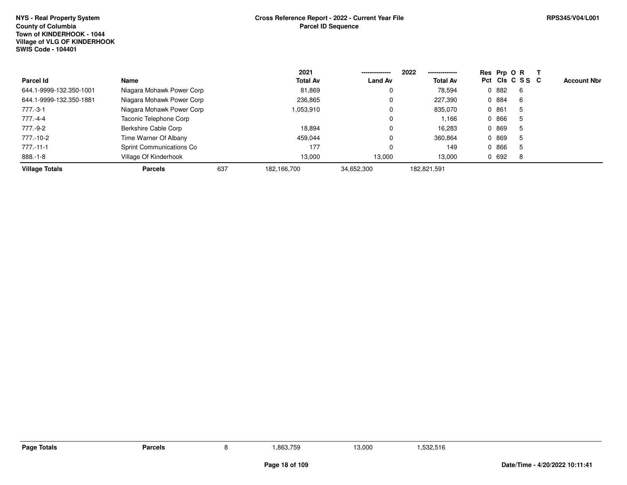|                         |                           |     | 2021            |                | 2022<br>-------------- |       | Res Prp O R     |                    |
|-------------------------|---------------------------|-----|-----------------|----------------|------------------------|-------|-----------------|--------------------|
| Parcel Id               | Name                      |     | <b>Total Av</b> | <b>Land Av</b> | <b>Total Av</b>        |       | Pct Cls C S S C | <b>Account Nbr</b> |
| 644.1-9999-132.350-1001 | Niagara Mohawk Power Corp |     | 81,869          | U              | 78,594                 | 0 882 | -6              |                    |
| 644.1-9999-132.350-1881 | Niagara Mohawk Power Corp |     | 236,865         | 0              | 227.390                | 0 884 | 6               |                    |
| 777.-3-1                | Niagara Mohawk Power Corp |     | 1,053,910       | 0              | 835,070                | 0 861 | 5               |                    |
| 777.-4-4                | Taconic Telephone Corp    |     |                 | 0              | 1,166                  | 0 866 | 5               |                    |
| 777.-9-2                | Berkshire Cable Corp      |     | 18,894          | 0              | 16,283                 | 0 869 | 5               |                    |
| 777.-10-2               | Time Warner Of Albany     |     | 459,044         | 0              | 360,864                | 0 869 | 5               |                    |
| 777.-11-1               | Sprint Communications Co  |     | 177             |                | 149                    | 0 866 | 5               |                    |
| 888.-1-8                | Village Of Kinderhook     |     | 13,000          | 13,000         | 13.000                 | 0 692 | 8               |                    |
| <b>Village Totals</b>   | <b>Parcels</b>            | 637 | 182,166,700     | 34,652,300     | 182,821,591            |       |                 |                    |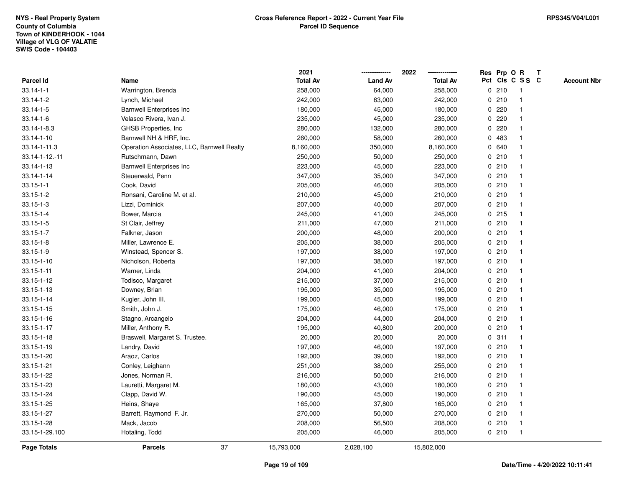|                    |                                            | 2021            |                | 2022            |       | Res Prp O R     | Т |                    |
|--------------------|--------------------------------------------|-----------------|----------------|-----------------|-------|-----------------|---|--------------------|
| <b>Parcel Id</b>   | Name                                       | <b>Total Av</b> | <b>Land Av</b> | <b>Total Av</b> |       | Pct Cls C S S C |   | <b>Account Nbr</b> |
| $33.14 - 1 - 1$    | Warrington, Brenda                         | 258,000         | 64,000         | 258,000         | 0210  | $\mathbf{1}$    |   |                    |
| $33.14 - 1 - 2$    | Lynch, Michael                             | 242,000         | 63,000         | 242,000         | 0210  | $\mathbf{1}$    |   |                    |
| $33.14 - 1 - 5$    | <b>Barnwell Enterprises Inc</b>            | 180,000         | 45,000         | 180,000         | 0.220 | $\mathbf{1}$    |   |                    |
| $33.14 - 1 - 6$    | Velasco Rivera, Ivan J.                    | 235,000         | 45,000         | 235,000         | 0220  | -1              |   |                    |
| 33.14-1-8.3        | GHSB Properties, Inc                       | 280,000         | 132,000        | 280,000         | 0220  |                 |   |                    |
| 33.14-1-10         | Barnwell NH & HRF, Inc.                    | 260,000         | 58,000         | 260,000         | 0483  |                 |   |                    |
| 33.14-1-11.3       | Operation Associates, LLC, Barnwell Realty | 8,160,000       | 350,000        | 8,160,000       | 0 640 | $\mathbf 1$     |   |                    |
| 33.14-1-12.-11     | Rutschmann, Dawn                           | 250,000         | 50,000         | 250,000         | 0210  | $\mathbf{1}$    |   |                    |
| 33.14-1-13         | <b>Barnwell Enterprises Inc</b>            | 223,000         | 45,000         | 223,000         | 0210  | $\mathbf{1}$    |   |                    |
| 33.14-1-14         | Steuerwald, Penn                           | 347,000         | 35,000         | 347,000         | 0210  | $\mathbf{1}$    |   |                    |
| $33.15 - 1 - 1$    | Cook, David                                | 205,000         | 46,000         | 205,000         | 0210  | $\mathbf 1$     |   |                    |
| $33.15 - 1 - 2$    | Ronsani, Caroline M. et al.                | 210,000         | 45,000         | 210,000         | 0210  | 1               |   |                    |
| $33.15 - 1 - 3$    | Lizzi, Dominick                            | 207,000         | 40,000         | 207,000         | 0210  |                 |   |                    |
| $33.15 - 1 - 4$    | Bower, Marcia                              | 245,000         | 41,000         | 245,000         | 0215  | $\mathbf 1$     |   |                    |
| $33.15 - 1 - 5$    | St Clair, Jeffrey                          | 211,000         | 47,000         | 211,000         | 0210  | $\mathbf{1}$    |   |                    |
| $33.15 - 1 - 7$    | Falkner, Jason                             | 200,000         | 48,000         | 200,000         | 0210  | $\mathbf{1}$    |   |                    |
| $33.15 - 1 - 8$    | Miller, Lawrence E.                        | 205,000         | 38,000         | 205,000         | 0210  | $\mathbf{1}$    |   |                    |
| $33.15 - 1 - 9$    | Winstead, Spencer S.                       | 197,000         | 38,000         | 197,000         | 0210  | $\mathbf{1}$    |   |                    |
| 33.15-1-10         | Nicholson, Roberta                         | 197,000         | 38,000         | 197,000         | 0210  | $\mathbf 1$     |   |                    |
| $33.15 - 1 - 11$   | Warner, Linda                              | 204,000         | 41,000         | 204,000         | 0210  |                 |   |                    |
| 33.15-1-12         | Todisco, Margaret                          | 215,000         | 37,000         | 215,000         | 0210  | $\mathbf{1}$    |   |                    |
| 33.15-1-13         | Downey, Brian                              | 195,000         | 35,000         | 195,000         | 0210  | $\mathbf 1$     |   |                    |
| 33.15-1-14         | Kugler, John III.                          | 199,000         | 45,000         | 199,000         | 0210  | $\mathbf{1}$    |   |                    |
| 33.15-1-15         | Smith, John J.                             | 175,000         | 46,000         | 175,000         | 0210  | $\mathbf{1}$    |   |                    |
| 33.15-1-16         | Stagno, Arcangelo                          | 204,000         | 44,000         | 204,000         | 0210  | $\mathbf 1$     |   |                    |
| $33.15 - 1 - 17$   | Miller, Anthony R.                         | 195,000         | 40,800         | 200,000         | 0210  |                 |   |                    |
| $33.15 - 1 - 18$   | Braswell, Margaret S. Trustee.             | 20,000          | 20,000         | 20,000          | 0.311 |                 |   |                    |
| 33.15-1-19         | Landry, David                              | 197,000         | 46,000         | 197,000         | 0210  | $\mathbf 1$     |   |                    |
| 33.15-1-20         | Araoz, Carlos                              | 192,000         | 39,000         | 192,000         | 0210  | $\mathbf{1}$    |   |                    |
| 33.15-1-21         | Conley, Leighann                           | 251,000         | 38,000         | 255,000         | 0210  | $\mathbf{1}$    |   |                    |
| 33.15-1-22         | Jones, Norman R.                           | 216,000         | 50,000         | 216,000         | 0210  | $\mathbf{1}$    |   |                    |
| 33.15-1-23         | Lauretti, Margaret M.                      | 180,000         | 43,000         | 180,000         | 0210  | $\mathbf{1}$    |   |                    |
| 33.15-1-24         | Clapp, David W.                            | 190,000         | 45,000         | 190,000         | 0210  | $\mathbf 1$     |   |                    |
| 33.15-1-25         | Heins, Shaye                               | 165,000         | 37,800         | 165,000         | 0210  |                 |   |                    |
| 33.15-1-27         | Barrett, Raymond F. Jr.                    | 270,000         | 50,000         | 270,000         | 0210  | $\mathbf{1}$    |   |                    |
| 33.15-1-28         | Mack, Jacob                                | 208,000         | 56,500         | 208,000         | 0210  | $\mathbf{1}$    |   |                    |
| 33.15-1-29.100     | Hotaling, Todd                             | 205,000         | 46,000         | 205,000         | 0210  | $\mathbf{1}$    |   |                    |
| <b>Page Totals</b> | 37<br><b>Parcels</b>                       | 15,793,000      | 2,028,100      | 15,802,000      |       |                 |   |                    |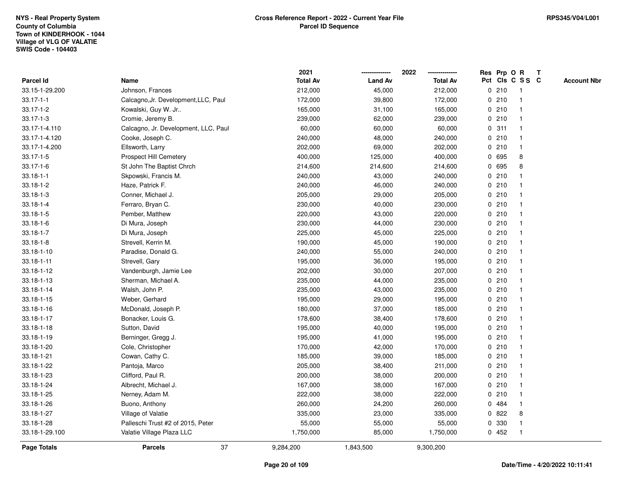|                  |                                      | 2021            |                | 2022            |             |       | Res Prp O R     | T |                    |
|------------------|--------------------------------------|-----------------|----------------|-----------------|-------------|-------|-----------------|---|--------------------|
| <b>Parcel Id</b> | Name                                 | <b>Total Av</b> | <b>Land Av</b> | <b>Total Av</b> |             |       | Pct Cls C S S C |   | <b>Account Nbr</b> |
| 33.15-1-29.200   | Johnson, Frances                     | 212,000         | 45,000         | 212,000         | 0           | 210   | $\mathbf{1}$    |   |                    |
| $33.17 - 1 - 1$  | Calcagno, Jr. Development, LLC, Paul | 172,000         | 39,800         | 172,000         | $\mathbf 0$ | 210   |                 |   |                    |
| $33.17 - 1 - 2$  | Kowalski, Guy W. Jr                  | 165,000         | 31,100         | 165,000         |             | 0210  | $\mathbf 1$     |   |                    |
| $33.17 - 1 - 3$  | Cromie, Jeremy B.                    | 239,000         | 62,000         | 239,000         |             | 0210  |                 |   |                    |
| 33.17-1-4.110    | Calcagno, Jr. Development, LLC, Paul | 60,000          | 60,000         | 60,000          |             | 0.311 |                 |   |                    |
| 33.17-1-4.120    | Cooke, Joseph C.                     | 240,000         | 48,000         | 240,000         |             | 0210  |                 |   |                    |
| 33.17-1-4.200    | Ellsworth, Larry                     | 202,000         | 69,000         | 202,000         |             | 0210  | $\mathbf 1$     |   |                    |
| $33.17 - 1 - 5$  | Prospect Hill Cemetery               | 400,000         | 125,000        | 400,000         | 0           | 695   | 8               |   |                    |
| $33.17 - 1 - 6$  | St John The Baptist Chrch            | 214,600         | 214,600        | 214,600         | 0           | 695   | 8               |   |                    |
| $33.18 - 1 - 1$  | Skpowski, Francis M.                 | 240,000         | 43,000         | 240,000         |             | 0210  |                 |   |                    |
| 33.18-1-2        | Haze, Patrick F.                     | 240,000         | 46,000         | 240,000         |             | 0210  |                 |   |                    |
| $33.18 - 1 - 3$  | Conner, Michael J.                   | 205,000         | 29,000         | 205,000         |             | 0210  |                 |   |                    |
| $33.18 - 1 - 4$  | Ferraro, Bryan C.                    | 230,000         | 40,000         | 230,000         |             | 0210  |                 |   |                    |
| 33.18-1-5        | Pember, Matthew                      | 220,000         | 43,000         | 220,000         |             | 0210  |                 |   |                    |
| $33.18 - 1 - 6$  | Di Mura, Joseph                      | 230,000         | 44,000         | 230,000         | 0           | 210   |                 |   |                    |
| $33.18 - 1 - 7$  | Di Mura, Joseph                      | 225,000         | 45,000         | 225,000         |             | 0210  | $\mathbf{1}$    |   |                    |
| $33.18 - 1 - 8$  | Strevell, Kerrin M.                  | 190,000         | 45,000         | 190,000         |             | 0210  |                 |   |                    |
| 33.18-1-10       | Paradise, Donald G.                  | 240,000         | 55,000         | 240,000         |             | 0210  |                 |   |                    |
| 33.18-1-11       | Strevell, Gary                       | 195,000         | 36,000         | 195,000         |             | 0210  |                 |   |                    |
| 33.18-1-12       | Vandenburgh, Jamie Lee               | 202,000         | 30,000         | 207,000         |             | 0210  |                 |   |                    |
| 33.18-1-13       | Sherman, Michael A.                  | 235,000         | 44,000         | 235,000         |             | 0210  |                 |   |                    |
| 33.18-1-14       | Walsh, John P.                       | 235,000         | 43,000         | 235,000         |             | 0210  |                 |   |                    |
| 33.18-1-15       | Weber, Gerhard                       | 195,000         | 29,000         | 195,000         |             | 0210  | $\mathbf 1$     |   |                    |
| 33.18-1-16       | McDonald, Joseph P.                  | 180,000         | 37,000         | 185,000         |             | 0210  |                 |   |                    |
| 33.18-1-17       | Bonacker, Louis G.                   | 178,600         | 38,400         | 178,600         |             | 0210  |                 |   |                    |
| 33.18-1-18       | Sutton, David                        | 195,000         | 40,000         | 195,000         |             | 0210  |                 |   |                    |
| 33.18-1-19       | Berninger, Gregg J.                  | 195,000         | 41,000         | 195,000         |             | 0210  |                 |   |                    |
| 33.18-1-20       | Cole, Christopher                    | 170,000         | 42,000         | 170,000         |             | 0210  |                 |   |                    |
| 33.18-1-21       | Cowan, Cathy C.                      | 185,000         | 39,000         | 185,000         |             | 0210  |                 |   |                    |
| 33.18-1-22       | Pantoja, Marco                       | 205,000         | 38,400         | 211,000         |             | 0210  |                 |   |                    |
| 33.18-1-23       | Clifford, Paul R.                    | 200,000         | 38,000         | 200,000         |             | 0210  |                 |   |                    |
| 33.18-1-24       | Albrecht, Michael J.                 | 167,000         | 38,000         | 167,000         |             | 0210  |                 |   |                    |
| 33.18-1-25       | Nerney, Adam M.                      | 222,000         | 38,000         | 222,000         |             | 0210  |                 |   |                    |
| 33.18-1-26       | Buono, Anthony                       | 260,000         | 24,200         | 260,000         |             | 0 484 |                 |   |                    |
| 33.18-1-27       | Village of Valatie                   | 335,000         | 23,000         | 335,000         |             | 0822  | 8               |   |                    |
| 33.18-1-28       | Palleschi Trust #2 of 2015, Peter    | 55,000          | 55,000         | 55,000          | 0           | 330   |                 |   |                    |
| 33.18-1-29.100   | Valatie Village Plaza LLC            | 1,750,000       | 85,000         | 1,750,000       |             | 0452  | $\mathbf{1}$    |   |                    |
| Page Totals      | 37<br><b>Parcels</b>                 | 9,284,200       | 1,843,500      | 9,300,200       |             |       |                 |   |                    |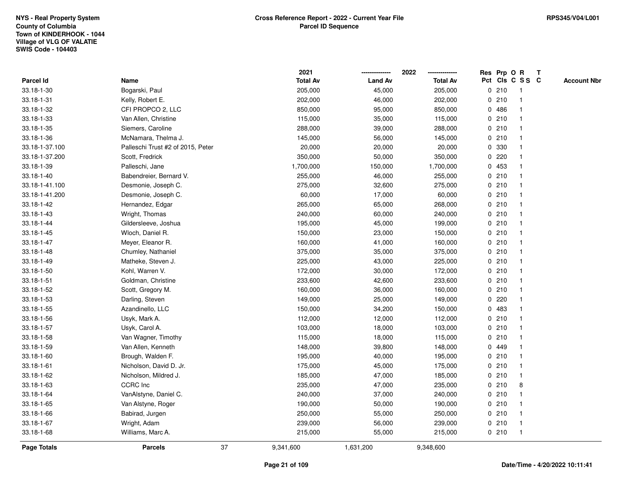|                    |                                   |    | 2021            |                | 2022            |              |       | Res Prp O R     | T |                    |
|--------------------|-----------------------------------|----|-----------------|----------------|-----------------|--------------|-------|-----------------|---|--------------------|
| Parcel Id          | Name                              |    | <b>Total Av</b> | <b>Land Av</b> | <b>Total Av</b> |              |       | Pct Cls C S S C |   | <b>Account Nbr</b> |
| 33.18-1-30         | Bogarski, Paul                    |    | 205,000         | 45,000         | 205,000         |              | 0210  | -1              |   |                    |
| 33.18-1-31         | Kelly, Robert E.                  |    | 202,000         | 46,000         | 202,000         | 0            | 210   | $\mathbf 1$     |   |                    |
| 33.18-1-32         | CFI PROPCO 2, LLC                 |    | 850,000         | 95,000         | 850,000         |              | 0486  | $\mathbf 1$     |   |                    |
| 33.18-1-33         | Van Allen, Christine              |    | 115,000         | 35,000         | 115,000         |              | 0210  |                 |   |                    |
| 33.18-1-35         | Siemers, Caroline                 |    | 288,000         | 39,000         | 288,000         |              | 0210  |                 |   |                    |
| 33.18-1-36         | McNamara, Thelma J.               |    | 145,000         | 56,000         | 145,000         |              | 0210  |                 |   |                    |
| 33.18-1-37.100     | Palleschi Trust #2 of 2015, Peter |    | 20,000          | 20,000         | 20,000          |              | 0 330 |                 |   |                    |
| 33.18-1-37.200     | Scott, Fredrick                   |    | 350,000         | 50,000         | 350,000         | 0            | 220   |                 |   |                    |
| 33.18-1-39         | Palleschi, Jane                   |    | 1,700,000       | 150,000        | 1,700,000       |              | 0 453 |                 |   |                    |
| 33.18-1-40         | Babendreier, Bernard V.           |    | 255,000         | 46,000         | 255,000         |              | 0210  | $\mathbf 1$     |   |                    |
| 33.18-1-41.100     | Desmonie, Joseph C.               |    | 275,000         | 32,600         | 275,000         |              | 0210  |                 |   |                    |
| 33.18-1-41.200     | Desmonie, Joseph C.               |    | 60,000          | 17,000         | 60,000          |              | 0210  |                 |   |                    |
| 33.18-1-42         | Hernandez, Edgar                  |    | 265,000         | 65,000         | 268,000         |              | 0210  |                 |   |                    |
| 33.18-1-43         | Wright, Thomas                    |    | 240,000         | 60,000         | 240,000         |              | 0210  |                 |   |                    |
| 33.18-1-44         | Gildersleeve, Joshua              |    | 195,000         | 45,000         | 199,000         | $\mathbf 0$  | 210   |                 |   |                    |
| 33.18-1-45         | Wloch, Daniel R.                  |    | 150,000         | 23,000         | 150,000         |              | 0210  | $\overline{1}$  |   |                    |
| 33.18-1-47         | Meyer, Eleanor R.                 |    | 160,000         | 41,000         | 160,000         |              | 0210  | $\mathbf{1}$    |   |                    |
| 33.18-1-48         | Chumley, Nathaniel                |    | 375,000         | 35,000         | 375,000         |              | 0210  |                 |   |                    |
| 33.18-1-49         | Matheke, Steven J.                |    | 225,000         | 43,000         | 225,000         |              | 0210  |                 |   |                    |
| 33.18-1-50         | Kohl, Warren V.                   |    | 172,000         | 30,000         | 172,000         |              | 0210  |                 |   |                    |
| 33.18-1-51         | Goldman, Christine                |    | 233,600         | 42,600         | 233,600         |              | 0210  |                 |   |                    |
| 33.18-1-52         | Scott, Gregory M.                 |    | 160,000         | 36,000         | 160,000         |              | 0210  |                 |   |                    |
| 33.18-1-53         | Darling, Steven                   |    | 149,000         | 25,000         | 149,000         | 0            | 220   |                 |   |                    |
| 33.18-1-55         | Azandinello, LLC                  |    | 150,000         | 34,200         | 150,000         | $\mathbf{0}$ | 483   |                 |   |                    |
| 33.18-1-56         | Usyk, Mark A.                     |    | 112,000         | 12,000         | 112,000         |              | 0210  |                 |   |                    |
| 33.18-1-57         | Usyk, Carol A.                    |    | 103,000         | 18,000         | 103,000         |              | 0210  |                 |   |                    |
| 33.18-1-58         | Van Wagner, Timothy               |    | 115,000         | 18,000         | 115,000         |              | 0210  |                 |   |                    |
| 33.18-1-59         | Van Allen, Kenneth                |    | 148,000         | 39,800         | 148,000         | 0            | 449   |                 |   |                    |
| 33.18-1-60         | Brough, Walden F.                 |    | 195,000         | 40,000         | 195,000         |              | 0210  |                 |   |                    |
| 33.18-1-61         | Nicholson, David D. Jr.           |    | 175,000         | 45,000         | 175,000         | $\mathbf 0$  | 210   | 1               |   |                    |
| 33.18-1-62         | Nicholson, Mildred J.             |    | 185,000         | 47,000         | 185,000         | 0            | 210   | $\mathbf{1}$    |   |                    |
| 33.18-1-63         | CCRC Inc                          |    | 235,000         | 47,000         | 235,000         |              | 0210  | 8               |   |                    |
| 33.18-1-64         | VanAlstyne, Daniel C.             |    | 240,000         | 37,000         | 240,000         |              | 0210  |                 |   |                    |
| 33.18-1-65         | Van Alstyne, Roger                |    | 190,000         | 50,000         | 190,000         |              | 0210  |                 |   |                    |
| 33.18-1-66         | Babirad, Jurgen                   |    | 250,000         | 55,000         | 250,000         |              | 0210  |                 |   |                    |
| 33.18-1-67         | Wright, Adam                      |    | 239,000         | 56,000         | 239,000         |              | 0210  | -1              |   |                    |
| 33.18-1-68         | Williams, Marc A.                 |    | 215,000         | 55,000         | 215,000         |              | 0210  | $\overline{1}$  |   |                    |
| <b>Page Totals</b> | <b>Parcels</b>                    | 37 | 9,341,600       | 1,631,200      | 9,348,600       |              |       |                 |   |                    |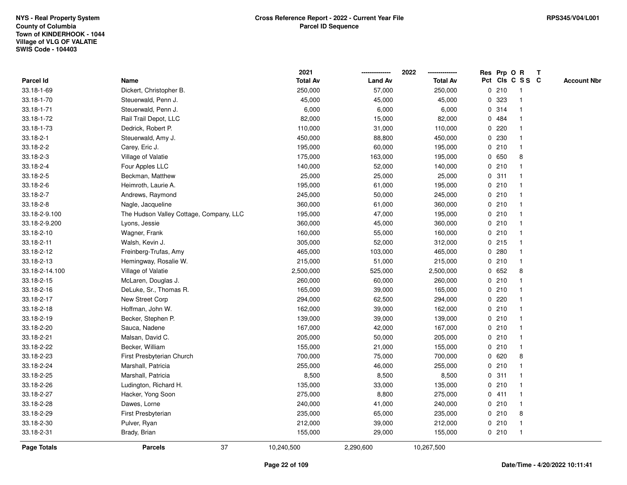|                    |                                         | 2021            |                | 2022            |   |       | Res Prp O R     | T |                    |
|--------------------|-----------------------------------------|-----------------|----------------|-----------------|---|-------|-----------------|---|--------------------|
| <b>Parcel Id</b>   | Name                                    | <b>Total Av</b> | <b>Land Av</b> | <b>Total Av</b> |   |       | Pct Cls C S S C |   | <b>Account Nbr</b> |
| 33.18-1-69         | Dickert, Christopher B.                 | 250,000         | 57,000         | 250,000         |   | 0210  | $\mathbf{1}$    |   |                    |
| 33.18-1-70         | Steuerwald, Penn J.                     | 45,000          | 45,000         | 45,000          | 0 | 323   | $\mathbf{1}$    |   |                    |
| 33.18-1-71         | Steuerwald, Penn J.                     | 6,000           | 6,000          | 6,000           |   | 0.314 | $\mathbf{1}$    |   |                    |
| 33.18-1-72         | Rail Trail Depot, LLC                   | 82,000          | 15,000         | 82,000          |   | 0 484 | -1              |   |                    |
| 33.18-1-73         | Dedrick, Robert P.                      | 110,000         | 31,000         | 110,000         |   | 0220  |                 |   |                    |
| 33.18-2-1          | Steuerwald, Amy J.                      | 450,000         | 88,800         | 450,000         |   | 0 230 |                 |   |                    |
| 33.18-2-2          | Carey, Eric J.                          | 195,000         | 60,000         | 195,000         |   | 0210  | $\mathbf{1}$    |   |                    |
| 33.18-2-3          | Village of Valatie                      | 175,000         | 163,000        | 195,000         | 0 | 650   | 8               |   |                    |
| 33.18-2-4          | Four Apples LLC                         | 140,000         | 52,000         | 140,000         |   | 0210  | $\mathbf{1}$    |   |                    |
| 33.18-2-5          | Beckman, Matthew                        | 25,000          | 25,000         | 25,000          |   | 0.311 | $\mathbf{1}$    |   |                    |
| 33.18-2-6          | Heimroth, Laurie A.                     | 195,000         | 61,000         | 195,000         |   | 0210  | $\mathbf 1$     |   |                    |
| 33.18-2-7          | Andrews, Raymond                        | 245,000         | 50,000         | 245,000         |   | 0210  | 1               |   |                    |
| 33.18-2-8          | Nagle, Jacqueline                       | 360,000         | 61,000         | 360,000         |   | 0210  |                 |   |                    |
| 33.18-2-9.100      | The Hudson Valley Cottage, Company, LLC | 195,000         | 47,000         | 195,000         |   | 0210  | $\mathbf 1$     |   |                    |
| 33.18-2-9.200      | Lyons, Jessie                           | 360,000         | 45,000         | 360,000         |   | 0210  | $\mathbf{1}$    |   |                    |
| 33.18-2-10         | Wagner, Frank                           | 160,000         | 55,000         | 160,000         |   | 0210  | $\mathbf{1}$    |   |                    |
| 33.18-2-11         | Walsh, Kevin J.                         | 305,000         | 52,000         | 312,000         |   | 0215  | $\mathbf{1}$    |   |                    |
| 33.18-2-12         | Freinberg-Trufas, Amy                   | 465,000         | 103,000        | 465,000         |   | 0.280 | $\mathbf{1}$    |   |                    |
| 33.18-2-13         | Hemingway, Rosalie W.                   | 215,000         | 51,000         | 215,000         |   | 0210  | $\mathbf{1}$    |   |                    |
| 33.18-2-14.100     | Village of Valatie                      | 2,500,000       | 525,000        | 2,500,000       |   | 0 652 | 8               |   |                    |
| 33.18-2-15         | McLaren, Douglas J.                     | 260,000         | 60,000         | 260,000         |   | 0210  | $\mathbf{1}$    |   |                    |
| 33.18-2-16         | DeLuke, Sr., Thomas R.                  | 165,000         | 39,000         | 165,000         |   | 0210  | $\mathbf 1$     |   |                    |
| 33.18-2-17         | New Street Corp                         | 294,000         | 62,500         | 294,000         |   | 0220  | $\mathbf{1}$    |   |                    |
| 33.18-2-18         | Hoffman, John W.                        | 162,000         | 39,000         | 162,000         |   | 0210  | $\mathbf{1}$    |   |                    |
| 33.18-2-19         | Becker, Stephen P.                      | 139,000         | 39,000         | 139,000         |   | 0210  | $\mathbf 1$     |   |                    |
| 33.18-2-20         | Sauca, Nadene                           | 167,000         | 42,000         | 167,000         |   | 0210  | -1              |   |                    |
| 33.18-2-21         | Malsan, David C.                        | 205,000         | 50,000         | 205,000         |   | 0210  | $\mathbf 1$     |   |                    |
| 33.18-2-22         | Becker, William                         | 155,000         | 21,000         | 155,000         |   | 0210  | $\mathbf{1}$    |   |                    |
| 33.18-2-23         | First Presbyterian Church               | 700,000         | 75,000         | 700,000         |   | 0620  | 8               |   |                    |
| 33.18-2-24         | Marshall, Patricia                      | 255,000         | 46,000         | 255,000         |   | 0210  | $\mathbf{1}$    |   |                    |
| 33.18-2-25         | Marshall, Patricia                      | 8,500           | 8,500          | 8,500           |   | 0.311 | $\mathbf{1}$    |   |                    |
| 33.18-2-26         | Ludington, Richard H.                   | 135,000         | 33,000         | 135,000         |   | 0210  | $\mathbf{1}$    |   |                    |
| 33.18-2-27         | Hacker, Yong Soon                       | 275,000         | 8,800          | 275,000         |   | 0411  |                 |   |                    |
| 33.18-2-28         | Dawes, Lorne                            | 240,000         | 41,000         | 240,000         |   | 0210  | -1              |   |                    |
| 33.18-2-29         | First Presbyterian                      | 235,000         | 65,000         | 235,000         |   | 0210  | 8               |   |                    |
| 33.18-2-30         | Pulver, Ryan                            | 212,000         | 39,000         | 212,000         |   | 0210  | $\mathbf{1}$    |   |                    |
| 33.18-2-31         | Brady, Brian                            | 155,000         | 29,000         | 155,000         |   | 0210  | $\mathbf{1}$    |   |                    |
| <b>Page Totals</b> | 37<br><b>Parcels</b>                    | 10,240,500      | 2,290,600      | 10,267,500      |   |       |                 |   |                    |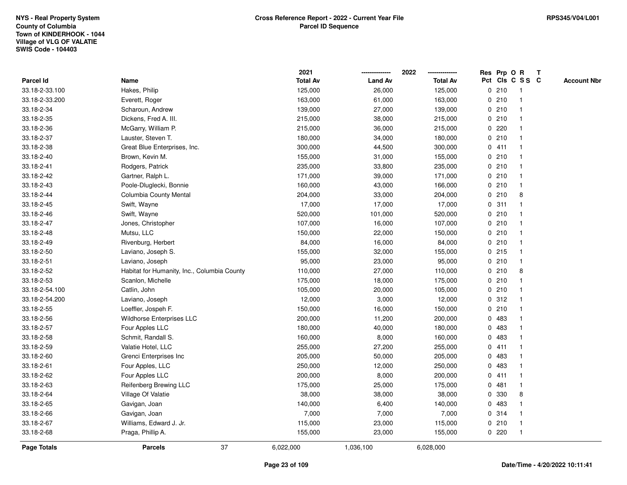|                    |                                             | 2021            |                | 2022            |              |       | Res Prp O R     | $\mathbf{T}$ |                    |
|--------------------|---------------------------------------------|-----------------|----------------|-----------------|--------------|-------|-----------------|--------------|--------------------|
| Parcel Id          | Name                                        | <b>Total Av</b> | <b>Land Av</b> | <b>Total Av</b> |              |       | Pct Cls C S S C |              | <b>Account Nbr</b> |
| 33.18-2-33.100     | Hakes, Philip                               | 125,000         | 26,000         | 125,000         |              | 0210  | -1              |              |                    |
| 33.18-2-33.200     | Everett, Roger                              | 163,000         | 61,000         | 163,000         |              | 0210  |                 |              |                    |
| 33.18-2-34         | Scharoun, Andrew                            | 139,000         | 27,000         | 139,000         |              | 0210  | -1              |              |                    |
| 33.18-2-35         | Dickens, Fred A. III.                       | 215,000         | 38,000         | 215,000         |              | 0210  | -1              |              |                    |
| 33.18-2-36         | McGarry, William P.                         | 215,000         | 36,000         | 215,000         | 0            | 220   | -1              |              |                    |
| 33.18-2-37         | Lauster, Steven T.                          | 180,000         | 34,000         | 180,000         |              | 0210  | -1              |              |                    |
| 33.18-2-38         | Great Blue Enterprises, Inc.                | 300,000         | 44,500         | 300,000         |              | 0411  |                 |              |                    |
| 33.18-2-40         | Brown, Kevin M.                             | 155,000         | 31,000         | 155,000         |              | 0210  |                 |              |                    |
| 33.18-2-41         | Rodgers, Patrick                            | 235,000         | 33,800         | 235,000         |              | 0210  |                 |              |                    |
| 33.18-2-42         | Gartner, Ralph L.                           | 171,000         | 39,000         | 171,000         |              | 0210  | -1              |              |                    |
| 33.18-2-43         | Poole-Dluglecki, Bonnie                     | 160,000         | 43,000         | 166,000         |              | 0210  | $\mathbf{1}$    |              |                    |
| 33.18-2-44         | Columbia County Mental                      | 204,000         | 33,000         | 204,000         | 0            | 210   | 8               |              |                    |
| 33.18-2-45         | Swift, Wayne                                | 17,000          | 17,000         | 17,000          |              | 0.311 | -1              |              |                    |
| 33.18-2-46         | Swift, Wayne                                | 520,000         | 101,000        | 520,000         |              | 0210  |                 |              |                    |
| 33.18-2-47         | Jones, Christopher                          | 107,000         | 16,000         | 107,000         |              | 0210  |                 |              |                    |
| 33.18-2-48         | Mutsu, LLC                                  | 150,000         | 22,000         | 150,000         |              | 0210  | -1              |              |                    |
| 33.18-2-49         | Rivenburg, Herbert                          | 84,000          | 16,000         | 84,000          |              | 0210  | -1              |              |                    |
| 33.18-2-50         | Laviano, Joseph S.                          | 155,000         | 32,000         | 155,000         |              | 0.215 | -1              |              |                    |
| 33.18-2-51         | Laviano, Joseph                             | 95,000          | 23,000         | 95,000          |              | 0210  | $\mathbf{1}$    |              |                    |
| 33.18-2-52         | Habitat for Humanity, Inc., Columbia County | 110,000         | 27,000         | 110,000         |              | 0210  | 8               |              |                    |
| 33.18-2-53         | Scanlon, Michelle                           | 175,000         | 18,000         | 175,000         |              | 0210  |                 |              |                    |
| 33.18-2-54.100     | Catlin, John                                | 105,000         | 20,000         | 105,000         |              | 0210  |                 |              |                    |
| 33.18-2-54.200     | Laviano, Joseph                             | 12,000          | 3,000          | 12,000          |              | 0.312 | -1              |              |                    |
| 33.18-2-55         | Loeffler, Jospeh F.                         | 150,000         | 16,000         | 150,000         |              | 0210  | $\overline{1}$  |              |                    |
| 33.18-2-56         | Wildhorse Enterprises LLC                   | 200,000         | 11,200         | 200,000         | $\mathbf 0$  | 483   | -1              |              |                    |
| 33.18-2-57         | Four Apples LLC                             | 180,000         | 40,000         | 180,000         | 0            | 483   | $\mathbf 1$     |              |                    |
| 33.18-2-58         | Schmit, Randall S.                          | 160,000         | 8,000          | 160,000         |              | 0 483 |                 |              |                    |
| 33.18-2-59         | Valatie Hotel, LLC                          | 255,000         | 27,200         | 255,000         |              | 0411  |                 |              |                    |
| 33.18-2-60         | Grenci Enterprises Inc                      | 205,000         | 50,000         | 205,000         | 0            | 483   |                 |              |                    |
| 33.18-2-61         | Four Apples, LLC                            | 250,000         | 12,000         | 250,000         | 0            | 483   | -1              |              |                    |
| 33.18-2-62         | Four Apples LLC                             | 200,000         | 8,000          | 200,000         | 0            | 411   | -1              |              |                    |
| 33.18-2-63         | Reifenberg Brewing LLC                      | 175,000         | 25,000         | 175,000         | $\mathbf{0}$ | 481   | $\mathbf 1$     |              |                    |
| 33.18-2-64         | Village Of Valatie                          | 38,000          | 38,000         | 38,000          |              | 0 330 | 8               |              |                    |
| 33.18-2-65         | Gavigan, Joan                               | 140,000         | 6,400          | 140,000         |              | 0 483 |                 |              |                    |
| 33.18-2-66         | Gavigan, Joan                               | 7,000           | 7,000          | 7,000           |              | 0.314 |                 |              |                    |
| 33.18-2-67         | Williams, Edward J. Jr.                     | 115,000         | 23,000         | 115,000         |              | 0210  | -1              |              |                    |
| 33.18-2-68         | Praga, Phillip A.                           | 155,000         | 23,000         | 155,000         |              | 0220  | -1              |              |                    |
| <b>Page Totals</b> | 37<br><b>Parcels</b>                        | 6,022,000       | 1,036,100      | 6,028,000       |              |       |                 |              |                    |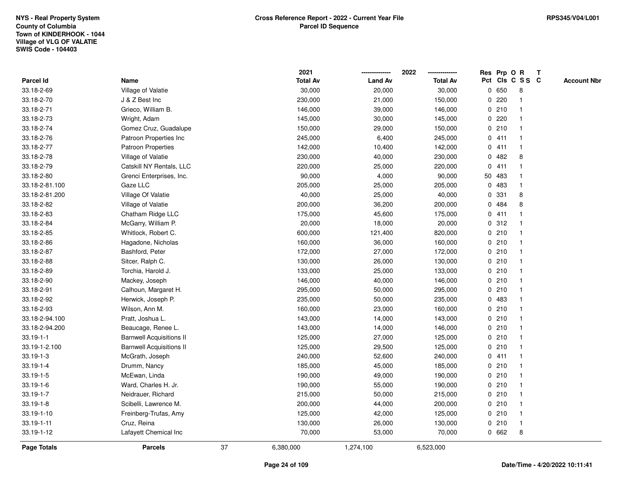|                    |                                 |    | 2021            |                | 2022            |             |        | Res Prp O R     | Т |                    |
|--------------------|---------------------------------|----|-----------------|----------------|-----------------|-------------|--------|-----------------|---|--------------------|
| Parcel Id          | Name                            |    | <b>Total Av</b> | <b>Land Av</b> | <b>Total Av</b> |             |        | Pct Cls C S S C |   | <b>Account Nbr</b> |
| 33.18-2-69         | Village of Valatie              |    | 30,000          | 20,000         | 30,000          | 0           | 650    | 8               |   |                    |
| 33.18-2-70         | J & Z Best Inc                  |    | 230,000         | 21,000         | 150,000         | 0           | 220    | -1              |   |                    |
| 33.18-2-71         | Grieco, William B.              |    | 146,000         | 39,000         | 146,000         |             | 0210   | $\mathbf 1$     |   |                    |
| 33.18-2-73         | Wright, Adam                    |    | 145,000         | 30,000         | 145,000         |             | 0220   |                 |   |                    |
| 33.18-2-74         | Gomez Cruz, Guadalupe           |    | 150,000         | 29,000         | 150,000         |             | 0210   |                 |   |                    |
| 33.18-2-76         | Patroon Properties Inc          |    | 245,000         | 6,400          | 245,000         |             | 0411   |                 |   |                    |
| 33.18-2-77         | <b>Patroon Properties</b>       |    | 142,000         | 10,400         | 142,000         |             | 0411   | -1              |   |                    |
| 33.18-2-78         | Village of Valatie              |    | 230,000         | 40,000         | 230,000         | 0           | 482    | 8               |   |                    |
| 33.18-2-79         | Catskill NY Rentals, LLC        |    | 220,000         | 25,000         | 220,000         |             | 0411   | -1              |   |                    |
| 33.18-2-80         | Grenci Enterprises, Inc.        |    | 90,000          | 4,000          | 90,000          |             | 50 483 | $\mathbf 1$     |   |                    |
| 33.18-2-81.100     | Gaze LLC                        |    | 205,000         | 25,000         | 205,000         | $\mathbf 0$ | 483    | -1              |   |                    |
| 33.18-2-81.200     | Village Of Valatie              |    | 40,000          | 25,000         | 40,000          | 0           | 331    | 8               |   |                    |
| 33.18-2-82         | Village of Valatie              |    | 200,000         | 36,200         | 200,000         | 0           | 484    | 8               |   |                    |
| 33.18-2-83         | Chatham Ridge LLC               |    | 175,000         | 45,600         | 175,000         |             | 0411   | -1              |   |                    |
| 33.18-2-84         | McGarry, William P.             |    | 20,000          | 18,000         | 20,000          | 0           | 312    |                 |   |                    |
| 33.18-2-85         | Whitlock, Robert C.             |    | 600,000         | 121,400        | 820,000         |             | 0210   | $\mathbf{1}$    |   |                    |
| 33.18-2-86         | Hagadone, Nicholas              |    | 160,000         | 36,000         | 160,000         |             | 0210   | $\mathbf{1}$    |   |                    |
| 33.18-2-87         | Bashford, Peter                 |    | 172,000         | 27,000         | 172,000         |             | 0210   | -1              |   |                    |
| 33.18-2-88         | Sitcer, Ralph C.                |    | 130,000         | 26,000         | 130,000         |             | 0210   |                 |   |                    |
| 33.18-2-89         | Torchia, Harold J.              |    | 133,000         | 25,000         | 133,000         |             | 0210   |                 |   |                    |
| 33.18-2-90         | Mackey, Joseph                  |    | 146,000         | 40,000         | 146,000         |             | 0210   | $\overline{1}$  |   |                    |
| 33.18-2-91         | Calhoun, Margaret H.            |    | 295,000         | 50,000         | 295,000         |             | 0210   |                 |   |                    |
| 33.18-2-92         | Herwick, Joseph P.              |    | 235,000         | 50,000         | 235,000         | 0           | 483    | -1              |   |                    |
| 33.18-2-93         | Wilson, Ann M.                  |    | 160,000         | 23,000         | 160,000         |             | 0210   | $\mathbf 1$     |   |                    |
| 33.18-2-94.100     | Pratt, Joshua L.                |    | 143,000         | 14,000         | 143,000         |             | 0210   | -1              |   |                    |
| 33.18-2-94.200     | Beaucage, Renee L.              |    | 143,000         | 14,000         | 146,000         |             | 0210   |                 |   |                    |
| $33.19 - 1 - 1$    | <b>Barnwell Acquisitions II</b> |    | 125,000         | 27,000         | 125,000         |             | 0210   |                 |   |                    |
| 33.19-1-2.100      | <b>Barnwell Acquisitions II</b> |    | 125,000         | 29,500         | 125,000         |             | 0210   | -1              |   |                    |
| $33.19 - 1 - 3$    | McGrath, Joseph                 |    | 240,000         | 52,600         | 240,000         |             | 0411   | -1              |   |                    |
| $33.19 - 1 - 4$    | Drumm, Nancy                    |    | 185,000         | 45,000         | 185,000         |             | 0210   | -1              |   |                    |
| 33.19-1-5          | McEwan, Linda                   |    | 190,000         | 49,000         | 190,000         |             | 0210   | -1              |   |                    |
| $33.19 - 1 - 6$    | Ward, Charles H. Jr.            |    | 190,000         | 55,000         | 190,000         |             | 0210   | -1              |   |                    |
| $33.19 - 1 - 7$    | Neidrauer, Richard              |    | 215,000         | 50,000         | 215,000         |             | 0210   |                 |   |                    |
| $33.19 - 1 - 8$    | Scibelli, Lawrence M.           |    | 200,000         | 44,000         | 200,000         |             | 0210   |                 |   |                    |
| 33.19-1-10         | Freinberg-Trufas, Amy           |    | 125,000         | 42,000         | 125,000         |             | 0210   | $\mathbf 1$     |   |                    |
| 33.19-1-11         | Cruz, Reina                     |    | 130,000         | 26,000         | 130,000         |             | 0210   | $\mathbf{1}$    |   |                    |
| 33.19-1-12         | Lafayett Chemical Inc           |    | 70,000          | 53,000         | 70,000          |             | 0 662  | 8               |   |                    |
| <b>Page Totals</b> | <b>Parcels</b>                  | 37 | 6,380,000       | 1,274,100      | 6,523,000       |             |        |                 |   |                    |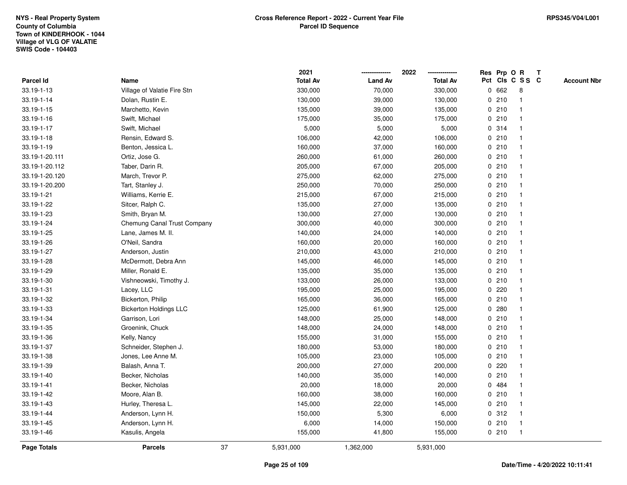|                |                               |    | 2021            |                | 2022            |   | Res Prp O R |                 | Т |                    |
|----------------|-------------------------------|----|-----------------|----------------|-----------------|---|-------------|-----------------|---|--------------------|
| Parcel Id      | Name                          |    | <b>Total Av</b> | <b>Land Av</b> | <b>Total Av</b> |   |             | Pct Cls C S S C |   | <b>Account Nbr</b> |
| 33.19-1-13     | Village of Valatie Fire Stn   |    | 330,000         | 70,000         | 330,000         | 0 | 662         | 8               |   |                    |
| 33.19-1-14     | Dolan, Rustin E.              |    | 130,000         | 39,000         | 130,000         |   | 0210        | 1               |   |                    |
| 33.19-1-15     | Marchetto, Kevin              |    | 135,000         | 39,000         | 135,000         |   | 0210        | $\mathbf 1$     |   |                    |
| 33.19-1-16     | Swift, Michael                |    | 175,000         | 35,000         | 175,000         |   | 0210        | -1              |   |                    |
| 33.19-1-17     | Swift, Michael                |    | 5,000           | 5,000          | 5,000           |   | 0.314       |                 |   |                    |
| 33.19-1-18     | Rensin, Edward S.             |    | 106,000         | 42,000         | 106,000         |   | 0210        |                 |   |                    |
| 33.19-1-19     | Benton, Jessica L.            |    | 160,000         | 37,000         | 160,000         |   | 0210        | $\mathbf 1$     |   |                    |
| 33.19-1-20.111 | Ortiz, Jose G.                |    | 260,000         | 61,000         | 260,000         |   | 0210        | $\mathbf{1}$    |   |                    |
| 33.19-1-20.112 | Taber, Darin R.               |    | 205,000         | 67,000         | 205,000         |   | 0210        | 1               |   |                    |
| 33.19-1-20.120 | March, Trevor P.              |    | 275,000         | 62,000         | 275,000         |   | 0210        | 1               |   |                    |
| 33.19-1-20.200 | Tart, Stanley J.              |    | 250,000         | 70,000         | 250,000         |   | 0210        | $\mathbf 1$     |   |                    |
| 33.19-1-21     | Williams, Kerrie E.           |    | 215,000         | 67,000         | 215,000         |   | 0210        |                 |   |                    |
| 33.19-1-22     | Sitcer, Ralph C.              |    | 135,000         | 27,000         | 135,000         |   | 0210        |                 |   |                    |
| 33.19-1-23     | Smith, Bryan M.               |    | 130,000         | 27,000         | 130,000         |   | 0210        | $\mathbf 1$     |   |                    |
| 33.19-1-24     | Chemung Canal Trust Company   |    | 300,000         | 40,000         | 300,000         |   | 0210        | $\mathbf{1}$    |   |                    |
| 33.19-1-25     | Lane, James M. II.            |    | 140,000         | 24,000         | 140,000         |   | 0210        | $\mathbf{1}$    |   |                    |
| 33.19-1-26     | O'Neil, Sandra                |    | 160,000         | 20,000         | 160,000         |   | 0210        | $\mathbf{1}$    |   |                    |
| 33.19-1-27     | Anderson, Justin              |    | 210,000         | 43,000         | 210,000         |   | 0210        | 1               |   |                    |
| 33.19-1-28     | McDermott, Debra Ann          |    | 145,000         | 46,000         | 145,000         |   | 0210        |                 |   |                    |
| 33.19-1-29     | Miller, Ronald E.             |    | 135,000         | 35,000         | 135,000         |   | 0210        |                 |   |                    |
| 33.19-1-30     | Vishneowski, Timothy J.       |    | 133,000         | 26,000         | 133,000         |   | 0210        | $\mathbf{1}$    |   |                    |
| 33.19-1-31     | Lacey, LLC                    |    | 195,000         | 25,000         | 195,000         |   | 0220        |                 |   |                    |
| 33.19-1-32     | Bickerton, Philip             |    | 165,000         | 36,000         | 165,000         |   | 0210        | $\mathbf{1}$    |   |                    |
| 33.19-1-33     | <b>Bickerton Holdings LLC</b> |    | 125,000         | 61,900         | 125,000         |   | 0.280       | $\mathbf 1$     |   |                    |
| 33.19-1-34     | Garrison, Lori                |    | 148,000         | 25,000         | 148,000         |   | 0210        | $\mathbf 1$     |   |                    |
| 33.19-1-35     | Groenink, Chuck               |    | 148,000         | 24,000         | 148,000         |   | 0210        |                 |   |                    |
| 33.19-1-36     | Kelly, Nancy                  |    | 155,000         | 31,000         | 155,000         |   | 0210        |                 |   |                    |
| 33.19-1-37     | Schneider, Stephen J.         |    | 180,000         | 53,000         | 180,000         |   | 0210        | $\mathbf 1$     |   |                    |
| 33.19-1-38     | Jones, Lee Anne M.            |    | 105,000         | 23,000         | 105,000         |   | 0210        | $\mathbf{1}$    |   |                    |
| 33.19-1-39     | Balash, Anna T.               |    | 200,000         | 27,000         | 200,000         | 0 | 220         | 1               |   |                    |
| 33.19-1-40     | Becker, Nicholas              |    | 140,000         | 35,000         | 140,000         |   | 0210        | $\mathbf 1$     |   |                    |
| 33.19-1-41     | Becker, Nicholas              |    | 20,000          | 18,000         | 20,000          |   | 0 484       | 1               |   |                    |
| 33.19-1-42     | Moore, Alan B.                |    | 160,000         | 38,000         | 160,000         |   | 0210        |                 |   |                    |
| 33.19-1-43     | Hurley, Theresa L.            |    | 145,000         | 22,000         | 145,000         |   | 0210        |                 |   |                    |
| 33.19-1-44     | Anderson, Lynn H.             |    | 150,000         | 5,300          | 6,000           |   | 0.312       | $\mathbf 1$     |   |                    |
| 33.19-1-45     | Anderson, Lynn H.             |    | 6,000           | 14,000         | 150,000         |   | 0210        | 1               |   |                    |
| 33.19-1-46     | Kasulis, Angela               |    | 155,000         | 41,800         | 155,000         |   | 0210        | $\mathbf{1}$    |   |                    |
| Page Totals    | <b>Parcels</b>                | 37 | 5,931,000       | 1,362,000      | 5,931,000       |   |             |                 |   |                    |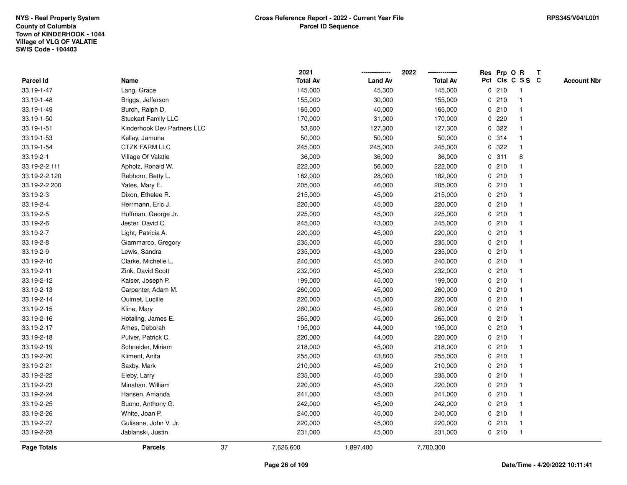|                    |                             |    | 2021            |                | 2022            |             |       | Res Prp O R     | T |                    |
|--------------------|-----------------------------|----|-----------------|----------------|-----------------|-------------|-------|-----------------|---|--------------------|
| Parcel Id          | Name                        |    | <b>Total Av</b> | <b>Land Av</b> | <b>Total Av</b> |             |       | Pct Cls C S S C |   | <b>Account Nbr</b> |
| 33.19-1-47         | Lang, Grace                 |    | 145,000         | 45,300         | 145,000         | 0           | 210   | -1              |   |                    |
| 33.19-1-48         | Briggs, Jefferson           |    | 155,000         | 30,000         | 155,000         | 0           | 210   | -1              |   |                    |
| 33.19-1-49         | Burch, Ralph D.             |    | 165,000         | 40,000         | 165,000         |             | 0210  | $\mathbf{1}$    |   |                    |
| 33.19-1-50         | <b>Stuckart Family LLC</b>  |    | 170,000         | 31,000         | 170,000         |             | 0.220 |                 |   |                    |
| 33.19-1-51         | Kinderhook Dev Partners LLC |    | 53,600          | 127,300        | 127,300         |             | 0 322 |                 |   |                    |
| 33.19-1-53         | Kelley, Jamuna              |    | 50,000          | 50,000         | 50,000          |             | 0.314 |                 |   |                    |
| 33.19-1-54         | <b>CTZK FARM LLC</b>        |    | 245,000         | 245,000        | 245,000         |             | 0.322 |                 |   |                    |
| 33.19-2-1          | Village Of Valatie          |    | 36,000          | 36,000         | 36,000          | 0           | 311   | 8               |   |                    |
| 33.19-2-2.111      | Apholz, Ronald W.           |    | 222,000         | 56,000         | 222,000         | 0           | 210   |                 |   |                    |
| 33.19-2-2.120      | Rebhorn, Betty L.           |    | 182,000         | 28,000         | 182,000         |             | 0210  |                 |   |                    |
| 33.19-2-2.200      | Yates, Mary E.              |    | 205,000         | 46,000         | 205,000         |             | 0210  |                 |   |                    |
| 33.19-2-3          | Dixon, Ethelee R.           |    | 215,000         | 45,000         | 215,000         |             | 0210  |                 |   |                    |
| 33.19-2-4          | Herrmann, Eric J.           |    | 220,000         | 45,000         | 220,000         |             | 0210  |                 |   |                    |
| 33.19-2-5          | Huffman, George Jr.         |    | 225,000         | 45,000         | 225,000         |             | 0210  |                 |   |                    |
| 33.19-2-6          | Jester, David C.            |    | 245,000         | 43,000         | 245,000         | $\mathbf 0$ | 210   |                 |   |                    |
| 33.19-2-7          | Light, Patricia A.          |    | 220,000         | 45,000         | 220,000         |             | 0210  | $\mathbf{1}$    |   |                    |
| 33.19-2-8          | Giammarco, Gregory          |    | 235,000         | 45,000         | 235,000         |             | 0210  | $\mathbf{1}$    |   |                    |
| 33.19-2-9          | Lewis, Sandra               |    | 235,000         | 43,000         | 235,000         |             | 0210  |                 |   |                    |
| 33.19-2-10         | Clarke, Michelle L.         |    | 240,000         | 45,000         | 240,000         |             | 0210  |                 |   |                    |
| 33.19-2-11         | Zink, David Scott           |    | 232,000         | 45,000         | 232,000         |             | 0210  |                 |   |                    |
| 33.19-2-12         | Kaiser, Joseph P.           |    | 199,000         | 45,000         | 199,000         |             | 0210  |                 |   |                    |
| 33.19-2-13         | Carpenter, Adam M.          |    | 260,000         | 45,000         | 260,000         |             | 0210  |                 |   |                    |
| 33.19-2-14         | Ouimet, Lucille             |    | 220,000         | 45,000         | 220,000         |             | 0210  | -1              |   |                    |
| 33.19-2-15         | Kline, Mary                 |    | 260,000         | 45,000         | 260,000         | $\mathbf 0$ | 210   |                 |   |                    |
| 33.19-2-16         | Hotaling, James E.          |    | 265,000         | 45,000         | 265,000         |             | 0210  |                 |   |                    |
| 33.19-2-17         | Ames, Deborah               |    | 195,000         | 44,000         | 195,000         |             | 0210  |                 |   |                    |
| 33.19-2-18         | Pulver, Patrick C.          |    | 220,000         | 44,000         | 220,000         |             | 0210  |                 |   |                    |
| 33.19-2-19         | Schneider, Miriam           |    | 218,000         | 45,000         | 218,000         |             | 0210  |                 |   |                    |
| 33.19-2-20         | Kliment, Anita              |    | 255,000         | 43,800         | 255,000         |             | 0210  |                 |   |                    |
| 33.19-2-21         | Saxby, Mark                 |    | 210,000         | 45,000         | 210,000         | $\mathbf 0$ | 210   |                 |   |                    |
| 33.19-2-22         | Eleby, Larry                |    | 235,000         | 45,000         | 235,000         |             | 0210  | -1              |   |                    |
| 33.19-2-23         | Minahan, William            |    | 220,000         | 45,000         | 220,000         |             | 0210  | -1              |   |                    |
| 33.19-2-24         | Hansen, Amanda              |    | 241,000         | 45,000         | 241,000         |             | 0210  |                 |   |                    |
| 33.19-2-25         | Buono, Anthony G.           |    | 242,000         | 45,000         | 242,000         |             | 0210  |                 |   |                    |
| 33.19-2-26         | White, Joan P.              |    | 240,000         | 45,000         | 240,000         |             | 0210  |                 |   |                    |
| 33.19-2-27         | Gulisane, John V. Jr.       |    | 220,000         | 45,000         | 220,000         |             | 0210  |                 |   |                    |
| 33.19-2-28         | Jablanski, Justin           |    | 231,000         | 45,000         | 231,000         |             | 0210  | $\mathbf{1}$    |   |                    |
| <b>Page Totals</b> | <b>Parcels</b>              | 37 | 7,626,600       | 1,897,400      | 7,700,300       |             |       |                 |   |                    |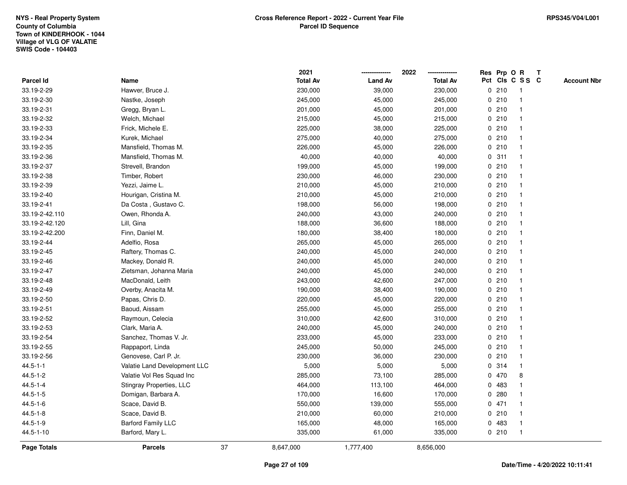|                    |                              |    | 2021            |                | 2022            |             |       | Res Prp O R     | Т |                    |
|--------------------|------------------------------|----|-----------------|----------------|-----------------|-------------|-------|-----------------|---|--------------------|
| Parcel Id          | Name                         |    | <b>Total Av</b> | <b>Land Av</b> | <b>Total Av</b> |             |       | Pct Cls C S S C |   | <b>Account Nbr</b> |
| 33.19-2-29         | Hawver, Bruce J.             |    | 230,000         | 39,000         | 230,000         |             | 0210  | $\mathbf{1}$    |   |                    |
| 33.19-2-30         | Nastke, Joseph               |    | 245,000         | 45,000         | 245,000         | 0           | 210   | $\mathbf{1}$    |   |                    |
| 33.19-2-31         | Gregg, Bryan L.              |    | 201,000         | 45,000         | 201,000         |             | 0210  | $\mathbf{1}$    |   |                    |
| 33.19-2-32         | Welch, Michael               |    | 215,000         | 45,000         | 215,000         |             | 0210  | -1              |   |                    |
| 33.19-2-33         | Frick, Michele E.            |    | 225,000         | 38,000         | 225,000         |             | 0210  |                 |   |                    |
| 33.19-2-34         | Kurek, Michael               |    | 275,000         | 40,000         | 275,000         |             | 0210  |                 |   |                    |
| 33.19-2-35         | Mansfield, Thomas M.         |    | 226,000         | 45,000         | 226,000         |             | 0210  |                 |   |                    |
| 33.19-2-36         | Mansfield, Thomas M.         |    | 40,000          | 40,000         | 40,000          | 0           | 311   | $\mathbf{1}$    |   |                    |
| 33.19-2-37         | Strevell, Brandon            |    | 199,000         | 45,000         | 199,000         |             | 0210  | $\mathbf 1$     |   |                    |
| 33.19-2-38         | Timber, Robert               |    | 230,000         | 46,000         | 230,000         |             | 0210  | $\mathbf 1$     |   |                    |
| 33.19-2-39         | Yezzi, Jaime L.              |    | 210,000         | 45,000         | 210,000         |             | 0210  |                 |   |                    |
| 33.19-2-40         | Hourigan, Cristina M.        |    | 210,000         | 45,000         | 210,000         |             | 0210  |                 |   |                    |
| 33.19-2-41         | Da Costa, Gustavo C.         |    | 198,000         | 56,000         | 198,000         |             | 0210  |                 |   |                    |
| 33.19-2-42.110     | Owen, Rhonda A.              |    | 240,000         | 43,000         | 240,000         |             | 0210  |                 |   |                    |
| 33.19-2-42.120     | Lill, Gina                   |    | 188,000         | 36,600         | 188,000         |             | 0210  | $\mathbf{1}$    |   |                    |
| 33.19-2-42.200     | Finn, Daniel M.              |    | 180,000         | 38,400         | 180,000         |             | 0210  | $\mathbf{1}$    |   |                    |
| 33.19-2-44         | Adelfio, Rosa                |    | 265,000         | 45,000         | 265,000         |             | 0210  | $\mathbf{1}$    |   |                    |
| 33.19-2-45         | Raftery, Thomas C.           |    | 240,000         | 45,000         | 240,000         |             | 0210  |                 |   |                    |
| 33.19-2-46         | Mackey, Donald R.            |    | 240,000         | 45,000         | 240,000         |             | 0210  |                 |   |                    |
| 33.19-2-47         | Zietsman, Johanna Maria      |    | 240,000         | 45,000         | 240,000         |             | 0210  |                 |   |                    |
| 33.19-2-48         | MacDonald, Leith             |    | 243,000         | 42,600         | 247,000         |             | 0210  |                 |   |                    |
| 33.19-2-49         | Overby, Anacita M.           |    | 190,000         | 38,400         | 190,000         |             | 0210  | 1               |   |                    |
| 33.19-2-50         | Papas, Chris D.              |    | 220,000         | 45,000         | 220,000         |             | 0210  | -1              |   |                    |
| 33.19-2-51         | Baoud, Aissam                |    | 255,000         | 45,000         | 255,000         |             | 0210  | $\mathbf{1}$    |   |                    |
| 33.19-2-52         | Raymoun, Celecia             |    | 310,000         | 42,600         | 310,000         |             | 0210  | 1               |   |                    |
| 33.19-2-53         | Clark, Maria A.              |    | 240,000         | 45,000         | 240,000         |             | 0210  |                 |   |                    |
| 33.19-2-54         | Sanchez, Thomas V. Jr.       |    | 233,000         | 45,000         | 233,000         |             | 0210  |                 |   |                    |
| 33.19-2-55         | Rappaport, Linda             |    | 245,000         | 50,000         | 245,000         |             | 0210  |                 |   |                    |
| 33.19-2-56         | Genovese, Carl P. Jr.        |    | 230,000         | 36,000         | 230,000         |             | 0210  |                 |   |                    |
| $44.5 - 1 - 1$     | Valatie Land Development LLC |    | 5,000           | 5,000          | 5,000           | $\mathbf 0$ | 314   | -1              |   |                    |
| $44.5 - 1 - 2$     | Valatie Vol Res Squad Inc    |    | 285,000         | 73,100         | 285,000         |             | 0 470 | 8               |   |                    |
| $44.5 - 1 - 4$     | Stingray Properties, LLC     |    | 464,000         | 113,100        | 464,000         |             | 0 483 | 1               |   |                    |
| $44.5 - 1 - 5$     | Domigan, Barbara A.          |    | 170,000         | 16,600         | 170,000         |             | 0.280 |                 |   |                    |
| $44.5 - 1 - 6$     | Scace, David B.              |    | 550,000         | 139,000        | 555,000         |             | 0471  |                 |   |                    |
| $44.5 - 1 - 8$     | Scace, David B.              |    | 210,000         | 60,000         | 210,000         |             | 0210  | 1               |   |                    |
| $44.5 - 1 - 9$     | <b>Barford Family LLC</b>    |    | 165,000         | 48,000         | 165,000         | 0           | 483   | $\mathbf 1$     |   |                    |
| 44.5-1-10          | Barford, Mary L.             |    | 335,000         | 61,000         | 335,000         |             | 0210  | $\mathbf{1}$    |   |                    |
| <b>Page Totals</b> | <b>Parcels</b>               | 37 | 8,647,000       | 1,777,400      | 8,656,000       |             |       |                 |   |                    |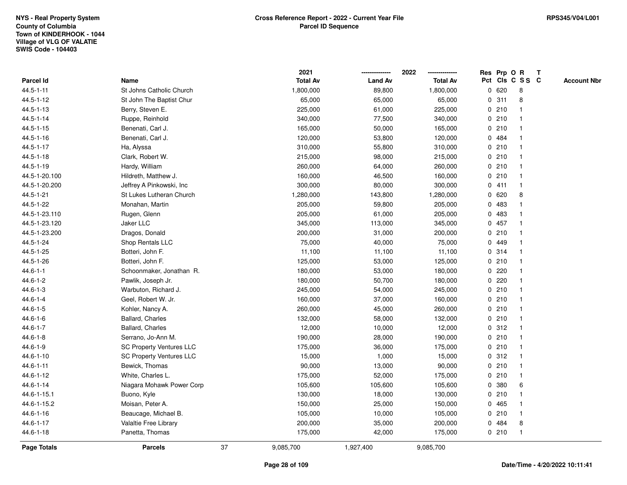|                    |                                 |    | 2021            |                | 2022            |   |         | Res Prp O R     | Т |                    |
|--------------------|---------------------------------|----|-----------------|----------------|-----------------|---|---------|-----------------|---|--------------------|
| Parcel Id          | Name                            |    | <b>Total Av</b> | <b>Land Av</b> | <b>Total Av</b> |   |         | Pct Cls C S S C |   | <b>Account Nbr</b> |
| $44.5 - 1 - 11$    | St Johns Catholic Church        |    | 1,800,000       | 89,800         | 1,800,000       | 0 | 620     | 8               |   |                    |
| 44.5-1-12          | St John The Baptist Chur        |    | 65,000          | 65,000         | 65,000          | 0 | 311     | 8               |   |                    |
| 44.5-1-13          | Berry, Steven E.                |    | 225,000         | 61,000         | 225,000         |   | 0210    | $\mathbf{1}$    |   |                    |
| $44.5 - 1 - 14$    | Ruppe, Reinhold                 |    | 340,000         | 77,500         | 340,000         |   | 0210    | -1              |   |                    |
| 44.5-1-15          | Benenati, Carl J.               |    | 165,000         | 50,000         | 165,000         |   | 0210    |                 |   |                    |
| 44.5-1-16          | Benenati, Carl J.               |    | 120,000         | 53,800         | 120,000         |   | 0 484   |                 |   |                    |
| 44.5-1-17          | Ha, Alyssa                      |    | 310,000         | 55,800         | 310,000         |   | 0210    | $\mathbf{1}$    |   |                    |
| $44.5 - 1 - 18$    | Clark, Robert W.                |    | 215,000         | 98,000         | 215,000         |   | 0210    | $\mathbf{1}$    |   |                    |
| 44.5-1-19          | Hardy, William                  |    | 260,000         | 64,000         | 260,000         |   | 0210    | $\mathbf{1}$    |   |                    |
| 44.5-1-20.100      | Hildreth, Matthew J.            |    | 160,000         | 46,500         | 160,000         |   | 0210    | $\mathbf{1}$    |   |                    |
| 44.5-1-20.200      | Jeffrey A Pinkowski, Inc        |    | 300,000         | 80,000         | 300,000         |   | 0411    | $\mathbf 1$     |   |                    |
| 44.5-1-21          | St Lukes Lutheran Church        |    | 1,280,000       | 143,800        | 1,280,000       |   | 0 620   | 8               |   |                    |
| 44.5-1-22          | Monahan, Martin                 |    | 205,000         | 59,800         | 205,000         | 0 | 483     |                 |   |                    |
| 44.5-1-23.110      | Rugen, Glenn                    |    | 205,000         | 61,000         | 205,000         | 0 | 483     | 1               |   |                    |
| 44.5-1-23.120      | Jaker LLC                       |    | 345,000         | 113,000        | 345,000         | 0 | 457     | $\mathbf{1}$    |   |                    |
| 44.5-1-23.200      | Dragos, Donald                  |    | 200,000         | 31,000         | 200,000         | 0 | 210     | $\mathbf{1}$    |   |                    |
| 44.5-1-24          | Shop Rentals LLC                |    | 75,000          | 40,000         | 75,000          |   | 0 449   | $\mathbf{1}$    |   |                    |
| 44.5-1-25          | Botteri, John F.                |    | 11,100          | 11,100         | 11,100          |   | 0.314   | $\mathbf{1}$    |   |                    |
| 44.5-1-26          | Botteri, John F.                |    | 125,000         | 53,000         | 125,000         |   | 0210    | -1              |   |                    |
| $44.6 - 1 - 1$     | Schoonmaker, Jonathan R.        |    | 180,000         | 53,000         | 180,000         |   | 0220    |                 |   |                    |
| $44.6 - 1 - 2$     | Pawlik, Joseph Jr.              |    | 180,000         | 50,700         | 180,000         |   | $0$ 220 | $\mathbf{1}$    |   |                    |
| $44.6 - 1 - 3$     | Warbuton, Richard J.            |    | 245,000         | 54,000         | 245,000         |   | 0210    | $\mathbf 1$     |   |                    |
| $44.6 - 1 - 4$     | Geel, Robert W. Jr.             |    | 160,000         | 37,000         | 160,000         |   | 0210    | $\mathbf{1}$    |   |                    |
| $44.6 - 1 - 5$     | Kohler, Nancy A.                |    | 260,000         | 45,000         | 260,000         |   | 0210    | $\mathbf{1}$    |   |                    |
| $44.6 - 1 - 6$     | Ballard, Charles                |    | 132,000         | 58,000         | 132,000         |   | 0210    | $\mathbf 1$     |   |                    |
| $44.6 - 1 - 7$     | Ballard, Charles                |    | 12,000          | 10,000         | 12,000          |   | 0.312   | -1              |   |                    |
| $44.6 - 1 - 8$     | Serrano, Jo-Ann M.              |    | 190,000         | 28,000         | 190,000         |   | 0210    | 1               |   |                    |
| 44.6-1-9           | <b>SC Property Ventures LLC</b> |    | 175,000         | 36,000         | 175,000         |   | 0210    | $\mathbf{1}$    |   |                    |
| $44.6 - 1 - 10$    | <b>SC Property Ventures LLC</b> |    | 15,000          | 1,000          | 15,000          |   | 0.312   | $\mathbf{1}$    |   |                    |
| $44.6 - 1 - 11$    | Bewick, Thomas                  |    | 90,000          | 13,000         | 90,000          |   | 0210    | $\mathbf{1}$    |   |                    |
| 44.6-1-12          | White, Charles L.               |    | 175,000         | 52,000         | 175,000         |   | 0210    | $\mathbf{1}$    |   |                    |
| 44.6-1-14          | Niagara Mohawk Power Corp       |    | 105,600         | 105,600        | 105,600         |   | 0 380   | 6               |   |                    |
| 44.6-1-15.1        | Buono, Kyle                     |    | 130,000         | 18,000         | 130,000         |   | 0210    | $\mathbf 1$     |   |                    |
| 44.6-1-15.2        | Moisan, Peter A.                |    | 150,000         | 25,000         | 150,000         |   | 0 465   |                 |   |                    |
| 44.6-1-16          | Beaucage, Michael B.            |    | 105,000         | 10,000         | 105,000         |   | 0210    | $\mathbf{1}$    |   |                    |
| 44.6-1-17          | Valaltie Free Library           |    | 200,000         | 35,000         | 200,000         | 0 | 484     | 8               |   |                    |
| 44.6-1-18          | Panetta, Thomas                 |    | 175,000         | 42,000         | 175,000         |   | 0210    | $\mathbf{1}$    |   |                    |
| <b>Page Totals</b> | <b>Parcels</b>                  | 37 | 9,085,700       | 1,927,400      | 9,085,700       |   |         |                 |   |                    |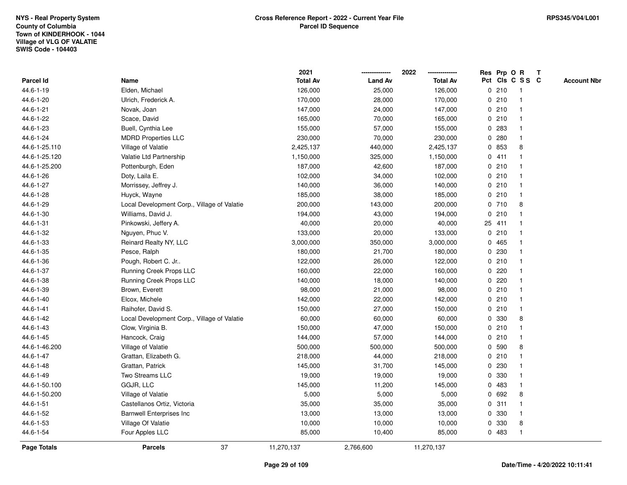|                  |                                             | 2021            |                | 2022            |             |        | Res Prp O R     | Т |                    |
|------------------|---------------------------------------------|-----------------|----------------|-----------------|-------------|--------|-----------------|---|--------------------|
| <b>Parcel Id</b> | Name                                        | <b>Total Av</b> | <b>Land Av</b> | <b>Total Av</b> |             |        | Pct Cls C S S C |   | <b>Account Nbr</b> |
| 44.6-1-19        | Elden, Michael                              | 126,000         | 25,000         | 126,000         | $\mathbf 0$ | 210    | $\mathbf{1}$    |   |                    |
| 44.6-1-20        | Ulrich, Frederick A.                        | 170,000         | 28,000         | 170,000         | 0           | 210    |                 |   |                    |
| 44.6-1-21        | Novak, Joan                                 | 147,000         | 24,000         | 147,000         |             | 0210   | $\mathbf 1$     |   |                    |
| 44.6-1-22        | Scace, David                                | 165,000         | 70,000         | 165,000         |             | 0210   |                 |   |                    |
| 44.6-1-23        | Buell, Cynthia Lee                          | 155,000         | 57,000         | 155,000         |             | 0 283  |                 |   |                    |
| 44.6-1-24        | <b>MDRD Properties LLC</b>                  | 230,000         | 70,000         | 230,000         |             | 0.280  |                 |   |                    |
| 44.6-1-25.110    | Village of Valatie                          | 2,425,137       | 440,000        | 2,425,137       |             | 0 853  | 8               |   |                    |
| 44.6-1-25.120    | Valatie Ltd Partnership                     | 1,150,000       | 325,000        | 1,150,000       |             | 0411   |                 |   |                    |
| 44.6-1-25.200    | Pottenburgh, Eden                           | 187,000         | 42,600         | 187,000         |             | 0210   |                 |   |                    |
| 44.6-1-26        | Doty, Laila E.                              | 102,000         | 34,000         | 102,000         |             | 0210   |                 |   |                    |
| 44.6-1-27        | Morrissey, Jeffrey J.                       | 140,000         | 36,000         | 140,000         |             | 0210   |                 |   |                    |
| 44.6-1-28        | Huyck, Wayne                                | 185,000         | 38,000         | 185,000         |             | 0210   |                 |   |                    |
| 44.6-1-29        | Local Development Corp., Village of Valatie | 200,000         | 143,000        | 200,000         |             | 0710   | 8               |   |                    |
| 44.6-1-30        | Williams, David J.                          | 194,000         | 43,000         | 194,000         |             | 0210   |                 |   |                    |
| 44.6-1-31        | Pinkowski, Jeffery A.                       | 40,000          | 20,000         | 40,000          |             | 25 411 |                 |   |                    |
| 44.6-1-32        | Nguyen, Phuc V.                             | 133,000         | 20,000         | 133,000         |             | 0210   |                 |   |                    |
| 44.6-1-33        | Reinard Realty NY, LLC                      | 3,000,000       | 350,000        | 3,000,000       | $\mathbf 0$ | 465    |                 |   |                    |
| 44.6-1-35        | Pesce, Ralph                                | 180,000         | 21,700         | 180,000         |             | 0 230  |                 |   |                    |
| 44.6-1-36        | Pough, Robert C. Jr                         | 122,000         | 26,000         | 122,000         |             | 0210   |                 |   |                    |
| 44.6-1-37        | Running Creek Props LLC                     | 160,000         | 22,000         | 160,000         |             | 0.220  |                 |   |                    |
| 44.6-1-38        | Running Creek Props LLC                     | 140,000         | 18,000         | 140,000         |             | 0.220  |                 |   |                    |
| 44.6-1-39        | Brown, Everett                              | 98,000          | 21,000         | 98,000          |             | 0210   |                 |   |                    |
| 44.6-1-40        | Elcox, Michele                              | 142,000         | 22,000         | 142,000         |             | 0210   |                 |   |                    |
| 44.6-1-41        | Raihofer, David S.                          | 150,000         | 27,000         | 150,000         |             | 0210   | $\mathbf 1$     |   |                    |
| 44.6-1-42        | Local Development Corp., Village of Valatie | 60,000          | 60,000         | 60,000          |             | 0 330  | 8               |   |                    |
| 44.6-1-43        | Clow, Virginia B.                           | 150,000         | 47,000         | 150,000         |             | 0210   |                 |   |                    |
| 44.6-1-45        | Hancock, Craig                              | 144,000         | 57,000         | 144,000         |             | 0210   |                 |   |                    |
| 44.6-1-46.200    | Village of Valatie                          | 500,000         | 500,000        | 500,000         | 0           | 590    | 8               |   |                    |
| 44.6-1-47        | Grattan, Elizabeth G.                       | 218,000         | 44,000         | 218,000         |             | 0210   |                 |   |                    |
| 44.6-1-48        | Grattan, Patrick                            | 145,000         | 31,700         | 145,000         | 0           | 230    |                 |   |                    |
| 44.6-1-49        | Two Streams LLC                             | 19,000          | 19,000         | 19,000          | 0           | 330    |                 |   |                    |
| 44.6-1-50.100    | GGJR, LLC                                   | 145,000         | 11,200         | 145,000         |             | 0 483  |                 |   |                    |
| 44.6-1-50.200    | Village of Valatie                          | 5,000           | 5,000          | 5,000           |             | 0 692  | 8               |   |                    |
| 44.6-1-51        | Castellanos Ortiz, Victoria                 | 35,000          | 35,000         | 35,000          |             | 0.311  |                 |   |                    |
| 44.6-1-52        | <b>Barnwell Enterprises Inc</b>             | 13,000          | 13,000         | 13,000          |             | 0 330  |                 |   |                    |
| 44.6-1-53        | Village Of Valatie                          | 10,000          | 10,000         | 10,000          | 0           | 330    | 8               |   |                    |
| 44.6-1-54        | Four Apples LLC                             | 85,000          | 10,400         | 85,000          |             | 0 483  | $\mathbf{1}$    |   |                    |
| Page Totals      | 37<br><b>Parcels</b>                        | 11,270,137      | 2,766,600      | 11,270,137      |             |        |                 |   |                    |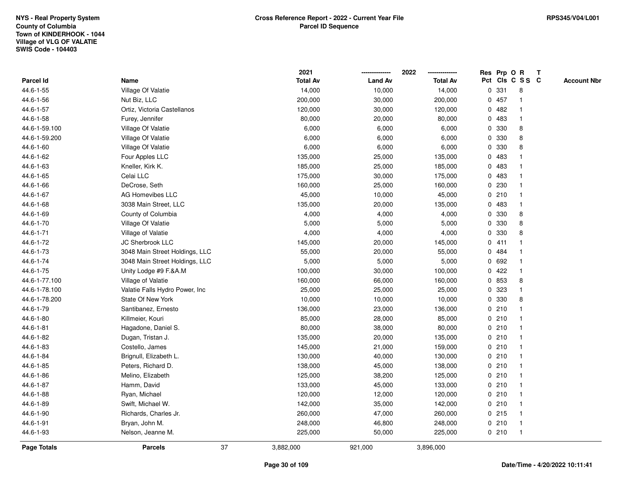|                    |                                |    | 2021            |                | 2022            |              |         | Res Prp O R             | Т |                    |
|--------------------|--------------------------------|----|-----------------|----------------|-----------------|--------------|---------|-------------------------|---|--------------------|
| Parcel Id          | Name                           |    | <b>Total Av</b> | <b>Land Av</b> | <b>Total Av</b> |              |         | Pct Cls C S S C         |   | <b>Account Nbr</b> |
| 44.6-1-55          | Village Of Valatie             |    | 14,000          | 10,000         | 14,000          | 0            | 331     | 8                       |   |                    |
| 44.6-1-56          | Nut Biz, LLC                   |    | 200,000         | 30,000         | 200,000         | 0            | 457     | $\mathbf 1$             |   |                    |
| 44.6-1-57          | Ortiz, Victoria Castellanos    |    | 120,000         | 30,000         | 120,000         |              | 0.482   | $\mathbf 1$             |   |                    |
| 44.6-1-58          | Furey, Jennifer                |    | 80,000          | 20,000         | 80,000          |              | 0 483   | -1                      |   |                    |
| 44.6-1-59.100      | Village Of Valatie             |    | 6,000           | 6,000          | 6,000           |              | 0 330   | 8                       |   |                    |
| 44.6-1-59.200      | Village Of Valatie             |    | 6,000           | 6,000          | 6,000           | $\mathbf{0}$ | 330     | 8                       |   |                    |
| 44.6-1-60          | Village Of Valatie             |    | 6,000           | 6,000          | 6,000           | 0            | 330     | 8                       |   |                    |
| 44.6-1-62          | Four Apples LLC                |    | 135,000         | 25,000         | 135,000         | $\mathbf 0$  | 483     |                         |   |                    |
| 44.6-1-63          | Kneller, Kirk K.               |    | 185,000         | 25,000         | 185,000         | 0            | 483     | -1                      |   |                    |
| 44.6-1-65          | Celai LLC                      |    | 175,000         | 30,000         | 175,000         |              | 0483    | $\mathbf{1}$            |   |                    |
| 44.6-1-66          | DeCrose, Seth                  |    | 160,000         | 25,000         | 160,000         |              | 0.230   | -1                      |   |                    |
| 44.6-1-67          | <b>AG Homevibes LLC</b>        |    | 45,000          | 10,000         | 45,000          |              | 0210    |                         |   |                    |
| 44.6-1-68          | 3038 Main Street, LLC          |    | 135,000         | 20,000         | 135,000         | 0            | 483     |                         |   |                    |
| 44.6-1-69          | County of Columbia             |    | 4,000           | 4,000          | 4,000           |              | 0 330   | 8                       |   |                    |
| 44.6-1-70          | Village Of Valatie             |    | 5,000           | 5,000          | 5,000           | 0            | 330     | 8                       |   |                    |
| 44.6-1-71          | Village of Valatie             |    | 4,000           | 4,000          | 4,000           | 0            | 330     | 8                       |   |                    |
| 44.6-1-72          | JC Sherbrook LLC               |    | 145,000         | 20,000         | 145,000         |              | 0411    |                         |   |                    |
| 44.6-1-73          | 3048 Main Street Holdings, LLC |    | 55,000          | 20,000         | 55,000          |              | 0 484   |                         |   |                    |
| 44.6-1-74          | 3048 Main Street Holdings, LLC |    | 5,000           | 5,000          | 5,000           |              | 0 692   |                         |   |                    |
| 44.6-1-75          | Unity Lodge #9 F.&A.M          |    | 100,000         | 30,000         | 100,000         |              | 0422    |                         |   |                    |
| 44.6-1-77.100      | Village of Valatie             |    | 160,000         | 66,000         | 160,000         |              | 0 853   | 8                       |   |                    |
| 44.6-1-78.100      | Valatie Falls Hydro Power, Inc |    | 25,000          | 25,000         | 25,000          |              | 0 323   |                         |   |                    |
| 44.6-1-78.200      | State Of New York              |    | 10,000          | 10,000         | 10,000          | 0            | 330     | 8                       |   |                    |
| 44.6-1-79          | Santibanez, Ernesto            |    | 136,000         | 23,000         | 136,000         |              | 0210    | $\mathbf 1$             |   |                    |
| 44.6-1-80          | Killmeier, Kouri               |    | 85,000          | 28,000         | 85,000          |              | 0210    | -1                      |   |                    |
| $44.6 - 1 - 81$    | Hagadone, Daniel S.            |    | 80,000          | 38,000         | 80,000          |              | 0210    |                         |   |                    |
| 44.6-1-82          | Dugan, Tristan J.              |    | 135,000         | 20,000         | 135,000         |              | 0210    |                         |   |                    |
| 44.6-1-83          | Costello, James                |    | 145,000         | 21,000         | 159,000         |              | 0210    | -1                      |   |                    |
| 44.6-1-84          | Brignull, Elizabeth L.         |    | 130,000         | 40,000         | 130,000         |              | 0210    | $\overline{\mathbf{1}}$ |   |                    |
| 44.6-1-85          | Peters, Richard D.             |    | 138,000         | 45,000         | 138,000         |              | 0210    | -1                      |   |                    |
| 44.6-1-86          | Melino, Elizabeth              |    | 125,000         | 38,200         | 125,000         |              | 0210    | $\mathbf 1$             |   |                    |
| 44.6-1-87          | Hamm, David                    |    | 133,000         | 45,000         | 133,000         |              | 0210    | $\mathbf 1$             |   |                    |
| 44.6-1-88          | Ryan, Michael                  |    | 120,000         | 12,000         | 120,000         |              | 0210    |                         |   |                    |
| 44.6-1-89          | Swift, Michael W.              |    | 142,000         | 35,000         | 142,000         |              | 0210    |                         |   |                    |
| 44.6-1-90          | Richards, Charles Jr.          |    | 260,000         | 47,000         | 260,000         |              | $0$ 215 | $\mathbf 1$             |   |                    |
| 44.6-1-91          | Bryan, John M.                 |    | 248,000         | 46,800         | 248,000         |              | 0210    | $\mathbf{1}$            |   |                    |
| 44.6-1-93          | Nelson, Jeanne M.              |    | 225,000         | 50,000         | 225,000         |              | 0210    | $\mathbf{1}$            |   |                    |
| <b>Page Totals</b> | <b>Parcels</b>                 | 37 | 3,882,000       | 921,000        | 3,896,000       |              |         |                         |   |                    |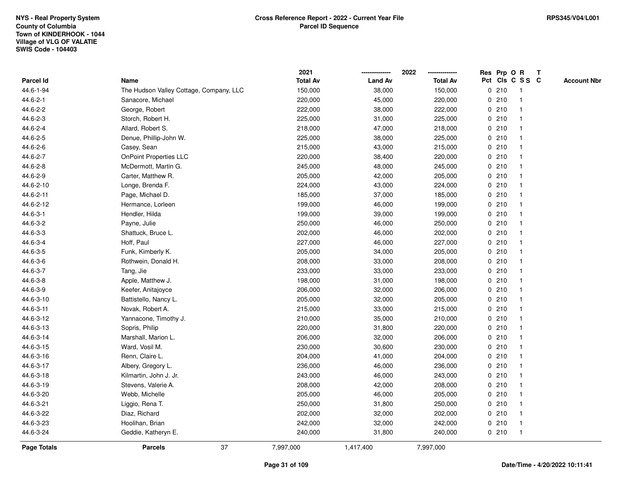|             |                                         | 2021            |                | 2022            | Res Prp O R |      |                 | Т |                    |
|-------------|-----------------------------------------|-----------------|----------------|-----------------|-------------|------|-----------------|---|--------------------|
| Parcel Id   | Name                                    | <b>Total Av</b> | <b>Land Av</b> | <b>Total Av</b> |             |      | Pct Cls C S S C |   | <b>Account Nbr</b> |
| 44.6-1-94   | The Hudson Valley Cottage, Company, LLC | 150,000         | 38,000         | 150,000         |             | 0210 | $\mathbf{1}$    |   |                    |
| 44.6-2-1    | Sanacore, Michael                       | 220,000         | 45,000         | 220,000         |             | 0210 | $\mathbf{1}$    |   |                    |
| 44.6-2-2    | George, Robert                          | 222,000         | 38,000         | 222,000         |             | 0210 | $\mathbf{1}$    |   |                    |
| 44.6-2-3    | Storch, Robert H.                       | 225,000         | 31,000         | 225,000         |             | 0210 | $\mathbf{1}$    |   |                    |
| 44.6-2-4    | Allard, Robert S.                       | 218,000         | 47,000         | 218,000         |             | 0210 |                 |   |                    |
| 44.6-2-5    | Denue, Phillip-John W.                  | 225,000         | 38,000         | 225,000         |             | 0210 |                 |   |                    |
| 44.6-2-6    | Casey, Sean                             | 215,000         | 43,000         | 215,000         |             | 0210 | $\mathbf{1}$    |   |                    |
| 44.6-2-7    | <b>OnPoint Properties LLC</b>           | 220,000         | 38,400         | 220,000         |             | 0210 | $\mathbf{1}$    |   |                    |
| 44.6-2-8    | McDermott, Martin G.                    | 245,000         | 48,000         | 245,000         |             | 0210 | $\mathbf{1}$    |   |                    |
| 44.6-2-9    | Carter, Matthew R.                      | 205,000         | 42,000         | 205,000         |             | 0210 | $\mathbf{1}$    |   |                    |
| 44.6-2-10   | Longe, Brenda F.                        | 224,000         | 43,000         | 224,000         |             | 0210 | $\mathbf{1}$    |   |                    |
| 44.6-2-11   | Page, Michael D.                        | 185,000         | 37,000         | 185,000         |             | 0210 |                 |   |                    |
| 44.6-2-12   | Hermance, Lorleen                       | 199,000         | 46,000         | 199,000         |             | 0210 |                 |   |                    |
| 44.6-3-1    | Hendler, Hilda                          | 199,000         | 39,000         | 199,000         |             | 0210 | $\mathbf{1}$    |   |                    |
| 44.6-3-2    | Payne, Julie                            | 250,000         | 46,000         | 250,000         |             | 0210 | $\mathbf{1}$    |   |                    |
| 44.6-3-3    | Shattuck, Bruce L.                      | 202,000         | 46,000         | 202,000         |             | 0210 | $\mathbf{1}$    |   |                    |
| 44.6-3-4    | Hoff, Paul                              | 227,000         | 46,000         | 227,000         |             | 0210 | $\mathbf{1}$    |   |                    |
| 44.6-3-5    | Funk, Kimberly K.                       | 205,000         | 34,000         | 205,000         |             | 0210 | $\mathbf{1}$    |   |                    |
| 44.6-3-6    | Rothwein, Donald H.                     | 208,000         | 33,000         | 208,000         |             | 0210 |                 |   |                    |
| 44.6-3-7    | Tang, Jie                               | 233,000         | 33,000         | 233,000         |             | 0210 |                 |   |                    |
| 44.6-3-8    | Apple, Matthew J.                       | 198,000         | 31,000         | 198,000         |             | 0210 | $\mathbf{1}$    |   |                    |
| 44.6-3-9    | Keefer, Anitajoyce                      | 206,000         | 32,000         | 206,000         |             | 0210 | $\mathbf 1$     |   |                    |
| 44.6-3-10   | Battistello, Nancy L.                   | 205,000         | 32,000         | 205,000         |             | 0210 | $\mathbf{1}$    |   |                    |
| 44.6-3-11   | Novak, Robert A.                        | 215,000         | 33,000         | 215,000         |             | 0210 | $\mathbf{1}$    |   |                    |
| 44.6-3-12   | Yannacone, Timothy J.                   | 210,000         | 35,000         | 210,000         |             | 0210 | $\mathbf{1}$    |   |                    |
| 44.6-3-13   | Sopris, Philip                          | 220,000         | 31,800         | 220,000         |             | 0210 |                 |   |                    |
| 44.6-3-14   | Marshall, Marion L.                     | 206,000         | 32,000         | 206,000         |             | 0210 |                 |   |                    |
| 44.6-3-15   | Ward, Vosil M.                          | 230,000         | 30,600         | 230,000         |             | 0210 | $\mathbf{1}$    |   |                    |
| 44.6-3-16   | Renn, Claire L.                         | 204,000         | 41,000         | 204,000         |             | 0210 | $\mathbf{1}$    |   |                    |
| 44.6-3-17   | Albery, Gregory L.                      | 236,000         | 46,000         | 236,000         | 0           | 210  | $\mathbf{1}$    |   |                    |
| 44.6-3-18   | Kilmartin, John J. Jr.                  | 243,000         | 46,000         | 243,000         |             | 0210 | $\mathbf{1}$    |   |                    |
| 44.6-3-19   | Stevens, Valerie A.                     | 208,000         | 42,000         | 208,000         |             | 0210 | $\mathbf{1}$    |   |                    |
| 44.6-3-20   | Webb, Michelle                          | 205,000         | 46,000         | 205,000         |             | 0210 | $\mathbf{1}$    |   |                    |
| 44.6-3-21   | Liggio, Rena T.                         | 250,000         | 31,800         | 250,000         |             | 0210 |                 |   |                    |
| 44.6-3-22   | Diaz, Richard                           | 202,000         | 32,000         | 202,000         |             | 0210 | $\mathbf{1}$    |   |                    |
| 44.6-3-23   | Hoolihan, Brian                         | 242,000         | 32,000         | 242,000         |             | 0210 | $\mathbf{1}$    |   |                    |
| 44.6-3-24   | Geddie, Katheryn E.                     | 240,000         | 31,800         | 240,000         |             | 0210 | $\mathbf{1}$    |   |                    |
| Page Totals | 37<br><b>Parcels</b>                    | 7,997,000       | 1,417,400      | 7,997,000       |             |      |                 |   |                    |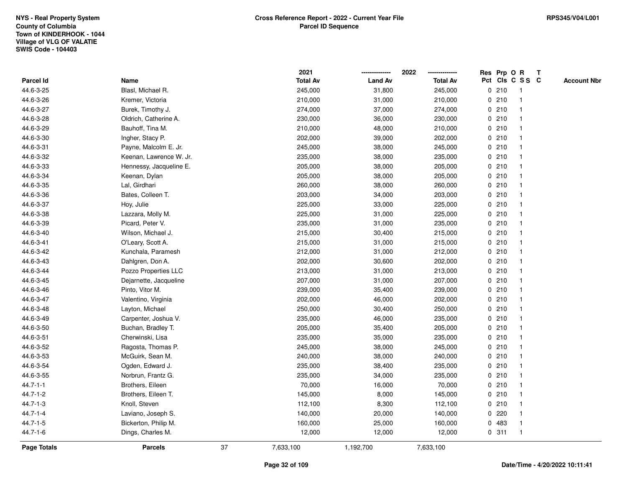|                |                         |    | 2021            |                | 2022            |             | Res Prp O R |                         | T |                    |
|----------------|-------------------------|----|-----------------|----------------|-----------------|-------------|-------------|-------------------------|---|--------------------|
| Parcel Id      | Name                    |    | <b>Total Av</b> | <b>Land Av</b> | <b>Total Av</b> |             |             | Pct Cls C S S C         |   | <b>Account Nbr</b> |
| 44.6-3-25      | Blasl, Michael R.       |    | 245,000         | 31,800         | 245,000         | 0           | 210         | $\mathbf{1}$            |   |                    |
| 44.6-3-26      | Kremer, Victoria        |    | 210,000         | 31,000         | 210,000         | 0           | 210         | $\overline{\mathbf{1}}$ |   |                    |
| 44.6-3-27      | Burek, Timothy J.       |    | 274,000         | 37,000         | 274,000         |             | 0210        | $\mathbf{1}$            |   |                    |
| 44.6-3-28      | Oldrich, Catherine A.   |    | 230,000         | 36,000         | 230,000         |             | 0210        |                         |   |                    |
| 44.6-3-29      | Bauhoff, Tina M.        |    | 210,000         | 48,000         | 210,000         |             | 0210        |                         |   |                    |
| 44.6-3-30      | Ingher, Stacy P.        |    | 202,000         | 39,000         | 202,000         |             | 0210        |                         |   |                    |
| 44.6-3-31      | Payne, Malcolm E. Jr.   |    | 245,000         | 38,000         | 245,000         |             | 0210        |                         |   |                    |
| 44.6-3-32      | Keenan, Lawrence W. Jr. |    | 235,000         | 38,000         | 235,000         | 0           | 210         |                         |   |                    |
| 44.6-3-33      | Hennessy, Jacqueline E. |    | 205,000         | 38,000         | 205,000         |             | 0210        | $\mathbf{1}$            |   |                    |
| 44.6-3-34      | Keenan, Dylan           |    | 205,000         | 38,000         | 205,000         |             | 0210        | $\mathbf{1}$            |   |                    |
| 44.6-3-35      | Lal, Girdhari           |    | 260,000         | 38,000         | 260,000         |             | 0210        |                         |   |                    |
| 44.6-3-36      | Bates, Colleen T.       |    | 203,000         | 34,000         | 203,000         |             | 0210        |                         |   |                    |
| 44.6-3-37      | Hoy, Julie              |    | 225,000         | 33,000         | 225,000         |             | 0210        |                         |   |                    |
| 44.6-3-38      | Lazzara, Molly M.       |    | 225,000         | 31,000         | 225,000         |             | 0210        |                         |   |                    |
| 44.6-3-39      | Picard, Peter V.        |    | 235,000         | 31,000         | 235,000         | $\mathbf 0$ | 210         |                         |   |                    |
| 44.6-3-40      | Wilson, Michael J.      |    | 215,000         | 30,400         | 215,000         | $\mathbf 0$ | 210         | $\mathbf{1}$            |   |                    |
| 44.6-3-41      | O'Leary, Scott A.       |    | 215,000         | 31,000         | 215,000         |             | 0210        | $\overline{\mathbf{1}}$ |   |                    |
| 44.6-3-42      | Kunchala, Paramesh      |    | 212,000         | 31,000         | 212,000         |             | 0210        |                         |   |                    |
| 44.6-3-43      | Dahlgren, Don A.        |    | 202,000         | 30,600         | 202,000         |             | 0210        |                         |   |                    |
| 44.6-3-44      | Pozzo Properties LLC    |    | 213,000         | 31,000         | 213,000         |             | 0210        |                         |   |                    |
| 44.6-3-45      | Dejarnette, Jacqueline  |    | 207,000         | 31,000         | 207,000         |             | 0210        |                         |   |                    |
| 44.6-3-46      | Pinto, Vitor M.         |    | 239,000         | 35,400         | 239,000         |             | 0210        |                         |   |                    |
| 44.6-3-47      | Valentino, Virginia     |    | 202,000         | 46,000         | 202,000         |             | 0210        | $\mathbf{1}$            |   |                    |
| 44.6-3-48      | Layton, Michael         |    | 250,000         | 30,400         | 250,000         |             | 0210        | $\mathbf{1}$            |   |                    |
| 44.6-3-49      | Carpenter, Joshua V.    |    | 235,000         | 46,000         | 235,000         |             | 0210        |                         |   |                    |
| 44.6-3-50      | Buchan, Bradley T.      |    | 205,000         | 35,400         | 205,000         |             | 0210        |                         |   |                    |
| 44.6-3-51      | Cherwinski, Lisa        |    | 235,000         | 35,000         | 235,000         |             | 0210        |                         |   |                    |
| 44.6-3-52      | Ragosta, Thomas P.      |    | 245,000         | 38,000         | 245,000         |             | 0210        |                         |   |                    |
| 44.6-3-53      | McGuirk, Sean M.        |    | 240,000         | 38,000         | 240,000         |             | 0210        |                         |   |                    |
| 44.6-3-54      | Ogden, Edward J.        |    | 235,000         | 38,400         | 235,000         | 0           | 210         | -1                      |   |                    |
| 44.6-3-55      | Norbrun, Frantz G.      |    | 235,000         | 34,000         | 235,000         |             | 0210        | -1                      |   |                    |
| $44.7 - 1 - 1$ | Brothers, Eileen        |    | 70,000          | 16,000         | 70,000          |             | 0210        | $\mathbf 1$             |   |                    |
| 44.7-1-2       | Brothers, Eileen T.     |    | 145,000         | 8,000          | 145,000         |             | 0210        |                         |   |                    |
| $44.7 - 1 - 3$ | Knoll, Steven           |    | 112,100         | 8,300          | 112,100         |             | 0210        |                         |   |                    |
| $44.7 - 1 - 4$ | Laviano, Joseph S.      |    | 140,000         | 20,000         | 140,000         |             | 0.220       |                         |   |                    |
| $44.7 - 1 - 5$ | Bickerton, Philip M.    |    | 160,000         | 25,000         | 160,000         | 0           | 483         | $\overline{\mathbf{1}}$ |   |                    |
| $44.7 - 1 - 6$ | Dings, Charles M.       |    | 12,000          | 12,000         | 12,000          |             | 0.311       | $\mathbf{1}$            |   |                    |
| Page Totals    | <b>Parcels</b>          | 37 | 7,633,100       | 1,192,700      | 7,633,100       |             |             |                         |   |                    |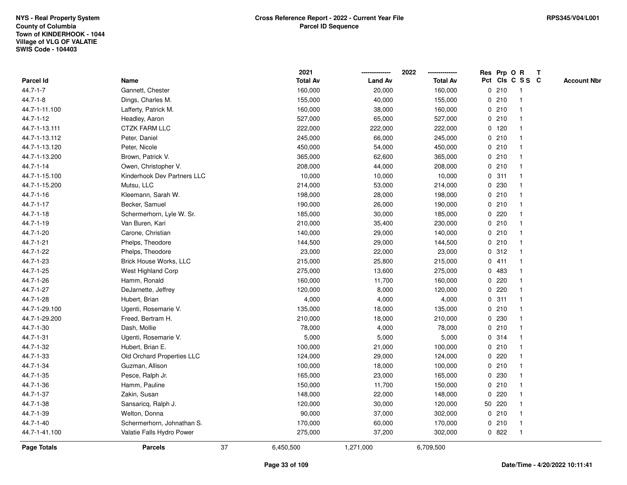|                    |                             |    | 2021            |                | 2022            |              |         | Res Prp O R     | T |                    |
|--------------------|-----------------------------|----|-----------------|----------------|-----------------|--------------|---------|-----------------|---|--------------------|
| Parcel Id          | Name                        |    | <b>Total Av</b> | <b>Land Av</b> | <b>Total Av</b> |              |         | Pct Cls C S S C |   | <b>Account Nbr</b> |
| 44.7-1-7           | Gannett, Chester            |    | 160,000         | 20,000         | 160,000         |              | 0210    | -1              |   |                    |
| $44.7 - 1 - 8$     | Dings, Charles M.           |    | 155,000         | 40,000         | 155,000         | 0            | 210     | -1              |   |                    |
| 44.7-1-11.100      | Lafferty, Patrick M.        |    | 160,000         | 38,000         | 160,000         |              | 0210    | $\mathbf 1$     |   |                    |
| 44.7-1-12          | Headley, Aaron              |    | 527,000         | 65,000         | 527,000         |              | 0210    |                 |   |                    |
| 44.7-1-13.111      | <b>CTZK FARM LLC</b>        |    | 222,000         | 222,000        | 222,000         |              | $0$ 120 |                 |   |                    |
| 44.7-1-13.112      | Peter, Daniel               |    | 245,000         | 66,000         | 245,000         |              | 0210    |                 |   |                    |
| 44.7-1-13.120      | Peter, Nicole               |    | 450,000         | 54,000         | 450,000         |              | 0210    |                 |   |                    |
| 44.7-1-13.200      | Brown, Patrick V.           |    | 365,000         | 62,600         | 365,000         |              | 0210    | $\mathbf{1}$    |   |                    |
| 44.7-1-14          | Owen, Christopher V.        |    | 208,000         | 44,000         | 208,000         |              | 0210    | -1              |   |                    |
| 44.7-1-15.100      | Kinderhook Dev Partners LLC |    | 10,000          | 10,000         | 10,000          |              | 0.311   | $\mathbf 1$     |   |                    |
| 44.7-1-15.200      | Mutsu, LLC                  |    | 214,000         | 53,000         | 214,000         |              | 0 230   |                 |   |                    |
| 44.7-1-16          | Kleemann, Sarah W.          |    | 198,000         | 28,000         | 198,000         |              | 0210    |                 |   |                    |
| 44.7-1-17          | Becker, Samuel              |    | 190,000         | 26,000         | 190,000         |              | 0210    |                 |   |                    |
| 44.7-1-18          | Schermerhorn, Lyle W. Sr.   |    | 185,000         | 30,000         | 185,000         |              | 0.220   |                 |   |                    |
| 44.7-1-19          | Van Buren, Kari             |    | 210,000         | 35,400         | 230,000         | 0            | 210     |                 |   |                    |
| 44.7-1-20          | Carone, Christian           |    | 140,000         | 29,000         | 140,000         |              | 0210    | $\overline{1}$  |   |                    |
| 44.7-1-21          | Phelps, Theodore            |    | 144,500         | 29,000         | 144,500         |              | 0210    | $\mathbf{1}$    |   |                    |
| 44.7-1-22          | Phelps, Theodore            |    | 23,000          | 22,000         | 23,000          |              | 0.312   |                 |   |                    |
| 44.7-1-23          | Brick House Works, LLC      |    | 215,000         | 25,800         | 215,000         |              | 0411    |                 |   |                    |
| 44.7-1-25          | West Highland Corp          |    | 275,000         | 13,600         | 275,000         |              | 0 483   |                 |   |                    |
| 44.7-1-26          | Hamm, Ronald                |    | 160,000         | 11,700         | 160,000         |              | $0$ 220 |                 |   |                    |
| 44.7-1-27          | DeJarnette, Jeffrey         |    | 120,000         | 8,000          | 120,000         | 0            | 220     |                 |   |                    |
| 44.7-1-28          | Hubert, Brian               |    | 4,000           | 4,000          | 4,000           | 0            | 311     | -1              |   |                    |
| 44.7-1-29.100      | Ugenti, Rosemarie V.        |    | 135,000         | 18,000         | 135,000         | $\mathbf{0}$ | 210     | 1               |   |                    |
| 44.7-1-29.200      | Freed, Bertram H.           |    | 210,000         | 18,000         | 210,000         |              | 0 230   |                 |   |                    |
| 44.7-1-30          | Dash, Mollie                |    | 78,000          | 4,000          | 78,000          |              | 0210    |                 |   |                    |
| 44.7-1-31          | Ugenti, Rosemarie V.        |    | 5,000           | 5,000          | 5,000           |              | 0.314   |                 |   |                    |
| 44.7-1-32          | Hubert, Brian E.            |    | 100,000         | 21,000         | 100,000         |              | 0210    |                 |   |                    |
| 44.7-1-33          | Old Orchard Properties LLC  |    | 124,000         | 29,000         | 124,000         | $\mathbf{0}$ | 220     |                 |   |                    |
| 44.7-1-34          | Guzman, Allison             |    | 100,000         | 18,000         | 100,000         | $\mathbf 0$  | 210     |                 |   |                    |
| 44.7-1-35          | Pesce, Ralph Jr.            |    | 165,000         | 23,000         | 165,000         | 0            | 230     | $\mathbf 1$     |   |                    |
| 44.7-1-36          | Hamm, Pauline               |    | 150,000         | 11,700         | 150,000         |              | 0210    | $\mathbf 1$     |   |                    |
| 44.7-1-37          | Zakin, Susan                |    | 148,000         | 22,000         | 148,000         |              | 0.220   |                 |   |                    |
| 44.7-1-38          | Sansaricq, Ralph J.         |    | 120,000         | 30,000         | 120,000         |              | 50 220  |                 |   |                    |
| 44.7-1-39          | Welton, Donna               |    | 90,000          | 37,000         | 302,000         |              | 0210    |                 |   |                    |
| 44.7-1-40          | Schermerhorn, Johnathan S.  |    | 170,000         | 60,000         | 170,000         |              | 0210    |                 |   |                    |
| 44.7-1-41.100      | Valatie Falls Hydro Power   |    | 275,000         | 37,200         | 302,000         |              | 0822    | $\mathbf{1}$    |   |                    |
| <b>Page Totals</b> | <b>Parcels</b>              | 37 | 6,450,500       | 1,271,000      | 6,709,500       |              |         |                 |   |                    |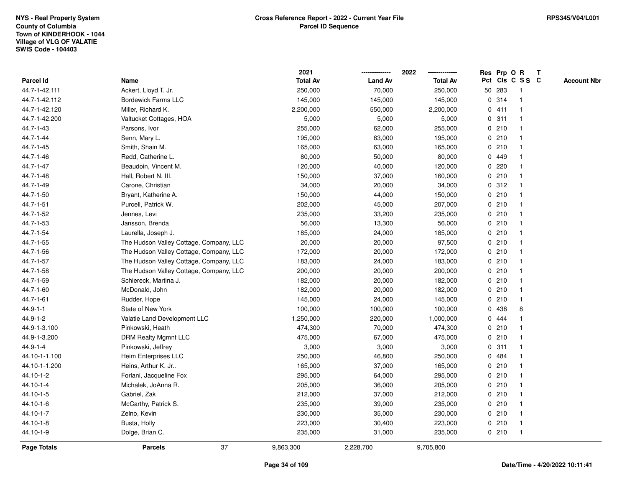|                    |                                         | 2021            |                | 2022            | Res Prp O R |        |                 | T |                    |
|--------------------|-----------------------------------------|-----------------|----------------|-----------------|-------------|--------|-----------------|---|--------------------|
| Parcel Id          | Name                                    | <b>Total Av</b> | <b>Land Av</b> | <b>Total Av</b> |             |        | Pct Cls C S S C |   | <b>Account Nbr</b> |
| 44.7-1-42.111      | Ackert, Lloyd T. Jr.                    | 250,000         | 70,000         | 250,000         |             | 50 283 | -1              |   |                    |
| 44.7-1-42.112      | <b>Bordewick Farms LLC</b>              | 145,000         | 145,000        | 145,000         | 0           | 314    | $\overline{1}$  |   |                    |
| 44.7-1-42.120      | Miller, Richard K.                      | 2,200,000       | 550,000        | 2,200,000       |             | 0411   | -1              |   |                    |
| 44.7-1-42.200      | Valtucket Cottages, HOA                 | 5,000           | 5,000          | 5,000           |             | 0.311  |                 |   |                    |
| 44.7-1-43          | Parsons, Ivor                           | 255,000         | 62,000         | 255,000         |             | 0210   |                 |   |                    |
| 44.7-1-44          | Senn, Mary L.                           | 195,000         | 63,000         | 195,000         |             | 0210   |                 |   |                    |
| 44.7-1-45          | Smith, Shain M.                         | 165,000         | 63,000         | 165,000         |             | 0210   |                 |   |                    |
| 44.7-1-46          | Redd, Catherine L.                      | 80,000          | 50,000         | 80,000          |             | 0 449  |                 |   |                    |
| 44.7-1-47          | Beaudoin, Vincent M.                    | 120,000         | 40,000         | 120,000         | 0           | 220    |                 |   |                    |
| 44.7-1-48          | Hall, Robert N. III.                    | 150,000         | 37,000         | 160,000         |             | 0210   | -1              |   |                    |
| 44.7-1-49          | Carone, Christian                       | 34,000          | 20,000         | 34,000          |             | 0.312  |                 |   |                    |
| 44.7-1-50          | Bryant, Katherine A.                    | 150,000         | 44,000         | 150,000         |             | 0210   |                 |   |                    |
| 44.7-1-51          | Purcell, Patrick W.                     | 202,000         | 45,000         | 207,000         |             | 0210   |                 |   |                    |
| 44.7-1-52          | Jennes, Levi                            | 235,000         | 33,200         | 235,000         |             | 0210   |                 |   |                    |
| 44.7-1-53          | Jansson, Brenda                         | 56,000          | 13,300         | 56,000          | 0           | 210    |                 |   |                    |
| 44.7-1-54          | Laurella, Joseph J.                     | 185,000         | 24,000         | 185,000         |             | 0210   | -1              |   |                    |
| 44.7-1-55          | The Hudson Valley Cottage, Company, LLC | 20,000          | 20,000         | 97,500          |             | 0210   | -1              |   |                    |
| 44.7-1-56          | The Hudson Valley Cottage, Company, LLC | 172,000         | 20,000         | 172,000         |             | 0210   |                 |   |                    |
| 44.7-1-57          | The Hudson Valley Cottage, Company, LLC | 183,000         | 24,000         | 183,000         |             | 0210   |                 |   |                    |
| 44.7-1-58          | The Hudson Valley Cottage, Company, LLC | 200,000         | 20,000         | 200,000         |             | 0210   |                 |   |                    |
| 44.7-1-59          | Schiereck, Martina J.                   | 182,000         | 20,000         | 182,000         |             | 0210   |                 |   |                    |
| 44.7-1-60          | McDonald, John                          | 182,000         | 20,000         | 182,000         |             | 0210   | $\mathbf{1}$    |   |                    |
| 44.7-1-61          | Rudder, Hope                            | 145,000         | 24,000         | 145,000         | 0           | 210    | $\mathbf{1}$    |   |                    |
| $44.9 - 1 - 1$     | State of New York                       | 100,000         | 100,000        | 100,000         |             | 0 438  | 8               |   |                    |
| 44.9-1-2           | Valatie Land Development LLC            | 1,250,000       | 220,000        | 1,000,000       |             | 0 444  |                 |   |                    |
| 44.9-1-3.100       | Pinkowski, Heath                        | 474,300         | 70,000         | 474,300         |             | 0210   |                 |   |                    |
| 44.9-1-3.200       | <b>DRM Realty Mgmnt LLC</b>             | 475,000         | 67,000         | 475,000         |             | 0210   |                 |   |                    |
| 44.9-1-4           | Pinkowski, Jeffrey                      | 3,000           | 3,000          | 3,000           |             | 0.311  |                 |   |                    |
| 44.10-1-1.100      | Heim Enterprises LLC                    | 250,000         | 46,800         | 250,000         | 0           | 484    |                 |   |                    |
| 44.10-1-1.200      | Heins, Arthur K. Jr                     | 165,000         | 37,000         | 165,000         |             | 0210   | $\overline{1}$  |   |                    |
| 44.10-1-2          | Forlani, Jacqueline Fox                 | 295,000         | 64,000         | 295,000         |             | 0210   | $\mathbf{1}$    |   |                    |
| 44.10-1-4          | Michalek, JoAnna R.                     | 205,000         | 36,000         | 205,000         |             | 0210   |                 |   |                    |
| 44.10-1-5          | Gabriel, Zak                            | 212,000         | 37,000         | 212,000         |             | 0210   |                 |   |                    |
| 44.10-1-6          | McCarthy, Patrick S.                    | 235,000         | 39,000         | 235,000         |             | 0210   |                 |   |                    |
| 44.10-1-7          | Zelno, Kevin                            | 230,000         | 35,000         | 230,000         |             | 0210   |                 |   |                    |
| 44.10-1-8          | Busta, Holly                            | 223,000         | 30,400         | 223,000         |             | 0210   | -1              |   |                    |
| 44.10-1-9          | Dolge, Brian C.                         | 235,000         | 31,000         | 235,000         |             | 0210   | $\mathbf{1}$    |   |                    |
| <b>Page Totals</b> | 37<br><b>Parcels</b>                    | 9,863,300       | 2,228,700      | 9,705,800       |             |        |                 |   |                    |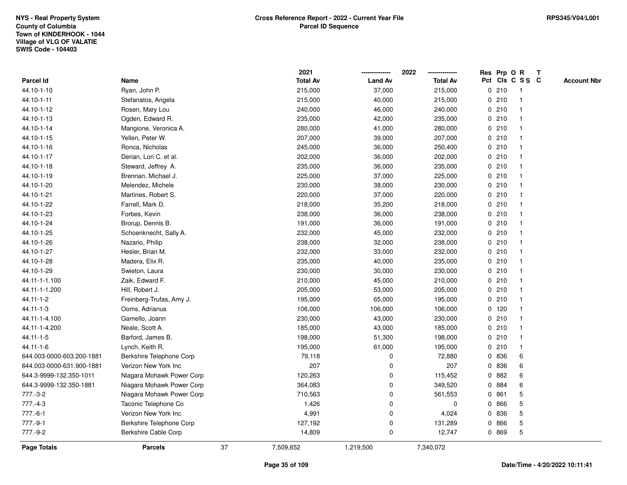|                           |                           |    | 2021            |                | 2022            |   |         | Res Prp O R     | $\mathbf{T}$ |                    |
|---------------------------|---------------------------|----|-----------------|----------------|-----------------|---|---------|-----------------|--------------|--------------------|
| Parcel Id                 | Name                      |    | <b>Total Av</b> | <b>Land Av</b> | <b>Total Av</b> |   |         | Pct Cls C S S C |              | <b>Account Nbr</b> |
| 44.10-1-10                | Ryan, John P.             |    | 215,000         | 37,000         | 215,000         |   | 0210    | -1              |              |                    |
| 44.10-1-11                | Stefanatos, Angela        |    | 215,000         | 40,000         | 215,000         |   | 0210    |                 |              |                    |
| 44.10-1-12                | Rosen, Mary Lou           |    | 240,000         | 46,000         | 240,000         |   | 0210    | $\mathbf 1$     |              |                    |
| 44.10-1-13                | Ogden, Edward R.          |    | 235,000         | 42,000         | 235,000         |   | 0210    | $\mathbf{1}$    |              |                    |
| 44.10-1-14                | Mangione, Veronica A.     |    | 280,000         | 41,000         | 280,000         |   | 0210    | $\mathbf{1}$    |              |                    |
| 44.10-1-15                | Yellen, Peter W.          |    | 207,000         | 39,000         | 207,000         |   | 0210    | $\mathbf{1}$    |              |                    |
| 44.10-1-16                | Ronca, Nicholas           |    | 245,000         | 36,000         | 250,400         |   | 0210    | -1              |              |                    |
| 44.10-1-17                | Derian, Lori C. et al.    |    | 202,000         | 36,000         | 202,000         |   | 0210    |                 |              |                    |
| 44.10-1-18                | Steward, Jeffrey A.       |    | 235,000         | 36,000         | 235,000         |   | 0210    | $\mathbf 1$     |              |                    |
| 44.10-1-19                | Brennan, Michael J.       |    | 225,000         | 37,000         | 225,000         |   | 0210    | $\mathbf 1$     |              |                    |
| 44.10-1-20                | Melendez, Michele         |    | 230,000         | 38,000         | 230,000         |   | 0210    | $\mathbf{1}$    |              |                    |
| 44.10-1-21                | Martines, Robert S.       |    | 220,000         | 37,000         | 220,000         |   | 0210    | $\mathbf{1}$    |              |                    |
| 44.10-1-22                | Farrell, Mark D.          |    | 218,000         | 35,200         | 218,000         |   | 0210    | $\mathbf 1$     |              |                    |
| 44.10-1-23                | Forbes, Kevin             |    | 238,000         | 36,000         | 238,000         |   | 0210    | -1              |              |                    |
| 44.10-1-24                | Brorup, Dennis B.         |    | 191,000         | 36,000         | 191,000         |   | 0210    |                 |              |                    |
| 44.10-1-25                | Schoenknecht, Sally A.    |    | 232,000         | 45,000         | 232,000         |   | 0210    | $\mathbf{1}$    |              |                    |
| 44.10-1-26                | Nazario, Philip           |    | 238,000         | 32,000         | 238,000         |   | 0210    | $\mathbf 1$     |              |                    |
| 44.10-1-27                | Hesler, Brian M.          |    | 232,000         | 33,000         | 232,000         |   | 0210    | $\mathbf{1}$    |              |                    |
| 44.10-1-28                | Madera, Elix R.           |    | 235,000         | 40,000         | 235,000         |   | 0210    | $\mathbf{1}$    |              |                    |
| 44.10-1-29                | Swieton, Laura            |    | 230,000         | 30,000         | 230,000         |   | 0210    | $\mathbf{1}$    |              |                    |
| 44.11-1-1.100             | Zaik, Edward F.           |    | 210,000         | 45,000         | 210,000         |   | 0210    | 1               |              |                    |
| 44.11-1-1.200             | Hill, Robert J.           |    | 205,000         | 53,000         | 205,000         |   | 0210    |                 |              |                    |
| 44.11-1-2                 | Freinberg-Trufas, Amy J.  |    | 195,000         | 65,000         | 195,000         |   | 0210    | $\mathbf 1$     |              |                    |
| 44.11-1-3                 | Ooms, Adrianus            |    | 106,000         | 106,000        | 106,000         |   | $0$ 120 | $\mathbf{1}$    |              |                    |
| 44.11-1-4.100             | Gamello, Joann            |    | 230,000         | 43,000         | 230,000         |   | 0210    | $\mathbf{1}$    |              |                    |
| 44.11-1-4.200             | Neale, Scott A.           |    | 185,000         | 43,000         | 185,000         |   | 0210    | $\mathbf{1}$    |              |                    |
| 44.11-1-5                 | Barford, James B.         |    | 198,000         | 51,300         | 198,000         |   | 0210    | $\mathbf 1$     |              |                    |
| 44.11-1-6                 | Lynch, Keith R.           |    | 195,000         | 61,000         | 195,000         |   | 0210    |                 |              |                    |
| 644.003-0000-603.200-1881 | Berkshire Telephone Corp  |    | 79,118          | $\mathbf 0$    | 72,880          |   | 0 836   | 6               |              |                    |
| 644.003-0000-631.900-1881 | Verizon New York Inc      |    | 207             | $\mathbf 0$    | 207             |   | 0 836   | 6               |              |                    |
| 644.3-9999-132.350-1011   | Niagara Mohawk Power Corp |    | 120,263         | $\mathbf 0$    | 115,452         | 0 | 882     | 6               |              |                    |
| 644.3-9999-132.350-1881   | Niagara Mohawk Power Corp |    | 364,083         | $\mathbf 0$    | 349,520         | 0 | 884     | 6               |              |                    |
| 777.-3-2                  | Niagara Mohawk Power Corp |    | 710,563         | $\pmb{0}$      | 561,553         |   | 0861    | 5               |              |                    |
| $777.-4-3$                | Taconic Telephone Co      |    | 1,426           | $\mathbf 0$    | $\mathbf 0$     |   | 0 866   | 5               |              |                    |
| $777.-6-1$                | Verizon New York Inc      |    | 4,991           | $\mathbf 0$    | 4,024           |   | 0 836   | 5               |              |                    |
| $777.-9-1$                | Berkshire Telephone Corp  |    | 127,192         | $\pmb{0}$      | 131,289         | 0 | 866     | 5               |              |                    |
| 777.-9-2                  | Berkshire Cable Corp      |    | 14,809          | $\mathbf 0$    | 12,747          |   | 0 869   | 5               |              |                    |
| <b>Page Totals</b>        | <b>Parcels</b>            | 37 | 7,509,652       | 1,219,500      | 7,340,072       |   |         |                 |              |                    |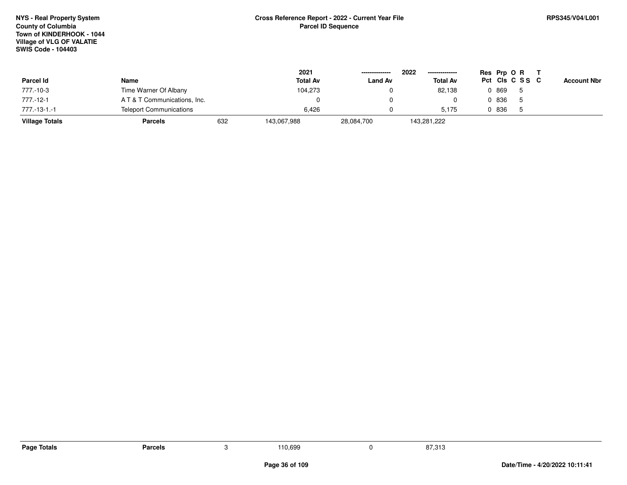|                       |                                |     | 2021            | --------------- | 2022<br>-------------- |       | Res Prp O R     |                    |
|-----------------------|--------------------------------|-----|-----------------|-----------------|------------------------|-------|-----------------|--------------------|
| Parcel Id             | Name                           |     | <b>Total Av</b> | <b>Land Av</b>  | <b>Total Av</b>        |       | Pct Cls C S S C | <b>Account Nbr</b> |
| 777.-10-3             | Time Warner Of Albany          |     | 104,273         |                 | 82.138                 | 0 869 |                 |                    |
| 777.-12-1             | AT&T Communications, Inc.      |     |                 |                 |                        | 0 836 |                 |                    |
| 777.-13-1.-1          | <b>Teleport Communications</b> |     | 6.426           |                 | 5.175                  | 0 836 |                 |                    |
| <b>Village Totals</b> | <b>Parcels</b>                 | 632 | 143,067,988     | 28,084,700      | 143,281,222            |       |                 |                    |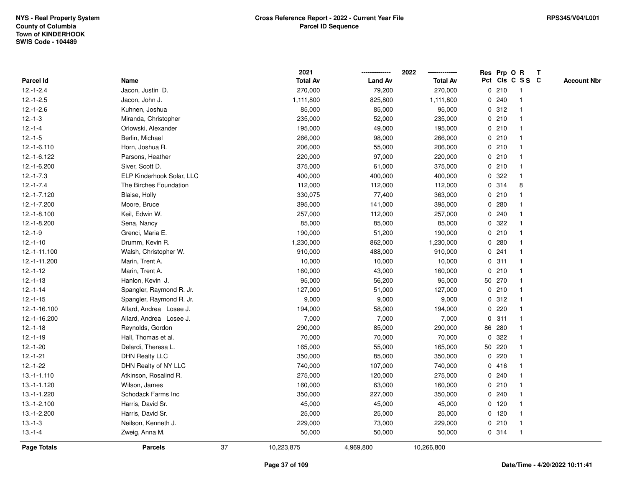|               |                           |    | 2021            |                | 2022            |             |         | Res Prp O R             | T |                    |
|---------------|---------------------------|----|-----------------|----------------|-----------------|-------------|---------|-------------------------|---|--------------------|
| Parcel Id     | Name                      |    | <b>Total Av</b> | <b>Land Av</b> | <b>Total Av</b> |             |         | Pct Cls C S S C         |   | <b>Account Nbr</b> |
| $12.-1-2.4$   | Jacon, Justin D.          |    | 270,000         | 79,200         | 270,000         | 0           | 210     | $\mathbf{1}$            |   |                    |
| $12.-1-2.5$   | Jacon, John J.            |    | 1,111,800       | 825,800        | 1,111,800       | 0           | 240     | $\overline{\mathbf{1}}$ |   |                    |
| $12.-1-2.6$   | Kuhnen, Joshua            |    | 85,000          | 85,000         | 95,000          |             | 0.312   | $\mathbf 1$             |   |                    |
| $12.-1-3$     | Miranda, Christopher      |    | 235,000         | 52,000         | 235,000         |             | 0210    |                         |   |                    |
| $12.-1-4$     | Orlowski, Alexander       |    | 195,000         | 49,000         | 195,000         |             | 0210    |                         |   |                    |
| $12.-1-5$     | Berlin, Michael           |    | 266,000         | 98,000         | 266,000         |             | 0210    |                         |   |                    |
| $12.-1-6.110$ | Horn, Joshua R.           |    | 206,000         | 55,000         | 206,000         |             | 0210    | -1                      |   |                    |
| 12.-1-6.122   | Parsons, Heather          |    | 220,000         | 97,000         | 220,000         | 0           | 210     | $\overline{\mathbf{1}}$ |   |                    |
| 12.-1-6.200   | Siver, Scott D.           |    | 375,000         | 61,000         | 375,000         |             | 0210    | $\mathbf{1}$            |   |                    |
| $12.-1-7.3$   | ELP Kinderhook Solar, LLC |    | 400,000         | 400,000        | 400,000         |             | 0 322   | $\mathbf{1}$            |   |                    |
| $12.-1-7.4$   | The Birches Foundation    |    | 112,000         | 112,000        | 112,000         |             | 0.314   | 8                       |   |                    |
| 12.-1-7.120   | Blaise, Holly             |    | 330,075         | 77,400         | 363,000         |             | 0210    |                         |   |                    |
| 12.-1-7.200   | Moore, Bruce              |    | 395,000         | 141,000        | 395,000         |             | 0.280   |                         |   |                    |
| 12.-1-8.100   | Keil, Edwin W.            |    | 257,000         | 112,000        | 257,000         |             | 0.240   |                         |   |                    |
| 12.-1-8.200   | Sena, Nancy               |    | 85,000          | 85,000         | 85,000          | 0           | 322     |                         |   |                    |
| $12.-1-9$     | Grenci, Maria E.          |    | 190,000         | 51,200         | 190,000         | $\mathbf 0$ | 210     | $\mathbf{1}$            |   |                    |
| $12.-1-10$    | Drumm, Kevin R.           |    | 1,230,000       | 862,000        | 1,230,000       | 0           | 280     | $\mathbf{1}$            |   |                    |
| 12.-1-11.100  | Walsh, Christopher W.     |    | 910,000         | 488,000        | 910,000         |             | 0.241   |                         |   |                    |
| 12.-1-11.200  | Marin, Trent A.           |    | 10,000          | 10,000         | 10,000          |             | 0.311   |                         |   |                    |
| $12.-1-12$    | Marin, Trent A.           |    | 160,000         | 43,000         | 160,000         |             | 0210    |                         |   |                    |
| $12.-1-13$    | Hanlon, Kevin J.          |    | 95,000          | 56,200         | 95,000          |             | 50 270  |                         |   |                    |
| $12.-1-14$    | Spangler, Raymond R. Jr.  |    | 127,000         | 51,000         | 127,000         |             | 0210    |                         |   |                    |
| $12.-1-15$    | Spangler, Raymond R. Jr.  |    | 9,000           | 9,000          | 9,000           | 0           | 312     | $\mathbf{1}$            |   |                    |
| 12.-1-16.100  | Allard, Andrea Losee J.   |    | 194,000         | 58,000         | 194,000         | $\mathbf 0$ | 220     | $\overline{\mathbf{1}}$ |   |                    |
| 12.-1-16.200  | Allard, Andrea Losee J.   |    | 7,000           | 7,000          | 7,000           |             | 0.311   | $\mathbf 1$             |   |                    |
| $12.-1-18$    | Reynolds, Gordon          |    | 290,000         | 85,000         | 290,000         |             | 86 280  |                         |   |                    |
| $12.-1-19$    | Hall, Thomas et al.       |    | 70,000          | 70,000         | 70,000          | 0           | 322     |                         |   |                    |
| $12.-1-20$    | Delardi, Theresa L.       |    | 165,000         | 55,000         | 165,000         |             | 50 220  |                         |   |                    |
| $12.-1-21$    | <b>DHN Realty LLC</b>     |    | 350,000         | 85,000         | 350,000         |             | 0.220   |                         |   |                    |
| $12.-1-22$    | DHN Realty of NY LLC      |    | 740,000         | 107,000        | 740,000         | 0           | 416     |                         |   |                    |
| $13.-1-1.110$ | Atkinson, Rosalind R.     |    | 275,000         | 120,000        | 275,000         | 0           | 240     |                         |   |                    |
| 13.-1-1.120   | Wilson, James             |    | 160,000         | 63,000         | 160,000         |             | 0210    | $\mathbf 1$             |   |                    |
| 13.-1-1.220   | Schodack Farms Inc        |    | 350,000         | 227,000        | 350,000         |             | 0.240   |                         |   |                    |
| 13.-1-2.100   | Harris, David Sr.         |    | 45,000          | 45,000         | 45,000          |             | $0$ 120 |                         |   |                    |
| 13.-1-2.200   | Harris, David Sr.         |    | 25,000          | 25,000         | 25,000          |             | $0$ 120 | -1                      |   |                    |
| $13 - 1 - 3$  | Neilson, Kenneth J.       |    | 229,000         | 73,000         | 229,000         |             | 0210    | $\mathbf{1}$            |   |                    |
| $13.-1-4$     | Zweig, Anna M.            |    | 50,000          | 50,000         | 50,000          |             | 0 314   | $\mathbf{1}$            |   |                    |
| Page Totals   | <b>Parcels</b>            | 37 | 10,223,875      | 4,969,800      | 10,266,800      |             |         |                         |   |                    |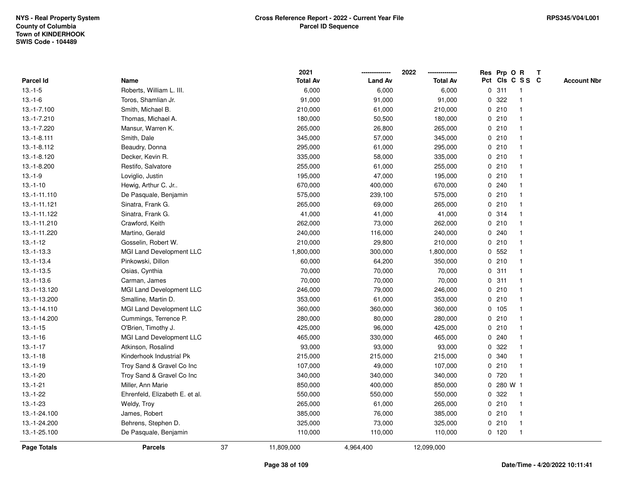|               |                                |    | 2021            |                | 2022            |   |           | Res Prp O R     | Т |                    |
|---------------|--------------------------------|----|-----------------|----------------|-----------------|---|-----------|-----------------|---|--------------------|
| Parcel Id     | Name                           |    | <b>Total Av</b> | <b>Land Av</b> | <b>Total Av</b> |   |           | Pct Cls C S S C |   | <b>Account Nbr</b> |
| $13.-1-5$     | Roberts, William L. III.       |    | 6,000           | 6,000          | 6,000           | 0 | 311       | -1              |   |                    |
| $13.-1-6$     | Toros, Shamlian Jr.            |    | 91,000          | 91,000         | 91,000          | 0 | 322       |                 |   |                    |
| 13.-1-7.100   | Smith, Michael B.              |    | 210,000         | 61,000         | 210,000         |   | 0210      | $\mathbf 1$     |   |                    |
| 13.-1-7.210   | Thomas, Michael A.             |    | 180,000         | 50,500         | 180,000         |   | 0210      |                 |   |                    |
| 13.-1-7.220   | Mansur, Warren K.              |    | 265,000         | 26,800         | 265,000         |   | 0210      |                 |   |                    |
| $13.-1-8.111$ | Smith, Dale                    |    | 345,000         | 57,000         | 345,000         |   | 0210      |                 |   |                    |
| 13.-1-8.112   | Beaudry, Donna                 |    | 295,000         | 61,000         | 295,000         |   | 0210      |                 |   |                    |
| 13.-1-8.120   | Decker, Kevin R.               |    | 335,000         | 58,000         | 335,000         |   | 0210      |                 |   |                    |
| 13.-1-8.200   | Restifo, Salvatore             |    | 255,000         | 61,000         | 255,000         |   | 0210      | -1              |   |                    |
| $13.-1-9$     | Loviglio, Justin               |    | 195,000         | 47,000         | 195,000         |   | 0210      | $\mathbf 1$     |   |                    |
| $13.-1-10$    | Hewig, Arthur C. Jr            |    | 670,000         | 400,000        | 670,000         |   | 0.240     |                 |   |                    |
| 13.-1-11.110  | De Pasquale, Benjamin          |    | 575,000         | 239,100        | 575,000         |   | 0210      |                 |   |                    |
| 13.-1-11.121  | Sinatra, Frank G.              |    | 265,000         | 69,000         | 265,000         |   | 0210      |                 |   |                    |
| 13.-1-11.122  | Sinatra, Frank G.              |    | 41,000          | 41,000         | 41,000          |   | 0.314     |                 |   |                    |
| 13.-1-11.210  | Crawford, Keith                |    | 262,000         | 73,000         | 262,000         |   | 0210      |                 |   |                    |
| 13.-1-11.220  | Martino, Gerald                |    | 240,000         | 116,000        | 240,000         |   | 0.240     |                 |   |                    |
| $13.-1-12$    | Gosselin, Robert W.            |    | 210,000         | 29,800         | 210,000         |   | 0210      | -1              |   |                    |
| $13.-1-13.3$  | MGI Land Development LLC       |    | 1,800,000       | 300,000        | 1,800,000       |   | 0, 552    |                 |   |                    |
| $13.-1-13.4$  | Pinkowski, Dillon              |    | 60,000          | 64,200         | 350,000         |   | 0210      |                 |   |                    |
| $13.-1-13.5$  | Osias, Cynthia                 |    | 70,000          | 70,000         | 70,000          |   | 0.311     |                 |   |                    |
| $13.-1-13.6$  | Carman, James                  |    | 70,000          | 70,000         | 70,000          |   | 0.311     |                 |   |                    |
| 13.-1-13.120  | MGI Land Development LLC       |    | 246,000         | 79,000         | 246,000         |   | 0210      |                 |   |                    |
| 13.-1-13.200  | Smalline, Martin D.            |    | 353,000         | 61,000         | 353,000         |   | 0210      | -1              |   |                    |
| 13.-1-14.110  | MGI Land Development LLC       |    | 360,000         | 360,000        | 360,000         |   | 0, 105    | -1              |   |                    |
| 13.-1-14.200  | Cummings, Terrence P.          |    | 280,000         | 80,000         | 280,000         |   | 0210      |                 |   |                    |
| $13.-1-15$    | O'Brien, Timothy J.            |    | 425,000         | 96,000         | 425,000         |   | 0210      |                 |   |                    |
| $13.-1-16$    | MGI Land Development LLC       |    | 465,000         | 330,000        | 465,000         |   | 0.240     |                 |   |                    |
| $13.-1-17$    | Atkinson, Rosalind             |    | 93,000          | 93,000         | 93,000          | 0 | 322       |                 |   |                    |
| $13.-1-18$    | Kinderhook Industrial Pk       |    | 215,000         | 215,000        | 215,000         | 0 | 340       |                 |   |                    |
| $13.-1-19$    | Troy Sand & Gravel Co Inc      |    | 107,000         | 49,000         | 107,000         |   | 0210      | -1              |   |                    |
| $13.-1-20$    | Troy Sand & Gravel Co Inc      |    | 340,000         | 340,000        | 340,000         | 0 | 720       | -1              |   |                    |
| $13.-1-21$    | Miller, Ann Marie              |    | 850,000         | 400,000        | 850,000         |   | 0 280 W 1 |                 |   |                    |
| $13.-1-22$    | Ehrenfeld, Elizabeth E. et al. |    | 550,000         | 550,000        | 550,000         |   | 0 322     |                 |   |                    |
| $13.-1-23$    | Weldy, Troy                    |    | 265,000         | 61,000         | 265,000         |   | 0210      |                 |   |                    |
| 13.-1-24.100  | James, Robert                  |    | 385,000         | 76,000         | 385,000         |   | 0210      | -1              |   |                    |
| 13.-1-24.200  | Behrens, Stephen D.            |    | 325,000         | 73,000         | 325,000         |   | 0210      | -1              |   |                    |
| 13.-1-25.100  | De Pasquale, Benjamin          |    | 110,000         | 110,000        | 110,000         |   | $0$ 120   | $\mathbf{1}$    |   |                    |
| Page Totals   | <b>Parcels</b>                 | 37 | 11,809,000      | 4,964,400      | 12,099,000      |   |           |                 |   |                    |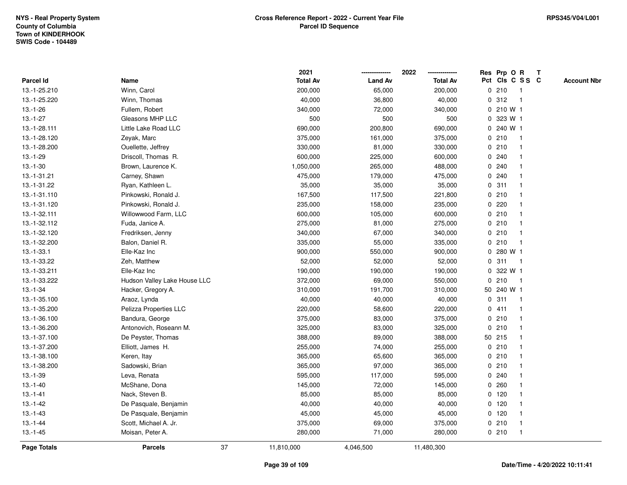|              |                              |    | 2021            |                | 2022            |              | Res Prp O R     |                | Т                  |
|--------------|------------------------------|----|-----------------|----------------|-----------------|--------------|-----------------|----------------|--------------------|
| Parcel Id    | Name                         |    | <b>Total Av</b> | <b>Land Av</b> | <b>Total Av</b> |              | Pct Cls C S S C |                | <b>Account Nbr</b> |
| 13.-1-25.210 | Winn, Carol                  |    | 200,000         | 65,000         | 200,000         | $\mathbf 0$  | 210             | $\overline{1}$ |                    |
| 13.-1-25.220 | Winn, Thomas                 |    | 40,000          | 36,800         | 40,000          | 0            | 312             | $\overline{1}$ |                    |
| $13.-1-26$   | Fullem, Robert               |    | 340,000         | 72,000         | 340,000         |              | 0 210 W 1       |                |                    |
| $13.-1-27$   | Gleasons MHP LLC             |    | 500             | 500            | 500             |              | 0 323 W 1       |                |                    |
| 13.-1-28.111 | Little Lake Road LLC         |    | 690,000         | 200,800        | 690,000         |              | 0 240 W 1       |                |                    |
| 13.-1-28.120 | Zeyak, Marc                  |    | 375,000         | 161,000        | 375,000         |              | 0210            | -1             |                    |
| 13.-1-28.200 | Ouellette, Jeffrey           |    | 330,000         | 81,000         | 330,000         |              | 0210            |                |                    |
| $13.-1-29$   | Driscoll, Thomas R.          |    | 600,000         | 225,000        | 600,000         | 0            | 240             |                |                    |
| $13.-1-30$   | Brown, Laurence K.           |    | 1,050,000       | 265,000        | 488,000         |              | 0.240           |                |                    |
| 13.-1-31.21  | Carney, Shawn                |    | 475,000         | 179,000        | 475,000         |              | 0.240           | $\mathbf 1$    |                    |
| 13.-1-31.22  | Ryan, Kathleen L.            |    | 35,000          | 35,000         | 35,000          |              | 0.311           |                |                    |
| 13.-1-31.110 | Pinkowski, Ronald J.         |    | 167,500         | 117,500        | 221,800         |              | 0210            |                |                    |
| 13.-1-31.120 | Pinkowski, Ronald J.         |    | 235,000         | 158,000        | 235,000         | 0            | 220             |                |                    |
| 13.-1-32.111 | Willowwood Farm, LLC         |    | 600,000         | 105,000        | 600,000         |              | 0210            |                |                    |
| 13.-1-32.112 | Fuda, Janice A.              |    | 275,000         | 81,000         | 275,000         | $\mathbf 0$  | 210             |                |                    |
| 13.-1-32.120 | Fredriksen, Jenny            |    | 340,000         | 67,000         | 340,000         | 0            | 210             | $\mathbf{1}$   |                    |
| 13.-1-32.200 | Balon, Daniel R.             |    | 335,000         | 55,000         | 335,000         | $\mathbf 0$  | 210             | $\overline{1}$ |                    |
| $13.-1-33.1$ | Elle-Kaz Inc                 |    | 900,000         | 550,000        | 900,000         |              | 0 280 W 1       |                |                    |
| 13.-1-33.22  | Zeh, Matthew                 |    | 52,000          | 52,000         | 52,000          |              | 0.311           | -1             |                    |
| 13.-1-33.211 | Elle-Kaz Inc                 |    | 190,000         | 190,000        | 190,000         | 0            | 322 W 1         |                |                    |
| 13.-1-33.222 | Hudson Valley Lake House LLC |    | 372,000         | 69,000         | 550,000         | 0            | 210             | $\overline{1}$ |                    |
| $13.-1-34$   | Hacker, Gregory A.           |    | 310,000         | 191,700        | 310,000         |              | 50 240 W 1      |                |                    |
| 13.-1-35.100 | Araoz, Lynda                 |    | 40,000          | 40,000         | 40,000          | $\mathbf 0$  | 311             | $\overline{1}$ |                    |
| 13.-1-35.200 | Pelizza Properties LLC       |    | 220,000         | 58,600         | 220,000         | $\mathbf{0}$ | 411             | $\mathbf{1}$   |                    |
| 13.-1-36.100 | Bandura, George              |    | 375,000         | 83,000         | 375,000         |              | 0210            | -1             |                    |
| 13.-1-36.200 | Antonovich, Roseann M.       |    | 325,000         | 83,000         | 325,000         |              | 0210            |                |                    |
| 13.-1-37.100 | De Peyster, Thomas           |    | 388,000         | 89,000         | 388,000         |              | 50 215          |                |                    |
| 13.-1-37.200 | Elliott, James H.            |    | 255,000         | 74,000         | 255,000         |              | 0210            |                |                    |
| 13.-1-38.100 | Keren, Itay                  |    | 365,000         | 65,600         | 365,000         |              | 0210            |                |                    |
| 13.-1-38.200 | Sadowski, Brian              |    | 365,000         | 97,000         | 365,000         | 0            | 210             |                |                    |
| $13.-1-39$   | Leva, Renata                 |    | 595,000         | 117,000        | 595,000         | 0            | 240             | $\mathbf 1$    |                    |
| $13.-1-40$   | McShane, Dona                |    | 145,000         | 72,000         | 145,000         |              | 0.260           | $\mathbf 1$    |                    |
| $13.-1-41$   | Nack, Steven B.              |    | 85,000          | 85,000         | 85,000          |              | $0$ 120         |                |                    |
| $13.-1-42$   | De Pasquale, Benjamin        |    | 40,000          | 40,000         | 40,000          |              | $0$ 120         |                |                    |
| $13.-1-43$   | De Pasquale, Benjamin        |    | 45,000          | 45,000         | 45,000          |              | $0$ 120         |                |                    |
| $13.-1-44$   | Scott, Michael A. Jr.        |    | 375,000         | 69,000         | 375,000         |              | 0210            | -1             |                    |
| $13.-1-45$   | Moisan, Peter A.             |    | 280,000         | 71,000         | 280,000         |              | 0210            | $\mathbf{1}$   |                    |
| Page Totals  | <b>Parcels</b>               | 37 | 11,810,000      | 4,046,500      | 11,480,300      |              |                 |                |                    |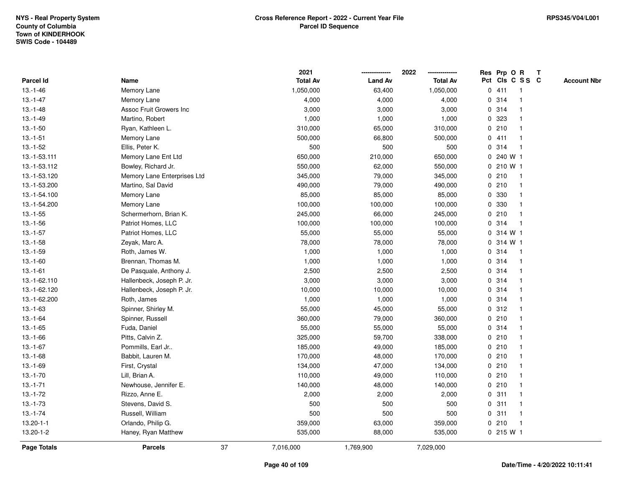|                    |                                |    | 2021            |                | 2022            |              | Res Prp O R |                 | Т |                    |
|--------------------|--------------------------------|----|-----------------|----------------|-----------------|--------------|-------------|-----------------|---|--------------------|
| Parcel Id          | Name                           |    | <b>Total Av</b> | <b>Land Av</b> | <b>Total Av</b> |              |             | Pct Cls C S S C |   | <b>Account Nbr</b> |
| $13.-1-46$         | Memory Lane                    |    | 1,050,000       | 63,400         | 1,050,000       |              | 0411        | $\mathbf{1}$    |   |                    |
| $13.-1-47$         | Memory Lane                    |    | 4,000           | 4,000          | 4,000           | 0            | 314         | -1              |   |                    |
| $13.-1-48$         | <b>Assoc Fruit Growers Inc</b> |    | 3,000           | 3,000          | 3,000           |              | 0 314       | $\mathbf{1}$    |   |                    |
| $13.-1-49$         | Martino, Robert                |    | 1,000           | 1,000          | 1,000           |              | 0 323       |                 |   |                    |
| $13.-1-50$         | Ryan, Kathleen L.              |    | 310,000         | 65,000         | 310,000         |              | 0210        |                 |   |                    |
| $13.-1-51$         | Memory Lane                    |    | 500,000         | 66,800         | 500,000         |              | 0411        | $\overline{1}$  |   |                    |
| $13.-1-52$         | Ellis, Peter K.                |    | 500             | 500            | 500             |              | 0.314       | $\overline{1}$  |   |                    |
| 13.-1-53.111       | Memory Lane Ent Ltd            |    | 650,000         | 210,000        | 650,000         | 0            | 240 W 1     |                 |   |                    |
| 13.-1-53.112       | Bowley, Richard Jr.            |    | 550,000         | 62,000         | 550,000         | 0            | 210 W 1     |                 |   |                    |
| 13.-1-53.120       | Memory Lane Enterprises Ltd    |    | 345,000         | 79,000         | 345,000         |              | 0210        | $\mathbf{1}$    |   |                    |
| 13.-1-53.200       | Martino, Sal David             |    | 490,000         | 79,000         | 490,000         |              | 0210        |                 |   |                    |
| 13.-1-54.100       | Memory Lane                    |    | 85,000          | 85,000         | 85,000          |              | 0 330       |                 |   |                    |
| 13.-1-54.200       | Memory Lane                    |    | 100,000         | 100,000        | 100,000         |              | 0 330       |                 |   |                    |
| $13.-1-55$         | Schermerhorn, Brian K.         |    | 245,000         | 66,000         | 245,000         |              | 0210        | -1              |   |                    |
| $13.-1-56$         | Patriot Homes, LLC             |    | 100,000         | 100,000        | 100,000         | 0            | 314         | $\mathbf{1}$    |   |                    |
| $13.-1-57$         | Patriot Homes, LLC             |    | 55,000          | 55,000         | 55,000          | $\mathbf{0}$ | 314 W 1     |                 |   |                    |
| $13.-1-58$         | Zeyak, Marc A.                 |    | 78,000          | 78,000         | 78,000          |              | 0 314 W 1   |                 |   |                    |
| $13.-1-59$         | Roth, James W.                 |    | 1,000           | 1,000          | 1,000           |              | 0.314       | -1              |   |                    |
| $13.-1-60$         | Brennan, Thomas M.             |    | 1,000           | 1,000          | 1,000           |              | 0 314       |                 |   |                    |
| $13.-1-61$         | De Pasquale, Anthony J.        |    | 2,500           | 2,500          | 2,500           |              | 0.314       |                 |   |                    |
| 13.-1-62.110       | Hallenbeck, Joseph P. Jr.      |    | 3,000           | 3,000          | 3,000           |              | 0 314       |                 |   |                    |
| 13.-1-62.120       | Hallenbeck, Joseph P. Jr.      |    | 10,000          | 10,000         | 10,000          |              | 0 314       |                 |   |                    |
| 13.-1-62.200       | Roth, James                    |    | 1,000           | 1,000          | 1,000           |              | 0.314       | $\mathbf{1}$    |   |                    |
| $13.-1-63$         | Spinner, Shirley M.            |    | 55,000          | 45,000         | 55,000          |              | 0.312       | $\mathbf{1}$    |   |                    |
| $13.-1-64$         | Spinner, Russell               |    | 360,000         | 79,000         | 360,000         |              | 0210        | -1              |   |                    |
| $13.-1-65$         | Fuda, Daniel                   |    | 55,000          | 55,000         | 55,000          |              | 0 314       |                 |   |                    |
| 13.-1-66           | Pitts, Calvin Z.               |    | 325,000         | 59,700         | 338,000         |              | 0210        |                 |   |                    |
| $13.-1-67$         | Pommills, Earl Jr              |    | 185,000         | 49,000         | 185,000         |              | 0210        |                 |   |                    |
| $13.-1-68$         | Babbit, Lauren M.              |    | 170,000         | 48,000         | 170,000         |              | 0210        |                 |   |                    |
| $13.-1-69$         | First, Crystal                 |    | 134,000         | 47,000         | 134,000         | 0            | 210         | -1              |   |                    |
| $13.-1-70$         | Lill, Brian A.                 |    | 110,000         | 49,000         | 110,000         |              | 0210        | -1              |   |                    |
| $13.-1-71$         | Newhouse, Jennifer E.          |    | 140,000         | 48,000         | 140,000         |              | 0210        | -1              |   |                    |
| $13.-1-72$         | Rizzo, Anne E.                 |    | 2,000           | 2,000          | 2,000           |              | 0.311       |                 |   |                    |
| $13.-1-73$         | Stevens, David S.              |    | 500             | 500            | 500             |              | 0.311       |                 |   |                    |
| $13.-1-74$         | Russell, William               |    | 500             | 500            | 500             |              | 0.311       | $\overline{1}$  |   |                    |
| $13.20 - 1 - 1$    | Orlando, Philip G.             |    | 359,000         | 63,000         | 359,000         |              | 0210        | $\mathbf{1}$    |   |                    |
| 13.20-1-2          | Haney, Ryan Matthew            |    | 535,000         | 88,000         | 535,000         |              | 0215 W1     |                 |   |                    |
| <b>Page Totals</b> | <b>Parcels</b>                 | 37 | 7,016,000       | 1,769,900      | 7,029,000       |              |             |                 |   |                    |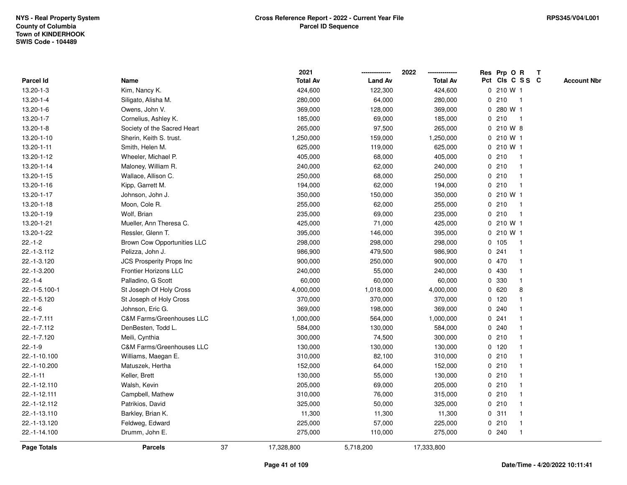|                 |                                      |    | 2021            |                | 2022            |              | Res Prp O R     |                         | T |                    |
|-----------------|--------------------------------------|----|-----------------|----------------|-----------------|--------------|-----------------|-------------------------|---|--------------------|
| Parcel Id       | Name                                 |    | <b>Total Av</b> | <b>Land Av</b> | <b>Total Av</b> |              | Pct Cls C S S C |                         |   | <b>Account Nbr</b> |
| 13.20-1-3       | Kim, Nancy K.                        |    | 424,600         | 122,300        | 424,600         |              | 0 210 W 1       |                         |   |                    |
| 13.20-1-4       | Siligato, Alisha M.                  |    | 280,000         | 64,000         | 280,000         | 0            | 210             | $\mathbf{1}$            |   |                    |
| $13.20 - 1 - 6$ | Owens, John V.                       |    | 369,000         | 128,000        | 369,000         |              | 0 280 W 1       |                         |   |                    |
| $13.20 - 1 - 7$ | Cornelius, Ashley K.                 |    | 185,000         | 69,000         | 185,000         |              | 0210            | $\mathbf{1}$            |   |                    |
| $13.20 - 1 - 8$ | Society of the Sacred Heart          |    | 265,000         | 97,500         | 265,000         |              | 0 210 W 8       |                         |   |                    |
| 13.20-1-10      | Sherin, Keith S. trust.              |    | 1,250,000       | 159,000        | 1,250,000       |              | 0 210 W 1       |                         |   |                    |
| 13.20-1-11      | Smith, Helen M.                      |    | 625,000         | 119,000        | 625,000         |              | 0 210 W 1       |                         |   |                    |
| 13.20-1-12      | Wheeler, Michael P.                  |    | 405,000         | 68,000         | 405,000         |              | 0210            | $\overline{\mathbf{1}}$ |   |                    |
| 13.20-1-14      | Maloney, William R.                  |    | 240,000         | 62,000         | 240,000         |              | 0210            | -1                      |   |                    |
| 13.20-1-15      | Wallace, Allison C.                  |    | 250,000         | 68,000         | 250,000         |              | 0210            | $\mathbf 1$             |   |                    |
| 13.20-1-16      | Kipp, Garrett M.                     |    | 194,000         | 62,000         | 194,000         |              | 0210            | -1                      |   |                    |
| 13.20-1-17      | Johnson, John J.                     |    | 350,000         | 150,000        | 350,000         |              | 0 210 W 1       |                         |   |                    |
| 13.20-1-18      | Moon, Cole R.                        |    | 255,000         | 62,000         | 255,000         |              | 0210            |                         |   |                    |
| 13.20-1-19      | Wolf, Brian                          |    | 235,000         | 69,000         | 235,000         |              | 0210            | -1                      |   |                    |
| 13.20-1-21      | Mueller, Ann Theresa C.              |    | 425,000         | 71,000         | 425,000         |              | 0 210 W 1       |                         |   |                    |
| 13.20-1-22      | Ressler, Glenn T.                    |    | 395,000         | 146,000        | 395,000         |              | $0, 210$ W 1    |                         |   |                    |
| $22.-1-2$       | <b>Brown Cow Opportunities LLC</b>   |    | 298,000         | 298,000        | 298,000         |              | 0 105           | -1                      |   |                    |
| 22.-1-3.112     | Pelizza, John J.                     |    | 986,900         | 479,500        | 986,900         |              | 0.241           | -1                      |   |                    |
| 22.-1-3.120     | JCS Prosperity Props Inc             |    | 900,000         | 250,000        | 900,000         |              | 0 470           |                         |   |                    |
| 22.-1-3.200     | <b>Frontier Horizons LLC</b>         |    | 240,000         | 55,000         | 240,000         |              | 0 430           |                         |   |                    |
| $22.-1-4$       | Palladino, G Scott                   |    | 60,000          | 60,000         | 60,000          |              | 0 330           |                         |   |                    |
| 22.-1-5.100-1   | St Joseph Of Holy Cross              |    | 4,000,000       | 1,018,000      | 4,000,000       | $\mathbf{0}$ | 620             | 8                       |   |                    |
| 22.-1-5.120     | St Joseph of Holy Cross              |    | 370,000         | 370,000        | 370,000         |              | 0, 120          |                         |   |                    |
| $22.-1-6$       | Johnson, Eric G.                     |    | 369,000         | 198,000        | 369,000         |              | 0.240           |                         |   |                    |
| $22.-1-7.111$   | C&M Farms/Greenhouses LLC            |    | 1,000,000       | 564,000        | 1,000,000       |              | 0.241           |                         |   |                    |
| 22.-1-7.112     | DenBesten, Todd L.                   |    | 584,000         | 130,000        | 584,000         |              | 0.240           |                         |   |                    |
| 22.-1-7.120     | Meili, Cynthia                       |    | 300,000         | 74,500         | 300,000         |              | 0210            |                         |   |                    |
| $22.-1-9$       | <b>C&amp;M Farms/Greenhouses LLC</b> |    | 130,000         | 130,000        | 130,000         |              | 0, 120          |                         |   |                    |
| 22.-1-10.100    | Williams, Maegan E.                  |    | 310,000         | 82,100         | 310,000         |              | 0210            |                         |   |                    |
| 22.-1-10.200    | Matuszek, Hertha                     |    | 152,000         | 64,000         | 152,000         | $\mathbf 0$  | 210             | -1                      |   |                    |
| $22.-1-11$      | Keller, Brett                        |    | 130,000         | 55,000         | 130,000         |              | 0210            |                         |   |                    |
| 22.-1-12.110    | Walsh, Kevin                         |    | 205,000         | 69,000         | 205,000         |              | 0210            |                         |   |                    |
| 22.-1-12.111    | Campbell, Mathew                     |    | 310,000         | 76,000         | 315,000         |              | 0210            |                         |   |                    |
| 22.-1-12.112    | Patrikios, David                     |    | 325,000         | 50,000         | 325,000         |              | 0210            |                         |   |                    |
| 22.-1-13.110    | Barkley, Brian K.                    |    | 11,300          | 11,300         | 11,300          |              | 0.311           |                         |   |                    |
| 22.-1-13.120    | Feldweg, Edward                      |    | 225,000         | 57,000         | 225,000         |              | 0210            | $\mathbf 1$             |   |                    |
| 22.-1-14.100    | Drumm, John E.                       |    | 275,000         | 110,000        | 275,000         |              | 0.240           | $\mathbf{1}$            |   |                    |
| Page Totals     | <b>Parcels</b>                       | 37 | 17,328,800      | 5,718,200      | 17,333,800      |              |                 |                         |   |                    |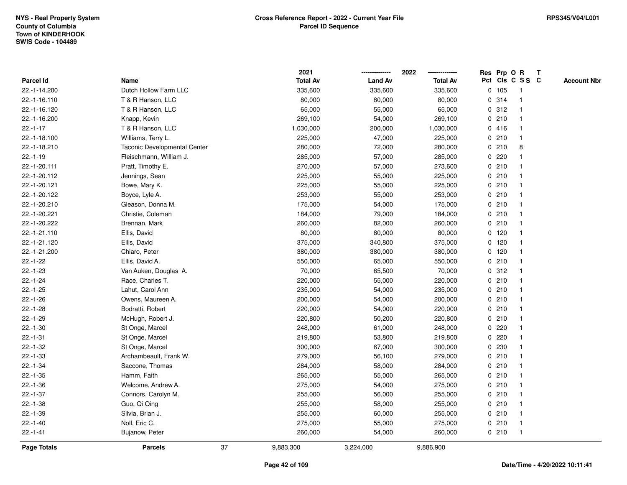|                    |                                     | 2021            |                | 2022            |   | Res Prp O R |                         | Т |                    |
|--------------------|-------------------------------------|-----------------|----------------|-----------------|---|-------------|-------------------------|---|--------------------|
| Parcel Id          | Name                                | <b>Total Av</b> | <b>Land Av</b> | <b>Total Av</b> |   |             | Pct Cls C S S C         |   | <b>Account Nbr</b> |
| 22.-1-14.200       | Dutch Hollow Farm LLC               | 335,600         | 335,600        | 335,600         |   | 0 105       | $\mathbf{1}$            |   |                    |
| 22.-1-16.110       | T & R Hanson, LLC                   | 80,000          | 80,000         | 80,000          | 0 | 314         | $\mathbf 1$             |   |                    |
| 22.-1-16.120       | T & R Hanson, LLC                   | 65,000          | 55,000         | 65,000          |   | 0.312       | $\mathbf 1$             |   |                    |
| 22.-1-16.200       | Knapp, Kevin                        | 269,100         | 54,000         | 269,100         |   | 0210        |                         |   |                    |
| $22.-1-17$         | T & R Hanson, LLC                   | 1,030,000       | 200,000        | 1,030,000       |   | 0416        |                         |   |                    |
| 22.-1-18.100       | Williams, Terry L.                  | 225,000         | 47,000         | 225,000         |   | 0210        |                         |   |                    |
| 22.-1-18.210       | <b>Taconic Developmental Center</b> | 280,000         | 72,000         | 280,000         |   | 0210        | 8                       |   |                    |
| $22.-1-19$         | Fleischmann, William J.             | 285,000         | 57,000         | 285,000         |   | 0220        |                         |   |                    |
| 22.-1-20.111       | Pratt, Timothy E.                   | 270,000         | 57,000         | 273,600         |   | 0210        | -1                      |   |                    |
| 22.-1-20.112       | Jennings, Sean                      | 225,000         | 55,000         | 225,000         |   | 0210        | $\mathbf 1$             |   |                    |
| 22.-1-20.121       | Bowe, Mary K.                       | 225,000         | 55,000         | 225,000         |   | 0210        | -1                      |   |                    |
| 22.-1-20.122       | Boyce, Lyle A.                      | 253,000         | 55,000         | 253,000         |   | 0210        |                         |   |                    |
| 22.-1-20.210       | Gleason, Donna M.                   | 175,000         | 54,000         | 175,000         |   | 0210        |                         |   |                    |
| 22.-1-20.221       | Christie, Coleman                   | 184,000         | 79,000         | 184,000         |   | 0210        | -1                      |   |                    |
| 22.-1-20.222       | Brennan, Mark                       | 260,000         | 82,000         | 260,000         |   | 0210        |                         |   |                    |
| 22.-1-21.110       | Ellis, David                        | 80,000          | 80,000         | 80,000          |   | 0, 120      | $\mathbf{1}$            |   |                    |
| 22.-1-21.120       | Ellis, David                        | 375,000         | 340,800        | 375,000         |   | $0$ 120     | $\mathbf{1}$            |   |                    |
| 22.-1-21.200       | Chiaro, Peter                       | 380,000         | 380,000        | 380,000         |   | $0$ 120     | -1                      |   |                    |
| $22.-1-22$         | Ellis, David A.                     | 550,000         | 65,000         | 550,000         |   | 0210        |                         |   |                    |
| $22.-1-23$         | Van Auken, Douglas A.               | 70,000          | 65,500         | 70,000          |   | 0.312       |                         |   |                    |
| $22.-1-24$         | Race, Charles T.                    | 220,000         | 55,000         | 220,000         |   | 0210        | $\overline{\mathbf{1}}$ |   |                    |
| $22.-1-25$         | Lahut, Carol Ann                    | 235,000         | 54,000         | 235,000         |   | 0210        |                         |   |                    |
| $22.-1-26$         | Owens, Maureen A.                   | 200,000         | 54,000         | 200,000         |   | 0210        | -1                      |   |                    |
| $22.-1-28$         | Bodratti, Robert                    | 220,000         | 54,000         | 220,000         |   | 0210        | $\mathbf 1$             |   |                    |
| $22.-1-29$         | McHugh, Robert J.                   | 220,800         | 50,200         | 220,800         |   | 0210        | $\mathbf 1$             |   |                    |
| $22.-1-30$         | St Onge, Marcel                     | 248,000         | 61,000         | 248,000         |   | 0.220       |                         |   |                    |
| $22.-1-31$         | St Onge, Marcel                     | 219,800         | 53,800         | 219,800         |   | 0220        |                         |   |                    |
| $22.-1-32$         | St Onge, Marcel                     | 300,000         | 67,000         | 300,000         |   | 0 230       |                         |   |                    |
| $22.-1-33$         | Archambeault, Frank W.              | 279,000         | 56,100         | 279,000         |   | 0210        | $\overline{\mathbf{1}}$ |   |                    |
| $22.-1-34$         | Saccone, Thomas                     | 284,000         | 58,000         | 284,000         |   | 0210        | -1                      |   |                    |
| $22.-1-35$         | Hamm, Faith                         | 265,000         | 55,000         | 265,000         |   | 0210        | $\mathbf 1$             |   |                    |
| $22.-1-36$         | Welcome, Andrew A.                  | 275,000         | 54,000         | 275,000         |   | 0210        | $\mathbf 1$             |   |                    |
| $22.-1-37$         | Connors, Carolyn M.                 | 255,000         | 56,000         | 255,000         |   | 0210        |                         |   |                    |
| $22.-1-38$         | Guo, Qi Qing                        | 255,000         | 58,000         | 255,000         |   | 0210        |                         |   |                    |
| $22.-1-39$         | Silvia, Brian J.                    | 255,000         | 60,000         | 255,000         |   | 0210        | $\mathbf 1$             |   |                    |
| $22.-1-40$         | Noll, Eric C.                       | 275,000         | 55,000         | 275,000         |   | 0210        | $\mathbf 1$             |   |                    |
| $22.-1-41$         | Bujanow, Peter                      | 260,000         | 54,000         | 260,000         |   | 0210        | $\mathbf{1}$            |   |                    |
| <b>Page Totals</b> | <b>Parcels</b>                      | 37<br>9,883,300 | 3,224,000      | 9,886,900       |   |             |                         |   |                    |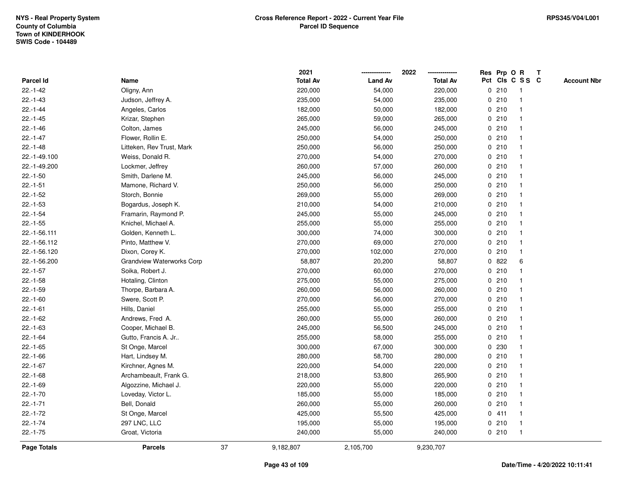|              |                           |    | 2021            |                | 2022            | Res Prp O R |                         | Т |                    |
|--------------|---------------------------|----|-----------------|----------------|-----------------|-------------|-------------------------|---|--------------------|
| Parcel Id    | Name                      |    | <b>Total Av</b> | <b>Land Av</b> | <b>Total Av</b> |             | Pct Cls C S S C         |   | <b>Account Nbr</b> |
| $22.-1-42$   | Oligny, Ann               |    | 220,000         | 54,000         | 220,000         | 0210        | $\overline{\mathbf{1}}$ |   |                    |
| $22.-1-43$   | Judson, Jeffrey A.        |    | 235,000         | 54,000         | 235,000         | 0210        | $\overline{1}$          |   |                    |
| $22.-1-44$   | Angeles, Carlos           |    | 182,000         | 50,000         | 182,000         | 0210        | -1                      |   |                    |
| $22.-1-45$   | Krizar, Stephen           |    | 265,000         | 59,000         | 265,000         | 0210        |                         |   |                    |
| $22.-1-46$   | Colton, James             |    | 245,000         | 56,000         | 245,000         | 0210        |                         |   |                    |
| $22.-1-47$   | Flower, Rollin E.         |    | 250,000         | 54,000         | 250,000         | 0210        |                         |   |                    |
| $22.-1-48$   | Litteken, Rev Trust, Mark |    | 250,000         | 56,000         | 250,000         | 0210        |                         |   |                    |
| 22.-1-49.100 | Weiss, Donald R.          |    | 270,000         | 54,000         | 270,000         | 0210        | $\overline{\mathbf{1}}$ |   |                    |
| 22.-1-49.200 | Lockmer, Jeffrey          |    | 260,000         | 57,000         | 260,000         | 0210        | -1                      |   |                    |
| $22.-1-50$   | Smith, Darlene M.         |    | 245,000         | 56,000         | 245,000         | 0210        | -1                      |   |                    |
| $22.-1-51$   | Mamone, Richard V.        |    | 250,000         | 56,000         | 250,000         | 0210        |                         |   |                    |
| $22.-1-52$   | Storch, Bonnie            |    | 269,000         | 55,000         | 269,000         | 0210        |                         |   |                    |
| $22.-1-53$   | Bogardus, Joseph K.       |    | 210,000         | 54,000         | 210,000         | 0210        |                         |   |                    |
| $22.-1-54$   | Framarin, Raymond P.      |    | 245,000         | 55,000         | 245,000         | 0210        |                         |   |                    |
| $22.-1-55$   | Knichel, Michael A.       |    | 255,000         | 55,000         | 255,000         | 0210        | -1                      |   |                    |
| 22.-1-56.111 | Golden, Kenneth L.        |    | 300,000         | 74,000         | 300,000         | 0210        | -1                      |   |                    |
| 22.-1-56.112 | Pinto, Matthew V.         |    | 270,000         | 69,000         | 270,000         | 0210        | -1                      |   |                    |
| 22.-1-56.120 | Dixon, Corey K.           |    | 270,000         | 102,000        | 270,000         | 0210        |                         |   |                    |
| 22.-1-56.200 | Grandview Waterworks Corp |    | 58,807          | 20,200         | 58,807          | 0822        | 6                       |   |                    |
| $22.-1-57$   | Soika, Robert J.          |    | 270,000         | 60,000         | 270,000         | 0210        |                         |   |                    |
| $22.-1-58$   | Hotaling, Clinton         |    | 275,000         | 55,000         | 275,000         | 0210        |                         |   |                    |
| $22.-1-59$   | Thorpe, Barbara A.        |    | 260,000         | 56,000         | 260,000         | 0210        |                         |   |                    |
| $22.-1-60$   | Swere, Scott P.           |    | 270,000         | 56,000         | 270,000         | 0210        | -1                      |   |                    |
| $22.-1-61$   | Hills, Daniel             |    | 255,000         | 55,000         | 255,000         | 0210        | -1                      |   |                    |
| $22.-1-62$   | Andrews, Fred A.          |    | 260,000         | 55,000         | 260,000         | 0210        |                         |   |                    |
| $22.-1-63$   | Cooper, Michael B.        |    | 245,000         | 56,500         | 245,000         | 0210        |                         |   |                    |
| $22.-1-64$   | Gutto, Francis A. Jr      |    | 255,000         | 58,000         | 255,000         | 0210        |                         |   |                    |
| $22.-1-65$   | St Onge, Marcel           |    | 300,000         | 67,000         | 300,000         | 0 230       |                         |   |                    |
| $22.-1-66$   | Hart, Lindsey M.          |    | 280,000         | 58,700         | 280,000         | 0210        | -1                      |   |                    |
| $22.-1-67$   | Kirchner, Agnes M.        |    | 220,000         | 54,000         | 220,000         | 0210        | -1                      |   |                    |
| $22.-1-68$   | Archambeault, Frank G.    |    | 218,000         | 53,800         | 265,900         | 0210        | -1                      |   |                    |
| $22.-1-69$   | Algozzine, Michael J.     |    | 220,000         | 55,000         | 220,000         | 0210        |                         |   |                    |
| $22.-1-70$   | Loveday, Victor L.        |    | 185,000         | 55,000         | 185,000         | 0210        |                         |   |                    |
| $22.-1-71$   | Bell, Donald              |    | 260,000         | 55,000         | 260,000         | 0210        |                         |   |                    |
| $22.-1-72$   | St Onge, Marcel           |    | 425,000         | 55,500         | 425,000         | 0411        | -1                      |   |                    |
| $22.-1-74$   | 297 LNC, LLC              |    | 195,000         | 55,000         | 195,000         | 0210        | $\overline{\mathbf{1}}$ |   |                    |
| $22.-1-75$   | Groat, Victoria           |    | 240,000         | 55,000         | 240,000         | 0210        | $\overline{1}$          |   |                    |
| Page Totals  | <b>Parcels</b>            | 37 | 9,182,807       | 2,105,700      | 9,230,707       |             |                         |   |                    |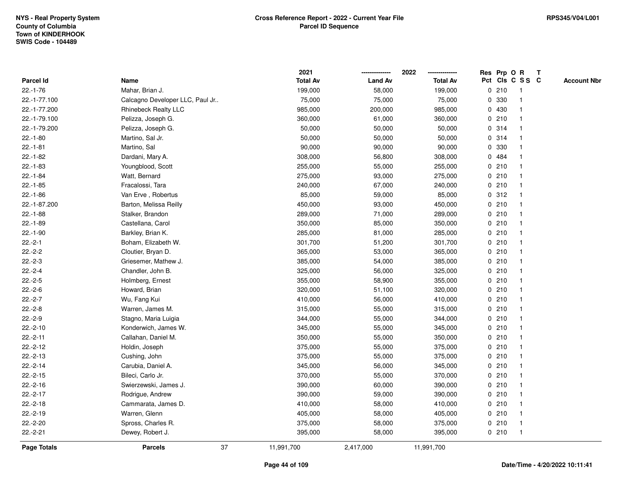|                    |                                 |    | 2021            |                | 2022<br>-------------- |   | Res Prp O R |                         | T |                    |
|--------------------|---------------------------------|----|-----------------|----------------|------------------------|---|-------------|-------------------------|---|--------------------|
| Parcel Id          | Name                            |    | <b>Total Av</b> | <b>Land Av</b> | <b>Total Av</b>        |   |             | Pct Cls C S S C         |   | <b>Account Nbr</b> |
| $22.-1-76$         | Mahar, Brian J.                 |    | 199,000         | 58,000         | 199,000                |   | 0210        | $\overline{\mathbf{1}}$ |   |                    |
| 22.-1-77.100       | Calcagno Developer LLC, Paul Jr |    | 75,000          | 75,000         | 75,000                 | 0 | 330         | $\overline{\mathbf{1}}$ |   |                    |
| 22.-1-77.200       | <b>Rhinebeck Realty LLC</b>     |    | 985,000         | 200,000        | 985,000                |   | 0 430       | 1                       |   |                    |
| 22.-1-79.100       | Pelizza, Joseph G.              |    | 360,000         | 61,000         | 360,000                |   | 0210        |                         |   |                    |
| 22.-1-79.200       | Pelizza, Joseph G.              |    | 50,000          | 50,000         | 50,000                 |   | 0.314       |                         |   |                    |
| $22.-1-80$         | Martino, Sal Jr.                |    | 50,000          | 50,000         | 50,000                 |   | 0.314       |                         |   |                    |
| $22.-1-81$         | Martino, Sal                    |    | 90,000          | 90,000         | 90,000                 |   | 0 330       |                         |   |                    |
| $22.-1-82$         | Dardani, Mary A.                |    | 308,000         | 56,800         | 308,000                |   | 0 484       | -1                      |   |                    |
| $22.-1-83$         | Youngblood, Scott               |    | 255,000         | 55,000         | 255,000                |   | 0210        | -1                      |   |                    |
| $22.-1-84$         | Watt, Bernard                   |    | 275,000         | 93,000         | 275,000                |   | 0210        | $\mathbf{1}$            |   |                    |
| $22.-1-85$         | Fracalossi, Tara                |    | 240,000         | 67,000         | 240,000                |   | 0210        |                         |   |                    |
| $22.-1-86$         | Van Erve, Robertus              |    | 85,000          | 59,000         | 85,000                 |   | 0.312       |                         |   |                    |
| 22.-1-87.200       | Barton, Melissa Reilly          |    | 450,000         | 93,000         | 450,000                |   | 0210        |                         |   |                    |
| $22.-1-88$         | Stalker, Brandon                |    | 289,000         | 71,000         | 289,000                |   | 0210        |                         |   |                    |
| $22.-1-89$         | Castellana, Carol               |    | 350,000         | 85,000         | 350,000                |   | 0210        | -1                      |   |                    |
| $22.-1-90$         | Barkley, Brian K.               |    | 285,000         | 81,000         | 285,000                |   | 0210        | $\mathbf{1}$            |   |                    |
| $22.-2-1$          | Boham, Elizabeth W.             |    | 301,700         | 51,200         | 301,700                |   | 0210        | $\overline{1}$          |   |                    |
| $22.-2-2$          | Cloutier, Bryan D.              |    | 365,000         | 53,000         | 365,000                |   | 0210        |                         |   |                    |
| $22.-2-3$          | Griesemer, Mathew J.            |    | 385,000         | 54,000         | 385,000                |   | 0210        |                         |   |                    |
| $22.-2-4$          | Chandler, John B.               |    | 325,000         | 56,000         | 325,000                |   | 0210        |                         |   |                    |
| $22.-2-5$          | Holmberg, Ernest                |    | 355,000         | 58,900         | 355,000                |   | 0210        |                         |   |                    |
| $22.-2-6$          | Howard, Brian                   |    | 320,000         | 51,100         | 320,000                |   | 0210        | -1                      |   |                    |
| $22.-2-7$          | Wu, Fang Kui                    |    | 410,000         | 56,000         | 410,000                |   | 0210        | $\overline{\mathbf{1}}$ |   |                    |
| $22.-2-8$          | Warren, James M.                |    | 315,000         | 55,000         | 315,000                |   | 0210        | -1                      |   |                    |
| $22.-2-9$          | Stagno, Maria Luigia            |    | 344,000         | 55,000         | 344,000                |   | 0210        |                         |   |                    |
| $22.-2-10$         | Konderwich, James W.            |    | 345,000         | 55,000         | 345,000                |   | 0210        |                         |   |                    |
| $22.-2-11$         | Callahan, Daniel M.             |    | 350,000         | 55,000         | 350,000                |   | 0210        |                         |   |                    |
| $22.-2-12$         | Holdin, Joseph                  |    | 375,000         | 55,000         | 375,000                |   | 0210        |                         |   |                    |
| $22.-2-13$         | Cushing, John                   |    | 375,000         | 55,000         | 375,000                |   | 0210        | $\overline{\mathbf{1}}$ |   |                    |
| $22.-2-14$         | Carubia, Daniel A.              |    | 345,000         | 56,000         | 345,000                |   | 0210        | -1                      |   |                    |
| $22.-2-15$         | Bileci, Carlo Jr.               |    | 370,000         | 55,000         | 370,000                |   | 0210        | -1                      |   |                    |
| $22.-2-16$         | Swierzewski, James J.           |    | 390,000         | 60,000         | 390,000                |   | 0210        |                         |   |                    |
| $22.-2-17$         | Rodrigue, Andrew                |    | 390,000         | 59,000         | 390,000                |   | 0210        |                         |   |                    |
| $22.-2-18$         | Cammarata, James D.             |    | 410,000         | 58,000         | 410,000                |   | 0210        |                         |   |                    |
| $22.-2-19$         | Warren, Glenn                   |    | 405,000         | 58,000         | 405,000                |   | 0210        | -1                      |   |                    |
| $22.-2-20$         | Spross, Charles R.              |    | 375,000         | 58,000         | 375,000                |   | 0210        | $\overline{\mathbf{1}}$ |   |                    |
| $22.-2-21$         | Dewey, Robert J.                |    | 395,000         | 58,000         | 395,000                |   | 0210        | $\overline{1}$          |   |                    |
| <b>Page Totals</b> | <b>Parcels</b>                  | 37 | 11,991,700      | 2,417,000      | 11,991,700             |   |             |                         |   |                    |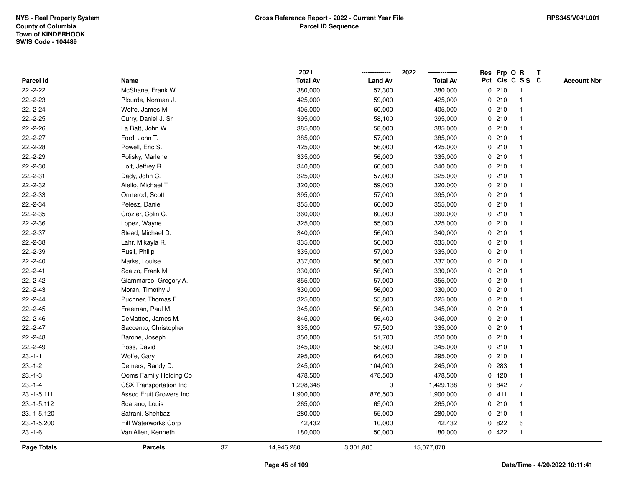|              |                               |    | 2021            |                | 2022            |   | Res Prp O R |                         | Т |                    |
|--------------|-------------------------------|----|-----------------|----------------|-----------------|---|-------------|-------------------------|---|--------------------|
| Parcel Id    | Name                          |    | <b>Total Av</b> | <b>Land Av</b> | <b>Total Av</b> |   |             | Pct Cls C S S C         |   | <b>Account Nbr</b> |
| $22.-2-22$   | McShane, Frank W.             |    | 380,000         | 57,300         | 380,000         |   | 0210        | $\overline{\mathbf{1}}$ |   |                    |
| $22.-2-23$   | Plourde, Norman J.            |    | 425,000         | 59,000         | 425,000         |   | 0210        | $\overline{\mathbf{1}}$ |   |                    |
| $22.-2-24$   | Wolfe, James M.               |    | 405,000         | 60,000         | 405,000         |   | 0210        | 1                       |   |                    |
| $22.-2-25$   | Curry, Daniel J. Sr.          |    | 395,000         | 58,100         | 395,000         |   | 0210        |                         |   |                    |
| $22.-2-26$   | La Batt, John W.              |    | 385,000         | 58,000         | 385,000         |   | 0210        |                         |   |                    |
| $22.-2-27$   | Ford, John T.                 |    | 385,000         | 57,000         | 385,000         |   | 0210        |                         |   |                    |
| $22.-2-28$   | Powell, Eric S.               |    | 425,000         | 56,000         | 425,000         |   | 0210        |                         |   |                    |
| 22.-2-29     | Polisky, Marlene              |    | 335,000         | 56,000         | 335,000         |   | 0210        | -1                      |   |                    |
| $22.-2-30$   | Holt, Jeffrey R.              |    | 340,000         | 60,000         | 340,000         |   | 0210        | $\overline{\mathbf{1}}$ |   |                    |
| $22.-2-31$   | Dady, John C.                 |    | 325,000         | 57,000         | 325,000         |   | 0210        | -1                      |   |                    |
| $22.-2-32$   | Aiello, Michael T.            |    | 320,000         | 59,000         | 320,000         |   | 0210        |                         |   |                    |
| 22.-2-33     | Ormerod, Scott                |    | 395,000         | 57,000         | 395,000         |   | 0210        |                         |   |                    |
| 22.-2-34     | Pelesz, Daniel                |    | 355,000         | 60,000         | 355,000         |   | 0210        |                         |   |                    |
| $22.-2-35$   | Crozier, Colin C.             |    | 360,000         | 60,000         | 360,000         |   | 0210        |                         |   |                    |
| 22.-2-36     | Lopez, Wayne                  |    | 325,000         | 55,000         | 325,000         |   | 0210        | -1                      |   |                    |
| 22.-2-37     | Stead, Michael D.             |    | 340,000         | 56,000         | 340,000         |   | 0210        | -1                      |   |                    |
| 22.-2-38     | Lahr, Mikayla R.              |    | 335,000         | 56,000         | 335,000         |   | 0210        | -1                      |   |                    |
| 22.-2-39     | Rusli, Philip                 |    | 335,000         | 57,000         | 335,000         |   | 0210        |                         |   |                    |
| $22.-2-40$   | Marks, Louise                 |    | 337,000         | 56,000         | 337,000         |   | 0210        |                         |   |                    |
| $22.-2-41$   | Scalzo, Frank M.              |    | 330,000         | 56,000         | 330,000         |   | 0210        |                         |   |                    |
| $22.-2-42$   | Giammarco, Gregory A.         |    | 355,000         | 57,000         | 355,000         |   | 0210        | -1                      |   |                    |
| $22.-2-43$   | Moran, Timothy J.             |    | 330,000         | 56,000         | 330,000         |   | 0210        | -1                      |   |                    |
| $22.-2-44$   | Puchner, Thomas F.            |    | 325,000         | 55,800         | 325,000         |   | 0210        | $\overline{\mathbf{1}}$ |   |                    |
| $22.-2-45$   | Freeman, Paul M.              |    | 345,000         | 56,000         | 345,000         |   | 0210        | $\mathbf{1}$            |   |                    |
| $22.-2-46$   | DeMatteo, James M.            |    | 345,000         | 56,400         | 345,000         |   | 0210        |                         |   |                    |
| $22.-2-47$   | Saccento, Christopher         |    | 335,000         | 57,500         | 335,000         |   | 0210        |                         |   |                    |
| $22.-2-48$   | Barone, Joseph                |    | 350,000         | 51,700         | 350,000         |   | 0210        |                         |   |                    |
| $22.-2-49$   | Ross, David                   |    | 345,000         | 58,000         | 345,000         |   | 0210        | -1                      |   |                    |
| $23.-1-1$    | Wolfe, Gary                   |    | 295,000         | 64,000         | 295,000         |   | 0210        | -1                      |   |                    |
| $23 - 1 - 2$ | Demers, Randy D.              |    | 245,000         | 104,000        | 245,000         | 0 | 283         | $\overline{\mathbf{1}}$ |   |                    |
| $23.-1-3$    | Ooms Family Holding Co        |    | 478,500         | 478,500        | 478,500         |   | $0$ 120     | $\mathbf{1}$            |   |                    |
| $23.-1-4$    | <b>CSX Transportation Inc</b> |    | 1,298,348       | 0              | 1,429,138       |   | 0 842       | $\overline{7}$          |   |                    |
| 23.-1-5.111  | Assoc Fruit Growers Inc       |    | 1,900,000       | 876,500        | 1,900,000       |   | 0411        |                         |   |                    |
| 23.-1-5.112  | Scarano, Louis                |    | 265,000         | 65,000         | 265,000         |   | 0210        |                         |   |                    |
| 23.-1-5.120  | Safrani, Shehbaz              |    | 280,000         | 55,000         | 280,000         |   | 0210        | $\overline{\mathbf{1}}$ |   |                    |
| 23.-1-5.200  | <b>Hill Waterworks Corp</b>   |    | 42,432          | 10,000         | 42,432          | 0 | 822         | 6                       |   |                    |
| $23 - 1 - 6$ | Van Allen, Kenneth            |    | 180,000         | 50,000         | 180,000         |   | 0422        | $\overline{\mathbf{1}}$ |   |                    |
| Page Totals  | <b>Parcels</b>                | 37 | 14,946,280      | 3,301,800      | 15,077,070      |   |             |                         |   |                    |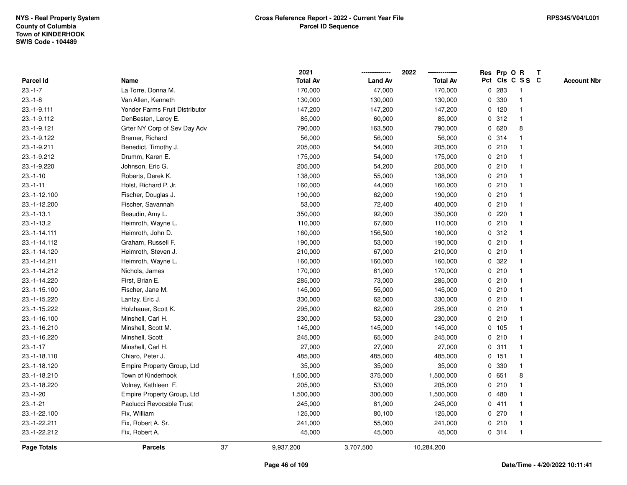|                    |                                |    | 2021            |                | 2022            |   |         | Res Prp O R     | T |                    |
|--------------------|--------------------------------|----|-----------------|----------------|-----------------|---|---------|-----------------|---|--------------------|
| Parcel Id          | Name                           |    | <b>Total Av</b> | <b>Land Av</b> | <b>Total Av</b> |   |         | Pct Cls C S S C |   | <b>Account Nbr</b> |
| $23.-1-7$          | La Torre, Donna M.             |    | 170,000         | 47,000         | 170,000         | 0 | 283     | -1              |   |                    |
| $23.-1-8$          | Van Allen, Kenneth             |    | 130,000         | 130,000        | 130,000         | 0 | 330     | $\overline{1}$  |   |                    |
| 23.-1-9.111        | Yonder Farms Fruit Distributor |    | 147,200         | 147,200        | 147,200         |   | $0$ 120 | $\mathbf{1}$    |   |                    |
| 23.-1-9.112        | DenBesten, Leroy E.            |    | 85,000          | 60,000         | 85,000          |   | 0.312   |                 |   |                    |
| 23.-1-9.121        | Grter NY Corp of Sev Day Adv   |    | 790,000         | 163,500        | 790,000         |   | 0620    | 8               |   |                    |
| 23.-1-9.122        | Bremer, Richard                |    | 56,000          | 56,000         | 56,000          |   | 0.314   |                 |   |                    |
| 23.-1-9.211        | Benedict, Timothy J.           |    | 205,000         | 54,000         | 205,000         |   | 0210    |                 |   |                    |
| 23.-1-9.212        | Drumm, Karen E.                |    | 175,000         | 54,000         | 175,000         | 0 | 210     |                 |   |                    |
| 23.-1-9.220        | Johnson, Eric G.               |    | 205,000         | 54,200         | 205,000         |   | 0210    | -1              |   |                    |
| $23.-1-10$         | Roberts, Derek K.              |    | 138,000         | 55,000         | 138,000         |   | 0210    | -1              |   |                    |
| $23.-1-11$         | Holst, Richard P. Jr.          |    | 160,000         | 44,000         | 160,000         |   | 0210    |                 |   |                    |
| 23.-1-12.100       | Fischer, Douglas J.            |    | 190,000         | 62,000         | 190,000         |   | 0210    |                 |   |                    |
| 23.-1-12.200       | Fischer, Savannah              |    | 53,000          | 72,400         | 400,000         |   | 0210    |                 |   |                    |
| $23.-1-13.1$       | Beaudin, Amy L.                |    | 350,000         | 92,000         | 350,000         |   | 0.220   |                 |   |                    |
| $23.-1-13.2$       | Heimroth, Wayne L.             |    | 110,000         | 67,600         | 110,000         | 0 | 210     |                 |   |                    |
| 23.-1-14.111       | Heimroth, John D.              |    | 160,000         | 156,500        | 160,000         |   | 0.312   | -1              |   |                    |
| 23.-1-14.112       | Graham, Russell F.             |    | 190,000         | 53,000         | 190,000         |   | 0210    | -1              |   |                    |
| 23.-1-14.120       | Heimroth, Steven J.            |    | 210,000         | 67,000         | 210,000         |   | 0210    |                 |   |                    |
| 23.-1-14.211       | Heimroth, Wayne L.             |    | 160,000         | 160,000        | 160,000         |   | 0 322   |                 |   |                    |
| 23.-1-14.212       | Nichols, James                 |    | 170,000         | 61,000         | 170,000         |   | 0210    |                 |   |                    |
| 23.-1-14.220       | First, Brian E.                |    | 285,000         | 73,000         | 285,000         |   | 0210    |                 |   |                    |
| 23.-1-15.100       | Fischer, Jane M.               |    | 145,000         | 55,000         | 145,000         |   | 0210    |                 |   |                    |
| 23.-1-15.220       | Lantzy, Eric J.                |    | 330,000         | 62,000         | 330,000         |   | 0210    | $\overline{1}$  |   |                    |
| 23.-1-15.222       | Holzhauer, Scott K.            |    | 295,000         | 62,000         | 295,000         |   | 0210    | -1              |   |                    |
| 23.-1-16.100       | Minshell, Carl H.              |    | 230,000         | 53,000         | 230,000         |   | 0210    |                 |   |                    |
| 23.-1-16.210       | Minshell, Scott M.             |    | 145,000         | 145,000        | 145,000         |   | 0, 105  |                 |   |                    |
| 23.-1-16.220       | Minshell, Scott                |    | 245,000         | 65,000         | 245,000         |   | 0210    |                 |   |                    |
| $23.-1-17$         | Minshell, Carl H.              |    | 27,000          | 27,000         | 27,000          |   | 0.311   | -1              |   |                    |
| 23.-1-18.110       | Chiaro, Peter J.               |    | 485,000         | 485,000        | 485,000         |   | 0 151   |                 |   |                    |
| 23.-1-18.120       | Empire Property Group, Ltd     |    | 35,000          | 35,000         | 35,000          |   | 0 330   | $\mathbf{1}$    |   |                    |
| 23.-1-18.210       | Town of Kinderhook             |    | 1,500,000       | 375,000        | 1,500,000       |   | 0 651   | 8               |   |                    |
| 23.-1-18.220       | Volney, Kathleen F.            |    | 205,000         | 53,000         | 205,000         |   | 0210    |                 |   |                    |
| $23.-1-20$         | Empire Property Group, Ltd     |    | 1,500,000       | 300,000        | 1,500,000       |   | 0480    |                 |   |                    |
| $23.-1-21$         | Paolucci Revocable Trust       |    | 245,000         | 81,000         | 245,000         |   | 0411    |                 |   |                    |
| 23.-1-22.100       | Fix, William                   |    | 125,000         | 80,100         | 125,000         |   | 0 270   |                 |   |                    |
| 23.-1-22.211       | Fix, Robert A. Sr.             |    | 241,000         | 55,000         | 241,000         |   | 0210    | -1              |   |                    |
| 23.-1-22.212       | Fix, Robert A.                 |    | 45,000          | 45,000         | 45,000          |   | 0.314   | $\mathbf{1}$    |   |                    |
| <b>Page Totals</b> | <b>Parcels</b>                 | 37 | 9,937,200       | 3,707,500      | 10,284,200      |   |         |                 |   |                    |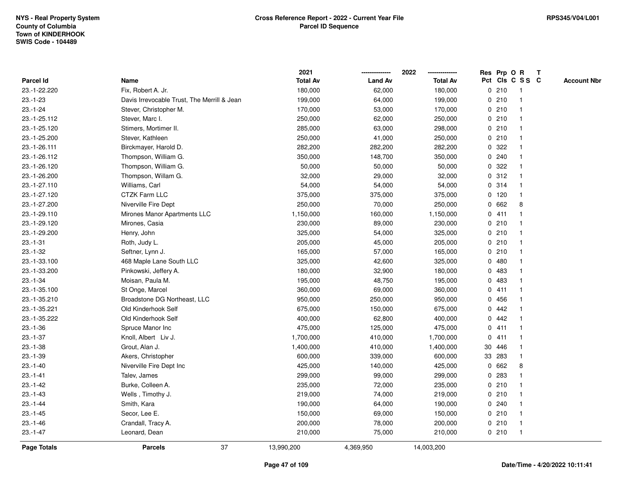|                    |                                             | 2021            |                | 2022            |              |         | Res Prp O R     | T |                    |
|--------------------|---------------------------------------------|-----------------|----------------|-----------------|--------------|---------|-----------------|---|--------------------|
| <b>Parcel Id</b>   | Name                                        | <b>Total Av</b> | <b>Land Av</b> | <b>Total Av</b> |              |         | Pct Cls C S S C |   | <b>Account Nbr</b> |
| 23.-1-22.220       | Fix, Robert A. Jr.                          | 180,000         | 62,000         | 180,000         |              | 0210    | -1              |   |                    |
| $23.-1-23$         | Davis Irrevocable Trust, The Merrill & Jean | 199,000         | 64,000         | 199,000         | 0            | 210     | -1              |   |                    |
| $23.-1-24$         | Stever, Christopher M.                      | 170,000         | 53,000         | 170,000         |              | 0210    | $\mathbf{1}$    |   |                    |
| 23.-1-25.112       | Stever, Marc I.                             | 250,000         | 62,000         | 250,000         |              | 0210    |                 |   |                    |
| 23.-1-25.120       | Stimers, Mortimer II.                       | 285,000         | 63,000         | 298,000         |              | 0210    |                 |   |                    |
| 23.-1-25.200       | Stever, Kathleen                            | 250,000         | 41,000         | 250,000         |              | 0210    |                 |   |                    |
| 23.-1-26.111       | Birckmayer, Harold D.                       | 282,200         | 282,200        | 282,200         |              | 0.322   |                 |   |                    |
| 23.-1-26.112       | Thompson, William G.                        | 350,000         | 148,700        | 350,000         | $\mathbf 0$  | 240     |                 |   |                    |
| 23.-1-26.120       | Thompson, William G.                        | 50,000          | 50,000         | 50,000          | 0            | 322     |                 |   |                    |
| 23.-1-26.200       | Thompson, Willam G.                         | 32,000          | 29,000         | 32,000          |              | 0.312   | $\mathbf 1$     |   |                    |
| 23.-1-27.110       | Williams, Carl                              | 54,000          | 54,000         | 54,000          |              | 0.314   |                 |   |                    |
| 23.-1-27.120       | <b>CTZK Farm LLC</b>                        | 375,000         | 375,000        | 375,000         |              | $0$ 120 |                 |   |                    |
| 23.-1-27.200       | Niverville Fire Dept                        | 250,000         | 70,000         | 250,000         | $\mathbf{0}$ | 662     | 8               |   |                    |
| 23.-1-29.110       | Mirones Manor Apartments LLC                | 1,150,000       | 160,000        | 1,150,000       |              | 0411    |                 |   |                    |
| 23.-1-29.120       | Mirones, Casia                              | 230,000         | 89,000         | 230,000         | $\mathbf 0$  | 210     |                 |   |                    |
| 23.-1-29.200       | Henry, John                                 | 325,000         | 54,000         | 325,000         |              | 0210    | $\mathbf{1}$    |   |                    |
| $23.-1-31$         | Roth, Judy L.                               | 205,000         | 45,000         | 205,000         |              | 0210    | $\mathbf{1}$    |   |                    |
| $23.-1-32$         | Seftner, Lynn J.                            | 165,000         | 57,000         | 165,000         |              | 0210    |                 |   |                    |
| 23.-1-33.100       | 468 Maple Lane South LLC                    | 325,000         | 42,600         | 325,000         |              | 0480    |                 |   |                    |
| 23.-1-33.200       | Pinkowski, Jeffery A.                       | 180,000         | 32,900         | 180,000         |              | 0 483   |                 |   |                    |
| $23.-1-34$         | Moisan, Paula M.                            | 195,000         | 48,750         | 195,000         | 0            | 483     |                 |   |                    |
| 23.-1-35.100       | St Onge, Marcel                             | 360,000         | 69,000         | 360,000         | 0            | 411     |                 |   |                    |
| 23.-1-35.210       | Broadstone DG Northeast, LLC                | 950,000         | 250,000        | 950,000         | $\mathbf{0}$ | 456     | -1              |   |                    |
| 23.-1-35.221       | Old Kinderhook Self                         | 675,000         | 150,000        | 675,000         | $\mathbf{0}$ | 442     |                 |   |                    |
| 23.-1-35.222       | Old Kinderhook Self                         | 400,000         | 62,800         | 400,000         |              | 0.442   |                 |   |                    |
| $23.-1-36$         | Spruce Manor Inc                            | 475,000         | 125,000        | 475,000         |              | 0411    |                 |   |                    |
| $23.-1-37$         | Knoll, Albert Liv J.                        | 1,700,000       | 410,000        | 1,700,000       | 0            | 411     |                 |   |                    |
| $23.-1-38$         | Grout, Alan J.                              | 1,400,000       | 410,000        | 1,400,000       |              | 30 446  |                 |   |                    |
| $23.-1-39$         | Akers, Christopher                          | 600,000         | 339,000        | 600,000         |              | 33 283  |                 |   |                    |
| $23.-1-40$         | Niverville Fire Dept Inc                    | 425,000         | 140,000        | 425,000         | $\mathbf 0$  | 662     | 8               |   |                    |
| $23.-1-41$         | Talev, James                                | 299,000         | 99,000         | 299,000         | 0            | 283     | $\mathbf 1$     |   |                    |
| $23 - 1 - 42$      | Burke, Colleen A.                           | 235,000         | 72,000         | 235,000         |              | 0210    | 1               |   |                    |
| $23.-1-43$         | Wells, Timothy J.                           | 219,000         | 74,000         | 219,000         |              | 0210    |                 |   |                    |
| $23.-1-44$         | Smith, Kara                                 | 190,000         | 64,000         | 190,000         |              | 0.240   |                 |   |                    |
| $23.-1-45$         | Secor, Lee E.                               | 150,000         | 69,000         | 150,000         |              | 0210    |                 |   |                    |
| $23.-1-46$         | Crandall, Tracy A.                          | 200,000         | 78,000         | 200,000         |              | 0210    | -1              |   |                    |
| $23.-1-47$         | Leonard, Dean                               | 210,000         | 75,000         | 210,000         |              | 0210    | $\mathbf{1}$    |   |                    |
| <b>Page Totals</b> | 37<br><b>Parcels</b>                        | 13,990,200      | 4,369,950      | 14,003,200      |              |         |                 |   |                    |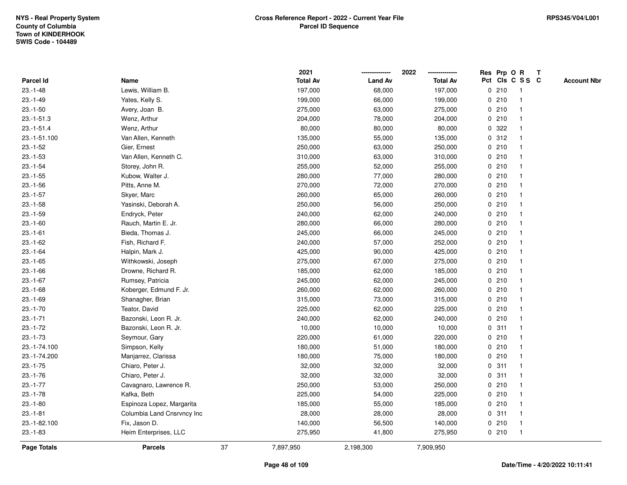|               |                            |    | 2021            |                | 2022            | Res Prp O R |                         | T |                    |
|---------------|----------------------------|----|-----------------|----------------|-----------------|-------------|-------------------------|---|--------------------|
| Parcel Id     | Name                       |    | <b>Total Av</b> | <b>Land Av</b> | <b>Total Av</b> |             | Pct Cls C S S C         |   | <b>Account Nbr</b> |
| $23.-1-48$    | Lewis, William B.          |    | 197,000         | 68,000         | 197,000         | 0210        | -1                      |   |                    |
| $23.-1-49$    | Yates, Kelly S.            |    | 199,000         | 66,000         | 199,000         | 0210        | $\overline{\mathbf{1}}$ |   |                    |
| $23.-1-50$    | Avery, Joan B.             |    | 275,000         | 63,000         | 275,000         | 0210        | 1                       |   |                    |
| $23.-1-51.3$  | Wenz, Arthur               |    | 204,000         | 78,000         | 204,000         | 0210        |                         |   |                    |
| $23.-1-51.4$  | Wenz, Arthur               |    | 80,000          | 80,000         | 80,000          | 0.322       |                         |   |                    |
| 23.-1-51.100  | Van Allen, Kenneth         |    | 135,000         | 55,000         | 135,000         | 0.312       |                         |   |                    |
| $23.-1-52$    | Gier, Ernest               |    | 250,000         | 63,000         | 250,000         | 0210        |                         |   |                    |
| $23.-1-53$    | Van Allen, Kenneth C.      |    | 310,000         | 63,000         | 310,000         | 0210        | $\overline{\mathbf{1}}$ |   |                    |
| $23.-1-54$    | Storey, John R.            |    | 255,000         | 52,000         | 255,000         | 0210        | -1                      |   |                    |
| $23.-1-55$    | Kubow, Walter J.           |    | 280,000         | 77,000         | 280,000         | 0210        | $\mathbf{1}$            |   |                    |
| $23.-1-56$    | Pitts, Anne M.             |    | 270,000         | 72,000         | 270,000         | 0210        |                         |   |                    |
| $23.-1-57$    | Skyer, Marc                |    | 260,000         | 65,000         | 260,000         | 0210        |                         |   |                    |
| $23.-1-58$    | Yasinski, Deborah A.       |    | 250,000         | 56,000         | 250,000         | 0210        |                         |   |                    |
| $23.-1-59$    | Endryck, Peter             |    | 240,000         | 62,000         | 240,000         | 0210        |                         |   |                    |
| $23.-1-60$    | Rauch, Martin E. Jr.       |    | 280,000         | 66,000         | 280,000         | 0210        |                         |   |                    |
| $23.-1-61$    | Bieda, Thomas J.           |    | 245,000         | 66,000         | 245,000         | 0210        | $\mathbf{1}$            |   |                    |
| $23 - 1 - 62$ | Fish, Richard F.           |    | 240,000         | 57,000         | 252,000         | 0210        |                         |   |                    |
| $23.-1-64$    | Halpin, Mark J.            |    | 425,000         | 90,000         | 425,000         | 0210        |                         |   |                    |
| $23.-1-65$    | Withkowski, Joseph         |    | 275,000         | 67,000         | 275,000         | 0210        |                         |   |                    |
| $23.-1-66$    | Drowne, Richard R.         |    | 185,000         | 62,000         | 185,000         | 0210        |                         |   |                    |
| $23.-1-67$    | Rumsey, Patricia           |    | 245,000         | 62,000         | 245,000         | 0210        |                         |   |                    |
| $23.-1-68$    | Koberger, Edmund F. Jr.    |    | 260,000         | 62,000         | 260,000         | 0210        |                         |   |                    |
| $23.-1-69$    | Shanagher, Brian           |    | 315,000         | 73,000         | 315,000         | 0210        | $\overline{\mathbf{1}}$ |   |                    |
| $23.-1-70$    | Teator, David              |    | 225,000         | 62,000         | 225,000         | 0210        |                         |   |                    |
| $23.-1-71$    | Bazonski, Leon R. Jr.      |    | 240,000         | 62,000         | 240,000         | 0210        |                         |   |                    |
| $23 - 1 - 72$ | Bazonski, Leon R. Jr.      |    | 10,000          | 10,000         | 10,000          | 0.311       |                         |   |                    |
| $23.-1-73$    | Seymour, Gary              |    | 220,000         | 61,000         | 220,000         | 0210        |                         |   |                    |
| 23.-1-74.100  | Simpson, Kelly             |    | 180,000         | 51,000         | 180,000         | 0210        |                         |   |                    |
| 23.-1-74.200  | Manjarrez, Clarissa        |    | 180,000         | 75,000         | 180,000         | 0210        | $\overline{1}$          |   |                    |
| $23.-1-75$    | Chiaro, Peter J.           |    | 32,000          | 32,000         | 32,000          | 0.311       | -1                      |   |                    |
| $23.-1-76$    | Chiaro, Peter J.           |    | 32,000          | 32,000         | 32,000          | 0.311       | $\mathbf{1}$            |   |                    |
| $23.-1-77$    | Cavagnaro, Lawrence R.     |    | 250,000         | 53,000         | 250,000         | 0210        |                         |   |                    |
| $23.-1-78$    | Kafka, Beth                |    | 225,000         | 54,000         | 225,000         | 0210        |                         |   |                    |
| $23.-1-80$    | Espinoza Lopez, Margarita  |    | 185,000         | 55,000         | 185,000         | 0210        |                         |   |                    |
| $23.-1-81$    | Columbia Land Cnsrvncy Inc |    | 28,000          | 28,000         | 28,000          | 0.311       | -1                      |   |                    |
| 23.-1-82.100  | Fix, Jason D.              |    | 140,000         | 56,500         | 140,000         | 0210        | $\overline{\mathbf{1}}$ |   |                    |
| $23.-1-83$    | Heim Enterprises, LLC      |    | 275,950         | 41,800         | 275,950         | 0210        | $\overline{\mathbf{1}}$ |   |                    |
| Page Totals   | <b>Parcels</b>             | 37 | 7,897,950       | 2,198,300      | 7,909,950       |             |                         |   |                    |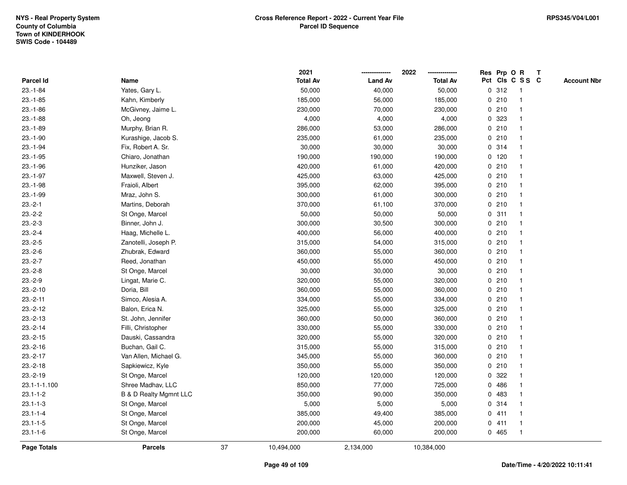|                    |                                   |    | 2021            |                | 2022            |             | Res Prp O R |                 | T |                    |
|--------------------|-----------------------------------|----|-----------------|----------------|-----------------|-------------|-------------|-----------------|---|--------------------|
| Parcel Id          | Name                              |    | <b>Total Av</b> | <b>Land Av</b> | <b>Total Av</b> |             |             | Pct Cls C S S C |   | <b>Account Nbr</b> |
| $23.-1-84$         | Yates, Gary L.                    |    | 50,000          | 40,000         | 50,000          | $\mathbf 0$ | 312         | $\mathbf{1}$    |   |                    |
| $23.-1-85$         | Kahn, Kimberly                    |    | 185,000         | 56,000         | 185,000         | 0           | 210         | -1              |   |                    |
| $23.-1-86$         | McGivney, Jaime L.                |    | 230,000         | 70,000         | 230,000         |             | 0210        | $\mathbf{1}$    |   |                    |
| $23.-1-88$         | Oh, Jeong                         |    | 4,000           | 4,000          | 4,000           |             | 0 323       |                 |   |                    |
| $23.-1-89$         | Murphy, Brian R.                  |    | 286,000         | 53,000         | 286,000         |             | 0210        |                 |   |                    |
| $23.-1-90$         | Kurashige, Jacob S.               |    | 235,000         | 61,000         | 235,000         |             | 0210        |                 |   |                    |
| $23.-1-94$         | Fix, Robert A. Sr.                |    | 30,000          | 30,000         | 30,000          |             | 0.314       |                 |   |                    |
| $23.-1-95$         | Chiaro, Jonathan                  |    | 190,000         | 190,000        | 190,000         |             | $0$ 120     |                 |   |                    |
| $23.-1-96$         | Hunziker, Jason                   |    | 420,000         | 61,000         | 420,000         | 0           | 210         | -1              |   |                    |
| $23.-1-97$         | Maxwell, Steven J.                |    | 425,000         | 63,000         | 425,000         |             | 0210        | -1              |   |                    |
| $23.-1-98$         | Fraioli, Albert                   |    | 395,000         | 62,000         | 395,000         |             | 0210        |                 |   |                    |
| $23.-1-99$         | Mraz, John S.                     |    | 300,000         | 61,000         | 300,000         |             | 0210        |                 |   |                    |
| $23.-2-1$          | Martins, Deborah                  |    | 370,000         | 61,100         | 370,000         |             | 0210        |                 |   |                    |
| $23.-2-2$          | St Onge, Marcel                   |    | 50,000          | 50,000         | 50,000          |             | 0.311       | -1              |   |                    |
| $23.-2-3$          | Binner, John J.                   |    | 300,000         | 30,500         | 300,000         | $\mathbf 0$ | 210         |                 |   |                    |
| $23.-2-4$          | Haag, Michelle L.                 |    | 400,000         | 56,000         | 400,000         | $\mathbf 0$ | 210         | $\overline{1}$  |   |                    |
| $23.-2-5$          | Zanotelli, Joseph P.              |    | 315,000         | 54,000         | 315,000         |             | 0210        | $\overline{1}$  |   |                    |
| $23.-2-6$          | Zhubrak, Edward                   |    | 360,000         | 55,000         | 360,000         |             | 0210        |                 |   |                    |
| $23.-2-7$          | Reed, Jonathan                    |    | 450,000         | 55,000         | 450,000         |             | 0210        |                 |   |                    |
| $23.-2-8$          | St Onge, Marcel                   |    | 30,000          | 30,000         | 30,000          |             | 0210        |                 |   |                    |
| $23.-2-9$          | Lingat, Marie C.                  |    | 320,000         | 55,000         | 320,000         |             | 0210        |                 |   |                    |
| $23.-2-10$         | Doria, Bill                       |    | 360,000         | 55,000         | 360,000         | 0           | 210         |                 |   |                    |
| $23.-2-11$         | Simco, Alesia A.                  |    | 334,000         | 55,000         | 334,000         | 0           | 210         | -1              |   |                    |
| $23.-2-12$         | Balon, Erica N.                   |    | 325,000         | 55,000         | 325,000         | $\mathbf 0$ | 210         | $\overline{1}$  |   |                    |
| $23.-2-13$         | St. John, Jennifer                |    | 360,000         | 50,000         | 360,000         |             | 0210        | -1              |   |                    |
| $23.-2-14$         | Filli, Christopher                |    | 330,000         | 55,000         | 330,000         |             | 0210        |                 |   |                    |
| $23.-2-15$         | Dauski, Cassandra                 |    | 320,000         | 55,000         | 320,000         |             | 0210        |                 |   |                    |
| $23.-2-16$         | Buchan, Gail C.                   |    | 315,000         | 55,000         | 315,000         | 0           | 210         |                 |   |                    |
| $23.-2-17$         | Van Allen, Michael G.             |    | 345,000         | 55,000         | 360,000         | 0           | 210         |                 |   |                    |
| $23.-2-18$         | Sapkiewicz, Kyle                  |    | 350,000         | 55,000         | 350,000         | 0           | 210         |                 |   |                    |
| $23.-2-19$         | St Onge, Marcel                   |    | 120,000         | 120,000        | 120,000         | 0           | 322         |                 |   |                    |
| 23.1-1-1.100       | Shree Madhav, LLC                 |    | 850,000         | 77,000         | 725,000         |             | 0 486       |                 |   |                    |
| $23.1 - 1 - 2$     | <b>B &amp; D Realty Mgmnt LLC</b> |    | 350,000         | 90,000         | 350,000         |             | 0 483       |                 |   |                    |
| $23.1 - 1 - 3$     | St Onge, Marcel                   |    | 5,000           | 5,000          | 5,000           |             | 0.314       |                 |   |                    |
| $23.1 - 1 - 4$     | St Onge, Marcel                   |    | 385,000         | 49,400         | 385,000         |             | 0411        |                 |   |                    |
| $23.1 - 1 - 5$     | St Onge, Marcel                   |    | 200,000         | 45,000         | 200,000         | 0           | 411         | -1              |   |                    |
| $23.1 - 1 - 6$     | St Onge, Marcel                   |    | 200,000         | 60,000         | 200,000         |             | 0 465       | $\overline{1}$  |   |                    |
| <b>Page Totals</b> | <b>Parcels</b>                    | 37 | 10,494,000      | 2,134,000      | 10,384,000      |             |             |                 |   |                    |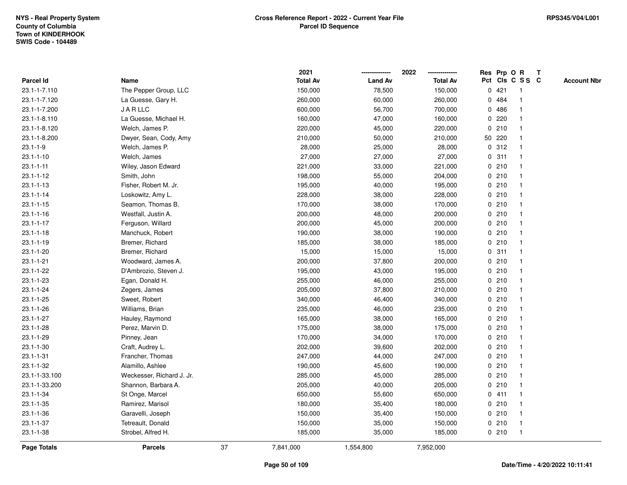|                 |                           |    | 2021            |                | 2022            |             | Res Prp O R |                 | Т |                    |
|-----------------|---------------------------|----|-----------------|----------------|-----------------|-------------|-------------|-----------------|---|--------------------|
| Parcel Id       | Name                      |    | <b>Total Av</b> | <b>Land Av</b> | <b>Total Av</b> |             |             | Pct Cls C S S C |   | <b>Account Nbr</b> |
| 23.1-1-7.110    | The Pepper Group, LLC     |    | 150,000         | 78,500         | 150,000         | $\mathbf 0$ | 421         | -1              |   |                    |
| 23.1-1-7.120    | La Guesse, Gary H.        |    | 260,000         | 60,000         | 260,000         | 0           | 484         |                 |   |                    |
| 23.1-1-7.200    | <b>JARLLC</b>             |    | 600,000         | 56,700         | 700,000         |             | 0486        | $\mathbf 1$     |   |                    |
| 23.1-1-8.110    | La Guesse, Michael H.     |    | 160,000         | 47,000         | 160,000         |             | 0.220       |                 |   |                    |
| 23.1-1-8.120    | Welch, James P.           |    | 220,000         | 45,000         | 220,000         |             | 0210        |                 |   |                    |
| 23.1-1-8.200    | Dwyer, Sean, Cody, Amy    |    | 210,000         | 50,000         | 210,000         |             | 50 220      |                 |   |                    |
| $23.1 - 1 - 9$  | Welch, James P.           |    | 28,000          | 25,000         | 28,000          |             | 0.312       |                 |   |                    |
| $23.1 - 1 - 10$ | Welch, James              |    | 27,000          | 27,000         | 27,000          | $\mathbf 0$ | 311         |                 |   |                    |
| $23.1 - 1 - 11$ | Wiley, Jason Edward       |    | 221,000         | 33,000         | 221,000         |             | 0210        | -1              |   |                    |
| $23.1 - 1 - 12$ | Smith, John               |    | 198,000         | 55,000         | 204,000         |             | 0210        | $\mathbf 1$     |   |                    |
| $23.1 - 1 - 13$ | Fisher, Robert M. Jr.     |    | 195,000         | 40,000         | 195,000         |             | 0210        |                 |   |                    |
| $23.1 - 1 - 14$ | Loskowitz, Amy L.         |    | 228,000         | 38,000         | 228,000         |             | 0210        |                 |   |                    |
| $23.1 - 1 - 15$ | Seamon, Thomas B.         |    | 170,000         | 38,000         | 170,000         |             | 0210        |                 |   |                    |
| $23.1 - 1 - 16$ | Westfall, Justin A.       |    | 200,000         | 48,000         | 200,000         |             | 0210        |                 |   |                    |
| $23.1 - 1 - 17$ | Ferguson, Willard         |    | 200,000         | 45,000         | 200,000         |             | 0210        |                 |   |                    |
| $23.1 - 1 - 18$ | Manchuck, Robert          |    | 190,000         | 38,000         | 190,000         |             | 0210        | -1              |   |                    |
| $23.1 - 1 - 19$ | Bremer, Richard           |    | 185,000         | 38,000         | 185,000         |             | 0210        | -1              |   |                    |
| $23.1 - 1 - 20$ | Bremer, Richard           |    | 15,000          | 15,000         | 15,000          |             | 0.311       |                 |   |                    |
| $23.1 - 1 - 21$ | Woodward, James A.        |    | 200,000         | 37,800         | 200,000         |             | 0210        |                 |   |                    |
| $23.1 - 1 - 22$ | D'Ambrozio, Steven J.     |    | 195,000         | 43,000         | 195,000         |             | 0210        |                 |   |                    |
| $23.1 - 1 - 23$ | Egan, Donald H.           |    | 255,000         | 46,000         | 255,000         |             | 0210        |                 |   |                    |
| $23.1 - 1 - 24$ | Zegers, James             |    | 205,000         | 37,800         | 210,000         |             | 0210        |                 |   |                    |
| $23.1 - 1 - 25$ | Sweet, Robert             |    | 340,000         | 46,400         | 340,000         |             | 0210        | -1              |   |                    |
| $23.1 - 1 - 26$ | Williams, Brian           |    | 235,000         | 46,000         | 235,000         |             | 0210        | $\mathbf 1$     |   |                    |
| $23.1 - 1 - 27$ | Hauley, Raymond           |    | 165,000         | 38,000         | 165,000         |             | 0210        | -1              |   |                    |
| $23.1 - 1 - 28$ | Perez, Marvin D.          |    | 175,000         | 38,000         | 175,000         |             | 0210        |                 |   |                    |
| 23.1-1-29       | Pinney, Jean              |    | 170,000         | 34,000         | 170,000         |             | 0210        |                 |   |                    |
| $23.1 - 1 - 30$ | Craft, Audrey L.          |    | 202,000         | 39,600         | 202,000         |             | 0210        |                 |   |                    |
| $23.1 - 1 - 31$ | Francher, Thomas          |    | 247,000         | 44,000         | 247,000         |             | 0210        |                 |   |                    |
| $23.1 - 1 - 32$ | Alamillo, Ashlee          |    | 190,000         | 45,600         | 190,000         | $\mathbf 0$ | 210         | -1              |   |                    |
| 23.1-1-33.100   | Weckesser, Richard J. Jr. |    | 285,000         | 45,000         | 285,000         |             | 0210        |                 |   |                    |
| 23.1-1-33.200   | Shannon, Barbara A.       |    | 205,000         | 40,000         | 205,000         |             | 0210        | -1              |   |                    |
| 23.1-1-34       | St Onge, Marcel           |    | 650,000         | 55,600         | 650,000         |             | 0411        |                 |   |                    |
| $23.1 - 1 - 35$ | Ramirez, Marisol          |    | 180,000         | 35,400         | 180,000         |             | 0210        |                 |   |                    |
| $23.1 - 1 - 36$ | Garavelli, Joseph         |    | 150,000         | 35,400         | 150,000         |             | 0210        |                 |   |                    |
| $23.1 - 1 - 37$ | Tetreault, Donald         |    | 150,000         | 35,000         | 150,000         |             | 0210        | $\mathbf 1$     |   |                    |
| $23.1 - 1 - 38$ | Strobel, Alfred H.        |    | 185,000         | 35,000         | 185,000         |             | 0210        | $\mathbf{1}$    |   |                    |
| Page Totals     | <b>Parcels</b>            | 37 | 7,841,000       | 1,554,800      | 7,952,000       |             |             |                 |   |                    |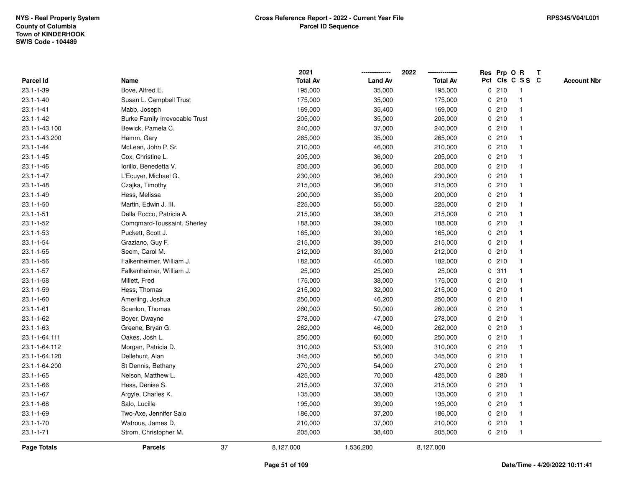|                    |                                       |    | 2021            |                | 2022            |             |       | Res Prp O R    | T               |                    |
|--------------------|---------------------------------------|----|-----------------|----------------|-----------------|-------------|-------|----------------|-----------------|--------------------|
| Parcel Id          | Name                                  |    | <b>Total Av</b> | <b>Land Av</b> | <b>Total Av</b> |             |       |                | Pct Cls C S S C | <b>Account Nbr</b> |
| 23.1-1-39          | Bove, Alfred E.                       |    | 195,000         | 35,000         | 195,000         | 0           | 210   | -1             |                 |                    |
| $23.1 - 1 - 40$    | Susan L. Campbell Trust               |    | 175,000         | 35,000         | 175,000         | 0           | 210   | -1             |                 |                    |
| $23.1 - 1 - 41$    | Mabb, Joseph                          |    | 169,000         | 35,400         | 169,000         |             | 0210  | -1             |                 |                    |
| $23.1 - 1 - 42$    | <b>Burke Family Irrevocable Trust</b> |    | 205,000         | 35,000         | 205,000         |             | 0210  |                |                 |                    |
| 23.1-1-43.100      | Bewick, Pamela C.                     |    | 240,000         | 37,000         | 240,000         |             | 0210  |                |                 |                    |
| 23.1-1-43.200      | Hamm, Gary                            |    | 265,000         | 35,000         | 265,000         |             | 0210  |                |                 |                    |
| $23.1 - 1 - 44$    | McLean, John P. Sr.                   |    | 210,000         | 46,000         | 210,000         |             | 0210  |                |                 |                    |
| $23.1 - 1 - 45$    | Cox, Christine L.                     |    | 205,000         | 36,000         | 205,000         | 0           | 210   |                |                 |                    |
| $23.1 - 1 - 46$    | Iorillo, Benedetta V.                 |    | 205,000         | 36,000         | 205,000         |             | 0210  | -1             |                 |                    |
| $23.1 - 1 - 47$    | L'Ecuyer, Michael G.                  |    | 230,000         | 36,000         | 230,000         |             | 0210  | -1             |                 |                    |
| $23.1 - 1 - 48$    | Czajka, Timothy                       |    | 215,000         | 36,000         | 215,000         |             | 0210  |                |                 |                    |
| $23.1 - 1 - 49$    | Hess, Melissa                         |    | 200,000         | 35,000         | 200,000         |             | 0210  |                |                 |                    |
| $23.1 - 1 - 50$    | Martin, Edwin J. III.                 |    | 225,000         | 55,000         | 225,000         |             | 0210  |                |                 |                    |
| $23.1 - 1 - 51$    | Della Rocco, Patricia A.              |    | 215,000         | 38,000         | 215,000         |             | 0210  |                |                 |                    |
| $23.1 - 1 - 52$    | Comgmard-Toussaint, Sherley           |    | 188,000         | 39,000         | 188,000         | $\mathbf 0$ | 210   |                |                 |                    |
| $23.1 - 1 - 53$    | Puckett, Scott J.                     |    | 165,000         | 39,000         | 165,000         |             | 0210  | $\overline{1}$ |                 |                    |
| $23.1 - 1 - 54$    | Graziano, Guy F.                      |    | 215,000         | 39,000         | 215,000         |             | 0210  | $\mathbf{1}$   |                 |                    |
| $23.1 - 1 - 55$    | Seem, Carol M.                        |    | 212,000         | 39,000         | 212,000         |             | 0210  |                |                 |                    |
| $23.1 - 1 - 56$    | Falkenheimer, William J.              |    | 182,000         | 46,000         | 182,000         |             | 0210  |                |                 |                    |
| $23.1 - 1 - 57$    | Falkenheimer, William J.              |    | 25,000          | 25,000         | 25,000          |             | 0.311 |                |                 |                    |
| $23.1 - 1 - 58$    | Millett, Fred                         |    | 175,000         | 38,000         | 175,000         |             | 0210  |                |                 |                    |
| 23.1-1-59          | Hess, Thomas                          |    | 215,000         | 32,000         | 215,000         |             | 0210  |                |                 |                    |
| $23.1 - 1 - 60$    | Amerling, Joshua                      |    | 250,000         | 46,200         | 250,000         |             | 0210  | -1             |                 |                    |
| $23.1 - 1 - 61$    | Scanlon, Thomas                       |    | 260,000         | 50,000         | 260,000         | $\mathbf 0$ | 210   | $\overline{1}$ |                 |                    |
| $23.1 - 1 - 62$    | Boyer, Dwayne                         |    | 278,000         | 47,000         | 278,000         |             | 0210  |                |                 |                    |
| $23.1 - 1 - 63$    | Greene, Bryan G.                      |    | 262,000         | 46,000         | 262,000         |             | 0210  |                |                 |                    |
| 23.1-1-64.111      | Oakes, Josh L.                        |    | 250,000         | 60,000         | 250,000         |             | 0210  |                |                 |                    |
| 23.1-1-64.112      | Morgan, Patricia D.                   |    | 310,000         | 53,000         | 310,000         |             | 0210  |                |                 |                    |
| 23.1-1-64.120      | Dellehunt, Alan                       |    | 345,000         | 56,000         | 345,000         |             | 0210  |                |                 |                    |
| 23.1-1-64.200      | St Dennis, Bethany                    |    | 270,000         | 54,000         | 270,000         | 0           | 210   |                |                 |                    |
| $23.1 - 1 - 65$    | Nelson, Matthew L.                    |    | 425,000         | 70,000         | 425,000         | 0           | 280   | -1             |                 |                    |
| $23.1 - 1 - 66$    | Hess, Denise S.                       |    | 215,000         | 37,000         | 215,000         |             | 0210  | -1             |                 |                    |
| $23.1 - 1 - 67$    | Argyle, Charles K.                    |    | 135,000         | 38,000         | 135,000         |             | 0210  |                |                 |                    |
| $23.1 - 1 - 68$    | Salo, Lucille                         |    | 195,000         | 39,000         | 195,000         |             | 0210  |                |                 |                    |
| 23.1-1-69          | Two-Axe, Jennifer Salo                |    | 186,000         | 37,200         | 186,000         |             | 0210  |                |                 |                    |
| $23.1 - 1 - 70$    | Watrous, James D.                     |    | 210,000         | 37,000         | 210,000         |             | 0210  | -1             |                 |                    |
| $23.1 - 1 - 71$    | Strom, Christopher M.                 |    | 205,000         | 38,400         | 205,000         |             | 0210  | $\overline{1}$ |                 |                    |
| <b>Page Totals</b> | <b>Parcels</b>                        | 37 | 8,127,000       | 1,536,200      | 8,127,000       |             |       |                |                 |                    |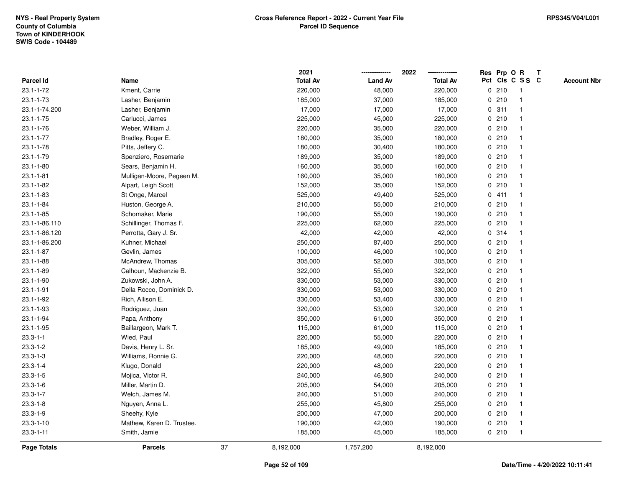|                 |                           |    | 2021            |                | 2022            |              | Res Prp O R |                 | T |                    |
|-----------------|---------------------------|----|-----------------|----------------|-----------------|--------------|-------------|-----------------|---|--------------------|
| Parcel Id       | Name                      |    | <b>Total Av</b> | <b>Land Av</b> | <b>Total Av</b> |              |             | Pct Cls C S S C |   | <b>Account Nbr</b> |
| $23.1 - 1 - 72$ | Kment, Carrie             |    | 220,000         | 48,000         | 220,000         |              | 0210        | -1              |   |                    |
| 23.1-1-73       | Lasher, Benjamin          |    | 185,000         | 37,000         | 185,000         | 0            | 210         | $\overline{1}$  |   |                    |
| 23.1-1-74.200   | Lasher, Benjamin          |    | 17,000          | 17,000         | 17,000          |              | 0.311       | $\mathbf 1$     |   |                    |
| $23.1 - 1 - 75$ | Carlucci, James           |    | 225,000         | 45,000         | 225,000         |              | 0210        |                 |   |                    |
| $23.1 - 1 - 76$ | Weber, William J.         |    | 220,000         | 35,000         | 220,000         |              | 0210        |                 |   |                    |
| $23.1 - 1 - 77$ | Bradley, Roger E.         |    | 180,000         | 35,000         | 180,000         |              | 0210        |                 |   |                    |
| $23.1 - 1 - 78$ | Pitts, Jeffery C.         |    | 180,000         | 30,400         | 180,000         |              | 0210        |                 |   |                    |
| $23.1 - 1 - 79$ | Spenziero, Rosemarie      |    | 189,000         | 35,000         | 189,000         | 0            | 210         |                 |   |                    |
| $23.1 - 1 - 80$ | Sears, Benjamin H.        |    | 160,000         | 35,000         | 160,000         |              | 0210        |                 |   |                    |
| $23.1 - 1 - 81$ | Mulligan-Moore, Pegeen M. |    | 160,000         | 35,000         | 160,000         |              | 0210        | $\mathbf 1$     |   |                    |
| $23.1 - 1 - 82$ | Alpart, Leigh Scott       |    | 152,000         | 35,000         | 152,000         |              | 0210        |                 |   |                    |
| $23.1 - 1 - 83$ | St Onge, Marcel           |    | 525,000         | 49,400         | 525,000         |              | 0411        |                 |   |                    |
| $23.1 - 1 - 84$ | Huston, George A.         |    | 210,000         | 55,000         | 210,000         |              | 0210        |                 |   |                    |
| $23.1 - 1 - 85$ | Schomaker, Marie          |    | 190,000         | 55,000         | 190,000         |              | 0210        |                 |   |                    |
| 23.1-1-86.110   | Schillinger, Thomas F.    |    | 225,000         | 62,000         | 225,000         | $\mathbf 0$  | 210         |                 |   |                    |
| 23.1-1-86.120   | Perrotta, Gary J. Sr.     |    | 42,000          | 42,000         | 42,000          |              | 0.314       | $\overline{1}$  |   |                    |
| 23.1-1-86.200   | Kuhner, Michael           |    | 250,000         | 87,400         | 250,000         |              | 0210        | $\mathbf{1}$    |   |                    |
| $23.1 - 1 - 87$ | Gevlin, James             |    | 100,000         | 46,000         | 100,000         |              | 0210        |                 |   |                    |
| $23.1 - 1 - 88$ | McAndrew, Thomas          |    | 305,000         | 52,000         | 305,000         |              | 0210        |                 |   |                    |
| 23.1-1-89       | Calhoun, Mackenzie B.     |    | 322,000         | 55,000         | 322,000         |              | 0210        |                 |   |                    |
| 23.1-1-90       | Zukowski, John A.         |    | 330,000         | 53,000         | 330,000         |              | 0210        |                 |   |                    |
| $23.1 - 1 - 91$ | Della Rocco, Dominick D.  |    | 330,000         | 53,000         | 330,000         |              | 0210        |                 |   |                    |
| 23.1-1-92       | Rich, Allison E.          |    | 330,000         | 53,400         | 330,000         |              | 0210        | -1              |   |                    |
| 23.1-1-93       | Rodriguez, Juan           |    | 320,000         | 53,000         | 320,000         | $\mathbf{0}$ | 210         | $\overline{1}$  |   |                    |
| 23.1-1-94       | Papa, Anthony             |    | 350,000         | 61,000         | 350,000         |              | 0210        |                 |   |                    |
| $23.1 - 1 - 95$ | Baillargeon, Mark T.      |    | 115,000         | 61,000         | 115,000         |              | 0210        |                 |   |                    |
| $23.3 - 1 - 1$  | Wied, Paul                |    | 220,000         | 55,000         | 220,000         |              | 0210        |                 |   |                    |
| $23.3 - 1 - 2$  | Davis, Henry L. Sr.       |    | 185,000         | 49,000         | 185,000         |              | 0210        |                 |   |                    |
| $23.3 - 1 - 3$  | Williams, Ronnie G.       |    | 220,000         | 48,000         | 220,000         |              | 0210        |                 |   |                    |
| $23.3 - 1 - 4$  | Klugo, Donald             |    | 220,000         | 48,000         | 220,000         | 0            | 210         |                 |   |                    |
| $23.3 - 1 - 5$  | Mojica, Victor R.         |    | 240,000         | 46,800         | 240,000         |              | 0210        | -1              |   |                    |
| $23.3 - 1 - 6$  | Miller, Martin D.         |    | 205,000         | 54,000         | 205,000         |              | 0210        | $\mathbf 1$     |   |                    |
| $23.3 - 1 - 7$  | Welch, James M.           |    | 240,000         | 51,000         | 240,000         |              | 0210        |                 |   |                    |
| $23.3 - 1 - 8$  | Nguyen, Anna L.           |    | 255,000         | 45,800         | 255,000         |              | 0210        |                 |   |                    |
| $23.3 - 1 - 9$  | Sheehy, Kyle              |    | 200,000         | 47,000         | 200,000         |              | 0210        |                 |   |                    |
| $23.3 - 1 - 10$ | Mathew, Karen D. Trustee. |    | 190,000         | 42,000         | 190,000         |              | 0210        | -1              |   |                    |
| $23.3 - 1 - 11$ | Smith, Jamie              |    | 185,000         | 45,000         | 185,000         |              | 0210        | $\overline{1}$  |   |                    |
| Page Totals     | <b>Parcels</b>            | 37 | 8,192,000       | 1,757,200      | 8,192,000       |              |             |                 |   |                    |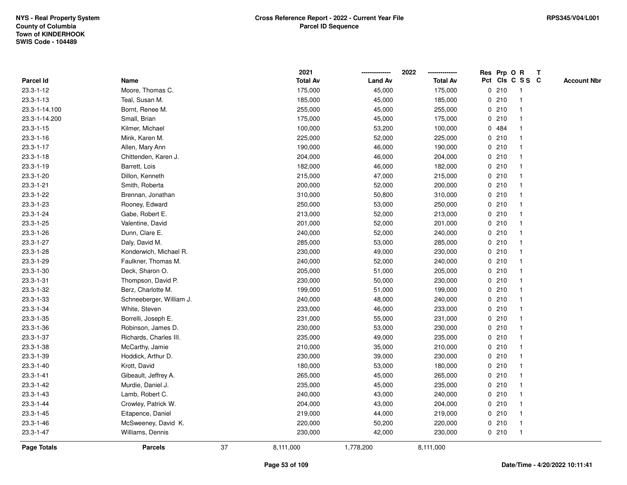|                 |                          |    | 2021            |                | 2022            |             |       | Res Prp O R             | T |                    |
|-----------------|--------------------------|----|-----------------|----------------|-----------------|-------------|-------|-------------------------|---|--------------------|
| Parcel Id       | Name                     |    | <b>Total Av</b> | <b>Land Av</b> | <b>Total Av</b> |             |       | Pct Cls C S S C         |   | <b>Account Nbr</b> |
| $23.3 - 1 - 12$ | Moore, Thomas C.         |    | 175,000         | 45,000         | 175,000         | 0           | 210   | $\mathbf{1}$            |   |                    |
| $23.3 - 1 - 13$ | Teal, Susan M.           |    | 185,000         | 45,000         | 185,000         | 0           | 210   | -1                      |   |                    |
| 23.3-1-14.100   | Bornt, Renee M.          |    | 255,000         | 45,000         | 255,000         |             | 0210  | -1                      |   |                    |
| 23.3-1-14.200   | Small, Brian             |    | 175,000         | 45,000         | 175,000         |             | 0210  |                         |   |                    |
| $23.3 - 1 - 15$ | Kilmer, Michael          |    | 100,000         | 53,200         | 100,000         |             | 0 484 |                         |   |                    |
| $23.3 - 1 - 16$ | Mink, Karen M.           |    | 225,000         | 52,000         | 225,000         |             | 0210  |                         |   |                    |
| 23.3-1-17       | Allen, Mary Ann          |    | 190,000         | 46,000         | 190,000         |             | 0210  |                         |   |                    |
| $23.3 - 1 - 18$ | Chittenden, Karen J.     |    | 204,000         | 46,000         | 204,000         | 0           | 210   |                         |   |                    |
| 23.3-1-19       | Barrett, Lois            |    | 182,000         | 46,000         | 182,000         |             | 0210  | -1                      |   |                    |
| 23.3-1-20       | Dillon, Kenneth          |    | 215,000         | 47,000         | 215,000         |             | 0210  | -1                      |   |                    |
| 23.3-1-21       | Smith, Roberta           |    | 200,000         | 52,000         | 200,000         |             | 0210  |                         |   |                    |
| 23.3-1-22       | Brennan, Jonathan        |    | 310,000         | 50,800         | 310,000         |             | 0210  |                         |   |                    |
| 23.3-1-23       | Rooney, Edward           |    | 250,000         | 53,000         | 250,000         |             | 0210  |                         |   |                    |
| 23.3-1-24       | Gabe, Robert E.          |    | 213,000         | 52,000         | 213,000         |             | 0210  |                         |   |                    |
| 23.3-1-25       | Valentine, David         |    | 201,000         | 52,000         | 201,000         | $\mathbf 0$ | 210   |                         |   |                    |
| 23.3-1-26       | Dunn, Clare E.           |    | 240,000         | 52,000         | 240,000         | $\mathbf 0$ | 210   | $\overline{\mathbf{1}}$ |   |                    |
| 23.3-1-27       | Daly, David M.           |    | 285,000         | 53,000         | 285,000         | $\mathbf 0$ | 210   | $\mathbf{1}$            |   |                    |
| 23.3-1-28       | Konderwich, Michael R.   |    | 230,000         | 49,000         | 230,000         |             | 0210  |                         |   |                    |
| 23.3-1-29       | Faulkner, Thomas M.      |    | 240,000         | 52,000         | 240,000         |             | 0210  |                         |   |                    |
| 23.3-1-30       | Deck, Sharon O.          |    | 205,000         | 51,000         | 205,000         |             | 0210  |                         |   |                    |
| 23.3-1-31       | Thompson, David P.       |    | 230,000         | 50,000         | 230,000         |             | 0210  |                         |   |                    |
| 23.3-1-32       | Berz, Charlotte M.       |    | 199,000         | 51,000         | 199,000         |             | 0210  |                         |   |                    |
| 23.3-1-33       | Schneeberger, William J. |    | 240,000         | 48,000         | 240,000         | 0           | 210   | -1                      |   |                    |
| 23.3-1-34       | White, Steven            |    | 233,000         | 46,000         | 233,000         | $\mathbf 0$ | 210   | $\mathbf{1}$            |   |                    |
| 23.3-1-35       | Borrelli, Joseph E.      |    | 231,000         | 55,000         | 231,000         |             | 0210  |                         |   |                    |
| 23.3-1-36       | Robinson, James D.       |    | 230,000         | 53,000         | 230,000         |             | 0210  |                         |   |                    |
| 23.3-1-37       | Richards, Charles III.   |    | 235,000         | 49,000         | 235,000         |             | 0210  |                         |   |                    |
| 23.3-1-38       | McCarthy, Jamie          |    | 210,000         | 35,000         | 210,000         |             | 0210  |                         |   |                    |
| 23.3-1-39       | Hoddick, Arthur D.       |    | 230,000         | 39,000         | 230,000         |             | 0210  |                         |   |                    |
| $23.3 - 1 - 40$ | Krott, David             |    | 180,000         | 53,000         | 180,000         | 0           | 210   | -1                      |   |                    |
| 23.3-1-41       | Gibeault, Jeffrey A.     |    | 265,000         | 45,000         | 265,000         |             | 0210  | -1                      |   |                    |
| 23.3-1-42       | Murdie, Daniel J.        |    | 235,000         | 45,000         | 235,000         |             | 0210  | -1                      |   |                    |
| 23.3-1-43       | Lamb, Robert C.          |    | 240,000         | 43,000         | 240,000         |             | 0210  |                         |   |                    |
| 23.3-1-44       | Crowley, Patrick W.      |    | 204,000         | 43,000         | 204,000         |             | 0210  |                         |   |                    |
| 23.3-1-45       | Eitapence, Daniel        |    | 219,000         | 44,000         | 219,000         |             | 0210  | -1                      |   |                    |
| 23.3-1-46       | McSweeney, David K.      |    | 220,000         | 50,200         | 220,000         |             | 0210  | -1                      |   |                    |
| 23.3-1-47       | Williams, Dennis         |    | 230,000         | 42,000         | 230,000         |             | 0210  | $\mathbf{1}$            |   |                    |
| Page Totals     | <b>Parcels</b>           | 37 | 8,111,000       | 1,778,200      | 8,111,000       |             |       |                         |   |                    |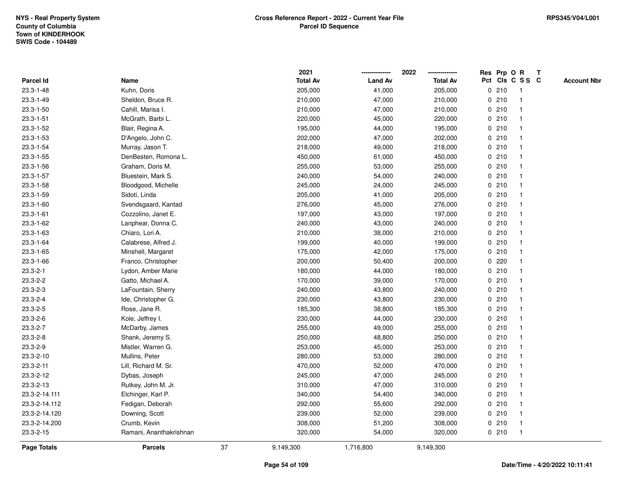|                 |                         |    | 2021            |                | 2022            | Res Prp O R |                         | Т |                    |
|-----------------|-------------------------|----|-----------------|----------------|-----------------|-------------|-------------------------|---|--------------------|
| Parcel Id       | Name                    |    | <b>Total Av</b> | <b>Land Av</b> | <b>Total Av</b> |             | Pct Cls C S S C         |   | <b>Account Nbr</b> |
| $23.3 - 1 - 48$ | Kuhn, Doris             |    | 205,000         | 41,000         | 205,000         | 0210        | $\overline{1}$          |   |                    |
| 23.3-1-49       | Sheldon, Bruce R.       |    | 210,000         | 47,000         | 210,000         | 0210        | $\overline{\mathbf{1}}$ |   |                    |
| 23.3-1-50       | Cahill, Marisa I.       |    | 210,000         | 47,000         | 210,000         | 0210        | 1                       |   |                    |
| $23.3 - 1 - 51$ | McGrath, Barbi L.       |    | 220,000         | 45,000         | 220,000         | 0210        |                         |   |                    |
| 23.3-1-52       | Blair, Regina A.        |    | 195,000         | 44,000         | 195,000         | 0210        |                         |   |                    |
| 23.3-1-53       | D'Angelo, John C.       |    | 202,000         | 47,000         | 202,000         | 0210        |                         |   |                    |
| 23.3-1-54       | Murray, Jason T.        |    | 218,000         | 49,000         | 218,000         | 0210        |                         |   |                    |
| 23.3-1-55       | DenBesten, Romona L.    |    | 450,000         | 61,000         | 450,000         | 0210        | $\overline{\mathbf{1}}$ |   |                    |
| 23.3-1-56       | Graham, Doris M.        |    | 255,000         | 53,000         | 255,000         | 0210        | -1                      |   |                    |
| 23.3-1-57       | Bluestein, Mark S.      |    | 240,000         | 54,000         | 240,000         | 0210        | -1                      |   |                    |
| 23.3-1-58       | Bloodgood, Michelle     |    | 245,000         | 24,000         | 245,000         | 0210        |                         |   |                    |
| 23.3-1-59       | Sidoti, Linda           |    | 205,000         | 41,000         | 205,000         | 0210        |                         |   |                    |
| 23.3-1-60       | Svendsgaard, Kantad     |    | 276,000         | 45,000         | 276,000         | 0210        |                         |   |                    |
| $23.3 - 1 - 61$ | Cozzolino, Janet E.     |    | 197,000         | 43,000         | 197,000         | 0210        |                         |   |                    |
| 23.3-1-62       | Lanphear, Donna C.      |    | 240,000         | 43,000         | 240,000         | 0210        | -1                      |   |                    |
| 23.3-1-63       | Chiaro, Lori A.         |    | 210,000         | 38,000         | 210,000         | 0210        | -1                      |   |                    |
| 23.3-1-64       | Calabrese, Alfred J.    |    | 199,000         | 40,000         | 199,000         | 0210        | -1                      |   |                    |
| $23.3 - 1 - 65$ | Minshell, Margaret      |    | 175,000         | 42,000         | 175,000         | 0210        |                         |   |                    |
| 23.3-1-66       | Franco, Christopher     |    | 200,000         | 50,400         | 200,000         | $0$ 220     |                         |   |                    |
| $23.3 - 2 - 1$  | Lydon, Amber Marie      |    | 180,000         | 44,000         | 180,000         | 0210        |                         |   |                    |
| $23.3 - 2 - 2$  | Gatto, Michael A.       |    | 170,000         | 39,000         | 170,000         | 0210        |                         |   |                    |
| 23.3-2-3        | LaFountain, Sherry      |    | 240,000         | 43,800         | 240,000         | 0210        |                         |   |                    |
| 23.3-2-4        | Ide, Christopher G.     |    | 230,000         | 43,800         | 230,000         | 0210        | -1                      |   |                    |
| 23.3-2-5        | Rose, Jane R.           |    | 185,300         | 38,800         | 185,300         | 0210        | -1                      |   |                    |
| 23.3-2-6        | Kole, Jeffrey I.        |    | 230,000         | 44,000         | 230,000         | 0210        |                         |   |                    |
| 23.3-2-7        | McDarby, James          |    | 255,000         | 49,000         | 255,000         | 0210        |                         |   |                    |
| 23.3-2-8        | Shank, Jeremy S.        |    | 250,000         | 48,800         | 250,000         | 0210        |                         |   |                    |
| 23.3-2-9        | Mistler, Warren G.      |    | 253,000         | 45,000         | 253,000         | 0210        |                         |   |                    |
| 23.3-2-10       | Mullins, Peter          |    | 280,000         | 53,000         | 280,000         | 0210        | -1                      |   |                    |
| 23.3-2-11       | Lill, Richard M. Sr.    |    | 470,000         | 52,000         | 470,000         | 0210        | -1                      |   |                    |
| 23.3-2-12       | Dybas, Joseph           |    | 245,000         | 47,000         | 245,000         | 0210        | -1                      |   |                    |
| 23.3-2-13       | Rutkey, John M. Jr.     |    | 310,000         | 47,000         | 310,000         | 0210        |                         |   |                    |
| 23.3-2-14.111   | Elchinger, Karl P.      |    | 340,000         | 54,400         | 340,000         | 0210        |                         |   |                    |
| 23.3-2-14.112   | Fedigan, Deborah        |    | 292,000         | 55,600         | 292,000         | 0210        |                         |   |                    |
| 23.3-2-14.120   | Downing, Scott          |    | 239,000         | 52,000         | 239,000         | 0210        | -1                      |   |                    |
| 23.3-2-14.200   | Crumb, Kevin            |    | 308,000         | 51,200         | 308,000         | 0210        | $\overline{\mathbf{1}}$ |   |                    |
| 23.3-2-15       | Ramani, Ananthakrishnan |    | 320,000         | 54,000         | 320,000         | 0210        | $\overline{1}$          |   |                    |
| Page Totals     | <b>Parcels</b>          | 37 | 9,149,300       | 1,716,800      | 9,149,300       |             |                         |   |                    |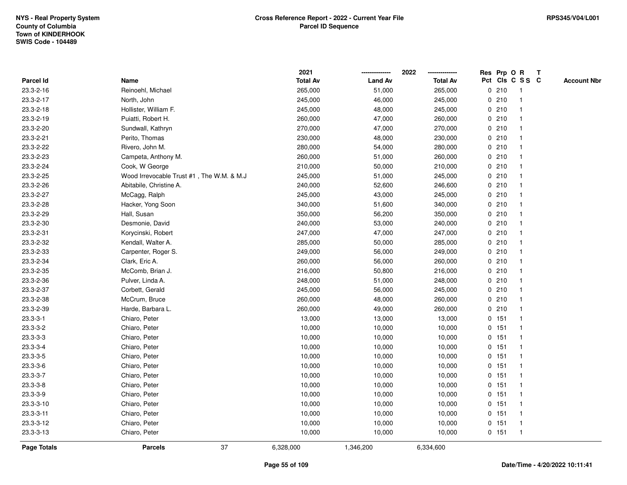|                |                                           | 2021            |                | 2022            | Res Prp O R |         |                         | T |                    |
|----------------|-------------------------------------------|-----------------|----------------|-----------------|-------------|---------|-------------------------|---|--------------------|
| Parcel Id      | Name                                      | <b>Total Av</b> | <b>Land Av</b> | <b>Total Av</b> |             |         | Pct Cls C S S C         |   | <b>Account Nbr</b> |
| 23.3-2-16      | Reinoehl, Michael                         | 265,000         | 51,000         | 265,000         | 0           | 210     | $\mathbf{1}$            |   |                    |
| 23.3-2-17      | North, John                               | 245,000         | 46,000         | 245,000         | 0           | 210     | -1                      |   |                    |
| 23.3-2-18      | Hollister, William F.                     | 245,000         | 48,000         | 245,000         |             | 0210    | $\mathbf 1$             |   |                    |
| 23.3-2-19      | Puiatti, Robert H.                        | 260,000         | 47,000         | 260,000         |             | 0210    |                         |   |                    |
| 23.3-2-20      | Sundwall, Kathryn                         | 270,000         | 47,000         | 270,000         |             | 0210    |                         |   |                    |
| 23.3-2-21      | Perito, Thomas                            | 230,000         | 48,000         | 230,000         |             | 0210    |                         |   |                    |
| 23.3-2-22      | Rivero, John M.                           | 280,000         | 54,000         | 280,000         |             | 0210    |                         |   |                    |
| 23.3-2-23      | Campeta, Anthony M.                       | 260,000         | 51,000         | 260,000         | 0           | 210     |                         |   |                    |
| 23.3-2-24      | Cook, W George                            | 210,000         | 50,000         | 210,000         | 0           | 210     | -1                      |   |                    |
| 23.3-2-25      | Wood Irrevocable Trust #1, The W.M. & M.J | 245,000         | 51,000         | 245,000         |             | 0210    | -1                      |   |                    |
| 23.3-2-26      | Abitabile, Christine A.                   | 240,000         | 52,600         | 246,600         |             | 0210    |                         |   |                    |
| 23.3-2-27      | McCagg, Ralph                             | 245,000         | 43,000         | 245,000         |             | 0210    |                         |   |                    |
| 23.3-2-28      | Hacker, Yong Soon                         | 340,000         | 51,600         | 340,000         |             | 0210    |                         |   |                    |
| 23.3-2-29      | Hall, Susan                               | 350,000         | 56,200         | 350,000         |             | 0210    |                         |   |                    |
| 23.3-2-30      | Desmonie, David                           | 240,000         | 53,000         | 240,000         | $\mathbf 0$ | 210     |                         |   |                    |
| 23.3-2-31      | Korycinski, Robert                        | 247,000         | 47,000         | 247,000         |             | 0210    | $\mathbf{1}$            |   |                    |
| 23.3-2-32      | Kendall, Walter A.                        | 285,000         | 50,000         | 285,000         |             | 0210    | $\overline{\mathbf{1}}$ |   |                    |
| 23.3-2-33      | Carpenter, Roger S.                       | 249,000         | 56,000         | 249,000         |             | 0210    |                         |   |                    |
| 23.3-2-34      | Clark, Eric A.                            | 260,000         | 56,000         | 260,000         |             | 0210    |                         |   |                    |
| 23.3-2-35      | McComb, Brian J.                          | 216,000         | 50,800         | 216,000         |             | 0210    |                         |   |                    |
| 23.3-2-36      | Pulver, Linda A.                          | 248,000         | 51,000         | 248,000         |             | 0210    |                         |   |                    |
| 23.3-2-37      | Corbett, Gerald                           | 245,000         | 56,000         | 245,000         |             | 0210    |                         |   |                    |
| 23.3-2-38      | McCrum, Bruce                             | 260,000         | 48,000         | 260,000         |             | 0210    | $\mathbf{1}$            |   |                    |
| 23.3-2-39      | Harde, Barbara L.                         | 260,000         | 49,000         | 260,000         |             | 0210    | $\mathbf{1}$            |   |                    |
| $23.3 - 3 - 1$ | Chiaro, Peter                             | 13,000          | 13,000         | 13,000          |             | $0$ 151 | $\mathbf 1$             |   |                    |
| 23.3-3-2       | Chiaro, Peter                             | 10,000          | 10,000         | 10,000          |             | 0 151   |                         |   |                    |
| $23.3 - 3 - 3$ | Chiaro, Peter                             | 10,000          | 10,000         | 10,000          |             | $0$ 151 |                         |   |                    |
| 23.3-3-4       | Chiaro, Peter                             | 10,000          | 10,000         | 10,000          |             | $0$ 151 |                         |   |                    |
| 23.3-3-5       | Chiaro, Peter                             | 10,000          | 10,000         | 10,000          |             | 0 151   |                         |   |                    |
| 23.3-3-6       | Chiaro, Peter                             | 10,000          | 10,000         | 10,000          |             | 0 151   | $\mathbf{1}$            |   |                    |
| 23.3-3-7       | Chiaro, Peter                             | 10,000          | 10,000         | 10,000          |             | $0$ 151 | $\mathbf{1}$            |   |                    |
| 23.3-3-8       | Chiaro, Peter                             | 10,000          | 10,000         | 10,000          |             | $0$ 151 | $\mathbf 1$             |   |                    |
| 23.3-3-9       | Chiaro, Peter                             | 10,000          | 10,000         | 10,000          |             | $0$ 151 | -1                      |   |                    |
| 23.3-3-10      | Chiaro, Peter                             | 10,000          | 10,000         | 10,000          |             | $0$ 151 |                         |   |                    |
| 23.3-3-11      | Chiaro, Peter                             | 10,000          | 10,000         | 10,000          |             | $0$ 151 | $\mathbf{1}$            |   |                    |
| 23.3-3-12      | Chiaro, Peter                             | 10,000          | 10,000         | 10,000          |             | 0 151   | $\overline{\mathbf{1}}$ |   |                    |
| 23.3-3-13      | Chiaro, Peter                             | 10,000          | 10,000         | 10,000          |             | $0$ 151 | $\mathbf{1}$            |   |                    |
| Page Totals    | 37<br><b>Parcels</b>                      | 6,328,000       | 1,346,200      | 6,334,600       |             |         |                         |   |                    |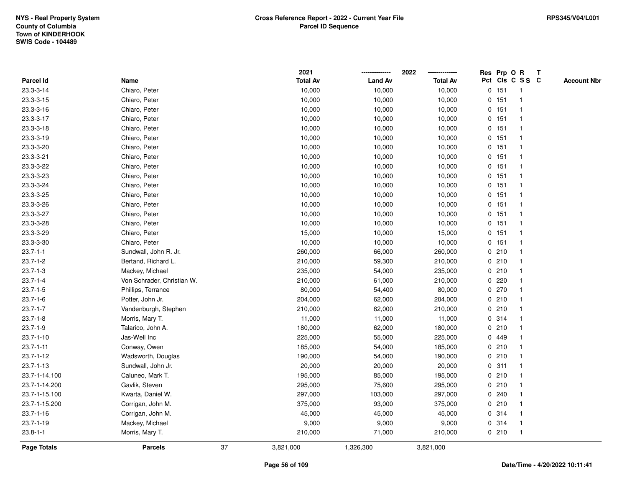|                 |                            |    | 2021            |                | 2022            |         | Res Prp O R             | Т                  |
|-----------------|----------------------------|----|-----------------|----------------|-----------------|---------|-------------------------|--------------------|
| Parcel Id       | Name                       |    | <b>Total Av</b> | <b>Land Av</b> | <b>Total Av</b> |         | Pct Cls C S S C         | <b>Account Nbr</b> |
| 23.3-3-14       | Chiaro, Peter              |    | 10,000          | 10,000         | 10,000          | 0 151   | $\overline{\mathbf{1}}$ |                    |
| 23.3-3-15       | Chiaro, Peter              |    | 10,000          | 10,000         | 10,000          | $0$ 151 | $\overline{1}$          |                    |
| 23.3-3-16       | Chiaro, Peter              |    | 10,000          | 10,000         | 10,000          | 0 151   | $\mathbf{1}$            |                    |
| 23.3-3-17       | Chiaro, Peter              |    | 10,000          | 10,000         | 10,000          | 0 151   | 1                       |                    |
| 23.3-3-18       | Chiaro, Peter              |    | 10,000          | 10,000         | 10,000          | 0 151   |                         |                    |
| 23.3-3-19       | Chiaro, Peter              |    | 10,000          | 10,000         | 10,000          | 0 151   |                         |                    |
| 23.3-3-20       | Chiaro, Peter              |    | 10,000          | 10,000         | 10,000          | 0 151   | -1                      |                    |
| 23.3-3-21       | Chiaro, Peter              |    | 10,000          | 10,000         | 10,000          | 0 151   | $\overline{1}$          |                    |
| 23.3-3-22       | Chiaro, Peter              |    | 10,000          | 10,000         | 10,000          | 0 151   | $\overline{1}$          |                    |
| 23.3-3-23       | Chiaro, Peter              |    | 10,000          | 10,000         | 10,000          | 0 151   | $\overline{1}$          |                    |
| 23.3-3-24       | Chiaro, Peter              |    | 10,000          | 10,000         | 10,000          | 0 151   | -1                      |                    |
| 23.3-3-25       | Chiaro, Peter              |    | 10,000          | 10,000         | 10,000          | 0 151   |                         |                    |
| 23.3-3-26       | Chiaro, Peter              |    | 10,000          | 10,000         | 10,000          | 0 151   |                         |                    |
| 23.3-3-27       | Chiaro, Peter              |    | 10,000          | 10,000         | 10,000          | $0$ 151 | 1                       |                    |
| 23.3-3-28       | Chiaro, Peter              |    | 10,000          | 10,000         | 10,000          | 0 151   | $\overline{1}$          |                    |
| 23.3-3-29       | Chiaro, Peter              |    | 15,000          | 10,000         | 15,000          | 0, 151  | $\overline{1}$          |                    |
| 23.3-3-30       | Chiaro, Peter              |    | 10,000          | 10,000         | 10,000          | 0 151   | $\mathbf{1}$            |                    |
| $23.7 - 1 - 1$  | Sundwall, John R. Jr.      |    | 260,000         | 66,000         | 260,000         | 0210    |                         |                    |
| $23.7 - 1 - 2$  | Bertand, Richard L.        |    | 210,000         | 59,300         | 210,000         | 0210    |                         |                    |
| $23.7 - 1 - 3$  | Mackey, Michael            |    | 235,000         | 54,000         | 235,000         | 0210    |                         |                    |
| $23.7 - 1 - 4$  | Von Schrader, Christian W. |    | 210,000         | 61,000         | 210,000         | 0220    |                         |                    |
| $23.7 - 1 - 5$  | Phillips, Terrance         |    | 80,000          | 54,400         | 80,000          | 0 270   | -1                      |                    |
| $23.7 - 1 - 6$  | Potter, John Jr.           |    | 204,000         | 62,000         | 204,000         | 0210    | -1                      |                    |
| $23.7 - 1 - 7$  | Vandenburgh, Stephen       |    | 210,000         | 62,000         | 210,000         | 0210    | $\mathbf{1}$            |                    |
| $23.7 - 1 - 8$  | Morris, Mary T.            |    | 11,000          | 11,000         | 11,000          | 0.314   |                         |                    |
| $23.7 - 1 - 9$  | Talarico, John A.          |    | 180,000         | 62,000         | 180,000         | 0210    |                         |                    |
| $23.7 - 1 - 10$ | Jas-Well Inc               |    | 225,000         | 55,000         | 225,000         | 0 449   |                         |                    |
| $23.7 - 1 - 11$ | Conway, Owen               |    | 185,000         | 54,000         | 185,000         | 0210    |                         |                    |
| $23.7 - 1 - 12$ | Wadsworth, Douglas         |    | 190,000         | 54,000         | 190,000         | 0210    | $\overline{\mathbf{1}}$ |                    |
| $23.7 - 1 - 13$ | Sundwall, John Jr.         |    | 20,000          | 20,000         | 20,000          | 0.311   | -1                      |                    |
| 23.7-1-14.100   | Caluneo, Mark T.           |    | 195,000         | 85,000         | 195,000         | 0210    | $\mathbf{1}$            |                    |
| 23.7-1-14.200   | Gavlik, Steven             |    | 295,000         | 75,600         | 295,000         | 0210    |                         |                    |
| 23.7-1-15.100   | Kwarta, Daniel W.          |    | 297,000         | 103,000        | 297,000         | 0.240   |                         |                    |
| 23.7-1-15.200   | Corrigan, John M.          |    | 375,000         | 93,000         | 375,000         | 0210    |                         |                    |
| $23.7 - 1 - 16$ | Corrigan, John M.          |    | 45,000          | 45,000         | 45,000          | 0.314   | -1                      |                    |
| 23.7-1-19       | Mackey, Michael            |    | 9,000           | 9,000          | 9,000           | 0.314   | -1                      |                    |
| $23.8 - 1 - 1$  | Morris, Mary T.            |    | 210,000         | 71,000         | 210,000         | 0210    | $\overline{1}$          |                    |
| Page Totals     | <b>Parcels</b>             | 37 | 3,821,000       | 1,326,300      | 3,821,000       |         |                         |                    |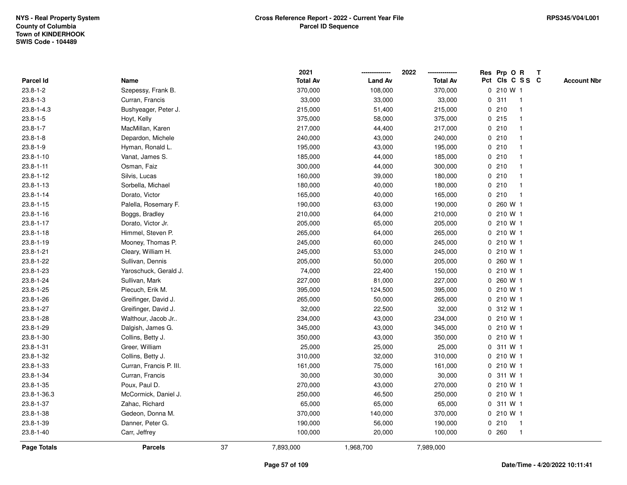|                    |                         |    | 2021            |                | 2022            |   | Res Prp O R     |              | Т |                    |
|--------------------|-------------------------|----|-----------------|----------------|-----------------|---|-----------------|--------------|---|--------------------|
| Parcel Id          | Name                    |    | <b>Total Av</b> | <b>Land Av</b> | <b>Total Av</b> |   | Pct Cls C S S C |              |   | <b>Account Nbr</b> |
| $23.8 - 1 - 2$     | Szepessy, Frank B.      |    | 370,000         | 108,000        | 370,000         |   | 0 210 W 1       |              |   |                    |
| $23.8 - 1 - 3$     | Curran, Francis         |    | 33,000          | 33,000         | 33,000          | 0 | 311             | $\mathbf 1$  |   |                    |
| $23.8 - 1 - 4.3$   | Bushyeager, Peter J.    |    | 215,000         | 51,400         | 215,000         |   | 0210            |              |   |                    |
| $23.8 - 1 - 5$     | Hoyt, Kelly             |    | 375,000         | 58,000         | 375,000         |   | 0215            |              |   |                    |
| $23.8 - 1 - 7$     | MacMillan, Karen        |    | 217,000         | 44,400         | 217,000         |   | 0210            |              |   |                    |
| $23.8 - 1 - 8$     | Depardon, Michele       |    | 240,000         | 43,000         | 240,000         |   | 0210            |              |   |                    |
| $23.8 - 1 - 9$     | Hyman, Ronald L.        |    | 195,000         | 43,000         | 195,000         |   | 0210            |              |   |                    |
| $23.8 - 1 - 10$    | Vanat, James S.         |    | 185,000         | 44,000         | 185,000         |   | 0210            |              |   |                    |
| $23.8 - 1 - 11$    | Osman, Faiz             |    | 300,000         | 44,000         | 300,000         |   | 0210            |              |   |                    |
| $23.8 - 1 - 12$    | Silvis, Lucas           |    | 160,000         | 39,000         | 180,000         |   | 0210            |              |   |                    |
| $23.8 - 1 - 13$    | Sorbella, Michael       |    | 180,000         | 40,000         | 180,000         |   | 0210            |              |   |                    |
| $23.8 - 1 - 14$    | Dorato, Victor          |    | 165,000         | 40,000         | 165,000         |   | 0210            |              |   |                    |
| $23.8 - 1 - 15$    | Palella, Rosemary F.    |    | 190,000         | 63,000         | 190,000         |   | 0 260 W 1       |              |   |                    |
| $23.8 - 1 - 16$    | Boggs, Bradley          |    | 210,000         | 64,000         | 210,000         |   | 0 210 W 1       |              |   |                    |
| $23.8 - 1 - 17$    | Dorato, Victor Jr.      |    | 205,000         | 65,000         | 205,000         |   | 0 210 W 1       |              |   |                    |
| $23.8 - 1 - 18$    | Himmel, Steven P.       |    | 265,000         | 64,000         | 265,000         |   | 0 210 W 1       |              |   |                    |
| $23.8 - 1 - 19$    | Mooney, Thomas P.       |    | 245,000         | 60,000         | 245,000         |   | 0 210 W 1       |              |   |                    |
| $23.8 - 1 - 21$    | Cleary, William H.      |    | 245,000         | 53,000         | 245,000         |   | 0 210 W 1       |              |   |                    |
| 23.8-1-22          | Sullivan, Dennis        |    | 205,000         | 50,000         | 205,000         |   | 0 260 W 1       |              |   |                    |
| 23.8-1-23          | Yaroschuck, Gerald J.   |    | 74,000          | 22,400         | 150,000         |   | 0 210 W 1       |              |   |                    |
| 23.8-1-24          | Sullivan, Mark          |    | 227,000         | 81,000         | 227,000         |   | 0 260 W 1       |              |   |                    |
| 23.8-1-25          | Piecuch, Erik M.        |    | 395,000         | 124,500        | 395,000         |   | 0 210 W 1       |              |   |                    |
| 23.8-1-26          | Greifinger, David J.    |    | 265,000         | 50,000         | 265,000         |   | 0 210 W 1       |              |   |                    |
| 23.8-1-27          | Greifinger, David J.    |    | 32,000          | 22,500         | 32,000          |   | 0 312 W 1       |              |   |                    |
| 23.8-1-28          | Walthour, Jacob Jr      |    | 234,000         | 43,000         | 234,000         |   | 0 210 W 1       |              |   |                    |
| 23.8-1-29          | Dalgish, James G.       |    | 345,000         | 43,000         | 345,000         |   | 0 210 W 1       |              |   |                    |
| 23.8-1-30          | Collins, Betty J.       |    | 350,000         | 43,000         | 350,000         |   | 0 210 W 1       |              |   |                    |
| 23.8-1-31          | Greer, William          |    | 25,000          | 25,000         | 25,000          |   | 0 311 W 1       |              |   |                    |
| 23.8-1-32          | Collins, Betty J.       |    | 310,000         | 32,000         | 310,000         |   | $0, 210$ W 1    |              |   |                    |
| 23.8-1-33          | Curran, Francis P. III. |    | 161,000         | 75,000         | 161,000         |   | 0 210 W 1       |              |   |                    |
| 23.8-1-34          | Curran, Francis         |    | 30,000          | 30,000         | 30,000          | 0 | 311 W 1         |              |   |                    |
| 23.8-1-35          | Poux, Paul D.           |    | 270,000         | 43,000         | 270,000         |   | 0 210 W 1       |              |   |                    |
| 23.8-1-36.3        | McCormick, Daniel J.    |    | 250,000         | 46,500         | 250,000         |   | 0 210 W 1       |              |   |                    |
| 23.8-1-37          | Zahac, Richard          |    | 65,000          | 65,000         | 65,000          |   | 0 311 W 1       |              |   |                    |
| 23.8-1-38          | Gedeon, Donna M.        |    | 370,000         | 140,000        | 370,000         |   | 0 210 W 1       |              |   |                    |
| 23.8-1-39          | Danner, Peter G.        |    | 190,000         | 56,000         | 190,000         |   | 0210            | $\mathbf 1$  |   |                    |
| 23.8-1-40          | Carr, Jeffrey           |    | 100,000         | 20,000         | 100,000         |   | 0.260           | $\mathbf{1}$ |   |                    |
| <b>Page Totals</b> | <b>Parcels</b>          | 37 | 7,893,000       | 1,968,700      | 7,989,000       |   |                 |              |   |                    |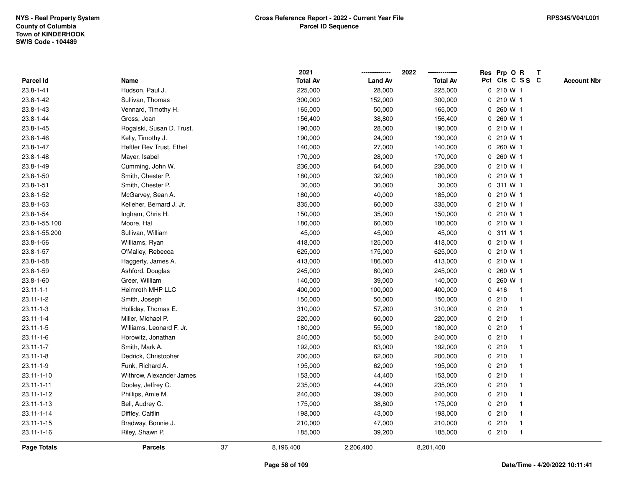|                  |                           |    | 2021            |                | 2022            |             | Res Prp O R     |              | Т |                    |
|------------------|---------------------------|----|-----------------|----------------|-----------------|-------------|-----------------|--------------|---|--------------------|
| Parcel Id        | Name                      |    | <b>Total Av</b> | <b>Land Av</b> | <b>Total Av</b> |             | Pct Cls C S S C |              |   | <b>Account Nbr</b> |
| $23.8 - 1 - 41$  | Hudson, Paul J.           |    | 225,000         | 28,000         | 225,000         |             | 0 210 W 1       |              |   |                    |
| 23.8-1-42        | Sullivan, Thomas          |    | 300,000         | 152,000        | 300,000         | 0           | 210 W 1         |              |   |                    |
| 23.8-1-43        | Vennard, Timothy H.       |    | 165,000         | 50,000         | 165,000         |             | $0, 260$ W 1    |              |   |                    |
| 23.8-1-44        | Gross, Joan               |    | 156,400         | 38,800         | 156,400         |             | 0 260 W 1       |              |   |                    |
| 23.8-1-45        | Rogalski, Susan D. Trust. |    | 190,000         | 28,000         | 190,000         |             | 0 210 W 1       |              |   |                    |
| 23.8-1-46        | Kelly, Timothy J.         |    | 190,000         | 24,000         | 190,000         |             | 0 210 W 1       |              |   |                    |
| 23.8-1-47        | Heftler Rev Trust, Ethel  |    | 140,000         | 27,000         | 140,000         |             | 0 260 W 1       |              |   |                    |
| 23.8-1-48        | Mayer, Isabel             |    | 170,000         | 28,000         | 170,000         | 0           | 260 W 1         |              |   |                    |
| 23.8-1-49        | Cumming, John W.          |    | 236,000         | 64,000         | 236,000         |             | 0 210 W 1       |              |   |                    |
| 23.8-1-50        | Smith, Chester P.         |    | 180,000         | 32,000         | 180,000         |             | 0 210 W 1       |              |   |                    |
| 23.8-1-51        | Smith, Chester P.         |    | 30,000          | 30,000         | 30,000          |             | 0.311 W1        |              |   |                    |
| 23.8-1-52        | McGarvey, Sean A.         |    | 180,000         | 40,000         | 185,000         |             | 0 210 W 1       |              |   |                    |
| 23.8-1-53        | Kelleher, Bernard J. Jr.  |    | 335,000         | 60,000         | 335,000         |             | 0 210 W 1       |              |   |                    |
| 23.8-1-54        | Ingham, Chris H.          |    | 150,000         | 35,000         | 150,000         |             | 0 210 W 1       |              |   |                    |
| 23.8-1-55.100    | Moore, Hal                |    | 180,000         | 60,000         | 180,000         |             | 0 210 W 1       |              |   |                    |
| 23.8-1-55.200    | Sullivan, William         |    | 45,000          | 45,000         | 45,000          |             | 0.311 W1        |              |   |                    |
| 23.8-1-56        | Williams, Ryan            |    | 418,000         | 125,000        | 418,000         |             | 0 210 W 1       |              |   |                    |
| 23.8-1-57        | O'Malley, Rebecca         |    | 625,000         | 175,000        | 625,000         |             | 0 210 W 1       |              |   |                    |
| 23.8-1-58        | Haggerty, James A.        |    | 413,000         | 186,000        | 413,000         |             | 0 210 W 1       |              |   |                    |
| 23.8-1-59        | Ashford, Douglas          |    | 245,000         | 80,000         | 245,000         |             | 0 260 W 1       |              |   |                    |
| $23.8 - 1 - 60$  | Greer, William            |    | 140,000         | 39,000         | 140,000         |             | 0 260 W 1       |              |   |                    |
| $23.11 - 1 - 1$  | Heimroth MHP LLC          |    | 400,000         | 100,000        | 400,000         |             | 0416            | -1           |   |                    |
| $23.11 - 1 - 2$  | Smith, Joseph             |    | 150,000         | 50,000         | 150,000         |             | 0210            | -1           |   |                    |
| $23.11 - 1 - 3$  | Holliday, Thomas E.       |    | 310,000         | 57,200         | 310,000         |             | 0210            | $\mathbf 1$  |   |                    |
| $23.11 - 1 - 4$  | Miller, Michael P.        |    | 220,000         | 60,000         | 220,000         |             | 0210            |              |   |                    |
| $23.11 - 1 - 5$  | Williams, Leonard F. Jr.  |    | 180,000         | 55,000         | 180,000         |             | 0210            |              |   |                    |
| $23.11 - 1 - 6$  | Horowitz, Jonathan        |    | 240,000         | 55,000         | 240,000         |             | 0210            |              |   |                    |
| $23.11 - 1 - 7$  | Smith, Mark A.            |    | 192,000         | 63,000         | 192,000         |             | 0210            |              |   |                    |
| $23.11 - 1 - 8$  | Dedrick, Christopher      |    | 200,000         | 62,000         | 200,000         |             | 0210            |              |   |                    |
| $23.11 - 1 - 9$  | Funk, Richard A.          |    | 195,000         | 62,000         | 195,000         | $\mathbf 0$ | 210             | -1           |   |                    |
| 23.11-1-10       | Withrow, Alexander James  |    | 153,000         | 44,400         | 153,000         |             | 0210            |              |   |                    |
| $23.11 - 1 - 11$ | Dooley, Jeffrey C.        |    | 235,000         | 44,000         | 235,000         |             | 0210            |              |   |                    |
| 23.11-1-12       | Phillips, Amie M.         |    | 240,000         | 39,000         | 240,000         |             | 0210            |              |   |                    |
| 23.11-1-13       | Bell, Audrey C.           |    | 175,000         | 38,800         | 175,000         |             | 0210            |              |   |                    |
| $23.11 - 1 - 14$ | Diffley, Caitlin          |    | 198,000         | 43,000         | 198,000         |             | 0210            |              |   |                    |
| 23.11-1-15       | Bradway, Bonnie J.        |    | 210,000         | 47,000         | 210,000         |             | 0210            | $\mathbf 1$  |   |                    |
| 23.11-1-16       | Riley, Shawn P.           |    | 185,000         | 39,200         | 185,000         |             | 0210            | $\mathbf{1}$ |   |                    |
| Page Totals      | <b>Parcels</b>            | 37 | 8,196,400       | 2,206,400      | 8,201,400       |             |                 |              |   |                    |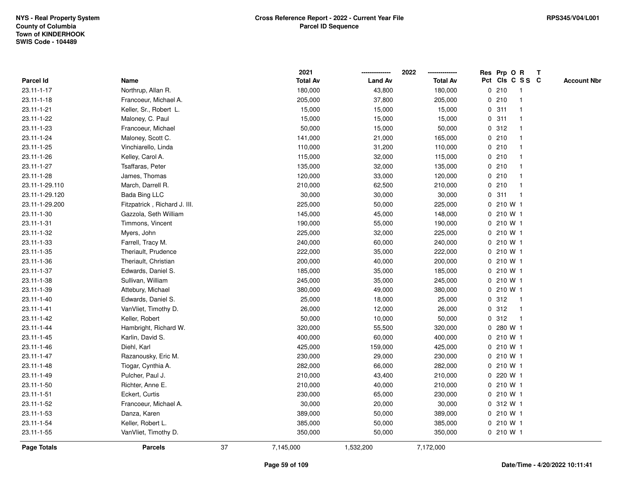|                  |                              |    | 2021            |                | 2022            |   | Res Prp O R     |                | Т |                    |
|------------------|------------------------------|----|-----------------|----------------|-----------------|---|-----------------|----------------|---|--------------------|
| <b>Parcel Id</b> | Name                         |    | <b>Total Av</b> | <b>Land Av</b> | <b>Total Av</b> |   | Pct Cls C S S C |                |   | <b>Account Nbr</b> |
| 23.11-1-17       | Northrup, Allan R.           |    | 180,000         | 43,800         | 180,000         |   | 0210            | $\mathbf{1}$   |   |                    |
| 23.11-1-18       | Francoeur, Michael A.        |    | 205,000         | 37,800         | 205,000         |   | 0210            | -1             |   |                    |
| 23.11-1-21       | Keller, Sr., Robert L.       |    | 15,000          | 15,000         | 15,000          |   | 0.311           | $\mathbf 1$    |   |                    |
| 23.11-1-22       | Maloney, C. Paul             |    | 15,000          | 15,000         | 15,000          |   | 0.311           |                |   |                    |
| 23.11-1-23       | Francoeur, Michael           |    | 50,000          | 15,000         | 50,000          |   | 0.312           |                |   |                    |
| 23.11-1-24       | Maloney, Scott C.            |    | 141,000         | 21,000         | 165,000         |   | 0210            |                |   |                    |
| 23.11-1-25       | Vinchiarello, Linda          |    | 110,000         | 31,200         | 110,000         |   | 0210            |                |   |                    |
| 23.11-1-26       | Kelley, Carol A.             |    | 115,000         | 32,000         | 115,000         |   | 0210            |                |   |                    |
| 23.11-1-27       | Tsaffaras, Peter             |    | 135,000         | 32,000         | 135,000         |   | 0210            | -1             |   |                    |
| 23.11-1-28       | James, Thomas                |    | 120,000         | 33,000         | 120,000         |   | 0210            |                |   |                    |
| 23.11-1-29.110   | March, Darrell R.            |    | 210,000         | 62,500         | 210,000         |   | 0210            |                |   |                    |
| 23.11-1-29.120   | <b>Bada Bing LLC</b>         |    | 30,000          | 30,000         | 30,000          |   | 0.311           |                |   |                    |
| 23.11-1-29.200   | Fitzpatrick, Richard J. III. |    | 225,000         | 50,000         | 225,000         |   | 0 210 W 1       |                |   |                    |
| 23.11-1-30       | Gazzola, Seth William        |    | 145,000         | 45,000         | 148,000         |   | 0 210 W 1       |                |   |                    |
| 23.11-1-31       | Timmons, Vincent             |    | 190,000         | 55,000         | 190,000         |   | 0 210 W 1       |                |   |                    |
| 23.11-1-32       | Myers, John                  |    | 225,000         | 32,000         | 225,000         |   | 0 210 W 1       |                |   |                    |
| 23.11-1-33       | Farrell, Tracy M.            |    | 240,000         | 60,000         | 240,000         |   | 0 210 W 1       |                |   |                    |
| 23.11-1-35       | Theriault, Prudence          |    | 222,000         | 35,000         | 222,000         |   | 0 210 W 1       |                |   |                    |
| 23.11-1-36       | Theriault, Christian         |    | 200,000         | 40,000         | 200,000         |   | 0 210 W 1       |                |   |                    |
| 23.11-1-37       | Edwards, Daniel S.           |    | 185,000         | 35,000         | 185,000         |   | 0 210 W 1       |                |   |                    |
| 23.11-1-38       | Sullivan, William            |    | 245,000         | 35,000         | 245,000         |   | 0 210 W 1       |                |   |                    |
| 23.11-1-39       | Attebury, Michael            |    | 380,000         | 49,000         | 380,000         |   | 0 210 W 1       |                |   |                    |
| 23.11-1-40       | Edwards, Daniel S.           |    | 25,000          | 18,000         | 25,000          |   | 0.312           | $\overline{1}$ |   |                    |
| 23.11-1-41       | VanVliet, Timothy D.         |    | 26,000          | 12,000         | 26,000          |   | 0.312           | $\mathbf 1$    |   |                    |
| 23.11-1-42       | Keller, Robert               |    | 50,000          | 10,000         | 50,000          |   | 0.312           | $\mathbf{1}$   |   |                    |
| 23.11-1-44       | Hambright, Richard W.        |    | 320,000         | 55,500         | 320,000         |   | 0 280 W 1       |                |   |                    |
| 23.11-1-45       | Karlin, David S.             |    | 400,000         | 60,000         | 400,000         |   | 0 210 W 1       |                |   |                    |
| 23.11-1-46       | Diehl, Karl                  |    | 425,000         | 159,000        | 425,000         |   | 0 210 W 1       |                |   |                    |
| 23.11-1-47       | Razanousky, Eric M.          |    | 230,000         | 29,000         | 230,000         |   | 0 210 W 1       |                |   |                    |
| 23.11-1-48       | Tiogar, Cynthia A.           |    | 282,000         | 66,000         | 282,000         |   | 0 210 W 1       |                |   |                    |
| 23.11-1-49       | Pulcher, Paul J.             |    | 210,000         | 43,400         | 210,000         | 0 | 220 W 1         |                |   |                    |
| 23.11-1-50       | Richter, Anne E.             |    | 210,000         | 40,000         | 210,000         |   | 0 210 W 1       |                |   |                    |
| 23.11-1-51       | Eckert, Curtis               |    | 230,000         | 65,000         | 230,000         |   | 0 210 W 1       |                |   |                    |
| 23.11-1-52       | Francoeur, Michael A.        |    | 30,000          | 20,000         | 30,000          |   | 0 312 W 1       |                |   |                    |
| 23.11-1-53       | Danza, Karen                 |    | 389,000         | 50,000         | 389,000         |   | 0 210 W 1       |                |   |                    |
| 23.11-1-54       | Keller, Robert L.            |    | 385,000         | 50,000         | 385,000         |   | 0 210 W 1       |                |   |                    |
| 23.11-1-55       | VanVliet, Timothy D.         |    | 350,000         | 50,000         | 350,000         |   | 0 210 W 1       |                |   |                    |
| Page Totals      | <b>Parcels</b>               | 37 | 7,145,000       | 1,532,200      | 7,172,000       |   |                 |                |   |                    |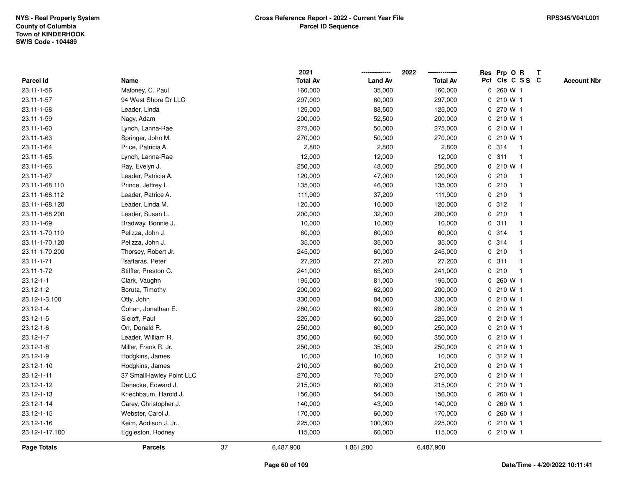|                 |                          |    | 2021            |                | 2022            |             | Res Prp O R     |              | Т |                    |
|-----------------|--------------------------|----|-----------------|----------------|-----------------|-------------|-----------------|--------------|---|--------------------|
| Parcel Id       | Name                     |    | <b>Total Av</b> | <b>Land Av</b> | <b>Total Av</b> |             | Pct Cls C S S C |              |   | <b>Account Nbr</b> |
| 23.11-1-56      | Maloney, C. Paul         |    | 160,000         | 35,000         | 160,000         |             | 0 260 W 1       |              |   |                    |
| 23.11-1-57      | 94 West Shore Dr LLC     |    | 297,000         | 60,000         | 297,000         | 0           | 210 W 1         |              |   |                    |
| 23.11-1-58      | Leader, Linda            |    | 125,000         | 88,500         | 125,000         |             | 0 270 W 1       |              |   |                    |
| 23.11-1-59      | Nagy, Adam               |    | 200,000         | 52,500         | 200,000         |             | 0 210 W 1       |              |   |                    |
| 23.11-1-60      | Lynch, Lanna-Rae         |    | 275,000         | 50,000         | 275,000         |             | 0 210 W 1       |              |   |                    |
| 23.11-1-63      | Springer, John M.        |    | 270,000         | 50,000         | 270,000         |             | 0 210 W 1       |              |   |                    |
| 23.11-1-64      | Price, Patricia A.       |    | 2,800           | 2,800          | 2,800           |             | 0 314           | $\mathbf{1}$ |   |                    |
| 23.11-1-65      | Lynch, Lanna-Rae         |    | 12,000          | 12,000         | 12,000          | $\mathbf 0$ | 311             | $\mathbf{1}$ |   |                    |
| 23.11-1-66      | Ray, Evelyn J.           |    | 250,000         | 48,000         | 250,000         |             | 0 210 W 1       |              |   |                    |
| 23.11-1-67      | Leader, Patricia A.      |    | 120,000         | 47,000         | 120,000         |             | 0210            | $\mathbf 1$  |   |                    |
| 23.11-1-68.110  | Prince, Jeffrey L.       |    | 135,000         | 46,000         | 135,000         |             | 0210            | -1           |   |                    |
| 23.11-1-68.112  | Leader, Patrice A.       |    | 111,900         | 37,200         | 111,900         |             | 0210            |              |   |                    |
| 23.11-1-68.120  | Leader, Linda M.         |    | 120,000         | 10,000         | 120,000         |             | 0.312           |              |   |                    |
| 23.11-1-68.200  | Leader, Susan L.         |    | 200,000         | 32,000         | 200,000         |             | 0210            |              |   |                    |
| 23.11-1-69      | Bradway, Bonnie J.       |    | 10,000          | 10,000         | 10,000          | $\mathbf 0$ | 311             |              |   |                    |
| 23.11-1-70.110  | Pelizza, John J.         |    | 60,000          | 60,000         | 60,000          |             | 0.314           | -1           |   |                    |
| 23.11-1-70.120  | Pelizza, John J.         |    | 35,000          | 35,000         | 35,000          |             | 0 314           |              |   |                    |
| 23.11-1-70.200  | Thorsey, Robert Jr.      |    | 245,000         | 60,000         | 245,000         |             | 0210            |              |   |                    |
| 23.11-1-71      | Tsaffaras, Peter         |    | 27,200          | 27,200         | 27,200          |             | 0.311           |              |   |                    |
| 23.11-1-72      | Stiffler, Preston C.     |    | 241,000         | 65,000         | 241,000         |             | 0210            |              |   |                    |
| $23.12 - 1 - 1$ | Clark, Vaughn            |    | 195,000         | 81,000         | 195,000         |             | 0 260 W 1       |              |   |                    |
| $23.12 - 1 - 2$ | Boruta, Timothy          |    | 200,000         | 62,000         | 200,000         |             | 0 210 W 1       |              |   |                    |
| 23.12-1-3.100   | Otty, John               |    | 330,000         | 84,000         | 330,000         |             | 0 210 W 1       |              |   |                    |
| $23.12 - 1 - 4$ | Cohen, Jonathan E.       |    | 280,000         | 69,000         | 280,000         |             | 0 210 W 1       |              |   |                    |
| $23.12 - 1 - 5$ | Sieloff, Paul            |    | 225,000         | 60,000         | 225,000         |             | 0 210 W 1       |              |   |                    |
| $23.12 - 1 - 6$ | Orr, Donald R.           |    | 250,000         | 60,000         | 250,000         |             | 0 210 W 1       |              |   |                    |
| 23.12-1-7       | Leader, William R.       |    | 350,000         | 60,000         | 350,000         |             | 0 210 W 1       |              |   |                    |
| $23.12 - 1 - 8$ | Miller, Frank R. Jr.     |    | 250,000         | 35,000         | 250,000         |             | 0 210 W 1       |              |   |                    |
| 23.12-1-9       | Hodgkins, James          |    | 10,000          | 10,000         | 10,000          |             | 0 312 W 1       |              |   |                    |
| 23.12-1-10      | Hodgkins, James          |    | 210,000         | 60,000         | 210,000         |             | 0 210 W 1       |              |   |                    |
| 23.12-1-11      | 37 SmallHawley Point LLC |    | 270,000         | 75,000         | 270,000         |             | 0 210 W 1       |              |   |                    |
| 23.12-1-12      | Denecke, Edward J.       |    | 215,000         | 60,000         | 215,000         |             | 0 210 W 1       |              |   |                    |
| 23.12-1-13      | Kriechbaum, Harold J.    |    | 156,000         | 54,000         | 156,000         |             | 0 260 W 1       |              |   |                    |
| 23.12-1-14      | Carey, Christopher J.    |    | 140,000         | 43,000         | 140,000         |             | 0 260 W 1       |              |   |                    |
| 23.12-1-15      | Webster, Carol J.        |    | 170,000         | 60,000         | 170,000         |             | 0 260 W 1       |              |   |                    |
| 23.12-1-16      | Keim, Addison J. Jr      |    | 225,000         | 100,000        | 225,000         |             | 0 210 W 1       |              |   |                    |
| 23.12-1-17.100  | Eggleston, Rodney        |    | 115,000         | 60,000         | 115,000         |             | 0 210 W 1       |              |   |                    |
| Page Totals     | <b>Parcels</b>           | 37 | 6,487,900       | 1,861,200      | 6,487,900       |             |                 |              |   |                    |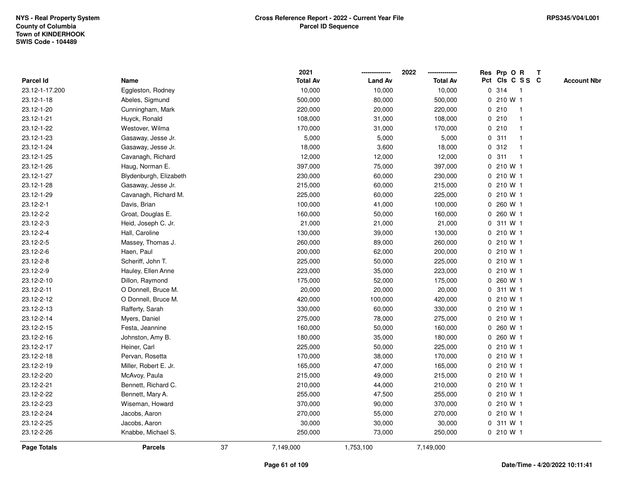|                  |                        |    | 2021            |                | 2022            | Res Prp O R     |    | $\mathbf{T}$ |                    |
|------------------|------------------------|----|-----------------|----------------|-----------------|-----------------|----|--------------|--------------------|
| <b>Parcel Id</b> | Name                   |    | <b>Total Av</b> | <b>Land Av</b> | <b>Total Av</b> | Pct Cls C S S C |    |              | <b>Account Nbr</b> |
| 23.12-1-17.200   | Eggleston, Rodney      |    | 10,000          | 10,000         | 10,000          | 0.314           | -1 |              |                    |
| 23.12-1-18       | Abeles, Sigmund        |    | 500,000         | 80,000         | 500,000         | 0 210 W 1       |    |              |                    |
| 23.12-1-20       | Cunningham, Mark       |    | 220,000         | 20,000         | 220,000         | 0210            |    |              |                    |
| 23.12-1-21       | Huyck, Ronald          |    | 108,000         | 31,000         | 108,000         | 0210            |    |              |                    |
| 23.12-1-22       | Westover, Wilma        |    | 170,000         | 31,000         | 170,000         | 0210            |    |              |                    |
| 23.12-1-23       | Gasaway, Jesse Jr.     |    | 5,000           | 5,000          | 5,000           | 0.311           |    |              |                    |
| 23.12-1-24       | Gasaway, Jesse Jr.     |    | 18,000          | 3,600          | 18,000          | 0.312           |    |              |                    |
| 23.12-1-25       | Cavanagh, Richard      |    | 12,000          | 12,000         | 12,000          | 0.311           |    |              |                    |
| 23.12-1-26       | Haug, Norman E.        |    | 397,000         | 75,000         | 397,000         | 0 210 W 1       |    |              |                    |
| 23.12-1-27       | Blydenburgh, Elizabeth |    | 230,000         | 60,000         | 230,000         | 0 210 W 1       |    |              |                    |
| 23.12-1-28       | Gasaway, Jesse Jr.     |    | 215,000         | 60,000         | 215,000         | 0 210 W 1       |    |              |                    |
| 23.12-1-29       | Cavanagh, Richard M.   |    | 225,000         | 60,000         | 225,000         | 0 210 W 1       |    |              |                    |
| 23.12-2-1        | Davis, Brian           |    | 100,000         | 41,000         | 100,000         | 0 260 W 1       |    |              |                    |
| 23.12-2-2        | Groat, Douglas E.      |    | 160,000         | 50,000         | 160,000         | 0 260 W 1       |    |              |                    |
| 23.12-2-3        | Heid, Joseph C. Jr.    |    | 21,000          | 21,000         | 21,000          | 0 311 W 1       |    |              |                    |
| 23.12-2-4        | Hall, Caroline         |    | 130,000         | 39,000         | 130,000         | 0 210 W 1       |    |              |                    |
| 23.12-2-5        | Massey, Thomas J.      |    | 260,000         | 89,000         | 260,000         | 0 210 W 1       |    |              |                    |
| 23.12-2-6        | Haen, Paul             |    | 200,000         | 62,000         | 200,000         | 0 210 W 1       |    |              |                    |
| 23.12-2-8        | Scheriff, John T.      |    | 225,000         | 50,000         | 225,000         | 0 210 W 1       |    |              |                    |
| 23.12-2-9        | Hauley, Ellen Anne     |    | 223,000         | 35,000         | 223,000         | 0 210 W 1       |    |              |                    |
| 23.12-2-10       | Dillon, Raymond        |    | 175,000         | 52,000         | 175,000         | 0 260 W 1       |    |              |                    |
| 23.12-2-11       | O Donnell, Bruce M.    |    | 20,000          | 20,000         | 20,000          | 0 311 W 1       |    |              |                    |
| 23.12-2-12       | O Donnell, Bruce M.    |    | 420,000         | 100,000        | 420,000         | 0 210 W 1       |    |              |                    |
| 23.12-2-13       | Rafferty, Sarah        |    | 330,000         | 60,000         | 330,000         | 0 210 W 1       |    |              |                    |
| 23.12-2-14       | Myers, Daniel          |    | 275,000         | 78,000         | 275,000         | 0 210 W 1       |    |              |                    |
| 23.12-2-15       | Festa, Jeannine        |    | 160,000         | 50,000         | 160,000         | 0 260 W 1       |    |              |                    |
| 23.12-2-16       | Johnston, Amy B.       |    | 180,000         | 35,000         | 180,000         | 0 260 W 1       |    |              |                    |
| 23.12-2-17       | Heiner, Carl           |    | 225,000         | 50,000         | 225,000         | 0 210 W 1       |    |              |                    |
| 23.12-2-18       | Pervan, Rosetta        |    | 170,000         | 38,000         | 170,000         | 0 210 W 1       |    |              |                    |
| 23.12-2-19       | Miller, Robert E. Jr.  |    | 165,000         | 47,000         | 165,000         | 0 210 W 1       |    |              |                    |
| 23.12-2-20       | McAvoy, Paula          |    | 215,000         | 49,000         | 215,000         | 0 210 W 1       |    |              |                    |
| 23.12-2-21       | Bennett, Richard C.    |    | 210,000         | 44,000         | 210,000         | 0 210 W 1       |    |              |                    |
| 23.12-2-22       | Bennett, Mary A.       |    | 255,000         | 47,500         | 255,000         | $0, 210$ W 1    |    |              |                    |
| 23.12-2-23       | Wiseman, Howard        |    | 370,000         | 90,000         | 370,000         | 0 210 W 1       |    |              |                    |
| 23.12-2-24       | Jacobs, Aaron          |    | 270,000         | 55,000         | 270,000         | 0 210 W 1       |    |              |                    |
| 23.12-2-25       | Jacobs, Aaron          |    | 30,000          | 30,000         | 30,000          | 0 311 W 1       |    |              |                    |
| 23.12-2-26       | Knabbe, Michael S.     |    | 250,000         | 73,000         | 250,000         | 0 210 W 1       |    |              |                    |
| Page Totals      | <b>Parcels</b>         | 37 | 7,149,000       | 1,753,100      | 7,149,000       |                 |    |              |                    |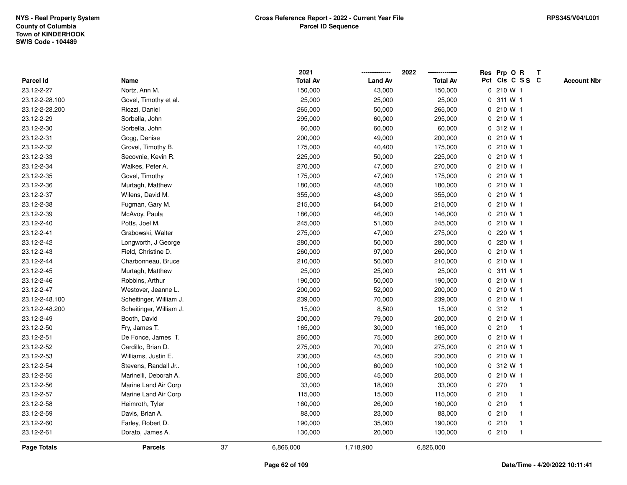|                |                         |    | 2021            |                | 2022            | Res Prp O R<br>T                      |
|----------------|-------------------------|----|-----------------|----------------|-----------------|---------------------------------------|
| Parcel Id      | Name                    |    | <b>Total Av</b> | <b>Land Av</b> | <b>Total Av</b> | Pct Cls C S S C<br><b>Account Nbr</b> |
| 23.12-2-27     | Nortz, Ann M.           |    | 150,000         | 43,000         | 150,000         | 0 210 W 1                             |
| 23.12-2-28.100 | Govel, Timothy et al.   |    | 25,000          | 25,000         | 25,000          | 311 W 1<br>0                          |
| 23.12-2-28.200 | Riozzi, Daniel          |    | 265,000         | 50,000         | 265,000         | 0 210 W 1                             |
| 23.12-2-29     | Sorbella, John          |    | 295,000         | 60,000         | 295,000         | 0 210 W 1                             |
| 23.12-2-30     | Sorbella, John          |    | 60,000          | 60,000         | 60,000          | 0 312 W 1                             |
| 23.12-2-31     | Gogg, Denise            |    | 200,000         | 49,000         | 200,000         | 0 210 W 1                             |
| 23.12-2-32     | Grovel, Timothy B.      |    | 175,000         | 40,400         | 175,000         | 0 210 W 1                             |
| 23.12-2-33     | Secovnie, Kevin R.      |    | 225,000         | 50,000         | 225,000         | 0 210 W 1                             |
| 23.12-2-34     | Walkes, Peter A.        |    | 270,000         | 47,000         | 270,000         | 0 210 W 1                             |
| 23.12-2-35     | Govel, Timothy          |    | 175,000         | 47,000         | 175,000         | 0 210 W 1                             |
| 23.12-2-36     | Murtagh, Matthew        |    | 180,000         | 48,000         | 180,000         | 0210W1                                |
| 23.12-2-37     | Wilens, David M.        |    | 355,000         | 48,000         | 355,000         | 0 210 W 1                             |
| 23.12-2-38     | Fugman, Gary M.         |    | 215,000         | 64,000         | 215,000         | 0 210 W 1                             |
| 23.12-2-39     | McAvoy, Paula           |    | 186,000         | 46,000         | 146,000         | 0 210 W 1                             |
| 23.12-2-40     | Potts, Joel M.          |    | 245,000         | 51,000         | 245,000         | 0 210 W 1                             |
| 23.12-2-41     | Grabowski, Walter       |    | 275,000         | 47,000         | 275,000         | 220 W 1<br>$\mathbf{0}$               |
| 23.12-2-42     | Longworth, J George     |    | 280,000         | 50,000         | 280,000         | 220 W 1<br>$\mathbf 0$                |
| 23.12-2-43     | Field, Christine D.     |    | 260,000         | 97,000         | 260,000         | 0 210 W 1                             |
| 23.12-2-44     | Charbonneau, Bruce      |    | 210,000         | 50,000         | 210,000         | $0, 210$ W 1                          |
| 23.12-2-45     | Murtagh, Matthew        |    | 25,000          | 25,000         | 25,000          | 0 311 W 1                             |
| 23.12-2-46     | Robbins, Arthur         |    | 190,000         | 50,000         | 190,000         | 0 210 W 1                             |
| 23.12-2-47     | Westover, Jeanne L.     |    | 200,000         | 52,000         | 200,000         | 0 210 W 1                             |
| 23.12-2-48.100 | Scheitinger, William J. |    | 239,000         | 70,000         | 239,000         | 0 210 W 1                             |
| 23.12-2-48.200 | Scheitinger, William J. |    | 15,000          | 8,500          | 15,000          | 0.312<br>$\overline{1}$               |
| 23.12-2-49     | Booth, David            |    | 200,000         | 79,000         | 200,000         | 0 210 W 1                             |
| 23.12-2-50     | Fry, James T.           |    | 165,000         | 30,000         | 165,000         | 0210<br>-1                            |
| 23.12-2-51     | De Fonce, James T.      |    | 260,000         | 75,000         | 260,000         | 0 210 W 1                             |
| 23.12-2-52     | Cardillo, Brian D.      |    | 275,000         | 70,000         | 275,000         | 0 210 W 1                             |
| 23.12-2-53     | Williams, Justin E.     |    | 230,000         | 45,000         | 230,000         | 0 210 W 1                             |
| 23.12-2-54     | Stevens, Randall Jr     |    | 100,000         | 60,000         | 100,000         | 0 312 W 1                             |
| 23.12-2-55     | Marinelli, Deborah A.   |    | 205,000         | 45,000         | 205,000         | 0 210 W 1                             |
| 23.12-2-56     | Marine Land Air Corp    |    | 33,000          | 18,000         | 33,000          | 0270<br>$\mathbf 1$                   |
| 23.12-2-57     | Marine Land Air Corp    |    | 115,000         | 15,000         | 115,000         | 0210                                  |
| 23.12-2-58     | Heimroth, Tyler         |    | 160,000         | 26,000         | 160,000         | 0210                                  |
| 23.12-2-59     | Davis, Brian A.         |    | 88,000          | 23,000         | 88,000          | 0210<br>$\mathbf 1$                   |
| 23.12-2-60     | Farley, Robert D.       |    | 190,000         | 35,000         | 190,000         | 0210<br>$\mathbf{1}$                  |
| 23.12-2-61     | Dorato, James A.        |    | 130,000         | 20,000         | 130,000         | 0210<br>$\mathbf{1}$                  |
| Page Totals    | <b>Parcels</b>          | 37 | 6,866,000       | 1,718,900      | 6,826,000       |                                       |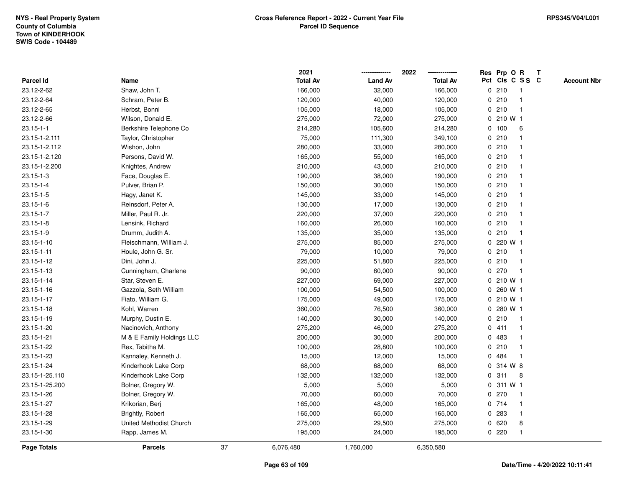|                    |                           |    | 2021            |                | 2022<br>-------------- |              | Res Prp O R     |                | Т |                    |
|--------------------|---------------------------|----|-----------------|----------------|------------------------|--------------|-----------------|----------------|---|--------------------|
| Parcel Id          | Name                      |    | <b>Total Av</b> | <b>Land Av</b> | <b>Total Av</b>        |              | Pct Cls C S S C |                |   | <b>Account Nbr</b> |
| 23.12-2-62         | Shaw, John T.             |    | 166,000         | 32,000         | 166,000                | $\mathbf 0$  | 210             | $\mathbf{1}$   |   |                    |
| 23.12-2-64         | Schram, Peter B.          |    | 120,000         | 40,000         | 120,000                | 0            | 210             | $\overline{1}$ |   |                    |
| 23.12-2-65         | Herbst, Bonni             |    | 105,000         | 18,000         | 105,000                |              | 0210            | $\overline{1}$ |   |                    |
| 23.12-2-66         | Wilson, Donald E.         |    | 275,000         | 72,000         | 275,000                |              | 0 210 W 1       |                |   |                    |
| $23.15 - 1 - 1$    | Berkshire Telephone Co    |    | 214,280         | 105,600        | 214,280                |              | 0 100           | 6              |   |                    |
| 23.15-1-2.111      | Taylor, Christopher       |    | 75,000          | 111,300        | 349,100                |              | 0210            |                |   |                    |
| 23.15-1-2.112      | Wishon, John              |    | 280,000         | 33,000         | 280,000                |              | 0210            |                |   |                    |
| 23.15-1-2.120      | Persons, David W.         |    | 165,000         | 55,000         | 165,000                |              | 0210            |                |   |                    |
| 23.15-1-2.200      | Knightes, Andrew          |    | 210,000         | 43,000         | 210,000                |              | 0210            | $\mathbf{1}$   |   |                    |
| $23.15 - 1 - 3$    | Face, Douglas E.          |    | 190,000         | 38,000         | 190,000                | $\mathbf 0$  | 210             | $\mathbf{1}$   |   |                    |
| $23.15 - 1 - 4$    | Pulver, Brian P.          |    | 150,000         | 30,000         | 150,000                |              | 0210            |                |   |                    |
| $23.15 - 1 - 5$    | Hagy, Janet K.            |    | 145,000         | 33,000         | 145,000                |              | 0210            |                |   |                    |
| $23.15 - 1 - 6$    | Reinsdorf, Peter A.       |    | 130,000         | 17,000         | 130,000                |              | 0210            |                |   |                    |
| 23.15-1-7          | Miller, Paul R. Jr.       |    | 220,000         | 37,000         | 220,000                |              | 0210            |                |   |                    |
| $23.15 - 1 - 8$    | Lensink, Richard          |    | 160,000         | 26,000         | 160,000                | 0            | 210             |                |   |                    |
| 23.15-1-9          | Drumm, Judith A.          |    | 135,000         | 35,000         | 135,000                | 0            | 210             | -1             |   |                    |
| 23.15-1-10         | Fleischmann, William J.   |    | 275,000         | 85,000         | 275,000                | $\mathbf{0}$ | 220 W 1         |                |   |                    |
| 23.15-1-11         | Houle, John G. Sr.        |    | 79,000          | 10,000         | 79,000                 |              | 0210            | -1             |   |                    |
| 23.15-1-12         | Dini, John J.             |    | 225,000         | 51,800         | 225,000                |              | 0210            |                |   |                    |
| 23.15-1-13         | Cunningham, Charlene      |    | 90,000          | 60,000         | 90,000                 |              | 0270            |                |   |                    |
| 23.15-1-14         | Star, Steven E.           |    | 227,000         | 69,000         | 227,000                |              | $0, 210$ W 1    |                |   |                    |
| 23.15-1-16         | Gazzola, Seth William     |    | 100,000         | 54,500         | 100,000                | 0            | 260 W 1         |                |   |                    |
| 23.15-1-17         | Fiato, William G.         |    | 175,000         | 49,000         | 175,000                | 0            | 210 W 1         |                |   |                    |
| 23.15-1-18         | Kohl, Warren              |    | 360,000         | 76,500         | 360,000                | 0            | 280 W 1         |                |   |                    |
| 23.15-1-19         | Murphy, Dustin E.         |    | 140,000         | 30,000         | 140,000                |              | 0210            | $\mathbf{1}$   |   |                    |
| 23.15-1-20         | Nacinovich, Anthony       |    | 275,200         | 46,000         | 275,200                |              | 0411            |                |   |                    |
| 23.15-1-21         | M & E Family Holdings LLC |    | 200,000         | 30,000         | 200,000                |              | 0 483           |                |   |                    |
| 23.15-1-22         | Rex, Tabitha M.           |    | 100,000         | 28,800         | 100,000                | 0            | 210             |                |   |                    |
| 23.15-1-23         | Kannaley, Kenneth J.      |    | 15,000          | 12,000         | 15,000                 | 0            | 484             | -1             |   |                    |
| 23.15-1-24         | Kinderhook Lake Corp      |    | 68,000          | 68,000         | 68,000                 | $\mathbf 0$  | 314 W 8         |                |   |                    |
| 23.15-1-25.110     | Kinderhook Lake Corp      |    | 132,000         | 132,000        | 132,000                | 0            | 311             | 8              |   |                    |
| 23.15-1-25.200     | Bolner, Gregory W.        |    | 5,000           | 5,000          | 5,000                  |              | 0 311 W 1       |                |   |                    |
| 23.15-1-26         | Bolner, Gregory W.        |    | 70,000          | 60,000         | 70,000                 |              | 0270            | -1             |   |                    |
| 23.15-1-27         | Krikorian, Berj           |    | 165,000         | 48,000         | 165,000                |              | 0 714           | -1             |   |                    |
| 23.15-1-28         | Brightly, Robert          |    | 165,000         | 65,000         | 165,000                |              | 0 283           | $\overline{1}$ |   |                    |
| 23.15-1-29         | United Methodist Church   |    | 275,000         | 29,500         | 275,000                |              | 0620            | 8              |   |                    |
| 23.15-1-30         | Rapp, James M.            |    | 195,000         | 24,000         | 195,000                |              | 0220            | $\mathbf{1}$   |   |                    |
| <b>Page Totals</b> | <b>Parcels</b>            | 37 | 6,076,480       | 1,760,000      | 6,350,580              |              |                 |                |   |                    |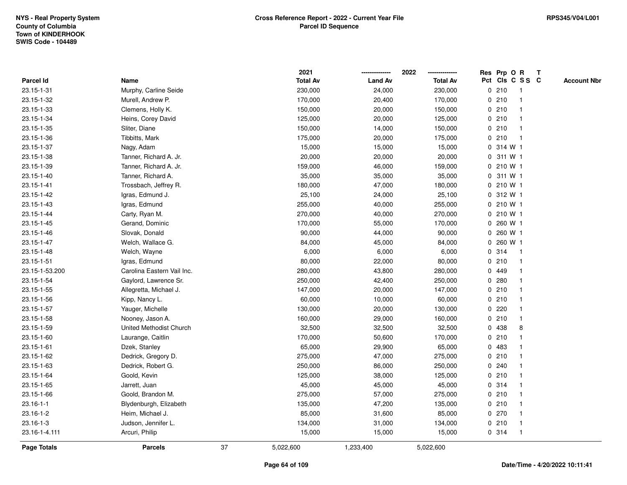|                  |                            |    | 2021            |                | 2022            |              | Res Prp O R |                 | Т |                    |
|------------------|----------------------------|----|-----------------|----------------|-----------------|--------------|-------------|-----------------|---|--------------------|
| <b>Parcel Id</b> | Name                       |    | <b>Total Av</b> | <b>Land Av</b> | <b>Total Av</b> |              |             | Pct Cls C S S C |   | <b>Account Nbr</b> |
| 23.15-1-31       | Murphy, Carline Seide      |    | 230,000         | 24,000         | 230,000         |              | 0210        | $\mathbf{1}$    |   |                    |
| 23.15-1-32       | Murell, Andrew P.          |    | 170,000         | 20,400         | 170,000         |              | 0210        |                 |   |                    |
| 23.15-1-33       | Clemens, Holly K.          |    | 150,000         | 20,000         | 150,000         |              | 0210        |                 |   |                    |
| 23.15-1-34       | Heins, Corey David         |    | 125,000         | 20,000         | 125,000         |              | 0210        |                 |   |                    |
| 23.15-1-35       | Sliter, Diane              |    | 150,000         | 14,000         | 150,000         |              | 0210        |                 |   |                    |
| 23.15-1-36       | Tibbitts, Mark             |    | 175,000         | 20,000         | 175,000         |              | 0210        |                 |   |                    |
| 23.15-1-37       | Nagy, Adam                 |    | 15,000          | 15,000         | 15,000          |              | 0 314 W 1   |                 |   |                    |
| 23.15-1-38       | Tanner, Richard A. Jr.     |    | 20,000          | 20,000         | 20,000          | 0            | 311 W 1     |                 |   |                    |
| 23.15-1-39       | Tanner, Richard A. Jr.     |    | 159,000         | 46,000         | 159,000         | $\mathbf 0$  | 210 W 1     |                 |   |                    |
| 23.15-1-40       | Tanner, Richard A.         |    | 35,000          | 35,000         | 35,000          | 0            | 311 W 1     |                 |   |                    |
| 23.15-1-41       | Trossbach, Jeffrey R.      |    | 180,000         | 47,000         | 180,000         |              | 0210W1      |                 |   |                    |
| 23.15-1-42       | Igras, Edmund J.           |    | 25,100          | 24,000         | 25,100          |              | 0 312 W 1   |                 |   |                    |
| 23.15-1-43       | Igras, Edmund              |    | 255,000         | 40,000         | 255,000         |              | 0 210 W 1   |                 |   |                    |
| 23.15-1-44       | Carty, Ryan M.             |    | 270,000         | 40,000         | 270,000         |              | 0 210 W 1   |                 |   |                    |
| 23.15-1-45       | Gerand, Dominic            |    | 170,000         | 55,000         | 170,000         | $\mathbf{0}$ | 260 W 1     |                 |   |                    |
| 23.15-1-46       | Slovak, Donald             |    | 90,000          | 44,000         | 90,000          | 0            | 260 W 1     |                 |   |                    |
| 23.15-1-47       | Welch, Wallace G.          |    | 84,000          | 45,000         | 84,000          | 0            | 260 W 1     |                 |   |                    |
| 23.15-1-48       | Welch, Wayne               |    | 6,000           | 6,000          | 6,000           |              | 0.314       | $\mathbf 1$     |   |                    |
| 23.15-1-51       | Igras, Edmund              |    | 80,000          | 22,000         | 80,000          |              | 0210        |                 |   |                    |
| 23.15-1-53.200   | Carolina Eastern Vail Inc. |    | 280,000         | 43,800         | 280,000         |              | 0 449       |                 |   |                    |
| 23.15-1-54       | Gaylord, Lawrence Sr.      |    | 250,000         | 42,400         | 250,000         |              | 0.280       |                 |   |                    |
| 23.15-1-55       | Allegretta, Michael J.     |    | 147,000         | 20,000         | 147,000         |              | 0210        |                 |   |                    |
| 23.15-1-56       | Kipp, Nancy L.             |    | 60,000          | 10,000         | 60,000          |              | 0210        |                 |   |                    |
| 23.15-1-57       | Yauger, Michelle           |    | 130,000         | 20,000         | 130,000         |              | 0.220       |                 |   |                    |
| 23.15-1-58       | Nooney, Jason A.           |    | 160,000         | 29,000         | 160,000         |              | 0210        |                 |   |                    |
| 23.15-1-59       | United Methodist Church    |    | 32,500          | 32,500         | 32,500          |              | 0 438       | 8               |   |                    |
| 23.15-1-60       | Laurange, Caitlin          |    | 170,000         | 50,600         | 170,000         |              | 0210        |                 |   |                    |
| 23.15-1-61       | Dzek, Stanley              |    | 65,000          | 29,900         | 65,000          |              | 0 483       |                 |   |                    |
| 23.15-1-62       | Dedrick, Gregory D.        |    | 275,000         | 47,000         | 275,000         |              | 0210        |                 |   |                    |
| 23.15-1-63       | Dedrick, Robert G.         |    | 250,000         | 86,000         | 250,000         | 0            | 240         |                 |   |                    |
| 23.15-1-64       | Goold, Kevin               |    | 125,000         | 38,000         | 125,000         | 0            | 210         |                 |   |                    |
| 23.15-1-65       | Jarrett, Juan              |    | 45,000          | 45,000         | 45,000          |              | 0.314       |                 |   |                    |
| 23.15-1-66       | Goold, Brandon M.          |    | 275,000         | 57,000         | 275,000         |              | 0210        |                 |   |                    |
| $23.16 - 1 - 1$  | Blydenburgh, Elizabeth     |    | 135,000         | 47,200         | 135,000         |              | 0210        |                 |   |                    |
| 23.16-1-2        | Heim, Michael J.           |    | 85,000          | 31,600         | 85,000          |              | 0270        |                 |   |                    |
| 23.16-1-3        | Judson, Jennifer L.        |    | 134,000         | 31,000         | 134,000         |              | 0210        | -1              |   |                    |
| 23.16-1-4.111    | Arcuri, Philip             |    | 15,000          | 15,000         | 15,000          |              | 0.314       | $\mathbf{1}$    |   |                    |
| Page Totals      | <b>Parcels</b>             | 37 | 5,022,600       | 1,233,400      | 5,022,600       |              |             |                 |   |                    |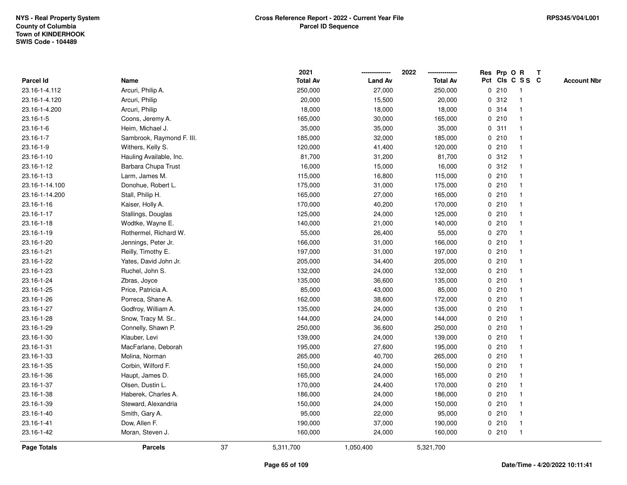|                    |                           |    | 2021            |                | 2022            |              |       | Res Prp O R     | T |                    |
|--------------------|---------------------------|----|-----------------|----------------|-----------------|--------------|-------|-----------------|---|--------------------|
| Parcel Id          | Name                      |    | <b>Total Av</b> | <b>Land Av</b> | <b>Total Av</b> |              |       | Pct Cls C S S C |   | <b>Account Nbr</b> |
| 23.16-1-4.112      | Arcuri, Philip A.         |    | 250,000         | 27,000         | 250,000         | $\mathbf 0$  | 210   | -1              |   |                    |
| 23.16-1-4.120      | Arcuri, Philip            |    | 20,000          | 15,500         | 20,000          | 0            | 312   | -1              |   |                    |
| 23.16-1-4.200      | Arcuri, Philip            |    | 18,000          | 18,000         | 18,000          |              | 0 314 | $\mathbf{1}$    |   |                    |
| 23.16-1-5          | Coons, Jeremy A.          |    | 165,000         | 30,000         | 165,000         |              | 0210  |                 |   |                    |
| $23.16 - 1 - 6$    | Heim, Michael J.          |    | 35,000          | 35,000         | 35,000          |              | 0.311 |                 |   |                    |
| 23.16-1-7          | Sambrook, Raymond F. III. |    | 185,000         | 32,000         | 185,000         |              | 0210  |                 |   |                    |
| 23.16-1-9          | Withers, Kelly S.         |    | 120,000         | 41,400         | 120,000         |              | 0210  |                 |   |                    |
| 23.16-1-10         | Hauling Available, Inc.   |    | 81,700          | 31,200         | 81,700          | 0            | 312   | $\overline{1}$  |   |                    |
| 23.16-1-12         | Barbara Chupa Trust       |    | 16,000          | 15,000         | 16,000          |              | 0.312 | -1              |   |                    |
| 23.16-1-13         | Larm, James M.            |    | 115,000         | 16,800         | 115,000         |              | 0210  | $\mathbf 1$     |   |                    |
| 23.16-1-14.100     | Donohue, Robert L.        |    | 175,000         | 31,000         | 175,000         |              | 0210  |                 |   |                    |
| 23.16-1-14.200     | Stall, Philip H.          |    | 165,000         | 27,000         | 165,000         |              | 0210  |                 |   |                    |
| 23.16-1-16         | Kaiser, Holly A.          |    | 170,000         | 40,200         | 170,000         |              | 0210  |                 |   |                    |
| 23.16-1-17         | Stallings, Douglas        |    | 125,000         | 24,000         | 125,000         |              | 0210  |                 |   |                    |
| 23.16-1-18         | Wodtke, Wayne E.          |    | 140,000         | 21,000         | 140,000         | $\mathbf 0$  | 210   |                 |   |                    |
| 23.16-1-19         | Rothermel, Richard W.     |    | 55,000          | 26,400         | 55,000          |              | 0270  | $\mathbf{1}$    |   |                    |
| 23.16-1-20         | Jennings, Peter Jr.       |    | 166,000         | 31,000         | 166,000         |              | 0210  | $\mathbf{1}$    |   |                    |
| 23.16-1-21         | Reilly, Timothy E.        |    | 197,000         | 31,000         | 197,000         |              | 0210  |                 |   |                    |
| 23.16-1-22         | Yates, David John Jr.     |    | 205,000         | 34,400         | 205,000         |              | 0210  |                 |   |                    |
| 23.16-1-23         | Ruchel, John S.           |    | 132,000         | 24,000         | 132,000         |              | 0210  |                 |   |                    |
| 23.16-1-24         | Zbras, Joyce              |    | 135,000         | 36,600         | 135,000         |              | 0210  |                 |   |                    |
| 23.16-1-25         | Price, Patricia A.        |    | 85,000          | 43,000         | 85,000          |              | 0210  |                 |   |                    |
| 23.16-1-26         | Porreca, Shane A.         |    | 162,000         | 38,600         | 172,000         |              | 0210  | $\mathbf{1}$    |   |                    |
| 23.16-1-27         | Godfroy, William A.       |    | 135,000         | 24,000         | 135,000         | $\mathbf{0}$ | 210   | $\mathbf{1}$    |   |                    |
| 23.16-1-28         | Snow, Tracy M. Sr         |    | 144,000         | 24,000         | 144,000         |              | 0210  |                 |   |                    |
| 23.16-1-29         | Connelly, Shawn P.        |    | 250,000         | 36,600         | 250,000         |              | 0210  |                 |   |                    |
| 23.16-1-30         | Klauber, Levi             |    | 139,000         | 24,000         | 139,000         |              | 0210  |                 |   |                    |
| 23.16-1-31         | MacFarlane, Deborah       |    | 195,000         | 27,600         | 195,000         |              | 0210  |                 |   |                    |
| 23.16-1-33         | Molina, Norman            |    | 265,000         | 40,700         | 265,000         |              | 0210  |                 |   |                    |
| 23.16-1-35         | Corbin, Wilford F.        |    | 150,000         | 24,000         | 150,000         | 0            | 210   |                 |   |                    |
| 23.16-1-36         | Haupt, James D.           |    | 165,000         | 24,000         | 165,000         |              | 0210  | -1              |   |                    |
| 23.16-1-37         | Olsen, Dustin L.          |    | 170,000         | 24,400         | 170,000         |              | 0210  | $\mathbf 1$     |   |                    |
| 23.16-1-38         | Haberek, Charles A.       |    | 186,000         | 24,000         | 186,000         |              | 0210  |                 |   |                    |
| 23.16-1-39         | Steward, Alexandria       |    | 150,000         | 24,000         | 150,000         |              | 0210  |                 |   |                    |
| 23.16-1-40         | Smith, Gary A.            |    | 95,000          | 22,000         | 95,000          |              | 0210  |                 |   |                    |
| 23.16-1-41         | Dow, Allen F.             |    | 190,000         | 37,000         | 190,000         |              | 0210  | -1              |   |                    |
| 23.16-1-42         | Moran, Steven J.          |    | 160,000         | 24,000         | 160,000         |              | 0210  | $\mathbf{1}$    |   |                    |
| <b>Page Totals</b> | <b>Parcels</b>            | 37 | 5,311,700       | 1,050,400      | 5,321,700       |              |       |                 |   |                    |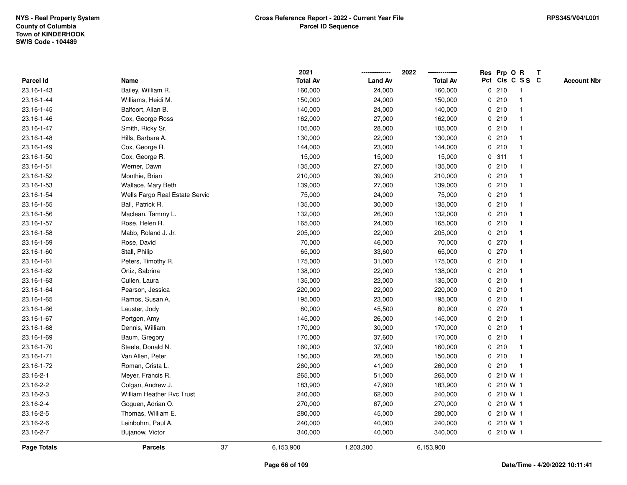|             |                                  |    | 2021            |                | 2022            |             | Res Prp O R  |                 | Т |                    |
|-------------|----------------------------------|----|-----------------|----------------|-----------------|-------------|--------------|-----------------|---|--------------------|
| Parcel Id   | Name                             |    | <b>Total Av</b> | <b>Land Av</b> | <b>Total Av</b> |             |              | Pct Cls C S S C |   | <b>Account Nbr</b> |
| 23.16-1-43  | Bailey, William R.               |    | 160,000         | 24,000         | 160,000         |             | 0210         | $\mathbf{1}$    |   |                    |
| 23.16-1-44  | Williams, Heidi M.               |    | 150,000         | 24,000         | 150,000         |             | 0210         | -1              |   |                    |
| 23.16-1-45  | Balfoort, Allan B.               |    | 140,000         | 24,000         | 140,000         |             | 0210         | $\mathbf 1$     |   |                    |
| 23.16-1-46  | Cox, George Ross                 |    | 162,000         | 27,000         | 162,000         |             | 0210         |                 |   |                    |
| 23.16-1-47  | Smith, Ricky Sr.                 |    | 105,000         | 28,000         | 105,000         |             | 0210         |                 |   |                    |
| 23.16-1-48  | Hills, Barbara A.                |    | 130,000         | 22,000         | 130,000         |             | 0210         |                 |   |                    |
| 23.16-1-49  | Cox, George R.                   |    | 144,000         | 23,000         | 144,000         |             | 0210         |                 |   |                    |
| 23.16-1-50  | Cox, George R.                   |    | 15,000          | 15,000         | 15,000          | $\mathbf 0$ | 311          |                 |   |                    |
| 23.16-1-51  | Werner, Dawn                     |    | 135,000         | 27,000         | 135,000         |             | 0210         | $\mathbf 1$     |   |                    |
| 23.16-1-52  | Monthie, Brian                   |    | 210,000         | 39,000         | 210,000         |             | 0210         | $\mathbf 1$     |   |                    |
| 23.16-1-53  | Wallace, Mary Beth               |    | 139,000         | 27,000         | 139,000         |             | 0210         |                 |   |                    |
| 23.16-1-54  | Wells Fargo Real Estate Servic   |    | 75,000          | 24,000         | 75,000          |             | 0210         |                 |   |                    |
| 23.16-1-55  | Ball, Patrick R.                 |    | 135,000         | 30,000         | 135,000         |             | 0210         |                 |   |                    |
| 23.16-1-56  | Maclean, Tammy L.                |    | 132,000         | 26,000         | 132,000         |             | 0210         |                 |   |                    |
| 23.16-1-57  | Rose, Helen R.                   |    | 165,000         | 24,000         | 165,000         |             | 0210         |                 |   |                    |
| 23.16-1-58  | Mabb, Roland J. Jr.              |    | 205,000         | 22,000         | 205,000         |             | 0210         | -1              |   |                    |
| 23.16-1-59  | Rose, David                      |    | 70,000          | 46,000         | 70,000          |             | 0270         |                 |   |                    |
| 23.16-1-60  | Stall, Philip                    |    | 65,000          | 33,600         | 65,000          |             | 0270         |                 |   |                    |
| 23.16-1-61  | Peters, Timothy R.               |    | 175,000         | 31,000         | 175,000         |             | 0210         |                 |   |                    |
| 23.16-1-62  | Ortiz, Sabrina                   |    | 138,000         | 22,000         | 138,000         |             | 0210         |                 |   |                    |
| 23.16-1-63  | Cullen, Laura                    |    | 135,000         | 22,000         | 135,000         |             | 0210         |                 |   |                    |
| 23.16-1-64  | Pearson, Jessica                 |    | 220,000         | 22,000         | 220,000         |             | 0210         |                 |   |                    |
| 23.16-1-65  | Ramos, Susan A.                  |    | 195,000         | 23,000         | 195,000         |             | 0210         | -1              |   |                    |
| 23.16-1-66  | Lauster, Jody                    |    | 80,000          | 45,500         | 80,000          |             | 0270         |                 |   |                    |
| 23.16-1-67  | Pertgen, Amy                     |    | 145,000         | 26,000         | 145,000         |             | 0210         |                 |   |                    |
| 23.16-1-68  | Dennis, William                  |    | 170,000         | 30,000         | 170,000         |             | 0210         |                 |   |                    |
| 23.16-1-69  | Baum, Gregory                    |    | 170,000         | 37,600         | 170,000         |             | 0210         |                 |   |                    |
| 23.16-1-70  | Steele, Donald N.                |    | 160,000         | 37,000         | 160,000         |             | 0210         |                 |   |                    |
| 23.16-1-71  | Van Allen, Peter                 |    | 150,000         | 28,000         | 150,000         |             | 0210         | -1              |   |                    |
| 23.16-1-72  | Roman, Crista L.                 |    | 260,000         | 41,000         | 260,000         | $\mathbf 0$ | 210          | $\mathbf{1}$    |   |                    |
| 23.16-2-1   | Meyer, Francis R.                |    | 265,000         | 51,000         | 265,000         |             | 0 210 W 1    |                 |   |                    |
| 23.16-2-2   | Colgan, Andrew J.                |    | 183,900         | 47,600         | 183,900         |             | 0 210 W 1    |                 |   |                    |
| 23.16-2-3   | <b>William Heather Rvc Trust</b> |    | 240,000         | 62,000         | 240,000         |             | $0, 210$ W 1 |                 |   |                    |
| 23.16-2-4   | Goguen, Adrian O.                |    | 270,000         | 67,000         | 270,000         |             | 0210W1       |                 |   |                    |
| 23.16-2-5   | Thomas, William E.               |    | 280,000         | 45,000         | 280,000         |             | 0 210 W 1    |                 |   |                    |
| 23.16-2-6   | Leinbohm, Paul A.                |    | 240,000         | 40,000         | 240,000         |             | 0 210 W 1    |                 |   |                    |
| 23.16-2-7   | Bujanow, Victor                  |    | 340,000         | 40,000         | 340,000         |             | 0 210 W 1    |                 |   |                    |
| Page Totals | <b>Parcels</b>                   | 37 | 6,153,900       | 1,203,300      | 6,153,900       |             |              |                 |   |                    |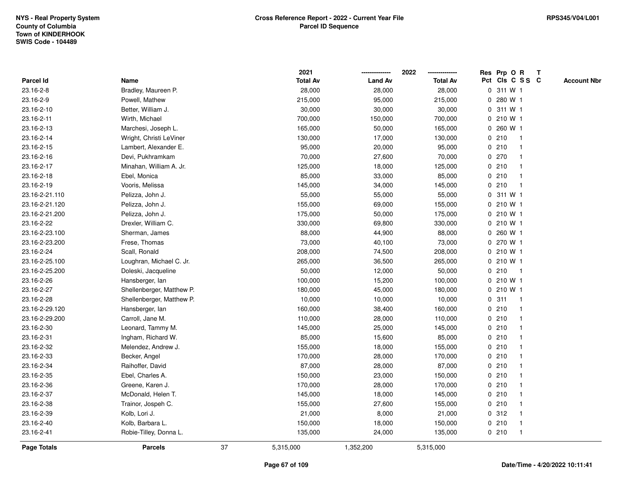|                |                           |    | 2021            |                | 2022            |             | Res Prp O R     |              | Т |                    |
|----------------|---------------------------|----|-----------------|----------------|-----------------|-------------|-----------------|--------------|---|--------------------|
| Parcel Id      | Name                      |    | <b>Total Av</b> | <b>Land Av</b> | <b>Total Av</b> |             | Pct Cls C S S C |              |   | <b>Account Nbr</b> |
| 23.16-2-8      | Bradley, Maureen P.       |    | 28,000          | 28,000         | 28,000          |             | 0 311 W 1       |              |   |                    |
| 23.16-2-9      | Powell, Mathew            |    | 215,000         | 95,000         | 215,000         | 0           | 280 W 1         |              |   |                    |
| 23.16-2-10     | Better, William J.        |    | 30,000          | 30,000         | 30,000          |             | 0 311 W 1       |              |   |                    |
| 23.16-2-11     | Wirth, Michael            |    | 700,000         | 150,000        | 700,000         |             | 0 210 W 1       |              |   |                    |
| 23.16-2-13     | Marchesi, Joseph L.       |    | 165,000         | 50,000         | 165,000         |             | 0 260 W 1       |              |   |                    |
| 23.16-2-14     | Wright, Christi LeViner   |    | 130,000         | 17,000         | 130,000         |             | 0210            |              |   |                    |
| 23.16-2-15     | Lambert, Alexander E.     |    | 95,000          | 20,000         | 95,000          |             | 0210            |              |   |                    |
| 23.16-2-16     | Devi, Pukhramkam          |    | 70,000          | 27,600         | 70,000          |             | 0270            |              |   |                    |
| 23.16-2-17     | Minahan, William A. Jr.   |    | 125,000         | 18,000         | 125,000         |             | 0210            |              |   |                    |
| 23.16-2-18     | Ebel, Monica              |    | 85,000          | 33,000         | 85,000          |             | 0210            |              |   |                    |
| 23.16-2-19     | Vooris, Melissa           |    | 145,000         | 34,000         | 145,000         |             | 0210            |              |   |                    |
| 23.16-2-21.110 | Pelizza, John J.          |    | 55,000          | 55,000         | 55,000          |             | 0 311 W 1       |              |   |                    |
| 23.16-2-21.120 | Pelizza, John J.          |    | 155,000         | 69,000         | 155,000         |             | 0 210 W 1       |              |   |                    |
| 23.16-2-21.200 | Pelizza, John J.          |    | 175,000         | 50,000         | 175,000         |             | 0 210 W 1       |              |   |                    |
| 23.16-2-22     | Drexler, William C.       |    | 330,000         | 69,800         | 330,000         |             | 0 210 W 1       |              |   |                    |
| 23.16-2-23.100 | Sherman, James            |    | 88,000          | 44,900         | 88,000          | $\mathbf 0$ | 260 W 1         |              |   |                    |
| 23.16-2-23.200 | Frese, Thomas             |    | 73,000          | 40,100         | 73,000          | 0           | 270 W 1         |              |   |                    |
| 23.16-2-24     | Scall, Ronald             |    | 208,000         | 74,500         | 208,000         |             | 0 210 W 1       |              |   |                    |
| 23.16-2-25.100 | Loughran, Michael C. Jr.  |    | 265,000         | 36,500         | 265,000         |             | $0, 210$ W 1    |              |   |                    |
| 23.16-2-25.200 | Doleski, Jacqueline       |    | 50,000          | 12,000         | 50,000          |             | 0210            | -1           |   |                    |
| 23.16-2-26     | Hansberger, lan           |    | 100,000         | 15,200         | 100,000         |             | 0 210 W 1       |              |   |                    |
| 23.16-2-27     | Shellenberger, Matthew P. |    | 180,000         | 45,000         | 180,000         |             | 0 210 W 1       |              |   |                    |
| 23.16-2-28     | Shellenberger, Matthew P. |    | 10,000          | 10,000         | 10,000          | 0           | 311             | $\mathbf{1}$ |   |                    |
| 23.16-2-29.120 | Hansberger, lan           |    | 160,000         | 38,400         | 160,000         |             | 0210            |              |   |                    |
| 23.16-2-29.200 | Carroll, Jane M.          |    | 110,000         | 28,000         | 110,000         |             | 0210            |              |   |                    |
| 23.16-2-30     | Leonard, Tammy M.         |    | 145,000         | 25,000         | 145,000         |             | 0210            |              |   |                    |
| 23.16-2-31     | Ingham, Richard W.        |    | 85,000          | 15,600         | 85,000          |             | 0210            |              |   |                    |
| 23.16-2-32     | Melendez, Andrew J.       |    | 155,000         | 18,000         | 155,000         |             | 0210            |              |   |                    |
| 23.16-2-33     | Becker, Angel             |    | 170,000         | 28,000         | 170,000         |             | 0210            |              |   |                    |
| 23.16-2-34     | Raihoffer, David          |    | 87,000          | 28,000         | 87,000          |             | 0210            |              |   |                    |
| 23.16-2-35     | Ebel, Charles A.          |    | 150,000         | 23,000         | 150,000         |             | 0210            |              |   |                    |
| 23.16-2-36     | Greene, Karen J.          |    | 170,000         | 28,000         | 170,000         |             | 0210            |              |   |                    |
| 23.16-2-37     | McDonald, Helen T.        |    | 145,000         | 18,000         | 145,000         |             | 0210            |              |   |                    |
| 23.16-2-38     | Trainor, Jospeh C.        |    | 155,000         | 27,600         | 155,000         |             | 0210            |              |   |                    |
| 23.16-2-39     | Kolb, Lori J.             |    | 21,000          | 8,000          | 21,000          |             | 0.312           |              |   |                    |
| 23.16-2-40     | Kolb, Barbara L.          |    | 150,000         | 18,000         | 150,000         |             | 0210            |              |   |                    |
| 23.16-2-41     | Robie-Tilley, Donna L.    |    | 135,000         | 24,000         | 135,000         |             | 0210            | $\mathbf{1}$ |   |                    |
| Page Totals    | <b>Parcels</b>            | 37 | 5,315,000       | 1,352,200      | 5,315,000       |             |                 |              |   |                    |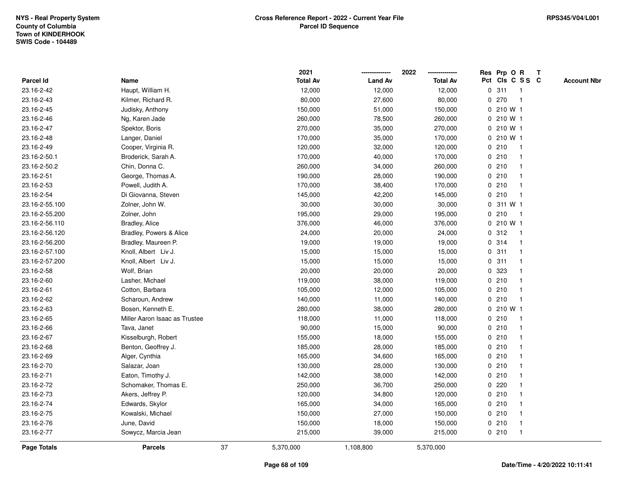|                    |                               |    | 2021            |                | 2022            |             | Res Prp O R            | T |                    |
|--------------------|-------------------------------|----|-----------------|----------------|-----------------|-------------|------------------------|---|--------------------|
| Parcel Id          | Name                          |    | <b>Total Av</b> | <b>Land Av</b> | <b>Total Av</b> |             | Pct Cls C S S C        |   | <b>Account Nbr</b> |
| 23.16-2-42         | Haupt, William H.             |    | 12,000          | 12,000         | 12,000          | 0           | 311<br>$\overline{1}$  |   |                    |
| 23.16-2-43         | Kilmer, Richard R.            |    | 80,000          | 27,600         | 80,000          | 0           | 270<br>$\overline{1}$  |   |                    |
| 23.16-2-45         | Judisky, Anthony              |    | 150,000         | 51,000         | 150,000         |             | 0210 W1                |   |                    |
| 23.16-2-46         | Ng, Karen Jade                |    | 260,000         | 78,500         | 260,000         |             | 0 210 W 1              |   |                    |
| 23.16-2-47         | Spektor, Boris                |    | 270,000         | 35,000         | 270,000         |             | 0 210 W 1              |   |                    |
| 23.16-2-48         | Langer, Daniel                |    | 170,000         | 35,000         | 170,000         |             | $0, 210$ W 1           |   |                    |
| 23.16-2-49         | Cooper, Virginia R.           |    | 120,000         | 32,000         | 120,000         |             | 0210<br>-1             |   |                    |
| 23.16-2-50.1       | Broderick, Sarah A.           |    | 170,000         | 40,000         | 170,000         | 0           | 210<br>$\overline{1}$  |   |                    |
| 23.16-2-50.2       | Chin, Donna C.                |    | 260,000         | 34,000         | 260,000         |             | 0210<br>-1             |   |                    |
| 23.16-2-51         | George, Thomas A.             |    | 190,000         | 28,000         | 190,000         |             | 0210<br>-1             |   |                    |
| 23.16-2-53         | Powell, Judith A.             |    | 170,000         | 38,400         | 170,000         |             | 0210                   |   |                    |
| 23.16-2-54         | Di Giovanna, Steven           |    | 145,000         | 42,200         | 145,000         |             | 0210                   |   |                    |
| 23.16-2-55.100     | Zolner, John W.               |    | 30,000          | 30,000         | 30,000          | 0           | 311 W 1                |   |                    |
| 23.16-2-55.200     | Zolner, John                  |    | 195,000         | 29,000         | 195,000         |             | 0210<br>-1             |   |                    |
| 23.16-2-56.110     | <b>Bradley, Alice</b>         |    | 376,000         | 46,000         | 376,000         | 0           | 210 W 1                |   |                    |
| 23.16-2-56.120     | Bradley, Powers & Alice       |    | 24,000          | 20,000         | 24,000          | 0           | 312<br>$\overline{1}$  |   |                    |
| 23.16-2-56.200     | Bradley, Maureen P.           |    | 19,000          | 19,000         | 19,000          |             | 0 314<br>$\mathbf{1}$  |   |                    |
| 23.16-2-57.100     | Knoll, Albert Liv J.          |    | 15,000          | 15,000         | 15,000          |             | 0.311                  |   |                    |
| 23.16-2-57.200     | Knoll, Albert Liv J.          |    | 15,000          | 15,000         | 15,000          |             | 0.311                  |   |                    |
| 23.16-2-58         | Wolf, Brian                   |    | 20,000          | 20,000         | 20,000          |             | 0.323                  |   |                    |
| 23.16-2-60         | Lasher, Michael               |    | 119,000         | 38,000         | 119,000         |             | 0210                   |   |                    |
| 23.16-2-61         | Cotton, Barbara               |    | 105,000         | 12,000         | 105,000         | 0           | 210                    |   |                    |
| 23.16-2-62         | Scharoun, Andrew              |    | 140,000         | 11,000         | 140,000         | 0           | 210<br>$\mathbf{1}$    |   |                    |
| 23.16-2-63         | Bosen, Kenneth E.             |    | 280,000         | 38,000         | 280,000         | $\mathbf 0$ | 210 W 1                |   |                    |
| 23.16-2-65         | Miller Aaron Isaac as Trustee |    | 118,000         | 11,000         | 118,000         |             | 0210<br>-1             |   |                    |
| 23.16-2-66         | Tava, Janet                   |    | 90,000          | 15,000         | 90,000          |             | 0210                   |   |                    |
| 23.16-2-67         | Kisselburgh, Robert           |    | 155,000         | 18,000         | 155,000         |             | 0210                   |   |                    |
| 23.16-2-68         | Benton, Geoffrey J.           |    | 185,000         | 28,000         | 185,000         |             | 0210                   |   |                    |
| 23.16-2-69         | Alger, Cynthia                |    | 165,000         | 34,600         | 165,000         |             | 0210                   |   |                    |
| 23.16-2-70         | Salazar, Joan                 |    | 130,000         | 28,000         | 130,000         | 0           | 210                    |   |                    |
| 23.16-2-71         | Eaton, Timothy J.             |    | 142,000         | 38,000         | 142,000         |             | 0210<br>-1             |   |                    |
| 23.16-2-72         | Schomaker, Thomas E.          |    | 250,000         | 36,700         | 250,000         |             | 0.220                  |   |                    |
| 23.16-2-73         | Akers, Jeffrey P.             |    | 120,000         | 34,800         | 120,000         |             | 0210                   |   |                    |
| 23.16-2-74         | Edwards, Skylor               |    | 165,000         | 34,000         | 165,000         |             | 0210                   |   |                    |
| 23.16-2-75         | Kowalski, Michael             |    | 150,000         | 27,000         | 150,000         |             | 0210                   |   |                    |
| 23.16-2-76         | June, David                   |    | 150,000         | 18,000         | 150,000         |             | 0210<br>-1             |   |                    |
| 23.16-2-77         | Sowycz, Marcia Jean           |    | 215,000         | 39,000         | 215,000         |             | 0210<br>$\overline{1}$ |   |                    |
| <b>Page Totals</b> | <b>Parcels</b>                | 37 | 5,370,000       | 1,108,800      | 5,370,000       |             |                        |   |                    |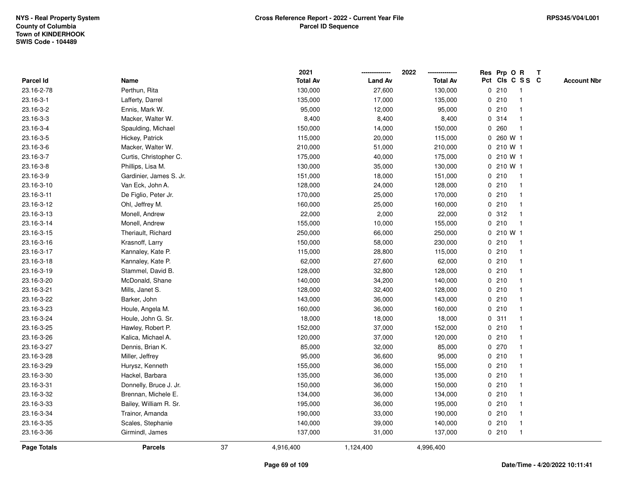|                    |                         |    | 2021            |                | 2022            |             | Res Prp O R     |                | T |                    |
|--------------------|-------------------------|----|-----------------|----------------|-----------------|-------------|-----------------|----------------|---|--------------------|
| Parcel Id          | Name                    |    | <b>Total Av</b> | <b>Land Av</b> | <b>Total Av</b> |             | Pct Cls C S S C |                |   | <b>Account Nbr</b> |
| 23.16-2-78         | Perthun, Rita           |    | 130,000         | 27,600         | 130,000         | 0           | 210             | -1             |   |                    |
| 23.16-3-1          | Lafferty, Darrel        |    | 135,000         | 17,000         | 135,000         | 0           | 210             | -1             |   |                    |
| 23.16-3-2          | Ennis, Mark W.          |    | 95,000          | 12,000         | 95,000          |             | 0210            | $\mathbf{1}$   |   |                    |
| 23.16-3-3          | Macker, Walter W.       |    | 8,400           | 8,400          | 8,400           |             | 0 314           |                |   |                    |
| 23.16-3-4          | Spaulding, Michael      |    | 150,000         | 14,000         | 150,000         |             | 0.260           |                |   |                    |
| 23.16-3-5          | Hickey, Patrick         |    | 115,000         | 20,000         | 115,000         | 0           | 260 W 1         |                |   |                    |
| 23.16-3-6          | Macker, Walter W.       |    | 210,000         | 51,000         | 210,000         |             | 0 210 W 1       |                |   |                    |
| 23.16-3-7          | Curtis, Christopher C.  |    | 175,000         | 40,000         | 175,000         | 0           | 210 W 1         |                |   |                    |
| 23.16-3-8          | Phillips, Lisa M.       |    | 130,000         | 35,000         | 130,000         | 0           | 210 W 1         |                |   |                    |
| 23.16-3-9          | Gardinier, James S. Jr. |    | 151,000         | 18,000         | 151,000         |             | 0210            | $\mathbf{1}$   |   |                    |
| 23.16-3-10         | Van Eck, John A.        |    | 128,000         | 24,000         | 128,000         |             | 0210            |                |   |                    |
| 23.16-3-11         | De Figlio, Peter Jr.    |    | 170,000         | 25,000         | 170,000         |             | 0210            |                |   |                    |
| 23.16-3-12         | Ohl, Jeffrey M.         |    | 160,000         | 25,000         | 160,000         |             | 0210            |                |   |                    |
| 23.16-3-13         | Monell, Andrew          |    | 22,000          | 2,000          | 22,000          |             | 0.312           | -1             |   |                    |
| 23.16-3-14         | Monell, Andrew          |    | 155,000         | 10,000         | 155,000         | 0           | 210             | $\overline{1}$ |   |                    |
| 23.16-3-15         | Theriault, Richard      |    | 250,000         | 66,000         | 250,000         | $\mathbf 0$ | 210 W 1         |                |   |                    |
| 23.16-3-16         | Krasnoff, Larry         |    | 150,000         | 58,000         | 230,000         |             | 0210            | $\mathbf{1}$   |   |                    |
| 23.16-3-17         | Kannaley, Kate P.       |    | 115,000         | 28,800         | 115,000         |             | 0210            |                |   |                    |
| 23.16-3-18         | Kannaley, Kate P.       |    | 62,000          | 27,600         | 62,000          |             | 0210            |                |   |                    |
| 23.16-3-19         | Stammel, David B.       |    | 128,000         | 32,800         | 128,000         |             | 0210            |                |   |                    |
| 23.16-3-20         | McDonald, Shane         |    | 140,000         | 34,200         | 140,000         |             | 0210            |                |   |                    |
| 23.16-3-21         | Mills, Janet S.         |    | 128,000         | 32,400         | 128,000         |             | 0210            |                |   |                    |
| 23.16-3-22         | Barker, John            |    | 143,000         | 36,000         | 143,000         |             | 0210            | $\overline{1}$ |   |                    |
| 23.16-3-23         | Houle, Angela M.        |    | 160,000         | 36,000         | 160,000         | $\mathbf 0$ | 210             | $\overline{1}$ |   |                    |
| 23.16-3-24         | Houle, John G. Sr.      |    | 18,000          | 18,000         | 18,000          |             | 0.311           | -1             |   |                    |
| 23.16-3-25         | Hawley, Robert P.       |    | 152,000         | 37,000         | 152,000         |             | 0210            |                |   |                    |
| 23.16-3-26         | Kalica, Michael A.      |    | 120,000         | 37,000         | 120,000         |             | 0210            |                |   |                    |
| 23.16-3-27         | Dennis, Brian K.        |    | 85,000          | 32,000         | 85,000          | 0           | 270             |                |   |                    |
| 23.16-3-28         | Miller, Jeffrey         |    | 95,000          | 36,600         | 95,000          |             | 0210            |                |   |                    |
| 23.16-3-29         | Hurysz, Kenneth         |    | 155,000         | 36,000         | 155,000         | 0           | 210             | -1             |   |                    |
| 23.16-3-30         | Hackel, Barbara         |    | 135,000         | 36,000         | 135,000         | 0           | 210             | -1             |   |                    |
| 23.16-3-31         | Donnelly, Bruce J. Jr.  |    | 150,000         | 36,000         | 150,000         |             | 0210            | -1             |   |                    |
| 23.16-3-32         | Brennan, Michele E.     |    | 134,000         | 36,000         | 134,000         |             | 0210            |                |   |                    |
| 23.16-3-33         | Bailey, William R. Sr.  |    | 195,000         | 36,000         | 195,000         |             | 0210            |                |   |                    |
| 23.16-3-34         | Trainor, Amanda         |    | 190,000         | 33,000         | 190,000         |             | 0210            | -1             |   |                    |
| 23.16-3-35         | Scales, Stephanie       |    | 140,000         | 39,000         | 140,000         |             | 0210            | -1             |   |                    |
| 23.16-3-36         | Girmindl, James         |    | 137,000         | 31,000         | 137,000         |             | 0210            | $\overline{1}$ |   |                    |
| <b>Page Totals</b> | <b>Parcels</b>          | 37 | 4,916,400       | 1,124,400      | 4,996,400       |             |                 |                |   |                    |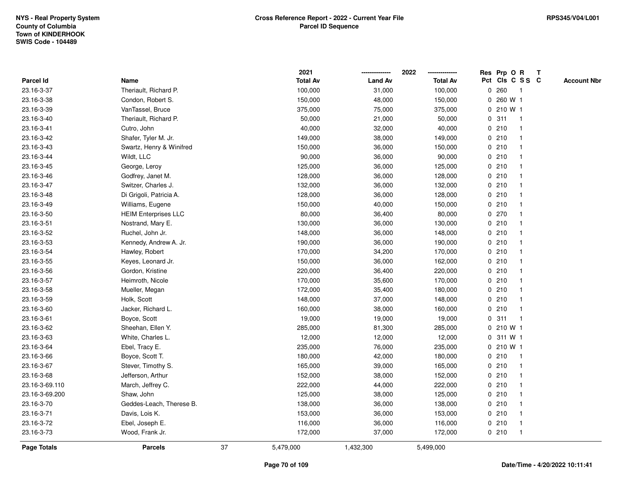|                |                             |    | 2021            |                | 2022            |   | Res Prp O R     |              | Т |                    |
|----------------|-----------------------------|----|-----------------|----------------|-----------------|---|-----------------|--------------|---|--------------------|
| Parcel Id      | Name                        |    | <b>Total Av</b> | <b>Land Av</b> | <b>Total Av</b> |   | Pct Cls C S S C |              |   | <b>Account Nbr</b> |
| 23.16-3-37     | Theriault, Richard P.       |    | 100,000         | 31,000         | 100,000         | 0 | 260             | $\mathbf{1}$ |   |                    |
| 23.16-3-38     | Condon, Robert S.           |    | 150,000         | 48,000         | 150,000         | 0 | 260 W 1         |              |   |                    |
| 23.16-3-39     | VanTassel, Bruce            |    | 375,000         | 75,000         | 375,000         |   | 0 210 W 1       |              |   |                    |
| 23.16-3-40     | Theriault, Richard P.       |    | 50,000          | 21,000         | 50,000          |   | 0.311           |              |   |                    |
| 23.16-3-41     | Cutro, John                 |    | 40,000          | 32,000         | 40,000          |   | 0210            |              |   |                    |
| 23.16-3-42     | Shafer, Tyler M. Jr.        |    | 149,000         | 38,000         | 149,000         |   | 0210            |              |   |                    |
| 23.16-3-43     | Swartz, Henry & Winifred    |    | 150,000         | 36,000         | 150,000         |   | 0210            |              |   |                    |
| 23.16-3-44     | Wildt, LLC                  |    | 90,000          | 36,000         | 90,000          |   | 0210            |              |   |                    |
| 23.16-3-45     | George, Leroy               |    | 125,000         | 36,000         | 125,000         |   | 0210            |              |   |                    |
| 23.16-3-46     | Godfrey, Janet M.           |    | 128,000         | 36,000         | 128,000         |   | 0210            |              |   |                    |
| 23.16-3-47     | Switzer, Charles J.         |    | 132,000         | 36,000         | 132,000         |   | 0210            |              |   |                    |
| 23.16-3-48     | Di Grigoli, Patricia A.     |    | 128,000         | 36,000         | 128,000         |   | 0210            |              |   |                    |
| 23.16-3-49     | Williams, Eugene            |    | 150,000         | 40,000         | 150,000         |   | 0210            |              |   |                    |
| 23.16-3-50     | <b>HEIM Enterprises LLC</b> |    | 80,000          | 36,400         | 80,000          |   | 0270            |              |   |                    |
| 23.16-3-51     | Nostrand, Mary E.           |    | 130,000         | 36,000         | 130,000         | 0 | 210             |              |   |                    |
| 23.16-3-52     | Ruchel, John Jr.            |    | 148,000         | 36,000         | 148,000         |   | 0210            |              |   |                    |
| 23.16-3-53     | Kennedy, Andrew A. Jr.      |    | 190,000         | 36,000         | 190,000         |   | 0210            |              |   |                    |
| 23.16-3-54     | Hawley, Robert              |    | 170,000         | 34,200         | 170,000         |   | 0210            |              |   |                    |
| 23.16-3-55     | Keyes, Leonard Jr.          |    | 150,000         | 36,000         | 162,000         |   | 0210            |              |   |                    |
| 23.16-3-56     | Gordon, Kristine            |    | 220,000         | 36,400         | 220,000         |   | 0210            |              |   |                    |
| 23.16-3-57     | Heimroth, Nicole            |    | 170,000         | 35,600         | 170,000         |   | 0210            |              |   |                    |
| 23.16-3-58     | Mueller, Megan              |    | 172,000         | 35,400         | 180,000         |   | 0210            |              |   |                    |
| 23.16-3-59     | Holk, Scott                 |    | 148,000         | 37,000         | 148,000         |   | 0210            |              |   |                    |
| 23.16-3-60     | Jacker, Richard L.          |    | 160,000         | 38,000         | 160,000         | 0 | 210             |              |   |                    |
| 23.16-3-61     | Boyce, Scott                |    | 19,000          | 19,000         | 19,000          |   | 0.311           |              |   |                    |
| 23.16-3-62     | Sheehan, Ellen Y.           |    | 285,000         | 81,300         | 285,000         |   | 0 210 W 1       |              |   |                    |
| 23.16-3-63     | White, Charles L.           |    | 12,000          | 12,000         | 12,000          |   | 0 311 W 1       |              |   |                    |
| 23.16-3-64     | Ebel, Tracy E.              |    | 235,000         | 76,000         | 235,000         |   | 0 210 W 1       |              |   |                    |
| 23.16-3-66     | Boyce, Scott T.             |    | 180,000         | 42,000         | 180,000         |   | 0210            | -1           |   |                    |
| 23.16-3-67     | Stever, Timothy S.          |    | 165,000         | 39,000         | 165,000         |   | 0210            | $\mathbf 1$  |   |                    |
| 23.16-3-68     | Jefferson, Arthur           |    | 152,000         | 38,000         | 152,000         |   | 0210            |              |   |                    |
| 23.16-3-69.110 | March, Jeffrey C.           |    | 222,000         | 44,000         | 222,000         |   | 0210            |              |   |                    |
| 23.16-3-69.200 | Shaw, John                  |    | 125,000         | 38,000         | 125,000         |   | 0210            |              |   |                    |
| 23.16-3-70     | Geddes-Leach, Therese B.    |    | 138,000         | 36,000         | 138,000         |   | 0210            |              |   |                    |
| 23.16-3-71     | Davis, Lois K.              |    | 153,000         | 36,000         | 153,000         |   | 0210            |              |   |                    |
| 23.16-3-72     | Ebel, Joseph E.             |    | 116,000         | 36,000         | 116,000         |   | 0210            |              |   |                    |
| 23.16-3-73     | Wood, Frank Jr.             |    | 172,000         | 37,000         | 172,000         |   | 0210            | $\mathbf{1}$ |   |                    |
| Page Totals    | <b>Parcels</b>              | 37 | 5,479,000       | 1,432,300      | 5,499,000       |   |                 |              |   |                    |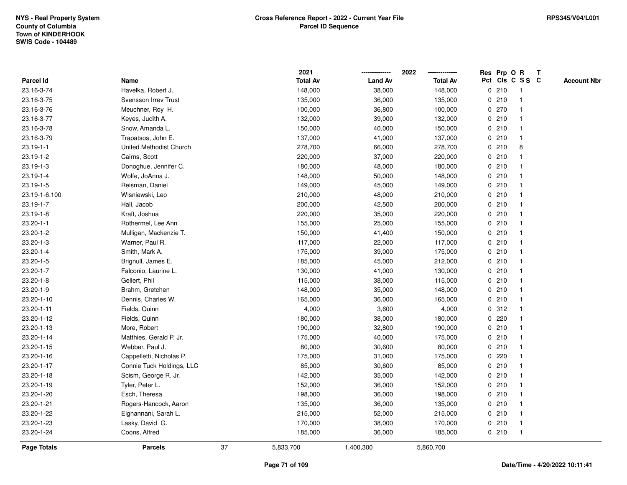|                  |                           |    | 2021            |                | 2022            |   |       | Res Prp O R     | T |                    |
|------------------|---------------------------|----|-----------------|----------------|-----------------|---|-------|-----------------|---|--------------------|
| <b>Parcel Id</b> | Name                      |    | <b>Total Av</b> | <b>Land Av</b> | <b>Total Av</b> |   |       | Pct Cls C S S C |   | <b>Account Nbr</b> |
| 23.16-3-74       | Havelka, Robert J.        |    | 148,000         | 38,000         | 148,000         | 0 | 210   | $\mathbf{1}$    |   |                    |
| 23.16-3-75       | Svensson Irrev Trust      |    | 135,000         | 36,000         | 135,000         | 0 | 210   |                 |   |                    |
| 23.16-3-76       | Meuchner, Roy H.          |    | 100,000         | 36,800         | 100,000         |   | 0270  |                 |   |                    |
| 23.16-3-77       | Keyes, Judith A.          |    | 132,000         | 39,000         | 132,000         |   | 0210  |                 |   |                    |
| 23.16-3-78       | Snow, Amanda L.           |    | 150,000         | 40,000         | 150,000         |   | 0210  |                 |   |                    |
| 23.16-3-79       | Trapatsos, John E.        |    | 137,000         | 41,000         | 137,000         |   | 0210  |                 |   |                    |
| 23.19-1-1        | United Methodist Church   |    | 278,700         | 66,000         | 278,700         |   | 0210  | 8               |   |                    |
| 23.19-1-2        | Cairns, Scott             |    | 220,000         | 37,000         | 220,000         | 0 | 210   |                 |   |                    |
| 23.19-1-3        | Donoghue, Jennifer C.     |    | 180,000         | 48,000         | 180,000         |   | 0210  |                 |   |                    |
| $23.19 - 1 - 4$  | Wolfe, JoAnna J.          |    | 148,000         | 50,000         | 148,000         |   | 0210  |                 |   |                    |
| 23.19-1-5        | Reisman, Daniel           |    | 149,000         | 45,000         | 149,000         |   | 0210  |                 |   |                    |
| 23.19-1-6.100    | Wisniewski, Leo           |    | 210,000         | 48,000         | 210,000         |   | 0210  |                 |   |                    |
| 23.19-1-7        | Hall, Jacob               |    | 200,000         | 42,500         | 200,000         |   | 0210  |                 |   |                    |
| 23.19-1-8        | Kraft, Joshua             |    | 220,000         | 35,000         | 220,000         |   | 0210  |                 |   |                    |
| $23.20 - 1 - 1$  | Rothermel, Lee Ann        |    | 155,000         | 25,000         | 155,000         |   | 0210  |                 |   |                    |
| 23.20-1-2        | Mulligan, Mackenzie T.    |    | 150,000         | 41,400         | 150,000         | 0 | 210   |                 |   |                    |
| 23.20-1-3        | Warner, Paul R.           |    | 117,000         | 22,000         | 117,000         |   | 0210  |                 |   |                    |
| $23.20 - 1 - 4$  | Smith, Mark A.            |    | 175,000         | 39,000         | 175,000         |   | 0210  |                 |   |                    |
| 23.20-1-5        | Brignull, James E.        |    | 185,000         | 45,000         | 212,000         |   | 0210  |                 |   |                    |
| 23.20-1-7        | Falconio, Laurine L.      |    | 130,000         | 41,000         | 130,000         |   | 0210  |                 |   |                    |
| $23.20 - 1 - 8$  | Gellert, Phil             |    | 115,000         | 38,000         | 115,000         |   | 0210  |                 |   |                    |
| 23.20-1-9        | Brahm, Gretchen           |    | 148,000         | 35,000         | 148,000         |   | 0210  |                 |   |                    |
| 23.20-1-10       | Dennis, Charles W.        |    | 165,000         | 36,000         | 165,000         |   | 0210  |                 |   |                    |
| 23.20-1-11       | Fields, Quinn             |    | 4,000           | 3,600          | 4,000           |   | 0.312 |                 |   |                    |
| 23.20-1-12       | Fields, Quinn             |    | 180,000         | 38,000         | 180,000         |   | 0.220 |                 |   |                    |
| 23.20-1-13       | More, Robert              |    | 190,000         | 32,800         | 190,000         |   | 0210  |                 |   |                    |
| 23.20-1-14       | Matthies, Gerald P. Jr.   |    | 175,000         | 40,000         | 175,000         |   | 0210  |                 |   |                    |
| 23.20-1-15       | Webber, Paul J.           |    | 80,000          | 30,600         | 80,000          |   | 0210  |                 |   |                    |
| 23.20-1-16       | Cappelletti, Nicholas P.  |    | 175,000         | 31,000         | 175,000         |   | 0.220 |                 |   |                    |
| 23.20-1-17       | Connie Tuck Holdings, LLC |    | 85,000          | 30,600         | 85,000          | 0 | 210   |                 |   |                    |
| 23.20-1-18       | Scism, George R. Jr.      |    | 142,000         | 35,000         | 142,000         |   | 0210  |                 |   |                    |
| 23.20-1-19       | Tyler, Peter L.           |    | 152,000         | 36,000         | 152,000         |   | 0210  |                 |   |                    |
| 23.20-1-20       | Esch, Theresa             |    | 198,000         | 36,000         | 198,000         |   | 0210  |                 |   |                    |
| 23.20-1-21       | Rogers-Hancock, Aaron     |    | 135,000         | 36,000         | 135,000         |   | 0210  |                 |   |                    |
| 23.20-1-22       | Elghannani, Sarah L.      |    | 215,000         | 52,000         | 215,000         |   | 0210  |                 |   |                    |
| 23.20-1-23       | Lasky, David G.           |    | 170,000         | 38,000         | 170,000         |   | 0210  | $\mathbf{1}$    |   |                    |
| 23.20-1-24       | Coons, Alfred             |    | 185,000         | 36,000         | 185,000         |   | 0210  | $\mathbf{1}$    |   |                    |
| Page Totals      | <b>Parcels</b>            | 37 | 5,833,700       | 1,400,300      | 5,860,700       |   |       |                 |   |                    |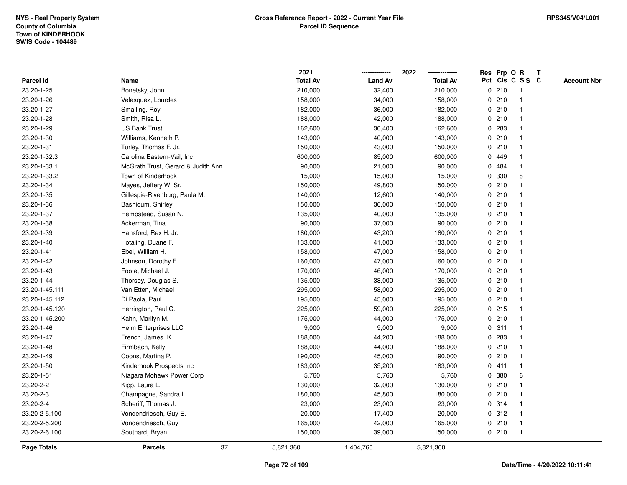|                    |                                    | 2021            |                | 2022            |   |       | Res Prp O R             | Т |                    |
|--------------------|------------------------------------|-----------------|----------------|-----------------|---|-------|-------------------------|---|--------------------|
| Parcel Id          | Name                               | <b>Total Av</b> | <b>Land Av</b> | <b>Total Av</b> |   |       | Pct Cls C S S C         |   | <b>Account Nbr</b> |
| 23.20-1-25         | Bonetsky, John                     | 210,000         | 32,400         | 210,000         |   | 0210  | $\mathbf{1}$            |   |                    |
| 23.20-1-26         | Velasquez, Lourdes                 | 158,000         | 34,000         | 158,000         |   | 0210  | -1                      |   |                    |
| 23.20-1-27         | Smalling, Roy                      | 182,000         | 36,000         | 182,000         |   | 0210  | $\mathbf 1$             |   |                    |
| 23.20-1-28         | Smith, Risa L.                     | 188,000         | 42,000         | 188,000         |   | 0210  |                         |   |                    |
| 23.20-1-29         | <b>US Bank Trust</b>               | 162,600         | 30,400         | 162,600         |   | 0.283 |                         |   |                    |
| 23.20-1-30         | Williams, Kenneth P.               | 143,000         | 40,000         | 143,000         |   | 0210  |                         |   |                    |
| 23.20-1-31         | Turley, Thomas F. Jr.              | 150,000         | 43,000         | 150,000         |   | 0210  |                         |   |                    |
| 23.20-1-32.3       | Carolina Eastern-Vail, Inc         | 600,000         | 85,000         | 600,000         |   | 0 449 |                         |   |                    |
| 23.20-1-33.1       | McGrath Trust, Gerard & Judith Ann | 90,000          | 21,000         | 90,000          |   | 0 484 | -1                      |   |                    |
| 23.20-1-33.2       | Town of Kinderhook                 | 15,000          | 15,000         | 15,000          |   | 0 330 | 8                       |   |                    |
| 23.20-1-34         | Mayes, Jeffery W. Sr.              | 150,000         | 49,800         | 150,000         |   | 0210  |                         |   |                    |
| 23.20-1-35         | Gillespie-Rivenburg, Paula M.      | 140,000         | 12,600         | 140,000         |   | 0210  |                         |   |                    |
| 23.20-1-36         | Bashioum, Shirley                  | 150,000         | 36,000         | 150,000         |   | 0210  |                         |   |                    |
| 23.20-1-37         | Hempstead, Susan N.                | 135,000         | 40,000         | 135,000         |   | 0210  |                         |   |                    |
| 23.20-1-38         | Ackerman, Tina                     | 90,000          | 37,000         | 90,000          |   | 0210  |                         |   |                    |
| 23.20-1-39         | Hansford, Rex H. Jr.               | 180,000         | 43,200         | 180,000         |   | 0210  | $\mathbf{1}$            |   |                    |
| 23.20-1-40         | Hotaling, Duane F.                 | 133,000         | 41,000         | 133,000         |   | 0210  | $\mathbf{1}$            |   |                    |
| 23.20-1-41         | Ebel, William H.                   | 158,000         | 47,000         | 158,000         |   | 0210  | -1                      |   |                    |
| 23.20-1-42         | Johnson, Dorothy F.                | 160,000         | 47,000         | 160,000         |   | 0210  |                         |   |                    |
| 23.20-1-43         | Foote, Michael J.                  | 170,000         | 46,000         | 170,000         |   | 0210  |                         |   |                    |
| 23.20-1-44         | Thorsey, Douglas S.                | 135,000         | 38,000         | 135,000         |   | 0210  | $\overline{1}$          |   |                    |
| 23.20-1-45.111     | Van Etten, Michael                 | 295,000         | 58,000         | 295,000         |   | 0210  |                         |   |                    |
| 23.20-1-45.112     | Di Paola, Paul                     | 195,000         | 45,000         | 195,000         |   | 0210  | $\mathbf{1}$            |   |                    |
| 23.20-1-45.120     | Herrington, Paul C.                | 225,000         | 59,000         | 225,000         |   | 0.215 | -1                      |   |                    |
| 23.20-1-45.200     | Kahn, Marilyn M.                   | 175,000         | 44,000         | 175,000         |   | 0210  | -1                      |   |                    |
| 23.20-1-46         | Heim Enterprises LLC               | 9,000           | 9,000          | 9,000           |   | 0.311 |                         |   |                    |
| 23.20-1-47         | French, James K.                   | 188,000         | 44,200         | 188,000         |   | 0.283 |                         |   |                    |
| 23.20-1-48         | Firmbach, Kelly                    | 188,000         | 44,000         | 188,000         |   | 0210  | -1                      |   |                    |
| 23.20-1-49         | Coons, Martina P.                  | 190,000         | 45,000         | 190,000         |   | 0210  | $\overline{\mathbf{1}}$ |   |                    |
| 23.20-1-50         | Kinderhook Prospects Inc           | 183,000         | 35,200         | 183,000         |   | 0411  | -1                      |   |                    |
| 23.20-1-51         | Niagara Mohawk Power Corp          | 5,760           | 5,760          | 5,760           | 0 | 380   | 6                       |   |                    |
| 23.20-2-2          | Kipp, Laura L.                     | 130,000         | 32,000         | 130,000         |   | 0210  | -1                      |   |                    |
| 23.20-2-3          | Champagne, Sandra L.               | 180,000         | 45,800         | 180,000         |   | 0210  |                         |   |                    |
| 23.20-2-4          | Scheriff, Thomas J.                | 23,000          | 23,000         | 23,000          |   | 0.314 |                         |   |                    |
| 23.20-2-5.100      | Vondendriesch, Guy E.              | 20,000          | 17,400         | 20,000          |   | 0.312 | -1                      |   |                    |
| 23.20-2-5.200      | Vondendriesch, Guy                 | 165,000         | 42,000         | 165,000         |   | 0210  | -1                      |   |                    |
| 23.20-2-6.100      | Southard, Bryan                    | 150,000         | 39,000         | 150,000         |   | 0210  | $\mathbf{1}$            |   |                    |
| <b>Page Totals</b> | 37<br><b>Parcels</b>               | 5,821,360       | 1,404,760      | 5,821,360       |   |       |                         |   |                    |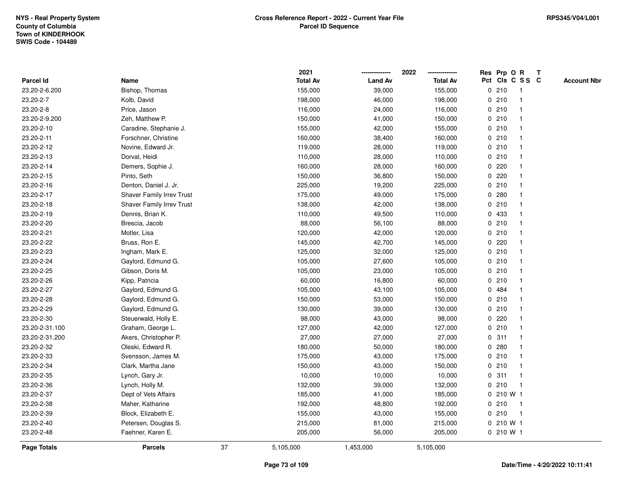|                    |                                  |    | 2021            |                | 2022            |             | Res Prp O R  |                 | T |                    |
|--------------------|----------------------------------|----|-----------------|----------------|-----------------|-------------|--------------|-----------------|---|--------------------|
| <b>Parcel Id</b>   | Name                             |    | <b>Total Av</b> | <b>Land Av</b> | <b>Total Av</b> |             |              | Pct Cls C S S C |   | <b>Account Nbr</b> |
| 23.20-2-6.200      | Bishop, Thomas                   |    | 155,000         | 39,000         | 155,000         | 0           | 210          | -1              |   |                    |
| 23.20-2-7          | Kolb, David                      |    | 198,000         | 46,000         | 198,000         | 0           | 210          | -1              |   |                    |
| 23.20-2-8          | Price, Jason                     |    | 116,000         | 24,000         | 116,000         |             | 0210         | $\mathbf{1}$    |   |                    |
| 23.20-2-9.200      | Zeh, Matthew P.                  |    | 150,000         | 41,000         | 150,000         |             | 0210         |                 |   |                    |
| 23.20-2-10         | Caradine, Stephanie J.           |    | 155,000         | 42,000         | 155,000         |             | 0210         |                 |   |                    |
| 23.20-2-11         | Forschner, Christine             |    | 160,000         | 38,400         | 160,000         |             | 0210         |                 |   |                    |
| 23.20-2-12         | Novine, Edward Jr.               |    | 119,000         | 28,000         | 119,000         |             | 0210         |                 |   |                    |
| 23.20-2-13         | Dorval, Heidi                    |    | 110,000         | 28,000         | 110,000         | 0           | 210          |                 |   |                    |
| 23.20-2-14         | Demers, Sophie J.                |    | 160,000         | 28,000         | 160,000         | 0           | 220          |                 |   |                    |
| 23.20-2-15         | Pinto, Seth                      |    | 150,000         | 36,800         | 150,000         |             | 0.220        | -1              |   |                    |
| 23.20-2-16         | Denton, Daniel J. Jr.            |    | 225,000         | 19,200         | 225,000         |             | 0210         |                 |   |                    |
| 23.20-2-17         | <b>Shaver Family Irrev Trust</b> |    | 175,000         | 49,000         | 175,000         |             | 0.280        |                 |   |                    |
| 23.20-2-18         | <b>Shaver Family Irrev Trust</b> |    | 138,000         | 42,000         | 138,000         |             | 0210         |                 |   |                    |
| 23.20-2-19         | Dennis, Brian K.                 |    | 110,000         | 49,500         | 110,000         |             | 0 433        |                 |   |                    |
| 23.20-2-20         | Brescia, Jacob                   |    | 88,000          | 56,100         | 88,000          | 0           | 210          |                 |   |                    |
| 23.20-2-21         | Motler, Lisa                     |    | 120,000         | 42,000         | 120,000         | 0           | 210          | -1              |   |                    |
| 23.20-2-22         | Bruss, Ron E.                    |    | 145,000         | 42,700         | 145,000         | 0           | 220          |                 |   |                    |
| 23.20-2-23         | Ingham, Mark E.                  |    | 125,000         | 32,000         | 125,000         |             | 0210         |                 |   |                    |
| 23.20-2-24         | Gaylord, Edmund G.               |    | 105,000         | 27,600         | 105,000         |             | 0210         |                 |   |                    |
| 23.20-2-25         | Gibson, Doris M.                 |    | 105,000         | 23,000         | 105,000         |             | 0210         |                 |   |                    |
| 23.20-2-26         | Kipp, Patricia                   |    | 60,000          | 16,800         | 60,000          |             | 0210         |                 |   |                    |
| 23.20-2-27         | Gaylord, Edmund G.               |    | 105,000         | 43,100         | 105,000         | 0           | 484          |                 |   |                    |
| 23.20-2-28         | Gaylord, Edmund G.               |    | 150,000         | 53,000         | 150,000         | 0           | 210          | $\overline{1}$  |   |                    |
| 23.20-2-29         | Gaylord, Edmund G.               |    | 130,000         | 39,000         | 130,000         |             | 0210         | -1              |   |                    |
| 23.20-2-30         | Steuerwald, Holly E.             |    | 98,000          | 43,000         | 98,000          |             | 0.220        |                 |   |                    |
| 23.20-2-31.100     | Graham, George L.                |    | 127,000         | 42,000         | 127,000         |             | 0210         |                 |   |                    |
| 23.20-2-31.200     | Akers, Christopher P.            |    | 27,000          | 27,000         | 27,000          |             | 0.311        |                 |   |                    |
| 23.20-2-32         | Oleski, Edward R.                |    | 180,000         | 50,000         | 180,000         |             | 0.280        |                 |   |                    |
| 23.20-2-33         | Svensson, James M.               |    | 175,000         | 43,000         | 175,000         | 0           | 210          |                 |   |                    |
| 23.20-2-34         | Clark, Martha Jane               |    | 150,000         | 43,000         | 150,000         | 0           | 210          | $\mathbf{1}$    |   |                    |
| 23.20-2-35         | Lynch, Gary Jr.                  |    | 10,000          | 10,000         | 10,000          | $\mathbf 0$ | 311          | $\overline{1}$  |   |                    |
| 23.20-2-36         | Lynch, Holly M.                  |    | 132,000         | 39,000         | 132,000         |             | 0210         |                 |   |                    |
| 23.20-2-37         | Dept of Vets Affairs             |    | 185,000         | 41,000         | 185,000         |             | $0, 210$ W 1 |                 |   |                    |
| 23.20-2-38         | Maher, Katharine                 |    | 192,000         | 48,800         | 192,000         |             | 0210         |                 |   |                    |
| 23.20-2-39         | Block, Elizabeth E.              |    | 155,000         | 43,000         | 155,000         |             | 0210         | $\mathbf{1}$    |   |                    |
| 23.20-2-40         | Petersen, Douglas S.             |    | 215,000         | 81,000         | 215,000         |             | 0 210 W 1    |                 |   |                    |
| 23.20-2-48         | Faehner, Karen E.                |    | 205,000         | 56,000         | 205,000         |             | 0210 W1      |                 |   |                    |
| <b>Page Totals</b> | <b>Parcels</b>                   | 37 | 5,105,000       | 1,453,000      | 5,105,000       |             |              |                 |   |                    |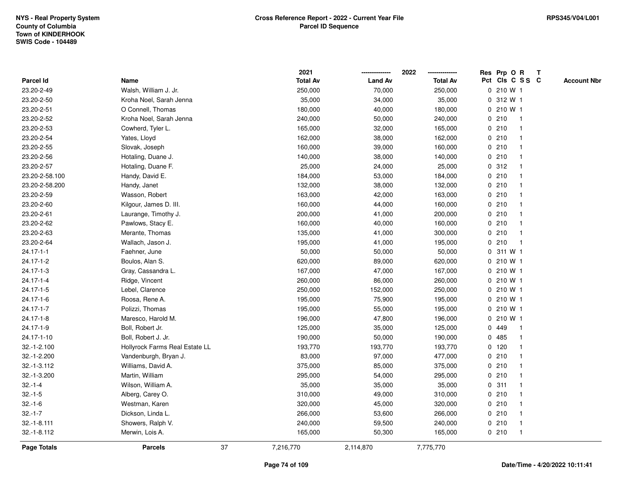|                    |                                |    | 2021            |                | 2022            | Res Prp O R  |                         | Т |                    |
|--------------------|--------------------------------|----|-----------------|----------------|-----------------|--------------|-------------------------|---|--------------------|
| Parcel Id          | Name                           |    | <b>Total Av</b> | <b>Land Av</b> | <b>Total Av</b> |              | Pct Cls C S S C         |   | <b>Account Nbr</b> |
| 23.20-2-49         | Walsh, William J. Jr.          |    | 250,000         | 70,000         | 250,000         | 0 210 W 1    |                         |   |                    |
| 23.20-2-50         | Kroha Noel, Sarah Jenna        |    | 35,000          | 34,000         | 35,000          | 0 312 W 1    |                         |   |                    |
| 23.20-2-51         | O Connell, Thomas              |    | 180,000         | 40,000         | 180,000         | $0, 210$ W 1 |                         |   |                    |
| 23.20-2-52         | Kroha Noel, Sarah Jenna        |    | 240,000         | 50,000         | 240,000         | 0210         | -1                      |   |                    |
| 23.20-2-53         | Cowherd, Tyler L.              |    | 165,000         | 32,000         | 165,000         | 0210         |                         |   |                    |
| 23.20-2-54         | Yates, Lloyd                   |    | 162,000         | 38,000         | 162,000         | 0210         |                         |   |                    |
| 23.20-2-55         | Slovak, Joseph                 |    | 160,000         | 39,000         | 160,000         | 0210         | -1                      |   |                    |
| 23.20-2-56         | Hotaling, Duane J.             |    | 140,000         | 38,000         | 140,000         | 0210         | $\overline{\mathbf{1}}$ |   |                    |
| 23.20-2-57         | Hotaling, Duane F.             |    | 25,000          | 24,000         | 25,000          | 0.312        | -1                      |   |                    |
| 23.20-2-58.100     | Handy, David E.                |    | 184,000         | 53,000         | 184,000         | 0210         | $\mathbf 1$             |   |                    |
| 23.20-2-58.200     | Handy, Janet                   |    | 132,000         | 38,000         | 132,000         | 0210         | -1                      |   |                    |
| 23.20-2-59         | Wasson, Robert                 |    | 163,000         | 42,000         | 163,000         | 0210         |                         |   |                    |
| 23.20-2-60         | Kilgour, James D. III.         |    | 160,000         | 44,000         | 160,000         | 0210         |                         |   |                    |
| 23.20-2-61         | Laurange, Timothy J.           |    | 200,000         | 41,000         | 200,000         | 0210         |                         |   |                    |
| 23.20-2-62         | Pawlows, Stacy E.              |    | 160,000         | 40,000         | 160,000         | 0210         |                         |   |                    |
| 23.20-2-63         | Merante, Thomas                |    | 135,000         | 41,000         | 300,000         | 0210         | $\mathbf{1}$            |   |                    |
| 23.20-2-64         | Wallach, Jason J.              |    | 195,000         | 41,000         | 195,000         | 0210         | $\mathbf{1}$            |   |                    |
| $24.17 - 1 - 1$    | Faehner, June                  |    | 50,000          | 50,000         | 50,000          | 0 311 W 1    |                         |   |                    |
| 24.17-1-2          | Boulos, Alan S.                |    | 620,000         | 89,000         | 620,000         | $0, 210$ W 1 |                         |   |                    |
| 24.17-1-3          | Gray, Cassandra L.             |    | 167,000         | 47,000         | 167,000         | 0 210 W 1    |                         |   |                    |
| 24.17-1-4          | Ridge, Vincent                 |    | 260,000         | 86,000         | 260,000         | 0 210 W 1    |                         |   |                    |
| $24.17 - 1 - 5$    | Lebel, Clarence                |    | 250,000         | 152,000        | 250,000         | 0 210 W 1    |                         |   |                    |
| 24.17-1-6          | Roosa, Rene A.                 |    | 195,000         | 75,900         | 195,000         | 0 210 W 1    |                         |   |                    |
| 24.17-1-7          | Polizzi, Thomas                |    | 195,000         | 55,000         | 195,000         | 0 210 W 1    |                         |   |                    |
| $24.17 - 1 - 8$    | Maresco, Harold M.             |    | 196,000         | 47,800         | 196,000         | 0 210 W 1    |                         |   |                    |
| 24.17-1-9          | Boll, Robert Jr.               |    | 125,000         | 35,000         | 125,000         | 0 449        |                         |   |                    |
| 24.17-1-10         | Boll, Robert J. Jr.            |    | 190,000         | 50,000         | 190,000         | 0 485        |                         |   |                    |
| 32.-1-2.100        | Hollyrock Farms Real Estate LL |    | 193,770         | 193,770        | 193,770         | $0$ 120      | -1                      |   |                    |
| 32.-1-2.200        | Vandenburgh, Bryan J.          |    | 83,000          | 97,000         | 477,000         | 0210         | $\overline{\mathbf{1}}$ |   |                    |
| 32.-1-3.112        | Williams, David A.             |    | 375,000         | 85,000         | 375,000         | 0210         | -1                      |   |                    |
| 32.-1-3.200        | Martin, William                |    | 295,000         | 54,000         | 295,000         | 0210         | $\mathbf 1$             |   |                    |
| $32.-1-4$          | Wilson, William A.             |    | 35,000          | 35,000         | 35,000          | 0.311        | -1                      |   |                    |
| $32.-1-5$          | Alberg, Carey O.               |    | 310,000         | 49,000         | 310,000         | 0210         |                         |   |                    |
| $32.-1-6$          | Westman, Karen                 |    | 320,000         | 45,000         | 320,000         | 0210         |                         |   |                    |
| $32.-1-7$          | Dickson, Linda L.              |    | 266,000         | 53,600         | 266,000         | 0210         | $\mathbf 1$             |   |                    |
| $32.-1-8.111$      | Showers, Ralph V.              |    | 240,000         | 59,500         | 240,000         | 0210         | $\mathbf{1}$            |   |                    |
| 32.-1-8.112        | Merwin, Lois A.                |    | 165,000         | 50,300         | 165,000         | 0210         | $\mathbf{1}$            |   |                    |
| <b>Page Totals</b> | <b>Parcels</b>                 | 37 | 7,216,770       | 2,114,870      | 7,775,770       |              |                         |   |                    |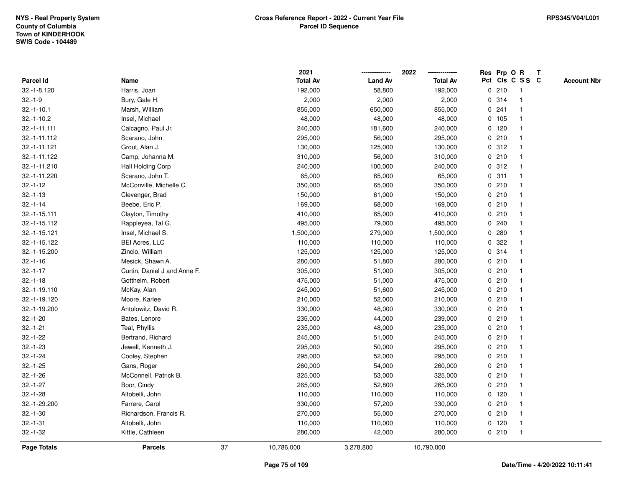|                |                              |    | 2021            |                | 2022            |             |         | Res Prp O R     | T                  |
|----------------|------------------------------|----|-----------------|----------------|-----------------|-------------|---------|-----------------|--------------------|
| Parcel Id      | Name                         |    | <b>Total Av</b> | <b>Land Av</b> | <b>Total Av</b> |             |         | Pct Cls C S S C | <b>Account Nbr</b> |
| 32.-1-8.120    | Harris, Joan                 |    | 192,000         | 58,800         | 192,000         |             | 0210    | $\mathbf{1}$    |                    |
| $32.-1-9$      | Bury, Gale H.                |    | 2,000           | 2,000          | 2,000           |             | 0.314   | $\overline{1}$  |                    |
| $32.-1-10.1$   | Marsh, William               |    | 855,000         | 650,000        | 855,000         |             | 0.241   | $\mathbf 1$     |                    |
| $32.-1-10.2$   | Insel, Michael               |    | 48,000          | 48,000         | 48,000          |             | 0 105   |                 |                    |
| $32.-1-11.111$ | Calcagno, Paul Jr.           |    | 240,000         | 181,600        | 240,000         |             | $0$ 120 |                 |                    |
| 32.-1-11.112   | Scarano, John                |    | 295,000         | 56,000         | 295,000         |             | 0210    |                 |                    |
| 32.-1-11.121   | Grout, Alan J.               |    | 130,000         | 125,000        | 130,000         |             | 0.312   |                 |                    |
| 32.-1-11.122   | Camp, Johanna M.             |    | 310,000         | 56,000         | 310,000         |             | 0210    | $\mathbf{1}$    |                    |
| 32.-1-11.210   | Hall Holding Corp            |    | 240,000         | 100,000        | 240,000         |             | 0.312   | -1              |                    |
| 32.-1-11.220   | Scarano, John T.             |    | 65,000          | 65,000         | 65,000          |             | 0.311   | $\mathbf 1$     |                    |
| $32.-1-12$     | McConville, Michelle C.      |    | 350,000         | 65,000         | 350,000         |             | 0210    |                 |                    |
| $32.-1-13$     | Clevenger, Brad              |    | 150,000         | 61,000         | 150,000         |             | 0210    |                 |                    |
| $32.-1-14$     | Beebe, Eric P.               |    | 169,000         | 68,000         | 169,000         |             | 0210    |                 |                    |
| $32.-1-15.111$ | Clayton, Timothy             |    | 410,000         | 65,000         | 410,000         |             | 0210    |                 |                    |
| 32.-1-15.112   | Rappleyea, Tal G.            |    | 495,000         | 79,000         | 495,000         | $\mathbf 0$ | 240     |                 |                    |
| 32.-1-15.121   | Insel, Michael S.            |    | 1,500,000       | 279,000        | 1,500,000       | 0           | 280     |                 |                    |
| 32.-1-15.122   | <b>BEI Acres, LLC</b>        |    | 110,000         | 110,000        | 110,000         | $\mathbf 0$ | 322     |                 |                    |
| 32.-1-15.200   | Zincio, William              |    | 125,000         | 125,000        | 125,000         |             | 0.314   |                 |                    |
| $32.-1-16$     | Mesick, Shawn A.             |    | 280,000         | 51,800         | 280,000         |             | 0210    |                 |                    |
| $32.-1-17$     | Curtin, Daniel J and Anne F. |    | 305,000         | 51,000         | 305,000         |             | 0210    |                 |                    |
| $32.-1-18$     | Gottheim, Robert             |    | 475,000         | 51,000         | 475,000         |             | 0210    |                 |                    |
| 32.-1-19.110   | McKay, Alan                  |    | 245,000         | 51,600         | 245,000         |             | 0210    |                 |                    |
| 32.-1-19.120   | Moore, Karlee                |    | 210,000         | 52,000         | 210,000         |             | 0210    | -1              |                    |
| 32.-1-19.200   | Antolowitz, David R.         |    | 330,000         | 48,000         | 330,000         |             | 0210    | $\mathbf{1}$    |                    |
| $32.-1-20$     | Bates, Lenore                |    | 235,000         | 44,000         | 239,000         |             | 0210    |                 |                    |
| $32.-1-21$     | Teal, Phyllis                |    | 235,000         | 48,000         | 235,000         |             | 0210    |                 |                    |
| $32.-1-22$     | Bertrand, Richard            |    | 245,000         | 51,000         | 245,000         |             | 0210    |                 |                    |
| $32.-1-23$     | Jewell, Kenneth J.           |    | 295,000         | 50,000         | 295,000         |             | 0210    |                 |                    |
| $32.-1-24$     | Cooley, Stephen              |    | 295,000         | 52,000         | 295,000         |             | 0210    |                 |                    |
| $32.-1-25$     | Gans, Roger                  |    | 260,000         | 54,000         | 260,000         |             | 0210    | 1               |                    |
| $32.-1-26$     | McConnell, Patrick B.        |    | 325,000         | 53,000         | 325,000         |             | 0210    | $\mathbf 1$     |                    |
| $32.-1-27$     | Boor, Cindy                  |    | 265,000         | 52,800         | 265,000         |             | 0210    | $\mathbf 1$     |                    |
| $32.-1-28$     | Altobelli, John              |    | 110,000         | 110,000        | 110,000         |             | $0$ 120 |                 |                    |
| 32.-1-29.200   | Farrere, Carol               |    | 330,000         | 57,200         | 330,000         |             | 0210    |                 |                    |
| $32.-1-30$     | Richardson, Francis R.       |    | 270,000         | 55,000         | 270,000         |             | 0210    |                 |                    |
| $32.-1-31$     | Altobelli, John              |    | 110,000         | 110,000        | 110,000         |             | $0$ 120 | -1              |                    |
| $32.-1-32$     | Kittle, Cathleen             |    | 280,000         | 42,000         | 280,000         |             | 0210    | $\overline{1}$  |                    |
| Page Totals    | <b>Parcels</b>               | 37 | 10,786,000      | 3,278,800      | 10,790,000      |             |         |                 |                    |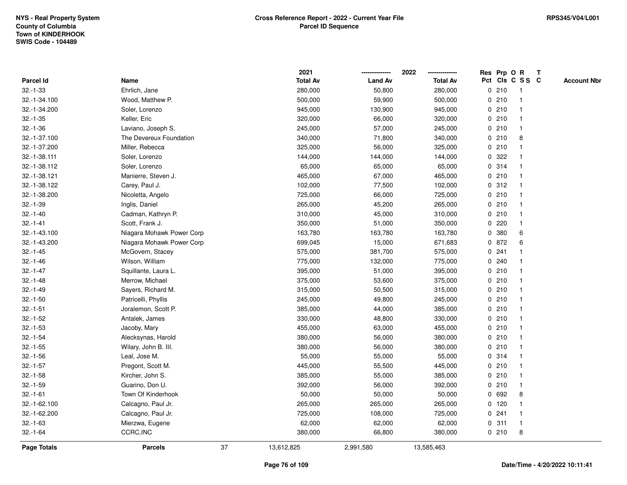|               |                           |    | 2021            |                | 2022            |             |         | Res Prp O R     | $\mathbf{T}$ |                    |
|---------------|---------------------------|----|-----------------|----------------|-----------------|-------------|---------|-----------------|--------------|--------------------|
| Parcel Id     | Name                      |    | <b>Total Av</b> | <b>Land Av</b> | <b>Total Av</b> |             |         | Pct Cls C S S C |              | <b>Account Nbr</b> |
| $32.-1-33$    | Ehrlich, Jane             |    | 280,000         | 50,800         | 280,000         |             | 0210    |                 |              |                    |
| 32.-1-34.100  | Wood, Matthew P.          |    | 500,000         | 59,900         | 500,000         |             | 0210    |                 |              |                    |
| 32.-1-34.200  | Soler, Lorenzo            |    | 945,000         | 130,900        | 945,000         |             | 0210    | -1              |              |                    |
| $32.-1-35$    | Keller, Eric              |    | 320,000         | 66,000         | 320,000         | $\mathbf 0$ | 210     | -1              |              |                    |
| $32.-1-36$    | Laviano, Joseph S.        |    | 245,000         | 57,000         | 245,000         |             | 0210    | $\mathbf{1}$    |              |                    |
| 32.-1-37.100  | The Devereux Foundation   |    | 340,000         | 71,800         | 340,000         |             | 0210    | 8               |              |                    |
| 32.-1-37.200  | Miller, Rebecca           |    | 325,000         | 56,000         | 325,000         |             | 0210    |                 |              |                    |
| 32.-1-38.111  | Soler, Lorenzo            |    | 144,000         | 144,000        | 144,000         |             | 0.322   |                 |              |                    |
| 32.-1-38.112  | Soler, Lorenzo            |    | 65,000          | 65,000         | 65,000          |             | 0.314   |                 |              |                    |
| 32.-1-38.121  | Manierre, Steven J.       |    | 465,000         | 67,000         | 465,000         |             | 0210    |                 |              |                    |
| 32.-1-38.122  | Carey, Paul J.            |    | 102,000         | 77,500         | 102,000         |             | 0.312   | $\mathbf{1}$    |              |                    |
| 32.-1-38.200  | Nicoletta, Angelo         |    | 725,000         | 66,000         | 725,000         |             | 0210    | -1              |              |                    |
| $32.-1-39$    | Inglis, Daniel            |    | 265,000         | 45,200         | 265,000         |             | 0210    | -1              |              |                    |
| $32.-1-40$    | Cadman, Kathryn P.        |    | 310,000         | 45,000         | 310,000         |             | 0210    |                 |              |                    |
| $32.-1-41$    | Scott, Frank J.           |    | 350,000         | 51,000         | 350,000         | 0           | 220     |                 |              |                    |
| 32.-1-43.100  | Niagara Mohawk Power Corp |    | 163,780         | 163,780        | 163,780         | 0           | 380     | 6               |              |                    |
| 32.-1-43.200  | Niagara Mohawk Power Corp |    | 699,045         | 15,000         | 671,683         | 0           | 872     | 6               |              |                    |
| $32.-1-45$    | McGovern, Stacey          |    | 575,000         | 381,700        | 575,000         | 0           | 241     |                 |              |                    |
| $32.-1-46$    | Wilson, William           |    | 775,000         | 132,000        | 775,000         |             | 0.240   | -1              |              |                    |
| $32.-1-47$    | Squillante, Laura L.      |    | 395,000         | 51,000         | 395,000         |             | 0210    |                 |              |                    |
| $32.-1-48$    | Merrow, Michael           |    | 375,000         | 53,600         | 375,000         |             | 0210    |                 |              |                    |
| $32.-1-49$    | Sayers, Richard M.        |    | 315,000         | 50,500         | 315,000         |             | 0210    |                 |              |                    |
| $32.-1-50$    | Patricelli, Phyllis       |    | 245,000         | 49,800         | 245,000         |             | 0210    |                 |              |                    |
| $32.-1-51$    | Joralemon, Scott P.       |    | 385,000         | 44,000         | 385,000         |             | 0210    | $\mathbf{1}$    |              |                    |
| $32 - 1 - 52$ | Antalek, James            |    | 330,000         | 48,800         | 330,000         |             | 0210    | -1              |              |                    |
| $32.-1-53$    | Jacoby, Mary              |    | 455,000         | 63,000         | 455,000         |             | 0210    | $\mathbf 1$     |              |                    |
| $32.-1-54$    | Alecksynas, Harold        |    | 380,000         | 56,000         | 380,000         |             | 0210    |                 |              |                    |
| $32.-1-55$    | Wilary, John B. III.      |    | 380,000         | 56,000         | 380,000         |             | 0210    |                 |              |                    |
| $32.-1-56$    | Leal, Jose M.             |    | 55,000          | 55,000         | 55,000          |             | 0.314   |                 |              |                    |
| $32.-1-57$    | Pregont, Scott M.         |    | 445,000         | 55,500         | 445,000         |             | 0210    |                 |              |                    |
| $32.-1-58$    | Kircher, John S.          |    | 385,000         | 55,000         | 385,000         |             | 0210    | -1              |              |                    |
| $32.-1-59$    | Guarino, Don U.           |    | 392,000         | 56,000         | 392,000         |             | 0210    | $\mathbf 1$     |              |                    |
| $32.-1-61$    | Town Of Kinderhook        |    | 50,000          | 50,000         | 50,000          |             | 0 692   | 8               |              |                    |
| 32.-1-62.100  | Calcagno, Paul Jr.        |    | 265,000         | 265,000        | 265,000         |             | $0$ 120 |                 |              |                    |
| 32.-1-62.200  | Calcagno, Paul Jr.        |    | 725,000         | 108,000        | 725,000         |             | 0.241   |                 |              |                    |
| $32.-1-63$    | Mierzwa, Eugene           |    | 62,000          | 62,000         | 62,000          |             | 0.311   | $\mathbf{1}$    |              |                    |
| $32.-1-64$    | CCRC, INC                 |    | 380,000         | 66,800         | 380,000         |             | 0210    | 8               |              |                    |
| Page Totals   | <b>Parcels</b>            | 37 | 13,612,825      | 2,991,580      | 13,585,463      |             |         |                 |              |                    |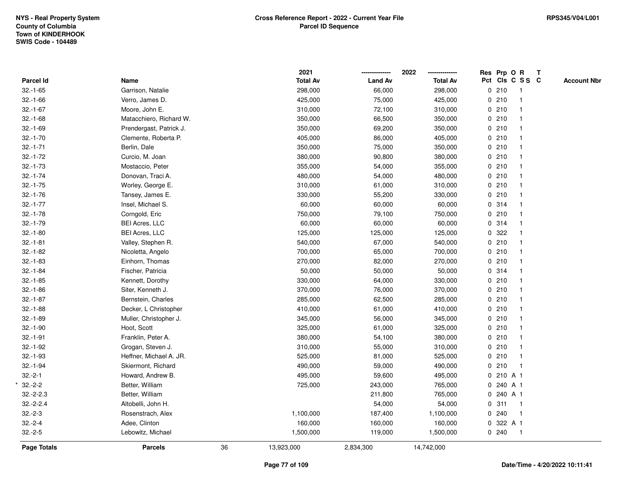|               |                         |    | 2021            |                | 2022<br>-------------- |   |           | Res Prp O R     | $\mathbf{T}$ |                    |
|---------------|-------------------------|----|-----------------|----------------|------------------------|---|-----------|-----------------|--------------|--------------------|
| Parcel Id     | Name                    |    | <b>Total Av</b> | <b>Land Av</b> | <b>Total Av</b>        |   |           | Pct Cls C S S C |              | <b>Account Nbr</b> |
| $32.-1-65$    | Garrison, Natalie       |    | 298,000         | 66,000         | 298,000                |   | 0210      |                 |              |                    |
| $32.-1-66$    | Verro, James D.         |    | 425,000         | 75,000         | 425,000                |   | 0210      |                 |              |                    |
| $32.-1-67$    | Moore, John E.          |    | 310,000         | 72,100         | 310,000                |   | 0210      |                 |              |                    |
| $32.-1-68$    | Matacchiero, Richard W. |    | 350,000         | 66,500         | 350,000                |   | 0210      |                 |              |                    |
| $32.-1-69$    | Prendergast, Patrick J. |    | 350,000         | 69,200         | 350,000                |   | 0210      |                 |              |                    |
| $32.-1-70$    | Clemente, Roberta P.    |    | 405,000         | 86,000         | 405,000                |   | 0210      |                 |              |                    |
| $32.-1-71$    | Berlin, Dale            |    | 350,000         | 75,000         | 350,000                |   | 0210      |                 |              |                    |
| $32 - 1 - 72$ | Curcio, M. Joan         |    | 380,000         | 90,800         | 380,000                |   | 0210      |                 |              |                    |
| $32.-1-73$    | Mostaccio, Peter        |    | 355,000         | 54,000         | 355,000                |   | 0210      |                 |              |                    |
| $32.-1-74$    | Donovan, Traci A.       |    | 480,000         | 54,000         | 480,000                |   | 0210      |                 |              |                    |
| $32.-1-75$    | Worley, George E.       |    | 310,000         | 61,000         | 310,000                |   | 0210      | $\mathbf 1$     |              |                    |
| $32.-1-76$    | Tansey, James E.        |    | 330,000         | 55,200         | 330,000                |   | 0 210     |                 |              |                    |
| $32.-1-77$    | Insel, Michael S.       |    | 60,000          | 60,000         | 60,000                 |   | 0.314     |                 |              |                    |
| $32.-1-78$    | Corngold, Eric          |    | 750,000         | 79,100         | 750,000                |   | 0210      |                 |              |                    |
| $32.-1-79$    | <b>BEI Acres, LLC</b>   |    | 60,000          | 60,000         | 60,000                 |   | 0.314     |                 |              |                    |
| $32.-1-80$    | <b>BEI Acres, LLC</b>   |    | 125,000         | 125,000        | 125,000                |   | 0.322     |                 |              |                    |
| $32.-1-81$    | Valley, Stephen R.      |    | 540,000         | 67,000         | 540,000                |   | 0210      |                 |              |                    |
| $32.-1-82$    | Nicoletta, Angelo       |    | 700,000         | 65,000         | 700,000                |   | 0210      |                 |              |                    |
| $32.-1-83$    | Einhorn, Thomas         |    | 270,000         | 82,000         | 270,000                |   | 0210      |                 |              |                    |
| $32.-1-84$    | Fischer, Patricia       |    | 50,000          | 50,000         | 50,000                 |   | 0.314     |                 |              |                    |
| $32.-1-85$    | Kennett, Dorothy        |    | 330,000         | 64,000         | 330,000                |   | 0210      |                 |              |                    |
| $32.-1-86$    | Siter, Kenneth J.       |    | 370,000         | 76,000         | 370,000                |   | 0210      |                 |              |                    |
| $32.-1-87$    | Bernstein, Charles      |    | 285,000         | 62,500         | 285,000                |   | 0210      |                 |              |                    |
| $32.-1-88$    | Decker, L Christopher   |    | 410,000         | 61,000         | 410,000                |   | 0210      |                 |              |                    |
| $32.-1-89$    | Muller, Christopher J.  |    | 345,000         | 56,000         | 345,000                |   | 0210      |                 |              |                    |
| $32.-1-90$    | Hoot, Scott             |    | 325,000         | 61,000         | 325,000                |   | 0210      |                 |              |                    |
| $32.-1-91$    | Franklin, Peter A.      |    | 380,000         | 54,100         | 380,000                |   | 0210      |                 |              |                    |
| $32.-1-92$    | Grogan, Steven J.       |    | 310,000         | 55,000         | 310,000                |   | 0210      |                 |              |                    |
| $32.-1-93$    | Heffner, Michael A. JR. |    | 525,000         | 81,000         | 525,000                |   | 0210      |                 |              |                    |
| $32.-1-94$    | Skiermont, Richard      |    | 490,000         | 59,000         | 490,000                |   | 0210      | $\mathbf{1}$    |              |                    |
| $32.-2-1$     | Howard, Andrew B.       |    | 495,000         | 59,600         | 495,000                | 0 | 210 A 1   |                 |              |                    |
| $32.-2-2$     | Better, William         |    | 725,000         | 243,000        | 765,000                |   | 0 240 A 1 |                 |              |                    |
| $32.-2-2.3$   | Better, William         |    |                 | 211,800        | 765,000                |   | 0 240 A 1 |                 |              |                    |
| $32.-2-2.4$   | Altobelli, John H.      |    |                 | 54,000         | 54,000                 |   | 0.311     | $\overline{1}$  |              |                    |
| $32.-2-3$     | Rosenstrach, Alex       |    | 1,100,000       | 187,400        | 1,100,000              |   | 0.240     |                 |              |                    |
| $32.-2-4$     | Adee, Clinton           |    | 160,000         | 160,000        | 160,000                | 0 | 322 A 1   |                 |              |                    |
| $32.-2-5$     | Lebowitz, Michael       |    | 1,500,000       | 119,000        | 1,500,000              |   | 0.240     | $\overline{1}$  |              |                    |
| Page Totals   | <b>Parcels</b>          | 36 | 13,923,000      | 2,834,300      | 14,742,000             |   |           |                 |              |                    |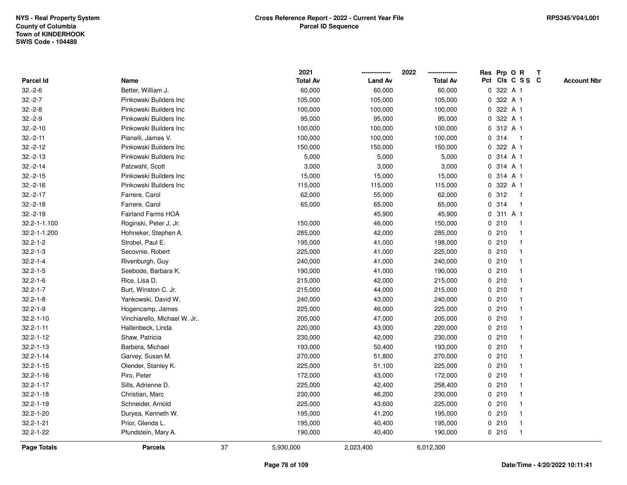|                    |                             |    | 2021            |                | 2022            | Res Prp O R<br>$\mathbf{T}$           |
|--------------------|-----------------------------|----|-----------------|----------------|-----------------|---------------------------------------|
| <b>Parcel Id</b>   | Name                        |    | <b>Total Av</b> | <b>Land Av</b> | <b>Total Av</b> | Pct Cls C S S C<br><b>Account Nbr</b> |
| $32.-2-6$          | Better, William J.          |    | 60,000          | 60,000         | 60,000          | 322 A 1<br>0                          |
| $32.-2-7$          | Pinkowski Builders Inc      |    | 105,000         | 105,000        | 105,000         | 322 A 1<br>0                          |
| $32.-2-8$          | Pinkowski Builders Inc      |    | 100,000         | 100,000        | 100,000         | 322 A 1<br>0                          |
| $32.-2-9$          | Pinkowski Builders Inc      |    | 95,000          | 95,000         | 95,000          | 322 A 1<br>$\mathbf 0$                |
| $32.-2-10$         | Pinkowski Builders Inc      |    | 100,000         | 100,000        | 100,000         | 312 A 1<br>0                          |
| $32.-2-11$         | Pianelli, James V.          |    | 100,000         | 100,000        | 100,000         | 0.314<br>$\mathbf{1}$                 |
| $32.-2-12$         | Pinkowski Builders Inc      |    | 150,000         | 150,000        | 150,000         | 0 322 A 1                             |
| $32.-2-13$         | Pinkowski Builders Inc      |    | 5,000           | 5,000          | 5,000           | 0 314 A 1                             |
| $32.-2-14$         | Patzwahl, Scott             |    | 3,000           | 3,000          | 3,000           | 0 314 A 1                             |
| $32.-2-15$         | Pinkowski Builders Inc      |    | 15,000          | 15,000         | 15,000          | 314 A 1<br>0                          |
| $32.-2-16$         | Pinkowski Builders Inc      |    | 115,000         | 115,000        | 115,000         | 322 A 1<br>0                          |
| $32.-2-17$         | Farrere, Carol              |    | 62,000          | 55,000         | 62,000          | 312<br>$\mathbf{0}$<br>$\overline{1}$ |
| $32.-2-18$         | Farrere, Carol              |    | 65,000          | 65,000         | 65,000          | 0 314<br>-1                           |
| $32.-2-19$         | <b>Fairland Farms HOA</b>   |    |                 | 45,900         | 45,900          | 0 311 A 1                             |
| 32.2-1-1.100       | Roginski, Peter J. Jr.      |    | 150,000         | 46,000         | 150,000         | 0210                                  |
| 32.2-1-1.200       | Hohneker, Stephen A.        |    | 285,000         | 42,000         | 285,000         | 0210                                  |
| $32.2 - 1 - 2$     | Strobel, Paul E.            |    | 195,000         | 41,000         | 198,000         | 210<br>0                              |
| $32.2 - 1 - 3$     | Secovnie, Robert            |    | 225,000         | 41,000         | 225,000         | 0210<br>-1                            |
| $32.2 - 1 - 4$     | Rivenburgh, Guy             |    | 240,000         | 41,000         | 240,000         | 0210<br>$\mathbf 1$                   |
| $32.2 - 1 - 5$     | Seebode, Barbara K.         |    | 190,000         | 41,000         | 190,000         | 0210                                  |
| $32.2 - 1 - 6$     | Rice, Lisa D.               |    | 215,000         | 42,000         | 215,000         | 0210                                  |
| $32.2 - 1 - 7$     | Burt, Winston C. Jr.        |    | 215,000         | 44,000         | 215,000         | 0210                                  |
| $32.2 - 1 - 8$     | Yankowski, David W.         |    | 240,000         | 43,000         | 240,000         | 0210                                  |
| $32.2 - 1 - 9$     | Hogencamp, James            |    | 225,000         | 46,000         | 225,000         | 210<br>0<br>$\overline{\mathbf{1}}$   |
| $32.2 - 1 - 10$    | Vinchiarello, Michael W. Jr |    | 205,000         | 47,000         | 205,000         | 0210<br>-1                            |
| $32.2 - 1 - 11$    | Hallenbeck, Linda           |    | 220,000         | 43,000         | 220,000         | 0210<br>-1                            |
| $32.2 - 1 - 12$    | Shaw, Patricia              |    | 230,000         | 42,000         | 230,000         | 0210                                  |
| $32.2 - 1 - 13$    | Barbera, Michael            |    | 193,000         | 50,400         | 193,000         | 0210                                  |
| $32.2 - 1 - 14$    | Garvey, Susan M.            |    | 270,000         | 51,800         | 270,000         | 0210                                  |
| $32.2 - 1 - 15$    | Olender, Stanley K.         |    | 225,000         | 51,100         | 225,000         | 0210                                  |
| $32.2 - 1 - 16$    | Piro, Peter                 |    | 172,000         | 43,000         | 172,000         | 0210<br>-1                            |
| $32.2 - 1 - 17$    | Sills, Adrienne D.          |    | 225,000         | 42,400         | 258,400         | 0210<br>-1                            |
| $32.2 - 1 - 18$    | Christian, Marc             |    | 230,000         | 46,200         | 230,000         | 0210                                  |
| $32.2 - 1 - 19$    | Schneider, Arnold           |    | 225,000         | 43,600         | 225,000         | 0210                                  |
| 32.2-1-20          | Duryea, Kenneth W.          |    | 195,000         | 41,200         | 195,000         | 0210                                  |
| $32.2 - 1 - 21$    | Prior, Glenda L.            |    | 195,000         | 40,400         | 195,000         | 0210<br>$\mathbf 1$                   |
| 32.2-1-22          | Pfundstein, Mary A.         |    | 190,000         | 40,400         | 190,000         | 0210<br>$\mathbf 1$                   |
| <b>Page Totals</b> | <b>Parcels</b>              | 37 | 5,930,000       | 2,023,400      | 6,012,300       |                                       |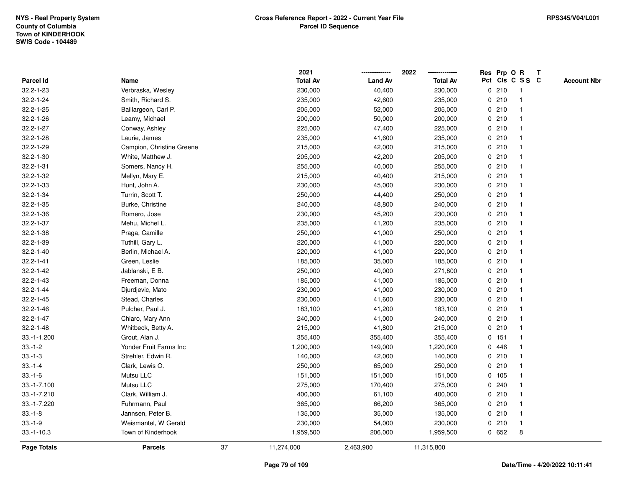|                    |                           |    | 2021            |                | 2022            |   | Res Prp O R |                         | T |                    |
|--------------------|---------------------------|----|-----------------|----------------|-----------------|---|-------------|-------------------------|---|--------------------|
| Parcel Id          | Name                      |    | <b>Total Av</b> | <b>Land Av</b> | <b>Total Av</b> |   |             | Pct Cls C S S C         |   | <b>Account Nbr</b> |
| 32.2-1-23          | Verbraska, Wesley         |    | 230,000         | 40,400         | 230,000         |   | 0210        | $\overline{1}$          |   |                    |
| $32.2 - 1 - 24$    | Smith, Richard S.         |    | 235,000         | 42,600         | 235,000         |   | 0210        | $\overline{1}$          |   |                    |
| $32.2 - 1 - 25$    | Baillargeon, Carl P.      |    | 205,000         | 52,000         | 205,000         |   | 0210        | 1                       |   |                    |
| $32.2 - 1 - 26$    | Leamy, Michael            |    | 200,000         | 50,000         | 200,000         |   | 0210        |                         |   |                    |
| 32.2-1-27          | Conway, Ashley            |    | 225,000         | 47,400         | 225,000         |   | 0210        |                         |   |                    |
| 32.2-1-28          | Laurie, James             |    | 235,000         | 41,600         | 235,000         |   | 0210        |                         |   |                    |
| 32.2-1-29          | Campion, Christine Greene |    | 215,000         | 42,000         | 215,000         |   | 0210        |                         |   |                    |
| 32.2-1-30          | White, Matthew J.         |    | 205,000         | 42,200         | 205,000         | 0 | 210         | -1                      |   |                    |
| $32.2 - 1 - 31$    | Somers, Nancy H.          |    | 255,000         | 40,000         | 255,000         |   | 0210        | $\overline{1}$          |   |                    |
| 32.2-1-32          | Mellyn, Mary E.           |    | 215,000         | 40,400         | 215,000         |   | 0210        | $\mathbf{1}$            |   |                    |
| $32.2 - 1 - 33$    | Hunt, John A.             |    | 230,000         | 45,000         | 230,000         |   | 0210        |                         |   |                    |
| 32.2-1-34          | Turrin, Scott T.          |    | 250,000         | 44,400         | 250,000         |   | 0210        |                         |   |                    |
| $32.2 - 1 - 35$    | Burke, Christine          |    | 240,000         | 48,800         | 240,000         |   | 0210        |                         |   |                    |
| 32.2-1-36          | Romero, Jose              |    | 230,000         | 45,200         | 230,000         |   | 0210        |                         |   |                    |
| 32.2-1-37          | Mehu, Michel L.           |    | 235,000         | 41,200         | 235,000         | 0 | 210         | $\overline{\mathbf{1}}$ |   |                    |
| 32.2-1-38          | Praga, Camille            |    | 250,000         | 41,000         | 250,000         |   | 0210        | -1                      |   |                    |
| 32.2-1-39          | Tuthill, Gary L.          |    | 220,000         | 41,000         | 220,000         |   | 0210        | $\mathbf{1}$            |   |                    |
| $32.2 - 1 - 40$    | Berlin, Michael A.        |    | 220,000         | 41,000         | 220,000         |   | 0210        |                         |   |                    |
| $32.2 - 1 - 41$    | Green, Leslie             |    | 185,000         | 35,000         | 185,000         |   | 0210        |                         |   |                    |
| $32.2 - 1 - 42$    | Jablanski, E B.           |    | 250,000         | 40,000         | 271,800         |   | 0210        |                         |   |                    |
| 32.2-1-43          | Freeman, Donna            |    | 185,000         | 41,000         | 185,000         |   | 0210        |                         |   |                    |
| $32.2 - 1 - 44$    | Djurdjevic, Mato          |    | 230,000         | 41,000         | 230,000         |   | 0210        | $\overline{\mathbf{1}}$ |   |                    |
| $32.2 - 1 - 45$    | Stead, Charles            |    | 230,000         | 41,600         | 230,000         |   | 0210        | $\overline{\mathbf{1}}$ |   |                    |
| $32.2 - 1 - 46$    | Pulcher, Paul J.          |    | 183,100         | 41,200         | 183,100         |   | 0210        | 1                       |   |                    |
| $32.2 - 1 - 47$    | Chiaro, Mary Ann          |    | 240,000         | 41,000         | 240,000         |   | 0210        |                         |   |                    |
| $32.2 - 1 - 48$    | Whitbeck, Betty A.        |    | 215,000         | 41,800         | 215,000         |   | 0210        |                         |   |                    |
| 33.-1-1.200        | Grout, Alan J.            |    | 355,400         | 355,400        | 355,400         |   | 0 151       |                         |   |                    |
| $33.-1-2$          | Yonder Fruit Farms Inc    |    | 1,200,000       | 149,000        | 1,220,000       |   | 0446        |                         |   |                    |
| $33.-1-3$          | Strehler, Edwin R.        |    | 140,000         | 42,000         | 140,000         |   | 0210        | -1                      |   |                    |
| $33.-1-4$          | Clark, Lewis O.           |    | 250,000         | 65,000         | 250,000         | 0 | 210         | $\mathbf{1}$            |   |                    |
| $33.-1-6$          | Mutsu LLC                 |    | 151,000         | 151,000        | 151,000         |   | 0 105       | $\mathbf{1}$            |   |                    |
| 33.-1-7.100        | Mutsu LLC                 |    | 275,000         | 170,400        | 275,000         |   | 0.240       |                         |   |                    |
| 33.-1-7.210        | Clark, William J.         |    | 400,000         | 61,100         | 400,000         |   | 0210        |                         |   |                    |
| 33.-1-7.220        | Fuhrmann, Paul            |    | 365,000         | 66,200         | 365,000         |   | 0210        |                         |   |                    |
| $33.-1-8$          | Jannsen, Peter B.         |    | 135,000         | 35,000         | 135,000         |   | 0210        | $\mathbf{1}$            |   |                    |
| $33.-1-9$          | Weismantel, W Gerald      |    | 230,000         | 54,000         | 230,000         |   | 0210        | $\overline{1}$          |   |                    |
| $33.-1-10.3$       | Town of Kinderhook        |    | 1,959,500       | 206,000        | 1,959,500       |   | 0652        | 8                       |   |                    |
| <b>Page Totals</b> | <b>Parcels</b>            | 37 | 11,274,000      | 2,463,900      | 11,315,800      |   |             |                         |   |                    |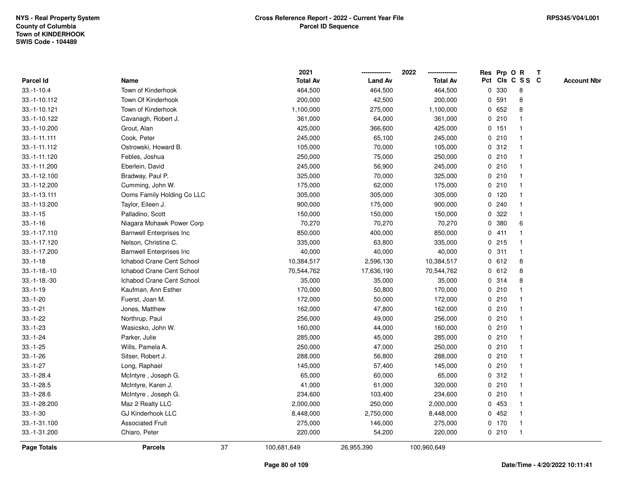|                  |                                 |    | 2021            |                | 2022            |              |         | Res Prp O R     | Т |                    |
|------------------|---------------------------------|----|-----------------|----------------|-----------------|--------------|---------|-----------------|---|--------------------|
| <b>Parcel Id</b> | Name                            |    | <b>Total Av</b> | <b>Land Av</b> | <b>Total Av</b> |              |         | Pct Cls C S S C |   | <b>Account Nbr</b> |
| $33.-1-10.4$     | Town of Kinderhook              |    | 464,500         | 464,500        | 464,500         | 0            | 330     | 8               |   |                    |
| 33.-1-10.112     | Town Of Kinderhook              |    | 200,000         | 42,500         | 200,000         | 0            | 591     | 8               |   |                    |
| 33.-1-10.121     | Town of Kinderhook              |    | 1,100,000       | 275,000        | 1,100,000       | 0            | 652     | 8               |   |                    |
| 33.-1-10.122     | Cavanagh, Robert J.             |    | 361,000         | 64,000         | 361,000         |              | 0210    |                 |   |                    |
| 33.-1-10.200     | Grout, Alan                     |    | 425,000         | 366,600        | 425,000         |              | $0$ 151 |                 |   |                    |
| 33.-1-11.111     | Cook, Peter                     |    | 245,000         | 65,100         | 245,000         |              | 0210    |                 |   |                    |
| 33.-1-11.112     | Ostrowski, Howard B.            |    | 105,000         | 70,000         | 105,000         |              | 0.312   |                 |   |                    |
| 33.-1-11.120     | Febles, Joshua                  |    | 250,000         | 75,000         | 250,000         |              | 0210    |                 |   |                    |
| 33.-1-11.200     | Eberlein, David                 |    | 245,000         | 56,900         | 245,000         |              | 0210    | -1              |   |                    |
| 33.-1-12.100     | Bradway, Paul P.                |    | 325,000         | 70,000         | 325,000         |              | 0210    |                 |   |                    |
| 33.-1-12.200     | Cumming, John W.                |    | 175,000         | 62,000         | 175,000         |              | 0210    |                 |   |                    |
| 33.-1-13.111     | Ooms Family Holding Co LLC      |    | 305,000         | 305,000        | 305,000         |              | $0$ 120 |                 |   |                    |
| 33.-1-13.200     | Taylor, Eileen J.               |    | 900,000         | 175,000        | 900,000         |              | 0.240   |                 |   |                    |
| $33.-1-15$       | Palladino, Scott                |    | 150,000         | 150,000        | 150,000         | 0            | 322     |                 |   |                    |
| $33.-1-16$       | Niagara Mohawk Power Corp       |    | 70,270          | 70,270         | 70,270          | 0            | 380     | 6               |   |                    |
| 33.-1-17.110     | <b>Barnwell Enterprises Inc</b> |    | 850,000         | 400,000        | 850,000         | $\mathbf{0}$ | 411     |                 |   |                    |
| 33.-1-17.120     | Nelson, Christine C.            |    | 335,000         | 63,800         | 335,000         |              | $0$ 215 |                 |   |                    |
| 33.-1-17.200     | <b>Barnwell Enterprises Inc</b> |    | 40,000          | 40,000         | 40,000          |              | 0.311   |                 |   |                    |
| $33.-1-18$       | Ichabod Crane Cent School       |    | 10,384,517      | 2,596,130      | 10,384,517      |              | 0 612   | 8               |   |                    |
| $33.-1-18.-10$   | Ichabod Crane Cent School       |    | 70,544,762      | 17,636,190     | 70,544,762      |              | 0 612   | 8               |   |                    |
| $33.-1-18.-30$   | Ichabod Crane Cent School       |    | 35,000          | 35,000         | 35,000          |              | 0 314   | 8               |   |                    |
| $33.-1-19$       | Kaufman, Ann Esther             |    | 170,000         | 50,800         | 170,000         |              | 0210    |                 |   |                    |
| $33.-1-20$       | Fuerst, Joan M.                 |    | 172,000         | 50,000         | 172,000         |              | 0210    |                 |   |                    |
| $33.-1-21$       | Jones, Matthew                  |    | 162,000         | 47,800         | 162,000         |              | 0210    |                 |   |                    |
| $33.-1-22$       | Northrup, Paul                  |    | 256,000         | 49,000         | 256,000         |              | 0210    |                 |   |                    |
| $33.-1-23$       | Wasicsko, John W.               |    | 160,000         | 44,000         | 160,000         |              | 0210    |                 |   |                    |
| $33.-1-24$       | Parker, Julie                   |    | 285,000         | 45,000         | 285,000         |              | 0210    |                 |   |                    |
| $33.-1-25$       | Wills, Pamela A.                |    | 250,000         | 47,000         | 250,000         |              | 0210    |                 |   |                    |
| $33.-1-26$       | Sitser, Robert J.               |    | 288,000         | 56,800         | 288,000         |              | 0210    |                 |   |                    |
| $33.-1-27$       | Long, Raphael                   |    | 145,000         | 57,400         | 145,000         | 0            | 210     | -1              |   |                    |
| $33.-1-28.4$     | McIntyre, Joseph G.             |    | 65,000          | 60,000         | 65,000          |              | 0.312   |                 |   |                    |
| $33.-1-28.5$     | McIntyre, Karen J.              |    | 41,000          | 61,000         | 320,000         |              | 0210    |                 |   |                    |
| $33.-1-28.6$     | McIntyre, Joseph G.             |    | 234,600         | 103,400        | 234,600         |              | 0210    |                 |   |                    |
| 33.-1-28.200     | Maz 2 Realty LLC                |    | 2,000,000       | 250,000        | 2,000,000       |              | 0 453   |                 |   |                    |
| $33.-1-30$       | <b>GJ Kinderhook LLC</b>        |    | 8,448,000       | 2,750,000      | 8,448,000       |              | 0452    |                 |   |                    |
| 33.-1-31.100     | <b>Associated Fruit</b>         |    | 275,000         | 146,000        | 275,000         |              | $0$ 170 | -1              |   |                    |
| 33.-1-31.200     | Chiaro, Peter                   |    | 220,000         | 54,200         | 220,000         |              | 0210    | $\mathbf{1}$    |   |                    |
| Page Totals      | <b>Parcels</b>                  | 37 | 100,681,649     | 26,955,390     | 100,960,649     |              |         |                 |   |                    |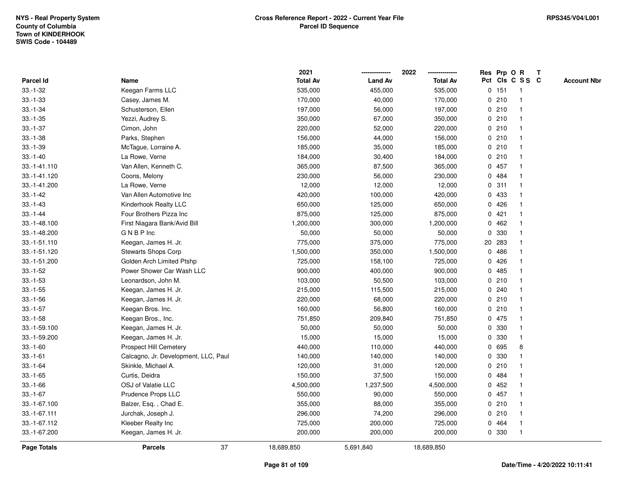|               |                                      | 2021            |                | 2022            | Res Prp O R |       |                 | T |                    |
|---------------|--------------------------------------|-----------------|----------------|-----------------|-------------|-------|-----------------|---|--------------------|
| Parcel Id     | Name                                 | <b>Total Av</b> | <b>Land Av</b> | <b>Total Av</b> |             |       | Pct Cls C S S C |   | <b>Account Nbr</b> |
| $33.-1-32$    | Keegan Farms LLC                     | 535,000         | 455,000        | 535,000         |             | 0 151 | $\mathbf{1}$    |   |                    |
| $33.-1-33$    | Casey, James M.                      | 170,000         | 40,000         | 170,000         | 0           | 210   | -1              |   |                    |
| $33.-1-34$    | Schusterson, Ellen                   | 197,000         | 56,000         | 197,000         |             | 0210  | $\mathbf{1}$    |   |                    |
| $33.-1-35$    | Yezzi, Audrey S.                     | 350,000         | 67,000         | 350,000         |             | 0210  |                 |   |                    |
| $33.-1-37$    | Cimon, John                          | 220,000         | 52,000         | 220,000         |             | 0210  |                 |   |                    |
| $33.-1-38$    | Parks, Stephen                       | 156,000         | 44,000         | 156,000         |             | 0210  |                 |   |                    |
| $33.-1-39$    | McTague, Lorraine A.                 | 185,000         | 35,000         | 185,000         |             | 0210  |                 |   |                    |
| $33.-1-40$    | La Rowe, Verne                       | 184,000         | 30,400         | 184,000         | 0           | 210   |                 |   |                    |
| 33.-1-41.110  | Van Allen, Kenneth C.                | 365,000         | 87,500         | 365,000         |             | 0457  | -1              |   |                    |
| 33.-1-41.120  | Coons, Melony                        | 230,000         | 56,000         | 230,000         |             | 0 484 | $\mathbf 1$     |   |                    |
| 33.-1-41.200  | La Rowe, Verne                       | 12,000          | 12,000         | 12,000          |             | 0.311 |                 |   |                    |
| $33.-1-42$    | Van Allen Automotive Inc             | 420,000         | 100,000        | 420,000         |             | 0 433 |                 |   |                    |
| $33.-1-43$    | Kinderhook Realty LLC                | 650,000         | 125,000        | 650,000         |             | 0426  |                 |   |                    |
| $33 - 1 - 44$ | Four Brothers Pizza Inc              | 875,000         | 125,000        | 875,000         |             | 0421  |                 |   |                    |
| 33.-1-48.100  | First Niagara Bank/Avid Bill         | 1,200,000       | 300,000        | 1,200,000       | 0           | 462   |                 |   |                    |
| 33.-1-48.200  | <b>GNBP</b> Inc                      | 50,000          | 50,000         | 50,000          | $\mathbf 0$ | 330   | $\mathbf{1}$    |   |                    |
| 33.-1-51.110  | Keegan, James H. Jr.                 | 775,000         | 375,000        | 775,000         | 20          | 283   |                 |   |                    |
| 33.-1-51.120  | Stewarts Shops Corp                  | 1,500,000       | 350,000        | 1,500,000       |             | 0 486 |                 |   |                    |
| 33.-1-51.200  | Golden Arch Limited Ptshp            | 725,000         | 158,100        | 725,000         |             | 0426  |                 |   |                    |
| $33.-1-52$    | Power Shower Car Wash LLC            | 900,000         | 400,000        | 900,000         |             | 0 485 |                 |   |                    |
| $33.-1-53$    | Leonardson, John M.                  | 103,000         | 50,500         | 103,000         |             | 0210  |                 |   |                    |
| $33.-1-55$    | Keegan, James H. Jr.                 | 215,000         | 115,500        | 215,000         |             | 0.240 |                 |   |                    |
| $33.-1-56$    | Keegan, James H. Jr.                 | 220,000         | 68,000         | 220,000         | 0           | 210   | -1              |   |                    |
| $33.-1-57$    | Keegan Bros. Inc.                    | 160,000         | 56,800         | 160,000         | $\mathbf 0$ | 210   | $\mathbf{1}$    |   |                    |
| $33.-1-58$    | Keegan Bros., Inc.                   | 751,850         | 209,840        | 751,850         |             | 0 475 |                 |   |                    |
| 33.-1-59.100  | Keegan, James H. Jr.                 | 50,000          | 50,000         | 50,000          |             | 0 330 |                 |   |                    |
| 33.-1-59.200  | Keegan, James H. Jr.                 | 15,000          | 15,000         | 15,000          | 0           | 330   |                 |   |                    |
| $33.-1-60$    | Prospect Hill Cemetery               | 440,000         | 110,000        | 440,000         | 0           | 695   | 8               |   |                    |
| $33.-1-61$    | Calcagno, Jr. Development, LLC, Paul | 140,000         | 140,000        | 140,000         | 0           | 330   |                 |   |                    |
| $33.-1-64$    | Skinkle, Michael A.                  | 120,000         | 31,000         | 120,000         | 0           | 210   |                 |   |                    |
| $33.-1-65$    | Curtis, Deidra                       | 150,000         | 37,500         | 150,000         | 0           | 484   |                 |   |                    |
| $33.-1-66$    | OSJ of Valatie LLC                   | 4,500,000       | 1,237,500      | 4,500,000       |             | 0452  | -1              |   |                    |
| $33.-1-67$    | Prudence Props LLC                   | 550,000         | 90,000         | 550,000         |             | 0 457 |                 |   |                    |
| 33.-1-67.100  | Balzer, Esq., Chad E.                | 355,000         | 88,000         | 355,000         |             | 0210  |                 |   |                    |
| 33.-1-67.111  | Jurchak, Joseph J.                   | 296,000         | 74,200         | 296,000         |             | 0210  |                 |   |                    |
| 33.-1-67.112  | Kleeber Realty Inc                   | 725,000         | 200,000        | 725,000         | 0           | 464   |                 |   |                    |
| 33.-1-67.200  | Keegan, James H. Jr.                 | 200,000         | 200,000        | 200,000         |             | 0 330 | $\mathbf{1}$    |   |                    |
| Page Totals   | 37<br><b>Parcels</b>                 | 18,689,850      | 5,691,840      | 18,689,850      |             |       |                 |   |                    |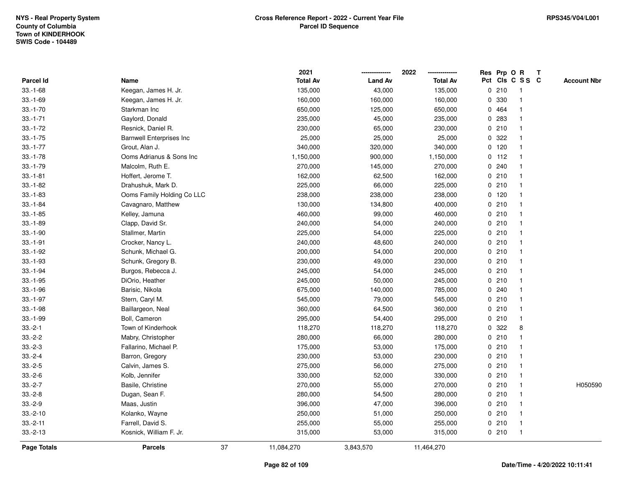**2021 -------------- 2022**

**--------------**

|                  |                                 | 2021             |                | 2022            | Res Prp O R                         | T                  |
|------------------|---------------------------------|------------------|----------------|-----------------|-------------------------------------|--------------------|
| <b>Parcel Id</b> | Name                            | <b>Total Av</b>  | <b>Land Av</b> | <b>Total Av</b> | Pct Cls C S S C                     | <b>Account Nbr</b> |
| $33.-1-68$       | Keegan, James H. Jr.            | 135,000          | 43,000         | 135,000         | 0210<br>$\overline{1}$              |                    |
| $33.-1-69$       | Keegan, James H. Jr.            | 160,000          | 160,000        | 160,000         | 330<br>0<br>$\overline{1}$          |                    |
| $33.-1-70$       | Starkman Inc                    | 650,000          | 125,000        | 650,000         | 0 464<br>$\overline{1}$             |                    |
| $33.-1-71$       | Gaylord, Donald                 | 235,000          | 45,000         | 235,000         | 0.283<br>$\overline{\mathbf{1}}$    |                    |
| $33.-1-72$       | Resnick, Daniel R.              | 230,000          | 65,000         | 230,000         | 0210<br>$\overline{1}$              |                    |
| $33.-1-75$       | <b>Barnwell Enterprises Inc</b> | 25,000           | 25,000         | 25,000          | 322<br>0<br>$\overline{\mathbf{1}}$ |                    |
| $33.-1-77$       | Grout, Alan J.                  | 340,000          | 320,000        | 340,000         | 120<br>$\overline{1}$<br>0          |                    |
| $33.-1-78$       | Ooms Adrianus & Sons Inc        | 1,150,000        | 900,000        | 1,150,000       | 112<br>$\overline{1}$<br>0          |                    |
| $33.-1-79$       | Malcolm, Ruth E.                | 270,000          | 145,000        | 270,000         | 240<br>$\overline{1}$<br>0          |                    |
| $33.-1-81$       | Hoffert, Jerome T.              | 162,000          | 62,500         | 162,000         | 0210<br>$\overline{1}$              |                    |
| $33.-1-82$       | Drahushuk, Mark D.              | 225,000          | 66,000         | 225,000         | 0210<br>$\overline{1}$              |                    |
| $33.-1-83$       | Ooms Family Holding Co LLC      | 238,000          | 238,000        | 238,000         | $0$ 120<br>-1                       |                    |
| $33.-1-84$       | Cavagnaro, Matthew              | 130,000          | 134,800        | 400,000         | 0210<br>$\overline{1}$              |                    |
| $33.-1-85$       | Kelley, Jamuna                  | 460,000          | 99,000         | 460,000         | 0210<br>$\overline{1}$              |                    |
| $33.-1-89$       | Clapp, David Sr.                | 240,000          | 54,000         | 240,000         | 0210<br>$\overline{1}$              |                    |
| $33.-1-90$       | Stallmer, Martin                | 225,000          | 54,000         | 225,000         | 0210<br>$\overline{1}$              |                    |
| $33.-1-91$       | Crocker, Nancy L.               | 240,000          | 48,600         | 240,000         | 0210<br>$\overline{1}$              |                    |
| $33.-1-92$       | Schunk, Michael G.              | 200,000          | 54,000         | 200,000         | 0210<br>$\overline{1}$              |                    |
| $33.-1-93$       | Schunk, Gregory B.              | 230,000          | 49,000         | 230,000         | 0210<br>$\overline{1}$              |                    |
| $33.-1-94$       | Burgos, Rebecca J.              | 245,000          | 54,000         | 245,000         | 0210<br>$\overline{\mathbf{1}}$     |                    |
| $33.-1-95$       | DiOrio, Heather                 | 245,000          | 50,000         | 245,000         | 0210<br>$\overline{1}$              |                    |
| $33.-1-96$       | Barisic, Nikola                 | 675,000          | 140,000        | 785,000         | 0.240<br>$\overline{1}$             |                    |
| $33.-1-97$       | Stern, Caryl M.                 | 545,000          | 79,000         | 545,000         | 0210<br>$\overline{1}$              |                    |
| $33.-1-98$       | Baillargeon, Neal               | 360,000          | 64,500         | 360,000         | 0210<br>$\overline{1}$              |                    |
| $33.-1-99$       | Boll, Cameron                   | 295,000          | 54,400         | 295,000         | 0210<br>$\overline{1}$              |                    |
| $33.-2-1$        | Town of Kinderhook              | 118,270          | 118,270        | 118,270         | 0.322<br>8                          |                    |
| $33.-2-2$        | Mabry, Christopher              | 280,000          | 66,000         | 280,000         | 0210<br>$\overline{\mathbf{1}}$     |                    |
| $33.-2-3$        | Fallarino, Michael P.           | 175,000          | 53,000         | 175,000         | 0210<br>$\overline{\mathbf{1}}$     |                    |
| $33.-2-4$        | Barron, Gregory                 | 230,000          | 53,000         | 230,000         | 0210<br>$\overline{1}$              |                    |
| $33.-2-5$        | Calvin, James S.                | 275,000          | 56,000         | 275,000         | 0210<br>$\overline{1}$              |                    |
| $33.-2-6$        | Kolb, Jennifer                  | 330,000          | 52,000         | 330,000         | 0210<br>$\overline{1}$              |                    |
| $33.-2-7$        | Basile, Christine               | 270,000          | 55,000         | 270,000         | 0210<br>$\overline{1}$              | H050590            |
| $33.-2-8$        | Dugan, Sean F.                  | 280,000          | 54,500         | 280,000         | 0210<br>$\overline{1}$              |                    |
| $33.-2-9$        | Maas, Justin                    | 396,000          | 47,000         | 396,000         | 0210<br>$\overline{1}$              |                    |
| $33.-2-10$       | Kolanko, Wayne                  | 250,000          | 51,000         | 250,000         | 0210<br>$\overline{1}$              |                    |
| $33.-2-11$       | Farrell, David S.               | 255,000          | 55,000         | 255,000         | 0210<br>$\overline{1}$              |                    |
| $33.-2-13$       | Kosnick, William F. Jr.         | 315,000          | 53,000         | 315,000         | 0210<br>$\overline{1}$              |                    |
| Page Totals      | <b>Parcels</b>                  | 37<br>11,084,270 | 3,843,570      | 11,464,270      |                                     |                    |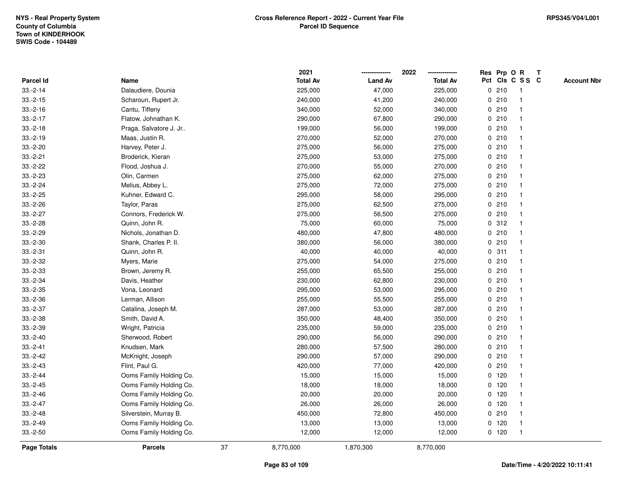|                    |                         |    | 2021            |                | 2022            | Res Prp O R |                         | Т |                    |
|--------------------|-------------------------|----|-----------------|----------------|-----------------|-------------|-------------------------|---|--------------------|
| Parcel Id          | Name                    |    | <b>Total Av</b> | <b>Land Av</b> | <b>Total Av</b> |             | Pct Cls C S S C         |   | <b>Account Nbr</b> |
| $33.-2-14$         | Dalaudiere, Dounia      |    | 225,000         | 47,000         | 225,000         | 0210        | $\overline{\mathbf{1}}$ |   |                    |
| $33.-2-15$         | Scharoun, Rupert Jr.    |    | 240,000         | 41,200         | 240,000         | 0210        | -1                      |   |                    |
| $33.-2-16$         | Cantu, Tiffeny          |    | 340,000         | 52,000         | 340,000         | 0210        | 1                       |   |                    |
| $33.-2-17$         | Flatow, Johnathan K.    |    | 290,000         | 67,800         | 290,000         | 0210        |                         |   |                    |
| $33.-2-18$         | Praga, Salvatore J. Jr  |    | 199,000         | 56,000         | 199,000         | 0210        |                         |   |                    |
| $33.-2-19$         | Maas, Justin R.         |    | 270,000         | 52,000         | 270,000         | 0210        |                         |   |                    |
| $33.-2-20$         | Harvey, Peter J.        |    | 275,000         | 56,000         | 275,000         | 0210        | -1                      |   |                    |
| $33.-2-21$         | Broderick, Kieran       |    | 275,000         | 53,000         | 275,000         | 0210        | $\overline{\mathbf{1}}$ |   |                    |
| $33.-2-22$         | Flood, Joshua J.        |    | 270,000         | 55,000         | 270,000         | 0210        | -1                      |   |                    |
| $33.-2-23$         | Olin, Carmen            |    | 275,000         | 62,000         | 275,000         | 0210        | -1                      |   |                    |
| $33.-2-24$         | Melius, Abbey L.        |    | 275,000         | 72,000         | 275,000         | 0210        |                         |   |                    |
| $33.-2-25$         | Kuhner, Edward C.       |    | 295,000         | 58,000         | 295,000         | 0210        |                         |   |                    |
| $33.-2-26$         | Taylor, Paras           |    | 275,000         | 62,500         | 275,000         | 0210        |                         |   |                    |
| $33.-2-27$         | Connors, Frederick W.   |    | 275,000         | 56,500         | 275,000         | 0210        | $\overline{\mathbf{1}}$ |   |                    |
| $33.-2-28$         | Quinn, John R.          |    | 75,000          | 60,000         | 75,000          | 0.312       | $\overline{1}$          |   |                    |
| $33.-2-29$         | Nichols, Jonathan D.    |    | 480,000         | 47,800         | 480,000         | 0210        | $\mathbf{1}$            |   |                    |
| $33.-2-30$         | Shank, Charles P. II.   |    | 380,000         | 56,000         | 380,000         | 0210        | 1                       |   |                    |
| $33.-2-31$         | Quinn, John R.          |    | 40,000          | 40,000         | 40,000          | 0.311       | -1                      |   |                    |
| $33.-2-32$         | Myers, Marie            |    | 275,000         | 54,000         | 275,000         | 0210        |                         |   |                    |
| $33.-2-33$         | Brown, Jeremy R.        |    | 255,000         | 65,500         | 255,000         | 0210        | -1                      |   |                    |
| $33.-2-34$         | Davis, Heather          |    | 230,000         | 62,800         | 230,000         | 0210        | -1                      |   |                    |
| $33.-2-35$         | Vona, Leonard           |    | 295,000         | 53,000         | 295,000         | 0210        | $\overline{\mathbf{1}}$ |   |                    |
| $33.-2-36$         | Lerman, Allison         |    | 255,000         | 55,500         | 255,000         | 0210        | -1                      |   |                    |
| $33.-2-37$         | Catalina, Joseph M.     |    | 287,000         | 53,000         | 287,000         | 0210        | $\overline{1}$          |   |                    |
| $33.-2-38$         | Smith, David A.         |    | 350,000         | 48,400         | 350,000         | 0210        |                         |   |                    |
| $33.-2-39$         | Wright, Patricia        |    | 235,000         | 59,000         | 235,000         | 0210        |                         |   |                    |
| $33.-2-40$         | Sherwood, Robert        |    | 290,000         | 56,000         | 290,000         | 0210        |                         |   |                    |
| $33.-2-41$         | Knudsen, Mark           |    | 280,000         | 57,500         | 280,000         | 0210        | -1                      |   |                    |
| $33.-2-42$         | McKnight, Joseph        |    | 290,000         | 57,000         | 290,000         | 0210        | -1                      |   |                    |
| $33.-2-43$         | Flint, Paul G.          |    | 420,000         | 77,000         | 420,000         | 0210        | $\overline{1}$          |   |                    |
| $33.-2-44$         | Ooms Family Holding Co. |    | 15,000          | 15,000         | 15,000          | $0$ 120     | -1                      |   |                    |
| $33.-2-45$         | Ooms Family Holding Co. |    | 18,000          | 18,000         | 18,000          | $0$ 120     | 1                       |   |                    |
| $33.-2-46$         | Ooms Family Holding Co. |    | 20,000          | 20,000         | 20,000          | $0$ 120     |                         |   |                    |
| $33.-2-47$         | Ooms Family Holding Co. |    | 26,000          | 26,000         | 26,000          | $0$ 120     | $\overline{1}$          |   |                    |
| $33.-2-48$         | Silverstein, Murray B.  |    | 450,000         | 72,800         | 450,000         | 0210        | $\overline{\mathbf{1}}$ |   |                    |
| $33.-2-49$         | Ooms Family Holding Co. |    | 13,000          | 13,000         | 13,000          | 0 120       | $\overline{\mathbf{1}}$ |   |                    |
| $33.-2-50$         | Ooms Family Holding Co. |    | 12,000          | 12,000         | 12,000          | $0$ 120     | $\overline{\mathbf{1}}$ |   |                    |
| <b>Page Totals</b> | <b>Parcels</b>          | 37 | 8,770,000       | 1,870,300      | 8,770,000       |             |                         |   |                    |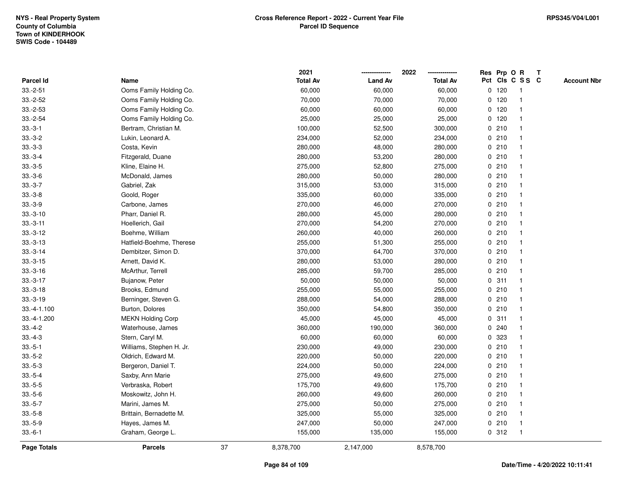|                  |                          |    | 2021            |                | 2022            | Res Prp O   |         | $\mathbf R$     | $\mathbf{T}$ |                    |
|------------------|--------------------------|----|-----------------|----------------|-----------------|-------------|---------|-----------------|--------------|--------------------|
| <b>Parcel Id</b> | Name                     |    | <b>Total Av</b> | <b>Land Av</b> | <b>Total Av</b> |             |         | Pct Cls C S S C |              | <b>Account Nbr</b> |
| $33.-2-51$       | Ooms Family Holding Co.  |    | 60,000          | 60,000         | 60,000          |             | $0$ 120 |                 |              |                    |
| $33.-2-52$       | Ooms Family Holding Co.  |    | 70,000          | 70,000         | 70,000          |             | $0$ 120 |                 |              |                    |
| $33.-2-53$       | Ooms Family Holding Co.  |    | 60,000          | 60,000         | 60,000          |             | $0$ 120 |                 |              |                    |
| $33.-2-54$       | Ooms Family Holding Co.  |    | 25,000          | 25,000         | 25,000          | 0           | 120     | -1              |              |                    |
| $33.-3-1$        | Bertram, Christian M.    |    | 100,000         | 52,500         | 300,000         |             | 0210    |                 |              |                    |
| $33.-3-2$        | Lukin, Leonard A.        |    | 234,000         | 52,000         | 234,000         |             | 0210    |                 |              |                    |
| $33.-3-3$        | Costa, Kevin             |    | 280,000         | 48,000         | 280,000         |             | 0210    |                 |              |                    |
| $33.-3-4$        | Fitzgerald, Duane        |    | 280,000         | 53,200         | 280,000         |             | 0210    |                 |              |                    |
| $33.-3-5$        | Kline, Elaine H.         |    | 275,000         | 52,800         | 275,000         |             | 0210    |                 |              |                    |
| $33.-3-6$        | McDonald, James          |    | 280,000         | 50,000         | 280,000         |             | 0210    |                 |              |                    |
| $33.-3-7$        | Gabriel, Zak             |    | 315,000         | 53,000         | 315,000         |             | 0210    | -1              |              |                    |
| $33.-3-8$        | Goold, Roger             |    | 335,000         | 60,000         | 335,000         |             | 0210    | $\mathbf 1$     |              |                    |
| $33.-3-9$        | Carbone, James           |    | 270,000         | 46,000         | 270,000         |             | 0210    |                 |              |                    |
| $33.-3-10$       | Pharr, Daniel R.         |    | 280,000         | 45,000         | 280,000         |             | 0210    |                 |              |                    |
| $33.-3-11$       | Hoellerich, Gail         |    | 270,000         | 54,200         | 270,000         |             | 0210    |                 |              |                    |
| $33.-3-12$       | Boehme, William          |    | 260,000         | 40,000         | 260,000         |             | 0210    |                 |              |                    |
| $33.-3-13$       | Hatfield-Boehme, Therese |    | 255,000         | 51,300         | 255,000         | 0           | 210     |                 |              |                    |
| $33.-3-14$       | Dembitzer, Simon D.      |    | 370,000         | 64,700         | 370,000         | $\mathbf 0$ | 210     | -1              |              |                    |
| $33.-3-15$       | Arnett, David K.         |    | 280,000         | 53,000         | 280,000         |             | 0210    |                 |              |                    |
| $33.-3-16$       | McArthur, Terrell        |    | 285,000         | 59,700         | 285,000         |             | 0210    |                 |              |                    |
| $33.-3-17$       | Bujanow, Peter           |    | 50,000          | 50,000         | 50,000          |             | 0.311   |                 |              |                    |
| $33.-3-18$       | Brooks, Edmund           |    | 255,000         | 55,000         | 255,000         |             | 0210    |                 |              |                    |
| $33.-3-19$       | Berninger, Steven G.     |    | 288,000         | 54,000         | 288,000         |             | 0210    |                 |              |                    |
| 33.-4-1.100      | Burton, Dolores          |    | 350,000         | 54,800         | 350,000         |             | 0210    | -1              |              |                    |
| 33.-4-1.200      | <b>MEKN Holding Corp</b> |    | 45,000          | 45,000         | 45,000          |             | 0.311   |                 |              |                    |
| $33.-4-2$        | Waterhouse, James        |    | 360,000         | 190,000        | 360,000         |             | 0.240   |                 |              |                    |
| $33.-4-3$        | Stern, Caryl M.          |    | 60,000          | 60,000         | 60,000          |             | 0 323   |                 |              |                    |
| $33.-5-1$        | Williams, Stephen H. Jr. |    | 230,000         | 49,000         | 230,000         |             | 0210    |                 |              |                    |
| $33.-5-2$        | Oldrich, Edward M.       |    | 220,000         | 50,000         | 220,000         |             | 0210    |                 |              |                    |
| $33.-5-3$        | Bergeron, Daniel T.      |    | 224,000         | 50,000         | 224,000         | 0           | 210     |                 |              |                    |
| $33.-5-4$        | Saxby, Ann Marie         |    | 275,000         | 49,600         | 275,000         | 0           | 210     | -1              |              |                    |
| $33.-5-5$        | Verbraska, Robert        |    | 175,700         | 49,600         | 175,700         |             | 0210    |                 |              |                    |
| $33.-5-6$        | Moskowitz, John H.       |    | 260,000         | 49,600         | 260,000         |             | 0210    |                 |              |                    |
| $33.-5-7$        | Marini, James M.         |    | 275,000         | 50,000         | 275,000         |             | 0210    |                 |              |                    |
| $33.-5-8$        | Brittain, Bernadette M.  |    | 325,000         | 55,000         | 325,000         |             | 0210    |                 |              |                    |
| $33.-5-9$        | Hayes, James M.          |    | 247,000         | 50,000         | 247,000         |             | 0210    | -1              |              |                    |
| $33.-6-1$        | Graham, George L.        |    | 155,000         | 135,000        | 155,000         |             | 0.312   | -1              |              |                    |
| Page Totals      | <b>Parcels</b>           | 37 | 8,378,700       | 2,147,000      | 8,578,700       |             |         |                 |              |                    |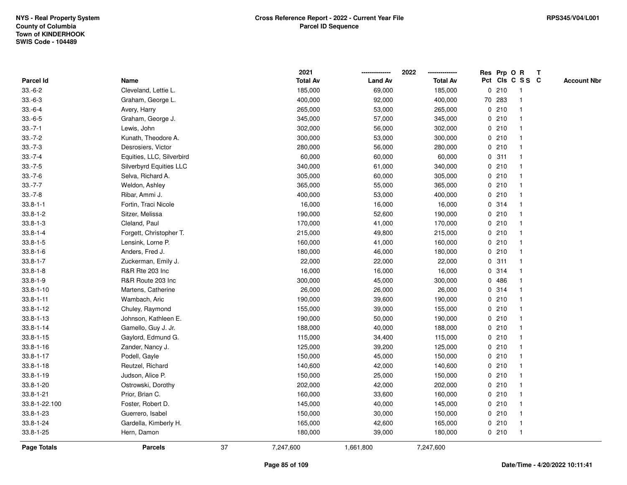|                  |                           |    | 2021            |                | 2022            | Res Prp O |        | $\mathbf R$     | $\mathsf{T}$ |                    |
|------------------|---------------------------|----|-----------------|----------------|-----------------|-----------|--------|-----------------|--------------|--------------------|
| <b>Parcel Id</b> | Name                      |    | <b>Total Av</b> | <b>Land Av</b> | <b>Total Av</b> |           |        | Pct Cls C S S C |              | <b>Account Nbr</b> |
| $33.-6-2$        | Cleveland, Lettie L.      |    | 185,000         | 69,000         | 185,000         |           | 0210   |                 |              |                    |
| $33.-6-3$        | Graham, George L.         |    | 400,000         | 92,000         | 400,000         |           | 70 283 |                 |              |                    |
| $33.-6-4$        | Avery, Harry              |    | 265,000         | 53,000         | 265,000         |           | 0210   |                 |              |                    |
| $33.-6-5$        | Graham, George J.         |    | 345,000         | 57,000         | 345,000         | 0         | 210    |                 |              |                    |
| $33.-7-1$        | Lewis, John               |    | 302,000         | 56,000         | 302,000         |           | 0210   |                 |              |                    |
| $33.-7-2$        | Kunath, Theodore A.       |    | 300,000         | 53,000         | 300,000         |           | 0210   |                 |              |                    |
| $33.-7-3$        | Desrosiers, Victor        |    | 280,000         | 56,000         | 280,000         |           | 0210   |                 |              |                    |
| $33.-7-4$        | Equities, LLC, Silverbird |    | 60,000          | 60,000         | 60,000          |           | 0.311  |                 |              |                    |
| $33.-7-5$        | Silverbyrd Equities LLC   |    | 340,000         | 61,000         | 340,000         |           | 0210   |                 |              |                    |
| $33.-7-6$        | Selva, Richard A.         |    | 305,000         | 60,000         | 305,000         |           | 0210   |                 |              |                    |
| $33.-7-7$        | Weldon, Ashley            |    | 365,000         | 55,000         | 365,000         | 0         | 210    |                 |              |                    |
| $33.-7-8$        | Ribar, Ammi J.            |    | 400,000         | 53,000         | 400,000         |           | 0210   |                 |              |                    |
| $33.8 - 1 - 1$   | Fortin, Traci Nicole      |    | 16,000          | 16,000         | 16,000          |           | 0 314  |                 |              |                    |
| $33.8 - 1 - 2$   | Sitzer, Melissa           |    | 190,000         | 52,600         | 190,000         |           | 0210   |                 |              |                    |
| $33.8 - 1 - 3$   | Cleland, Paul             |    | 170,000         | 41,000         | 170,000         |           | 0210   |                 |              |                    |
| $33.8 - 1 - 4$   | Forgett, Christopher T.   |    | 215,000         | 49,800         | 215,000         |           | 0210   |                 |              |                    |
| $33.8 - 1 - 5$   | Lensink, Lorne P.         |    | 160,000         | 41,000         | 160,000         | 0         | 210    |                 |              |                    |
| $33.8 - 1 - 6$   | Anders, Fred J.           |    | 180,000         | 46,000         | 180,000         | 0         | 210    |                 |              |                    |
| $33.8 - 1 - 7$   | Zuckerman, Emily J.       |    | 22,000          | 22,000         | 22,000          |           | 0.311  |                 |              |                    |
| $33.8 - 1 - 8$   | R&R Rte 203 Inc           |    | 16,000          | 16,000         | 16,000          |           | 0 314  |                 |              |                    |
| $33.8 - 1 - 9$   | R&R Route 203 Inc         |    | 300,000         | 45,000         | 300,000         |           | 0486   |                 |              |                    |
| $33.8 - 1 - 10$  | Martens, Catherine        |    | 26,000          | 26,000         | 26,000          |           | 0 314  |                 |              |                    |
| $33.8 - 1 - 11$  | Wambach, Aric             |    | 190,000         | 39,600         | 190,000         |           | 0210   |                 |              |                    |
| $33.8 - 1 - 12$  | Chuley, Raymond           |    | 155,000         | 39,000         | 155,000         | 0         | 210    |                 |              |                    |
| $33.8 - 1 - 13$  | Johnson, Kathleen E.      |    | 190,000         | 50,000         | 190,000         |           | 0210   |                 |              |                    |
| $33.8 - 1 - 14$  | Gamello, Guy J. Jr.       |    | 188,000         | 40,000         | 188,000         |           | 0210   |                 |              |                    |
| $33.8 - 1 - 15$  | Gaylord, Edmund G.        |    | 115,000         | 34,400         | 115,000         |           | 0210   |                 |              |                    |
| $33.8 - 1 - 16$  | Zander, Nancy J.          |    | 125,000         | 39,200         | 125,000         |           | 0210   |                 |              |                    |
| $33.8 - 1 - 17$  | Podell, Gayle             |    | 150,000         | 45,000         | 150,000         |           | 0210   |                 |              |                    |
| $33.8 - 1 - 18$  | Reutzel, Richard          |    | 140,600         | 42,000         | 140,600         |           | 0210   |                 |              |                    |
| $33.8 - 1 - 19$  | Judson, Alice P.          |    | 150,000         | 25,000         | 150,000         |           | 0210   |                 |              |                    |
| $33.8 - 1 - 20$  | Ostrowski, Dorothy        |    | 202,000         | 42,000         | 202,000         |           | 0210   |                 |              |                    |
| $33.8 - 1 - 21$  | Prior, Brian C.           |    | 160,000         | 33,600         | 160,000         |           | 0210   |                 |              |                    |
| 33.8-1-22.100    | Foster, Robert D.         |    | 145,000         | 40,000         | 145,000         |           | 0210   |                 |              |                    |
| 33.8-1-23        | Guerrero, Isabel          |    | 150,000         | 30,000         | 150,000         |           | 0210   |                 |              |                    |
| $33.8 - 1 - 24$  | Gardella, Kimberly H.     |    | 165,000         | 42,600         | 165,000         |           | 0210   | $\mathbf 1$     |              |                    |
| $33.8 - 1 - 25$  | Hern, Damon               |    | 180,000         | 39,000         | 180,000         |           | 0210   | -1              |              |                    |
| Page Totals      | <b>Parcels</b>            | 37 | 7,247,600       | 1,661,800      | 7,247,600       |           |        |                 |              |                    |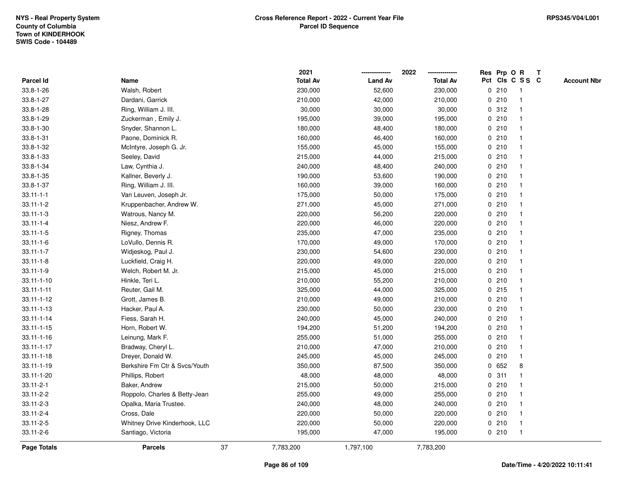|                  |                               |    | 2021            |                | 2022            |             |       | Res Prp O R             | T |                    |
|------------------|-------------------------------|----|-----------------|----------------|-----------------|-------------|-------|-------------------------|---|--------------------|
| Parcel Id        | Name                          |    | <b>Total Av</b> | <b>Land Av</b> | <b>Total Av</b> |             |       | Pct Cls C S S C         |   | <b>Account Nbr</b> |
| 33.8-1-26        | Walsh, Robert                 |    | 230,000         | 52,600         | 230,000         | 0           | 210   | $\mathbf{1}$            |   |                    |
| 33.8-1-27        | Dardani, Garrick              |    | 210,000         | 42,000         | 210,000         | 0           | 210   | -1                      |   |                    |
| 33.8-1-28        | Ring, William J. III.         |    | 30,000          | 30,000         | 30,000          |             | 0.312 | -1                      |   |                    |
| 33.8-1-29        | Zuckerman, Emily J.           |    | 195,000         | 39,000         | 195,000         |             | 0210  |                         |   |                    |
| 33.8-1-30        | Snyder, Shannon L.            |    | 180,000         | 48,400         | 180,000         |             | 0210  |                         |   |                    |
| $33.8 - 1 - 31$  | Paone, Dominick R.            |    | 160,000         | 46,400         | 160,000         |             | 0210  |                         |   |                    |
| 33.8-1-32        | McIntyre, Joseph G. Jr.       |    | 155,000         | 45,000         | 155,000         |             | 0210  |                         |   |                    |
| 33.8-1-33        | Seeley, David                 |    | 215,000         | 44,000         | 215,000         | 0           | 210   |                         |   |                    |
| 33.8-1-34        | Law, Cynthia J.               |    | 240,000         | 48,400         | 240,000         | 0           | 210   | -1                      |   |                    |
| $33.8 - 1 - 35$  | Kallner, Beverly J.           |    | 190,000         | 53,600         | 190,000         |             | 0210  | -1                      |   |                    |
| 33.8-1-37        | Ring, William J. III.         |    | 160,000         | 39,000         | 160,000         |             | 0210  |                         |   |                    |
| $33.11 - 1 - 1$  | Van Leuven, Joseph Jr.        |    | 175,000         | 50,000         | 175,000         |             | 0210  |                         |   |                    |
| $33.11 - 1 - 2$  | Kruppenbacher, Andrew W.      |    | 271,000         | 45,000         | 271,000         |             | 0210  |                         |   |                    |
| $33.11 - 1 - 3$  | Watrous, Nancy M.             |    | 220,000         | 56,200         | 220,000         |             | 0210  |                         |   |                    |
| $33.11 - 1 - 4$  | Niesz, Andrew F.              |    | 220,000         | 46,000         | 220,000         | $\mathbf 0$ | 210   |                         |   |                    |
| $33.11 - 1 - 5$  | Rigney, Thomas                |    | 235,000         | 47,000         | 235,000         | $\mathbf 0$ | 210   | $\overline{\mathbf{1}}$ |   |                    |
| $33.11 - 1 - 6$  | LoVullo, Dennis R.            |    | 170,000         | 49,000         | 170,000         |             | 0210  | $\mathbf{1}$            |   |                    |
| $33.11 - 1 - 7$  | Widjeskog, Paul J.            |    | 230,000         | 54,600         | 230,000         |             | 0210  |                         |   |                    |
| $33.11 - 1 - 8$  | Luckfield, Craig H.           |    | 220,000         | 49,000         | 220,000         |             | 0210  |                         |   |                    |
| $33.11 - 1 - 9$  | Welch, Robert M. Jr.          |    | 215,000         | 45,000         | 215,000         |             | 0210  |                         |   |                    |
| $33.11 - 1 - 10$ | Hinkle, Teri L.               |    | 210,000         | 55,200         | 210,000         |             | 0210  |                         |   |                    |
| $33.11 - 1 - 11$ | Reuter, Gail M.               |    | 325,000         | 44,000         | 325,000         |             | 0.215 |                         |   |                    |
| 33.11-1-12       | Grott, James B.               |    | 210,000         | 49,000         | 210,000         | 0           | 210   | -1                      |   |                    |
| $33.11 - 1 - 13$ | Hacker, Paul A.               |    | 230,000         | 50,000         | 230,000         | $\mathbf 0$ | 210   | $\mathbf{1}$            |   |                    |
| $33.11 - 1 - 14$ | Fiess, Sarah H.               |    | 240,000         | 45,000         | 240,000         |             | 0210  |                         |   |                    |
| $33.11 - 1 - 15$ | Horn, Robert W.               |    | 194,200         | 51,200         | 194,200         |             | 0210  |                         |   |                    |
| $33.11 - 1 - 16$ | Leinung, Mark F.              |    | 255,000         | 51,000         | 255,000         |             | 0210  |                         |   |                    |
| $33.11 - 1 - 17$ | Bradway, Cheryl L.            |    | 210,000         | 47,000         | 210,000         |             | 0210  |                         |   |                    |
| $33.11 - 1 - 18$ | Dreyer, Donald W.             |    | 245,000         | 45,000         | 245,000         |             | 0210  |                         |   |                    |
| $33.11 - 1 - 19$ | Berkshire Fm Ctr & Svcs/Youth |    | 350,000         | 87,500         | 350,000         | 0           | 652   | 8                       |   |                    |
| 33.11-1-20       | Phillips, Robert              |    | 48,000          | 48,000         | 48,000          | 0           | 311   | -1                      |   |                    |
| $33.11 - 2 - 1$  | Baker, Andrew                 |    | 215,000         | 50,000         | 215,000         |             | 0210  | -1                      |   |                    |
| 33.11-2-2        | Roppolo, Charles & Betty-Jean |    | 255,000         | 49,000         | 255,000         |             | 0210  |                         |   |                    |
| $33.11 - 2 - 3$  | Opalka, Maria Trustee.        |    | 240,000         | 48,000         | 240,000         |             | 0210  |                         |   |                    |
| 33.11-2-4        | Cross, Dale                   |    | 220,000         | 50,000         | 220,000         |             | 0210  | -1                      |   |                    |
| 33.11-2-5        | Whitney Drive Kinderhook, LLC |    | 220,000         | 50,000         | 220,000         |             | 0210  | -1                      |   |                    |
| 33.11-2-6        | Santiago, Victoria            |    | 195,000         | 47,000         | 195,000         |             | 0210  | $\mathbf{1}$            |   |                    |
| Page Totals      | <b>Parcels</b>                | 37 | 7,783,200       | 1,797,100      | 7,783,200       |             |       |                         |   |                    |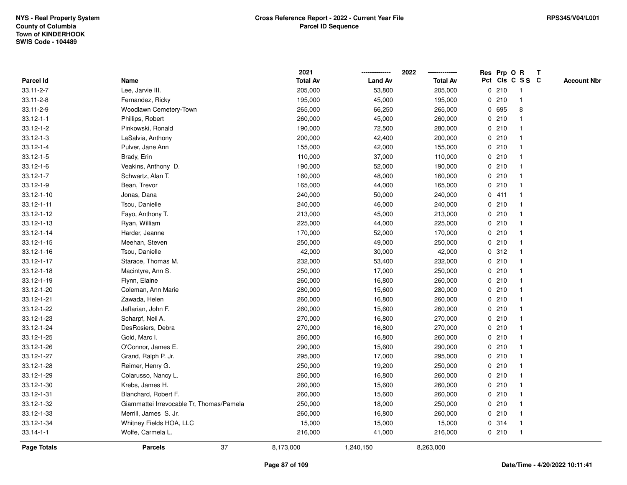|                  |                                          |    | 2021            |                | 2022            |             | Res Prp O R |                 | T |                    |
|------------------|------------------------------------------|----|-----------------|----------------|-----------------|-------------|-------------|-----------------|---|--------------------|
| <b>Parcel Id</b> | Name                                     |    | <b>Total Av</b> | <b>Land Av</b> | <b>Total Av</b> |             |             | Pct Cls C S S C |   | <b>Account Nbr</b> |
| 33.11-2-7        | Lee, Jarvie III.                         |    | 205,000         | 53,800         | 205,000         | 0           | 210         | $\mathbf{1}$    |   |                    |
| 33.11-2-8        | Fernandez, Ricky                         |    | 195,000         | 45,000         | 195,000         | 0           | 210         |                 |   |                    |
| $33.11 - 2 - 9$  | Woodlawn Cemetery-Town                   |    | 265,000         | 66,250         | 265,000         |             | 0 695       | 8               |   |                    |
| $33.12 - 1 - 1$  | Phillips, Robert                         |    | 260,000         | 45,000         | 260,000         |             | 0210        |                 |   |                    |
| $33.12 - 1 - 2$  | Pinkowski, Ronald                        |    | 190,000         | 72,500         | 280,000         |             | 0210        |                 |   |                    |
| $33.12 - 1 - 3$  | LaSalvia, Anthony                        |    | 200,000         | 42,400         | 200,000         |             | 0210        |                 |   |                    |
| $33.12 - 1 - 4$  | Pulver, Jane Ann                         |    | 155,000         | 42,000         | 155,000         |             | 0210        |                 |   |                    |
| $33.12 - 1 - 5$  | Brady, Erin                              |    | 110,000         | 37,000         | 110,000         | 0           | 210         |                 |   |                    |
| $33.12 - 1 - 6$  | Veakins, Anthony D.                      |    | 190,000         | 52,000         | 190,000         | 0           | 210         |                 |   |                    |
| $33.12 - 1 - 7$  | Schwartz, Alan T.                        |    | 160,000         | 48,000         | 160,000         |             | 0210        |                 |   |                    |
| 33.12-1-9        | Bean, Trevor                             |    | 165,000         | 44,000         | 165,000         |             | 0210        |                 |   |                    |
| 33.12-1-10       | Jonas, Dana                              |    | 240,000         | 50,000         | 240,000         |             | 0411        |                 |   |                    |
| 33.12-1-11       | Tsou, Danielle                           |    | 240,000         | 46,000         | 240,000         |             | 0210        |                 |   |                    |
| 33.12-1-12       | Fayo, Anthony T.                         |    | 213,000         | 45,000         | 213,000         |             | 0210        |                 |   |                    |
| 33.12-1-13       | Ryan, William                            |    | 225,000         | 44,000         | 225,000         |             | 0210        |                 |   |                    |
| 33.12-1-14       | Harder, Jeanne                           |    | 170,000         | 52,000         | 170,000         | 0           | 210         |                 |   |                    |
| $33.12 - 1 - 15$ | Meehan, Steven                           |    | 250,000         | 49,000         | 250,000         |             | 0210        |                 |   |                    |
| 33.12-1-16       | Tsou, Danielle                           |    | 42,000          | 30,000         | 42,000          |             | 0.312       |                 |   |                    |
| 33.12-1-17       | Starace, Thomas M.                       |    | 232,000         | 53,400         | 232,000         |             | 0210        |                 |   |                    |
| 33.12-1-18       | Macintyre, Ann S.                        |    | 250,000         | 17,000         | 250,000         |             | 0210        |                 |   |                    |
| 33.12-1-19       | Flynn, Elaine                            |    | 260,000         | 16,800         | 260,000         |             | 0210        |                 |   |                    |
| 33.12-1-20       | Coleman, Ann Marie                       |    | 280,000         | 15,600         | 280,000         |             | 0210        |                 |   |                    |
| 33.12-1-21       | Zawada, Helen                            |    | 260,000         | 16,800         | 260,000         |             | 0210        |                 |   |                    |
| 33.12-1-22       | Jaffarian, John F.                       |    | 260,000         | 15,600         | 260,000         | $\mathbf 0$ | 210         |                 |   |                    |
| 33.12-1-23       | Scharpf, Neil A.                         |    | 270,000         | 16,800         | 270,000         |             | 0210        |                 |   |                    |
| 33.12-1-24       | DesRosiers, Debra                        |    | 270,000         | 16,800         | 270,000         |             | 0210        |                 |   |                    |
| 33.12-1-25       | Gold, Marc I.                            |    | 260,000         | 16,800         | 260,000         |             | 0210        |                 |   |                    |
| 33.12-1-26       | O'Connor, James E.                       |    | 290,000         | 15,600         | 290,000         |             | 0210        |                 |   |                    |
| 33.12-1-27       | Grand, Ralph P. Jr.                      |    | 295,000         | 17,000         | 295,000         |             | 0210        |                 |   |                    |
| 33.12-1-28       | Reimer, Henry G.                         |    | 250,000         | 19,200         | 250,000         |             | 0210        |                 |   |                    |
| 33.12-1-29       | Colarusso, Nancy L.                      |    | 260,000         | 16,800         | 260,000         |             | 0210        |                 |   |                    |
| 33.12-1-30       | Krebs, James H.                          |    | 260,000         | 15,600         | 260,000         |             | 0210        |                 |   |                    |
| 33.12-1-31       | Blanchard, Robert F.                     |    | 260,000         | 15,600         | 260,000         |             | 0210        |                 |   |                    |
| 33.12-1-32       | Giammattei Irrevocable Tr, Thomas/Pamela |    | 250,000         | 18,000         | 250,000         |             | 0210        |                 |   |                    |
| 33.12-1-33       | Merrill, James S. Jr.                    |    | 260,000         | 16,800         | 260,000         |             | 0210        |                 |   |                    |
| 33.12-1-34       | Whitney Fields HOA, LLC                  |    | 15,000          | 15,000         | 15,000          |             | 0.314       | $\mathbf 1$     |   |                    |
| $33.14 - 1 - 1$  | Wolfe, Carmela L.                        |    | 216,000         | 41,000         | 216,000         |             | 0210        | $\mathbf{1}$    |   |                    |
| Page Totals      | <b>Parcels</b>                           | 37 | 8,173,000       | 1,240,150      | 8,263,000       |             |             |                 |   |                    |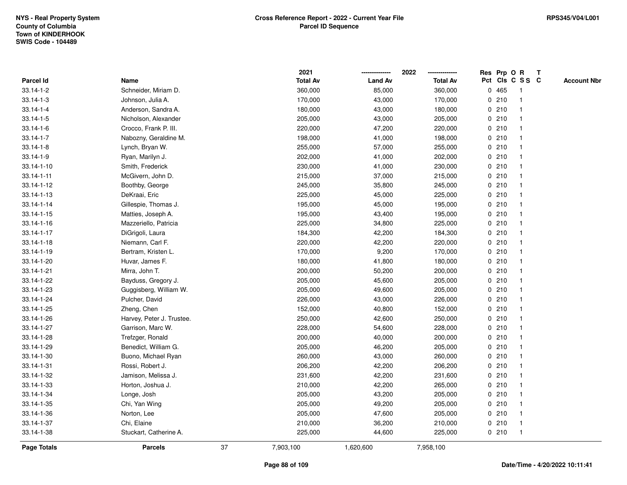|                  |                           |    | 2021            |                | 2022            |   |      | Res Prp O R     | Т |                    |
|------------------|---------------------------|----|-----------------|----------------|-----------------|---|------|-----------------|---|--------------------|
| <b>Parcel Id</b> | Name                      |    | <b>Total Av</b> | <b>Land Av</b> | <b>Total Av</b> |   |      | Pct Cls C S S C |   | <b>Account Nbr</b> |
| 33.14-1-2        | Schneider, Miriam D.      |    | 360,000         | 85,000         | 360,000         | 0 | 465  | -1              |   |                    |
| $33.14 - 1 - 3$  | Johnson, Julia A.         |    | 170,000         | 43,000         | 170,000         | 0 | 210  |                 |   |                    |
| $33.14 - 1 - 4$  | Anderson, Sandra A.       |    | 180,000         | 43,000         | 180,000         |   | 0210 |                 |   |                    |
| $33.14 - 1 - 5$  | Nicholson, Alexander      |    | 205,000         | 43,000         | 205,000         |   | 0210 |                 |   |                    |
| $33.14 - 1 - 6$  | Crocco, Frank P. III.     |    | 220,000         | 47,200         | 220,000         |   | 0210 |                 |   |                    |
| $33.14 - 1 - 7$  | Nabozny, Geraldine M.     |    | 198,000         | 41,000         | 198,000         |   | 0210 |                 |   |                    |
| $33.14 - 1 - 8$  | Lynch, Bryan W.           |    | 255,000         | 57,000         | 255,000         |   | 0210 |                 |   |                    |
| $33.14 - 1 - 9$  | Ryan, Marilyn J.          |    | 202,000         | 41,000         | 202,000         |   | 0210 |                 |   |                    |
| $33.14 - 1 - 10$ | Smith, Frederick          |    | 230,000         | 41,000         | 230,000         |   | 0210 |                 |   |                    |
| 33.14-1-11       | McGivern, John D.         |    | 215,000         | 37,000         | 215,000         |   | 0210 |                 |   |                    |
| 33.14-1-12       | Boothby, George           |    | 245,000         | 35,800         | 245,000         |   | 0210 |                 |   |                    |
| 33.14-1-13       | DeKraai, Eric             |    | 225,000         | 45,000         | 225,000         |   | 0210 |                 |   |                    |
| 33.14-1-14       | Gillespie, Thomas J.      |    | 195,000         | 45,000         | 195,000         |   | 0210 |                 |   |                    |
| 33.14-1-15       | Matties, Joseph A.        |    | 195,000         | 43,400         | 195,000         |   | 0210 |                 |   |                    |
| 33.14-1-16       | Mazzeriello, Patricia     |    | 225,000         | 34,800         | 225,000         |   | 0210 |                 |   |                    |
| 33.14-1-17       | DiGrigoli, Laura          |    | 184,300         | 42,200         | 184,300         |   | 0210 |                 |   |                    |
| $33.14 - 1 - 18$ | Niemann, Carl F.          |    | 220,000         | 42,200         | 220,000         |   | 0210 |                 |   |                    |
| 33.14-1-19       | Bertram, Kristen L.       |    | 170,000         | 9,200          | 170,000         |   | 0210 |                 |   |                    |
| 33.14-1-20       | Huvar, James F.           |    | 180,000         | 41,800         | 180,000         |   | 0210 |                 |   |                    |
| 33.14-1-21       | Mirra, John T.            |    | 200,000         | 50,200         | 200,000         |   | 0210 |                 |   |                    |
| 33.14-1-22       | Bayduss, Gregory J.       |    | 205,000         | 45,600         | 205,000         |   | 0210 |                 |   |                    |
| 33.14-1-23       | Guggisberg, William W.    |    | 205,000         | 49,600         | 205,000         |   | 0210 |                 |   |                    |
| 33.14-1-24       | Pulcher, David            |    | 226,000         | 43,000         | 226,000         |   | 0210 |                 |   |                    |
| 33.14-1-25       | Zheng, Chen               |    | 152,000         | 40,800         | 152,000         |   | 0210 |                 |   |                    |
| 33.14-1-26       | Harvey, Peter J. Trustee. |    | 250,000         | 42,600         | 250,000         |   | 0210 |                 |   |                    |
| 33.14-1-27       | Garrison, Marc W.         |    | 228,000         | 54,600         | 228,000         |   | 0210 |                 |   |                    |
| 33.14-1-28       | Trefzger, Ronald          |    | 200,000         | 40,000         | 200,000         |   | 0210 |                 |   |                    |
| 33.14-1-29       | Benedict, William G.      |    | 205,000         | 46,200         | 205,000         |   | 0210 |                 |   |                    |
| 33.14-1-30       | Buono, Michael Ryan       |    | 260,000         | 43,000         | 260,000         |   | 0210 |                 |   |                    |
| 33.14-1-31       | Rossi, Robert J.          |    | 206,200         | 42,200         | 206,200         | 0 | 210  |                 |   |                    |
| 33.14-1-32       | Jamison, Melissa J.       |    | 231,600         | 42,200         | 231,600         |   | 0210 |                 |   |                    |
| 33.14-1-33       | Horton, Joshua J.         |    | 210,000         | 42,200         | 265,000         |   | 0210 |                 |   |                    |
| 33.14-1-34       | Longe, Josh               |    | 205,000         | 43,200         | 205,000         |   | 0210 |                 |   |                    |
| 33.14-1-35       | Chi, Yan Wing             |    | 205,000         | 49,200         | 205,000         |   | 0210 |                 |   |                    |
| 33.14-1-36       | Norton, Lee               |    | 205,000         | 47,600         | 205,000         |   | 0210 |                 |   |                    |
| 33.14-1-37       | Chi, Elaine               |    | 210,000         | 36,200         | 210,000         |   | 0210 | -1              |   |                    |
| 33.14-1-38       | Stuckart, Catherine A.    |    | 225,000         | 44,600         | 225,000         |   | 0210 | $\mathbf{1}$    |   |                    |
| Page Totals      | <b>Parcels</b>            | 37 | 7,903,100       | 1,620,600      | 7,958,100       |   |      |                 |   |                    |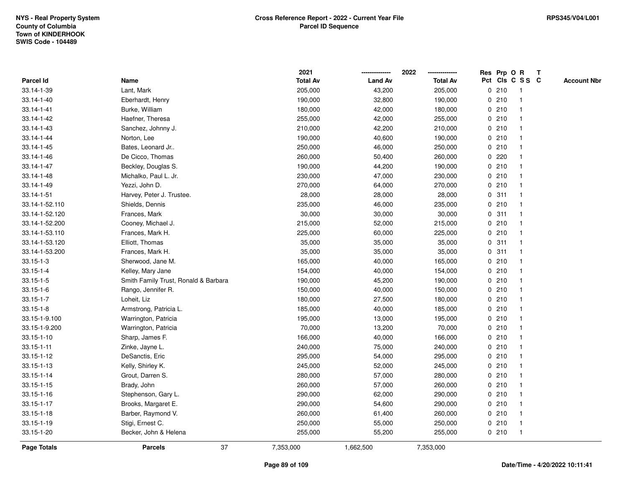|                 |                                      |    | 2021            |                | 2022            |             |       | Res Prp O R     | T |                    |
|-----------------|--------------------------------------|----|-----------------|----------------|-----------------|-------------|-------|-----------------|---|--------------------|
| Parcel Id       | Name                                 |    | <b>Total Av</b> | <b>Land Av</b> | <b>Total Av</b> |             |       | Pct Cls C S S C |   | <b>Account Nbr</b> |
| 33.14-1-39      | Lant, Mark                           |    | 205,000         | 43,200         | 205,000         | 0           | 210   | $\mathbf{1}$    |   |                    |
| 33.14-1-40      | Eberhardt, Henry                     |    | 190,000         | 32,800         | 190,000         | 0           | 210   | -1              |   |                    |
| 33.14-1-41      | Burke, William                       |    | 180,000         | 42,000         | 180,000         |             | 0210  | -1              |   |                    |
| 33.14-1-42      | Haefner, Theresa                     |    | 255,000         | 42,000         | 255,000         |             | 0210  |                 |   |                    |
| 33.14-1-43      | Sanchez, Johnny J.                   |    | 210,000         | 42,200         | 210,000         |             | 0210  |                 |   |                    |
| 33.14-1-44      | Norton, Lee                          |    | 190,000         | 40,600         | 190,000         |             | 0210  |                 |   |                    |
| 33.14-1-45      | Bates, Leonard Jr                    |    | 250,000         | 46,000         | 250,000         |             | 0210  |                 |   |                    |
| 33.14-1-46      | De Cicco, Thomas                     |    | 260,000         | 50,400         | 260,000         | 0           | 220   |                 |   |                    |
| 33.14-1-47      | Beckley, Douglas S.                  |    | 190,000         | 44,200         | 190,000         | 0           | 210   | -1              |   |                    |
| 33.14-1-48      | Michalko, Paul L. Jr.                |    | 230,000         | 47,000         | 230,000         |             | 0210  | -1              |   |                    |
| 33.14-1-49      | Yezzi, John D.                       |    | 270,000         | 64,000         | 270,000         |             | 0210  |                 |   |                    |
| 33.14-1-51      | Harvey, Peter J. Trustee.            |    | 28,000          | 28,000         | 28,000          |             | 0.311 |                 |   |                    |
| 33.14-1-52.110  | Shields, Dennis                      |    | 235,000         | 46,000         | 235,000         |             | 0210  |                 |   |                    |
| 33.14-1-52.120  | Frances, Mark                        |    | 30,000          | 30,000         | 30,000          |             | 0.311 |                 |   |                    |
| 33.14-1-52.200  | Cooney, Michael J.                   |    | 215,000         | 52,000         | 215,000         | 0           | 210   |                 |   |                    |
| 33.14-1-53.110  | Frances, Mark H.                     |    | 225,000         | 60,000         | 225,000         | $\mathbf 0$ | 210   | $\mathbf{1}$    |   |                    |
| 33.14-1-53.120  | Elliott, Thomas                      |    | 35,000          | 35,000         | 35,000          | $\mathbf 0$ | 311   | $\mathbf{1}$    |   |                    |
| 33.14-1-53.200  | Frances, Mark H.                     |    | 35,000          | 35,000         | 35,000          |             | 0.311 |                 |   |                    |
| $33.15 - 1 - 3$ | Sherwood, Jane M.                    |    | 165,000         | 40,000         | 165,000         |             | 0210  |                 |   |                    |
| $33.15 - 1 - 4$ | Kelley, Mary Jane                    |    | 154,000         | 40,000         | 154,000         |             | 0210  |                 |   |                    |
| $33.15 - 1 - 5$ | Smith Family Trust, Ronald & Barbara |    | 190,000         | 45,200         | 190,000         |             | 0210  |                 |   |                    |
| $33.15 - 1 - 6$ | Rango, Jennifer R.                   |    | 150,000         | 40,000         | 150,000         |             | 0210  |                 |   |                    |
| $33.15 - 1 - 7$ | Loheit, Liz                          |    | 180,000         | 27,500         | 180,000         |             | 0210  | -1              |   |                    |
| $33.15 - 1 - 8$ | Armstrong, Patricia L.               |    | 185,000         | 40,000         | 185,000         | $\mathbf 0$ | 210   | $\mathbf{1}$    |   |                    |
| 33.15-1-9.100   | Warrington, Patricia                 |    | 195,000         | 13,000         | 195,000         |             | 0210  |                 |   |                    |
| 33.15-1-9.200   | Warrington, Patricia                 |    | 70,000          | 13,200         | 70,000          |             | 0210  |                 |   |                    |
| 33.15-1-10      | Sharp, James F.                      |    | 166,000         | 40,000         | 166,000         |             | 0210  |                 |   |                    |
| 33.15-1-11      | Zinke, Jayne L.                      |    | 240,000         | 75,000         | 240,000         |             | 0210  |                 |   |                    |
| 33.15-1-12      | DeSanctis, Eric                      |    | 295,000         | 54,000         | 295,000         |             | 0210  |                 |   |                    |
| 33.15-1-13      | Kelly, Shirley K.                    |    | 245,000         | 52,000         | 245,000         | 0           | 210   | -1              |   |                    |
| 33.15-1-14      | Grout, Darren S.                     |    | 280,000         | 57,000         | 280,000         |             | 0210  | -1              |   |                    |
| 33.15-1-15      | Brady, John                          |    | 260,000         | 57,000         | 260,000         |             | 0210  | $\mathbf 1$     |   |                    |
| 33.15-1-16      | Stephenson, Gary L.                  |    | 290,000         | 62,000         | 290,000         |             | 0210  |                 |   |                    |
| 33.15-1-17      | Brooks, Margaret E.                  |    | 290,000         | 54,600         | 290,000         |             | 0210  |                 |   |                    |
| 33.15-1-18      | Barber, Raymond V.                   |    | 260,000         | 61,400         | 260,000         |             | 0210  | -1              |   |                    |
| 33.15-1-19      | Stigi, Ernest C.                     |    | 250,000         | 55,000         | 250,000         |             | 0210  | -1              |   |                    |
| 33.15-1-20      | Becker, John & Helena                |    | 255,000         | 55,200         | 255,000         |             | 0210  | $\mathbf{1}$    |   |                    |
| Page Totals     | <b>Parcels</b>                       | 37 | 7,353,000       | 1,662,500      | 7,353,000       |             |       |                 |   |                    |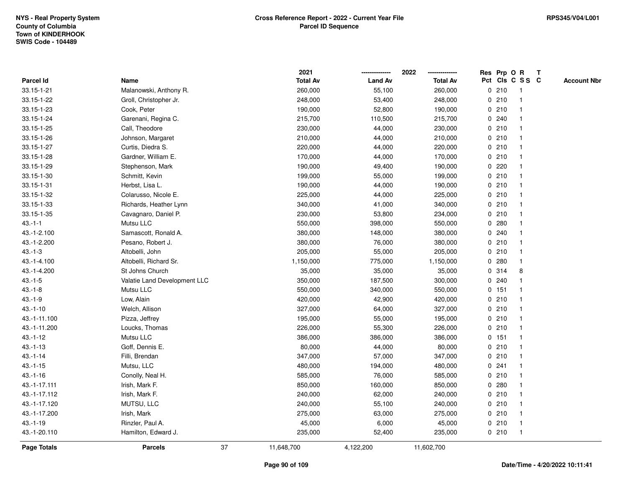|                    |                              |    | 2021            |                | 2022            |   |         | Res Prp O R     | Т |                    |
|--------------------|------------------------------|----|-----------------|----------------|-----------------|---|---------|-----------------|---|--------------------|
| <b>Parcel Id</b>   | Name                         |    | <b>Total Av</b> | <b>Land Av</b> | <b>Total Av</b> |   |         | Pct Cls C S S C |   | <b>Account Nbr</b> |
| 33.15-1-21         | Malanowski, Anthony R.       |    | 260,000         | 55,100         | 260,000         |   | 0210    | $\mathbf{1}$    |   |                    |
| 33.15-1-22         | Groll, Christopher Jr.       |    | 248,000         | 53,400         | 248,000         | 0 | 210     |                 |   |                    |
| 33.15-1-23         | Cook, Peter                  |    | 190,000         | 52,800         | 190,000         |   | 0210    | $\mathbf 1$     |   |                    |
| 33.15-1-24         | Garenani, Regina C.          |    | 215,700         | 110,500        | 215,700         |   | 0.240   |                 |   |                    |
| 33.15-1-25         | Call, Theodore               |    | 230,000         | 44,000         | 230,000         |   | 0210    |                 |   |                    |
| 33.15-1-26         | Johnson, Margaret            |    | 210,000         | 44,000         | 210,000         |   | 0210    |                 |   |                    |
| 33.15-1-27         | Curtis, Diedra S.            |    | 220,000         | 44,000         | 220,000         |   | 0210    |                 |   |                    |
| 33.15-1-28         | Gardner, William E.          |    | 170,000         | 44,000         | 170,000         |   | 0210    |                 |   |                    |
| 33.15-1-29         | Stephenson, Mark             |    | 190,000         | 49,400         | 190,000         | 0 | 220     |                 |   |                    |
| 33.15-1-30         | Schmitt, Kevin               |    | 199,000         | 55,000         | 199,000         |   | 0210    |                 |   |                    |
| 33.15-1-31         | Herbst, Lisa L.              |    | 190,000         | 44,000         | 190,000         |   | 0210    |                 |   |                    |
| 33.15-1-32         | Colarusso, Nicole E.         |    | 225,000         | 44,000         | 225,000         |   | 0210    |                 |   |                    |
| 33.15-1-33         | Richards, Heather Lynn       |    | 340,000         | 41,000         | 340,000         |   | 0210    |                 |   |                    |
| 33.15-1-35         | Cavagnaro, Daniel P.         |    | 230,000         | 53,800         | 234,000         |   | 0210    |                 |   |                    |
| $43 - 1 - 1$       | Mutsu LLC                    |    | 550,000         | 398,000        | 550,000         | 0 | 280     |                 |   |                    |
| 43.-1-2.100        | Samascott, Ronald A.         |    | 380,000         | 148,000        | 380,000         | 0 | 240     |                 |   |                    |
| 43.-1-2.200        | Pesano, Robert J.            |    | 380,000         | 76,000         | 380,000         | 0 | 210     |                 |   |                    |
| $43.-1-3$          | Altobelli, John              |    | 205,000         | 55,000         | 205,000         |   | 0210    |                 |   |                    |
| 43.-1-4.100        | Altobelli, Richard Sr.       |    | 1,150,000       | 775,000        | 1,150,000       |   | 0.280   |                 |   |                    |
| 43.-1-4.200        | St Johns Church              |    | 35,000          | 35,000         | 35,000          |   | 0 314   | 8               |   |                    |
| $43.-1-5$          | Valatie Land Development LLC |    | 350,000         | 187,500        | 300,000         |   | 0.240   |                 |   |                    |
| $43.-1-8$          | Mutsu LLC                    |    | 550,000         | 340,000        | 550,000         |   | 0.151   |                 |   |                    |
| $43.-1-9$          | Low, Alain                   |    | 420,000         | 42,900         | 420,000         | 0 | 210     | -1              |   |                    |
| $43.-1-10$         | Welch, Allison               |    | 327,000         | 64,000         | 327,000         |   | 0210    |                 |   |                    |
| 43.-1-11.100       | Pizza, Jeffrey               |    | 195,000         | 55,000         | 195,000         |   | 0210    | $\mathbf 1$     |   |                    |
| 43.-1-11.200       | Loucks, Thomas               |    | 226,000         | 55,300         | 226,000         |   | 0210    |                 |   |                    |
| $43.-1-12$         | Mutsu LLC                    |    | 386,000         | 386,000        | 386,000         |   | $0$ 151 |                 |   |                    |
| $43.-1-13$         | Goff, Dennis E.              |    | 80,000          | 44,000         | 80,000          |   | 0210    |                 |   |                    |
| $43.-1-14$         | Filli, Brendan               |    | 347,000         | 57,000         | 347,000         |   | 0210    |                 |   |                    |
| $43.-1-15$         | Mutsu, LLC                   |    | 480,000         | 194,000        | 480,000         | 0 | 241     |                 |   |                    |
| $43.-1-16$         | Conolly, Neal H.             |    | 585,000         | 76,000         | 585,000         |   | 0210    |                 |   |                    |
| 43.-1-17.111       | Irish, Mark F.               |    | 850,000         | 160,000        | 850,000         | 0 | 280     |                 |   |                    |
| 43.-1-17.112       | Irish, Mark F.               |    | 240,000         | 62,000         | 240,000         |   | 0210    |                 |   |                    |
| 43.-1-17.120       | MUTSU, LLC                   |    | 240,000         | 55,100         | 240,000         |   | 0210    |                 |   |                    |
| 43.-1-17.200       | Irish, Mark                  |    | 275,000         | 63,000         | 275,000         |   | 0210    |                 |   |                    |
| $43.-1-19$         | Rinzler, Paul A.             |    | 45,000          | 6,000          | 45,000          |   | 0210    |                 |   |                    |
| 43.-1-20.110       | Hamilton, Edward J.          |    | 235,000         | 52,400         | 235,000         |   | 0210    |                 |   |                    |
| <b>Page Totals</b> | <b>Parcels</b>               | 37 | 11,648,700      | 4,122,200      | 11,602,700      |   |         |                 |   |                    |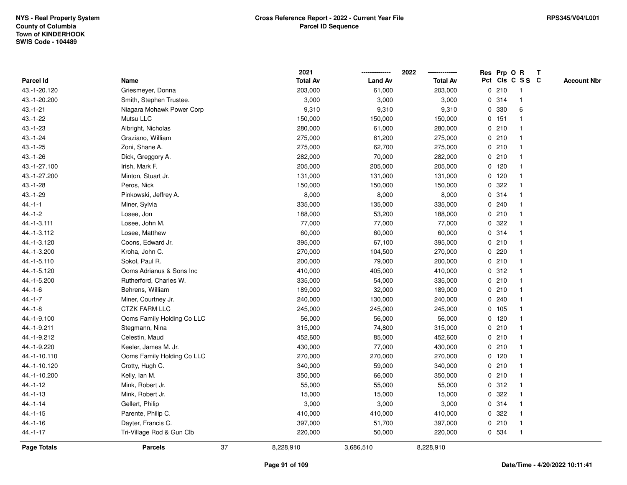|                    |                            |    | 2021            |                | 2022            |   | Res Prp O R |                 | Т |                    |
|--------------------|----------------------------|----|-----------------|----------------|-----------------|---|-------------|-----------------|---|--------------------|
| Parcel Id          | Name                       |    | <b>Total Av</b> | <b>Land Av</b> | <b>Total Av</b> |   |             | Pct Cls C S S C |   | <b>Account Nbr</b> |
| 43.-1-20.120       | Griesmeyer, Donna          |    | 203,000         | 61,000         | 203,000         |   | 0210        | $\mathbf{1}$    |   |                    |
| 43.-1-20.200       | Smith, Stephen Trustee.    |    | 3,000           | 3,000          | 3,000           |   | 0.314       | $\mathbf 1$     |   |                    |
| $43.-1-21$         | Niagara Mohawk Power Corp  |    | 9,310           | 9,310          | 9,310           |   | 0 330       | 6               |   |                    |
| 43.-1-22           | Mutsu LLC                  |    | 150,000         | 150,000        | 150,000         |   | 0 151       |                 |   |                    |
| $43 - 1 - 23$      | Albright, Nicholas         |    | 280,000         | 61,000         | 280,000         |   | 0210        |                 |   |                    |
| $43.-1-24$         | Graziano, William          |    | 275,000         | 61,200         | 275,000         |   | 0210        |                 |   |                    |
| $43.-1-25$         | Zoni, Shane A.             |    | 275,000         | 62,700         | 275,000         |   | 0210        |                 |   |                    |
| $43.-1-26$         | Dick, Greggory A.          |    | 282,000         | 70,000         | 282,000         |   | 0210        |                 |   |                    |
| 43.-1-27.100       | Irish, Mark F.             |    | 205,000         | 205,000        | 205,000         |   | $0$ 120     | -1              |   |                    |
| 43.-1-27.200       | Minton, Stuart Jr.         |    | 131,000         | 131,000        | 131,000         |   | $0$ 120     | $\mathbf{1}$    |   |                    |
| $43.-1-28$         | Peros, Nick                |    | 150,000         | 150,000        | 150,000         |   | 0.322       | -1              |   |                    |
| 43.-1-29           | Pinkowski, Jeffrey A.      |    | 8,000           | 8,000          | 8,000           |   | 0.314       |                 |   |                    |
| $44.-1-1$          | Miner, Sylvia              |    | 335,000         | 135,000        | 335,000         |   | 0.240       |                 |   |                    |
| $44.-1-2$          | Losee, Jon                 |    | 188,000         | 53,200         | 188,000         |   | 0210        |                 |   |                    |
| 44.-1-3.111        | Losee, John M.             |    | 77,000          | 77,000         | 77,000          | 0 | 322         |                 |   |                    |
| 44.-1-3.112        | Losee, Matthew             |    | 60,000          | 60,000         | 60,000          |   | 0.314       | $\mathbf{1}$    |   |                    |
| 44.-1-3.120        | Coons, Edward Jr.          |    | 395,000         | 67,100         | 395,000         |   | 0210        | $\mathbf{1}$    |   |                    |
| 44.-1-3.200        | Kroha, John C.             |    | 270,000         | 104,500        | 270,000         |   | 0220        |                 |   |                    |
| 44.-1-5.110        | Sokol, Paul R.             |    | 200,000         | 79,000         | 200,000         |   | 0210        |                 |   |                    |
| 44.-1-5.120        | Ooms Adrianus & Sons Inc   |    | 410,000         | 405,000        | 410,000         |   | 0.312       |                 |   |                    |
| 44.-1-5.200        | Rutherford, Charles W.     |    | 335,000         | 54,000         | 335,000         |   | 0210        | $\overline{1}$  |   |                    |
| $44.-1-6$          | Behrens, William           |    | 189,000         | 32,000         | 189,000         |   | 0210        |                 |   |                    |
| $44.-1-7$          | Miner, Courtney Jr.        |    | 240,000         | 130,000        | 240,000         |   | 0.240       | -1              |   |                    |
| $44.-1-8$          | <b>CTZK FARM LLC</b>       |    | 245,000         | 245,000        | 245,000         |   | 0 105       | $\mathbf 1$     |   |                    |
| 44.-1-9.100        | Ooms Family Holding Co LLC |    | 56,000          | 56,000         | 56,000          |   | $0$ 120     | $\mathbf 1$     |   |                    |
| 44.-1-9.211        | Stegmann, Nina             |    | 315,000         | 74,800         | 315,000         |   | 0210        |                 |   |                    |
| 44.-1-9.212        | Celestin, Maud             |    | 452,600         | 85,000         | 452,600         |   | 0210        |                 |   |                    |
| 44.-1-9.220        | Keeler, James M. Jr.       |    | 430,000         | 77,000         | 430,000         |   | 0210        | -1              |   |                    |
| 44.-1-10.110       | Ooms Family Holding Co LLC |    | 270,000         | 270,000        | 270,000         |   | 0, 120      | $\overline{1}$  |   |                    |
| 44.-1-10.120       | Crotty, Hugh C.            |    | 340,000         | 59,000         | 340,000         |   | 0210        | -1              |   |                    |
| 44.-1-10.200       | Kelly, Ian M.              |    | 350,000         | 66,000         | 350,000         |   | 0210        | $\mathbf 1$     |   |                    |
| 44.-1-12           | Mink, Robert Jr.           |    | 55,000          | 55,000         | 55,000          |   | 0.312       | -1              |   |                    |
| $44. - 1 - 13$     | Mink, Robert Jr.           |    | 15,000          | 15,000         | 15,000          |   | 0.322       |                 |   |                    |
| $44.-1-14$         | Gellert, Philip            |    | 3,000           | 3,000          | 3,000           |   | 0.314       |                 |   |                    |
| 44.-1-15           | Parente, Philip C.         |    | 410,000         | 410,000        | 410,000         |   | 0.322       |                 |   |                    |
| $44.-1-16$         | Dayter, Francis C.         |    | 397,000         | 51,700         | 397,000         |   | 0210        | $\mathbf 1$     |   |                    |
| $44. - 1 - 17$     | Tri-Village Rod & Gun Clb  |    | 220,000         | 50,000         | 220,000         |   | 0 534       | $\mathbf{1}$    |   |                    |
| <b>Page Totals</b> | <b>Parcels</b>             | 37 | 8,228,910       | 3,686,510      | 8,228,910       |   |             |                 |   |                    |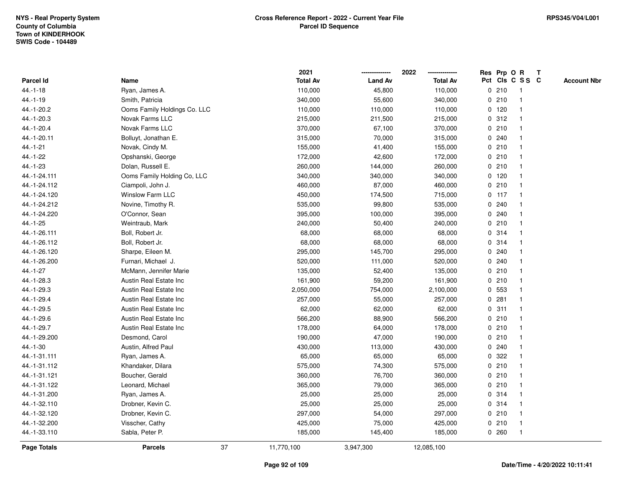|                    |                               |    | 2021            |                | 2022            |             |         | Res Prp O R     | T |                    |
|--------------------|-------------------------------|----|-----------------|----------------|-----------------|-------------|---------|-----------------|---|--------------------|
| Parcel Id          | Name                          |    | <b>Total Av</b> | <b>Land Av</b> | <b>Total Av</b> |             |         | Pct Cls C S S C |   | <b>Account Nbr</b> |
| $44.-1-18$         | Ryan, James A.                |    | 110,000         | 45,800         | 110,000         |             | 0210    | $\mathbf{1}$    |   |                    |
| $44.-1-19$         | Smith, Patricia               |    | 340,000         | 55,600         | 340,000         | 0           | 210     | $\mathbf 1$     |   |                    |
| 44.-1-20.2         | Ooms Family Holdings Co. LLC  |    | 110,000         | 110,000        | 110,000         |             | $0$ 120 | $\mathbf{1}$    |   |                    |
| 44.-1-20.3         | Novak Farms LLC               |    | 215,000         | 211,500        | 215,000         |             | 0.312   |                 |   |                    |
| 44.-1-20.4         | <b>Novak Farms LLC</b>        |    | 370,000         | 67,100         | 370,000         |             | 0210    |                 |   |                    |
| 44.-1-20.11        | Bolluyt, Jonathan E.          |    | 315,000         | 70,000         | 315,000         |             | 0.240   |                 |   |                    |
| $44.-1-21$         | Novak, Cindy M.               |    | 155,000         | 41,400         | 155,000         |             | 0210    |                 |   |                    |
| 44.-1-22           | Opshanski, George             |    | 172,000         | 42,600         | 172,000         |             | 0210    | $\overline{1}$  |   |                    |
| 44.-1-23           | Dolan, Russell E.             |    | 260,000         | 144,000        | 260,000         |             | 0210    | -1              |   |                    |
| 44.-1-24.111       | Ooms Family Holding Co, LLC   |    | 340,000         | 340,000        | 340,000         |             | $0$ 120 | $\mathbf 1$     |   |                    |
| 44.-1-24.112       | Ciampoli, John J.             |    | 460,000         | 87,000         | 460,000         |             | 0210    |                 |   |                    |
| 44.-1-24.120       | <b>Winslow Farm LLC</b>       |    | 450,000         | 174,500        | 715,000         |             | $0$ 117 |                 |   |                    |
| 44.-1-24.212       | Novine, Timothy R.            |    | 535,000         | 99,800         | 535,000         |             | 0.240   |                 |   |                    |
| 44.-1-24.220       | O'Connor, Sean                |    | 395,000         | 100,000        | 395,000         |             | 0.240   |                 |   |                    |
| 44.-1-25           | Weintraub, Mark               |    | 240,000         | 50,400         | 240,000         | $\mathbf 0$ | 210     |                 |   |                    |
| 44.-1-26.111       | Boll, Robert Jr.              |    | 68,000          | 68,000         | 68,000          |             | 0.314   | $\overline{1}$  |   |                    |
| 44.-1-26.112       | Boll, Robert Jr.              |    | 68,000          | 68,000         | 68,000          |             | 0.314   | $\mathbf{1}$    |   |                    |
| 44.-1-26.120       | Sharpe, Eileen M.             |    | 295,000         | 145,700        | 295,000         |             | 0.240   |                 |   |                    |
| 44.-1-26.200       | Furnari, Michael J.           |    | 520,000         | 111,000        | 520,000         |             | 0.240   |                 |   |                    |
| 44.-1-27           | McMann, Jennifer Marie        |    | 135,000         | 52,400         | 135,000         |             | 0210    |                 |   |                    |
| 44.-1-28.3         | Austin Real Estate Inc        |    | 161,900         | 59,200         | 161,900         |             | 0210    |                 |   |                    |
| 44.-1-29.3         | <b>Austin Real Estate Inc</b> |    | 2,050,000       | 754,000        | 2,100,000       |             | 0 553   |                 |   |                    |
| 44.-1-29.4         | <b>Austin Real Estate Inc</b> |    | 257,000         | 55,000         | 257,000         |             | 0.281   | $\overline{1}$  |   |                    |
| 44.-1-29.5         | Austin Real Estate Inc        |    | 62,000          | 62,000         | 62,000          | $\mathbf 0$ | 311     | $\overline{1}$  |   |                    |
| 44.-1-29.6         | Austin Real Estate Inc        |    | 566,200         | 88,900         | 566,200         |             | 0210    | 1               |   |                    |
| 44.-1-29.7         | Austin Real Estate Inc        |    | 178,000         | 64,000         | 178,000         |             | 0210    |                 |   |                    |
| 44.-1-29.200       | Desmond, Carol                |    | 190,000         | 47,000         | 190,000         |             | 0210    |                 |   |                    |
| 44.-1-30           | Austin, Alfred Paul           |    | 430,000         | 113,000        | 430,000         |             | 0.240   |                 |   |                    |
| 44.-1-31.111       | Ryan, James A.                |    | 65,000          | 65,000         | 65,000          | 0           | 322     |                 |   |                    |
| 44.-1-31.112       | Khandaker, Dilara             |    | 575,000         | 74,300         | 575,000         | 0           | 210     | 1               |   |                    |
| 44.-1-31.121       | Boucher, Gerald               |    | 360,000         | 76,700         | 360,000         |             | 0210    | -1              |   |                    |
| 44.-1-31.122       | Leonard, Michael              |    | 365,000         | 79,000         | 365,000         |             | 0210    | $\mathbf 1$     |   |                    |
| 44.-1-31.200       | Ryan, James A.                |    | 25,000          | 25,000         | 25,000          |             | 0.314   |                 |   |                    |
| 44.-1-32.110       | Drobner, Kevin C.             |    | 25,000          | 25,000         | 25,000          |             | 0 314   |                 |   |                    |
| 44.-1-32.120       | Drobner, Kevin C.             |    | 297,000         | 54,000         | 297,000         |             | 0210    |                 |   |                    |
| 44.-1-32.200       | Visscher, Cathy               |    | 425,000         | 75,000         | 425,000         |             | 0210    | -1              |   |                    |
| 44.-1-33.110       | Sabla, Peter P.               |    | 185,000         | 145,400        | 185,000         |             | 0.260   | $\overline{1}$  |   |                    |
| <b>Page Totals</b> | <b>Parcels</b>                | 37 | 11,770,100      | 3,947,300      | 12,085,100      |             |         |                 |   |                    |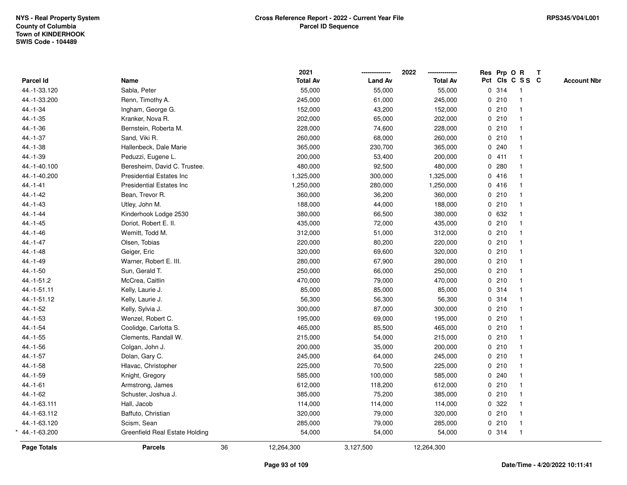|                  |                                  |    | 2021            |                | 2022            | Res Prp O R |                 | $\mathbf{T}$ |                    |
|------------------|----------------------------------|----|-----------------|----------------|-----------------|-------------|-----------------|--------------|--------------------|
| <b>Parcel Id</b> | Name                             |    | <b>Total Av</b> | <b>Land Av</b> | <b>Total Av</b> |             | Pct Cls C S S C |              | <b>Account Nbr</b> |
| 44.-1-33.120     | Sabla, Peter                     |    | 55,000          | 55,000         | 55,000          | 0.314       | $\overline{1}$  |              |                    |
| 44.-1-33.200     | Renn, Timothy A.                 |    | 245,000         | 61,000         | 245,000         | 0210        | $\mathbf{1}$    |              |                    |
| 44.-1-34         | Ingham, George G.                |    | 152,000         | 43,200         | 152,000         | 0210        | $\mathbf{1}$    |              |                    |
| 44.-1-35         | Kranker, Nova R.                 |    | 202,000         | 65,000         | 202,000         | 0210        | $\mathbf{1}$    |              |                    |
| 44.-1-36         | Bernstein, Roberta M.            |    | 228,000         | 74,600         | 228,000         | 0210        |                 |              |                    |
| 44.-1-37         | Sand, Viki R.                    |    | 260,000         | 68,000         | 260,000         | 0210        |                 |              |                    |
| 44.-1-38         | Hallenbeck, Dale Marie           |    | 365,000         | 230,700        | 365,000         | 0.240       | $\mathbf{1}$    |              |                    |
| 44.-1-39         | Peduzzi, Eugene L.               |    | 200,000         | 53,400         | 200,000         | 0411        | $\mathbf{1}$    |              |                    |
| 44.-1-40.100     | Beresheim, David C. Trustee.     |    | 480,000         | 92,500         | 480,000         | 0.280       | $\mathbf 1$     |              |                    |
| 44.-1-40.200     | <b>Presidential Estates Inc.</b> |    | 1,325,000       | 300,000        | 1,325,000       | 0416        | $\mathbf{1}$    |              |                    |
| $44 - 1 - 41$    | <b>Presidential Estates Inc.</b> |    | 1,250,000       | 280,000        | 1,250,000       | 0416        |                 |              |                    |
| $44.-1-42$       | Bean, Trevor R.                  |    | 360,000         | 36,200         | 360,000         | 0210        |                 |              |                    |
| $44.-1-43$       | Utley, John M.                   |    | 188,000         | 44,000         | 188,000         | 0210        |                 |              |                    |
| $44 - 1 - 44$    | Kinderhook Lodge 2530            |    | 380,000         | 66,500         | 380,000         | 0 632       |                 |              |                    |
| $44. - 1 - 45$   | Doriot, Robert E. II.            |    | 435,000         | 72,000         | 435,000         | 0210        | $\mathbf{1}$    |              |                    |
| $44.-1-46$       | Wemitt, Todd M.                  |    | 312,000         | 51,000         | 312,000         | 0210        | $\mathbf{1}$    |              |                    |
| $44.-1-47$       | Olsen, Tobias                    |    | 220,000         | 80,200         | 220,000         | 0210        | $\mathbf{1}$    |              |                    |
| 44.-1-48         | Geiger, Eric                     |    | 320,000         | 69,600         | 320,000         | 0210        | $\mathbf{1}$    |              |                    |
| 44.-1-49         | Warner, Robert E. III.           |    | 280,000         | 67,900         | 280,000         | 0210        |                 |              |                    |
| 44.-1-50         | Sun, Gerald T.                   |    | 250,000         | 66,000         | 250,000         | 0210        |                 |              |                    |
| 44.-1-51.2       | McCrea, Caitlin                  |    | 470,000         | 79,000         | 470,000         | 0210        |                 |              |                    |
| 44.-1-51.11      | Kelly, Laurie J.                 |    | 85,000          | 85,000         | 85,000          | 0.314       | $\mathbf 1$     |              |                    |
| 44.-1-51.12      | Kelly, Laurie J.                 |    | 56,300          | 56,300         | 56,300          | 0.314       | $\mathbf{1}$    |              |                    |
| 44.-1-52         | Kelly, Sylvia J.                 |    | 300,000         | 87,000         | 300,000         | 0210        | $\mathbf{1}$    |              |                    |
| $44.-1-53$       | Wenzel, Robert C.                |    | 195,000         | 69,000         | 195,000         | 0210        | $\mathbf{1}$    |              |                    |
| $44.-1-54$       | Coolidge, Carlotta S.            |    | 465,000         | 85,500         | 465,000         | 0210        |                 |              |                    |
| $44.-1-55$       | Clements, Randall W.             |    | 215,000         | 54,000         | 215,000         | 0210        |                 |              |                    |
| 44.-1-56         | Colgan, John J.                  |    | 200,000         | 35,000         | 200,000         | 0210        |                 |              |                    |
| $44.-1-57$       | Dolan, Gary C.                   |    | 245,000         | 64,000         | 245,000         | 0210        | $\mathbf{1}$    |              |                    |
| 44.-1-58         | Hlavac, Christopher              |    | 225,000         | 70,500         | 225,000         | 0210        | $\mathbf 1$     |              |                    |
| 44.-1-59         | Knight, Gregory                  |    | 585,000         | 100,000        | 585,000         | 0.240       | $\mathbf{1}$    |              |                    |
| $44.-1-61$       | Armstrong, James                 |    | 612,000         | 118,200        | 612,000         | 0210        | $\mathbf{1}$    |              |                    |
| 44.-1-62         | Schuster, Joshua J.              |    | 385,000         | 75,200         | 385,000         | 0210        | $\mathbf 1$     |              |                    |
| 44.-1-63.111     | Hall, Jacob                      |    | 114,000         | 114,000        | 114,000         | 0.322       |                 |              |                    |
| 44.-1-63.112     | Baffuto, Christian               |    | 320,000         | 79,000         | 320,000         | 0210        | $\mathbf{1}$    |              |                    |
| 44.-1-63.120     | Scism, Sean                      |    | 285,000         | 79,000         | 285,000         | 0210        | $\mathbf{1}$    |              |                    |
| 44.-1-63.200     | Greenfield Real Estate Holding   |    | 54,000          | 54,000         | 54,000          | 0.314       | $\mathbf{1}$    |              |                    |
| Page Totals      | <b>Parcels</b>                   | 36 | 12,264,300      | 3,127,500      | 12,264,300      |             |                 |              |                    |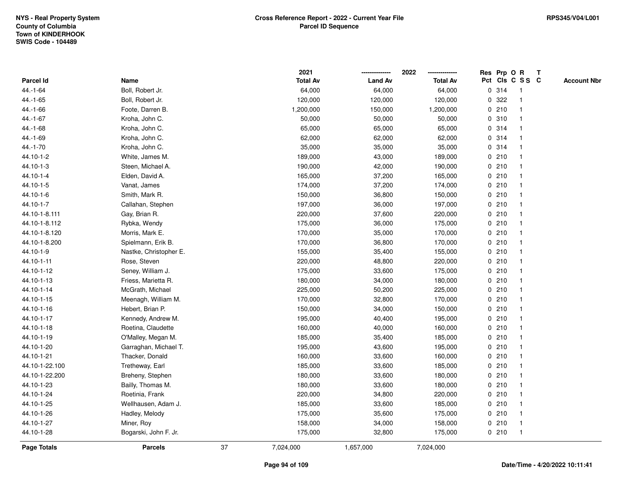|                    |                        |    | 2021            |                | 2022            |   | Res Prp O R |                         | T |                    |
|--------------------|------------------------|----|-----------------|----------------|-----------------|---|-------------|-------------------------|---|--------------------|
| Parcel Id          | Name                   |    | <b>Total Av</b> | <b>Land Av</b> | <b>Total Av</b> |   |             | Pct Cls C S S C         |   | <b>Account Nbr</b> |
| 44.-1-64           | Boll, Robert Jr.       |    | 64,000          | 64,000         | 64,000          |   | 0.314       | $\overline{\mathbf{1}}$ |   |                    |
| $44.-1-65$         | Boll, Robert Jr.       |    | 120,000         | 120,000        | 120,000         | 0 | 322         | -1                      |   |                    |
| 44.-1-66           | Foote, Darren B.       |    | 1,200,000       | 150,000        | 1,200,000       |   | 0210        | 1                       |   |                    |
| $44.-1-67$         | Kroha, John C.         |    | 50,000          | 50,000         | 50,000          |   | 0.310       |                         |   |                    |
| 44.-1-68           | Kroha, John C.         |    | 65,000          | 65,000         | 65,000          |   | 0.314       |                         |   |                    |
| 44.-1-69           | Kroha, John C.         |    | 62,000          | 62,000         | 62,000          |   | 0.314       |                         |   |                    |
| 44.-1-70           | Kroha, John C.         |    | 35,000          | 35,000         | 35,000          |   | 0.314       |                         |   |                    |
| 44.10-1-2          | White, James M.        |    | 189,000         | 43,000         | 189,000         |   | 0210        | $\overline{\mathbf{1}}$ |   |                    |
| 44.10-1-3          | Steen, Michael A.      |    | 190,000         | 42,000         | 190,000         |   | 0210        | -1                      |   |                    |
| 44.10-1-4          | Elden, David A.        |    | 165,000         | 37,200         | 165,000         |   | 0210        | -1                      |   |                    |
| 44.10-1-5          | Vanat, James           |    | 174,000         | 37,200         | 174,000         |   | 0210        |                         |   |                    |
| 44.10-1-6          | Smith, Mark R.         |    | 150,000         | 36,800         | 150,000         |   | 0210        |                         |   |                    |
| 44.10-1-7          | Callahan, Stephen      |    | 197,000         | 36,000         | 197,000         |   | 0210        |                         |   |                    |
| 44.10-1-8.111      | Gay, Brian R.          |    | 220,000         | 37,600         | 220,000         |   | 0210        |                         |   |                    |
| 44.10-1-8.112      | Rybka, Wendy           |    | 175,000         | 36,000         | 175,000         |   | 0210        | -1                      |   |                    |
| 44.10-1-8.120      | Morris, Mark E.        |    | 170,000         | 35,000         | 170,000         |   | 0 210       | -1                      |   |                    |
| 44.10-1-8.200      | Spielmann, Erik B.     |    | 170,000         | 36,800         | 170,000         |   | 0210        | -1                      |   |                    |
| 44.10-1-9          | Nastke, Christopher E. |    | 155,000         | 35,400         | 155,000         |   | 0210        |                         |   |                    |
| 44.10-1-11         | Rose, Steven           |    | 220,000         | 48,800         | 220,000         |   | 0210        |                         |   |                    |
| 44.10-1-12         | Seney, William J.      |    | 175,000         | 33,600         | 175,000         |   | 0210        |                         |   |                    |
| 44.10-1-13         | Friess, Marietta R.    |    | 180,000         | 34,000         | 180,000         |   | 0210        |                         |   |                    |
| 44.10-1-14         | McGrath, Michael       |    | 225,000         | 50,200         | 225,000         |   | 0210        | -1                      |   |                    |
| 44.10-1-15         | Meenagh, William M.    |    | 170,000         | 32,800         | 170,000         |   | 0210        | -1                      |   |                    |
| 44.10-1-16         | Hebert, Brian P.       |    | 150,000         | 34,000         | 150,000         |   | 0210        | -1                      |   |                    |
| 44.10-1-17         | Kennedy, Andrew M.     |    | 195,000         | 40,400         | 195,000         |   | 0210        |                         |   |                    |
| 44.10-1-18         | Roetina, Claudette     |    | 160,000         | 40,000         | 160,000         |   | 0210        |                         |   |                    |
| 44.10-1-19         | O'Malley, Megan M.     |    | 185,000         | 35,400         | 185,000         |   | 0210        |                         |   |                    |
| 44.10-1-20         | Garraghan, Michael T.  |    | 195,000         | 43,600         | 195,000         |   | 0210        |                         |   |                    |
| 44.10-1-21         | Thacker, Donald        |    | 160,000         | 33,600         | 160,000         |   | 0210        | -1                      |   |                    |
| 44.10-1-22.100     | Tretheway, Earl        |    | 185,000         | 33,600         | 185,000         |   | 0210        | -1                      |   |                    |
| 44.10-1-22.200     | Breheny, Stephen       |    | 180,000         | 33,600         | 180,000         |   | 0210        | -1                      |   |                    |
| 44.10-1-23         | Bailly, Thomas M.      |    | 180,000         | 33,600         | 180,000         |   | 0210        |                         |   |                    |
| 44.10-1-24         | Roetinia, Frank        |    | 220,000         | 34,800         | 220,000         |   | 0210        |                         |   |                    |
| 44.10-1-25         | Wellhausen, Adam J.    |    | 185,000         | 33,600         | 185,000         |   | 0210        |                         |   |                    |
| 44.10-1-26         | Hadley, Melody         |    | 175,000         | 35,600         | 175,000         |   | 0210        | -1                      |   |                    |
| 44.10-1-27         | Miner, Roy             |    | 158,000         | 34,000         | 158,000         |   | 0210        | $\overline{\mathbf{1}}$ |   |                    |
| 44.10-1-28         | Bogarski, John F. Jr.  |    | 175,000         | 32,800         | 175,000         |   | 0210        | $\overline{1}$          |   |                    |
| <b>Page Totals</b> | <b>Parcels</b>         | 37 | 7,024,000       | 1,657,000      | 7,024,000       |   |             |                         |   |                    |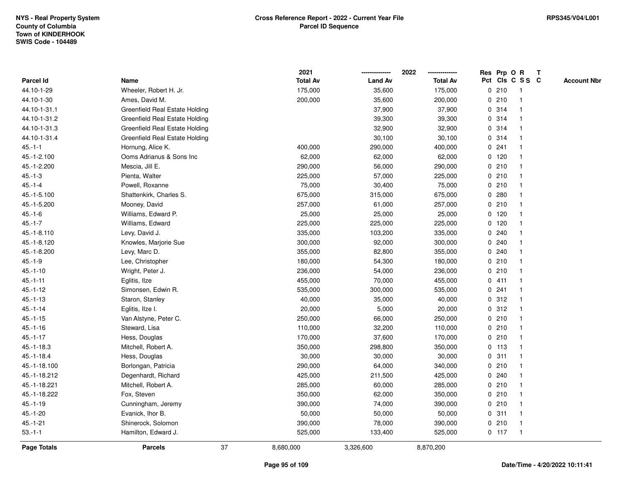|               |                                |    | 2021            |                | 2022            |   | Res Prp O R |                 | Т |                    |
|---------------|--------------------------------|----|-----------------|----------------|-----------------|---|-------------|-----------------|---|--------------------|
| Parcel Id     | Name                           |    | <b>Total Av</b> | <b>Land Av</b> | <b>Total Av</b> |   |             | Pct Cls C S S C |   | <b>Account Nbr</b> |
| 44.10-1-29    | Wheeler, Robert H. Jr.         |    | 175,000         | 35,600         | 175,000         | 0 | 210         | $\mathbf{1}$    |   |                    |
| 44.10-1-30    | Ames, David M.                 |    | 200,000         | 35,600         | 200,000         |   | 0210        | $\overline{1}$  |   |                    |
| 44.10-1-31.1  | Greenfield Real Estate Holding |    |                 | 37,900         | 37,900          |   | 0.314       | 1               |   |                    |
| 44.10-1-31.2  | Greenfield Real Estate Holding |    |                 | 39,300         | 39,300          |   | 0 314       |                 |   |                    |
| 44.10-1-31.3  | Greenfield Real Estate Holding |    |                 | 32,900         | 32,900          |   | 0.314       |                 |   |                    |
| 44.10-1-31.4  | Greenfield Real Estate Holding |    |                 | 30,100         | 30,100          |   | 0.314       |                 |   |                    |
| $45.-1-1$     | Hornung, Alice K.              |    | 400,000         | 290,000        | 400,000         |   | 0.241       | $\mathbf{1}$    |   |                    |
| 45.-1-2.100   | Ooms Adrianus & Sons Inc       |    | 62,000          | 62,000         | 62,000          |   | 0 120       | -1              |   |                    |
| 45.-1-2.200   | Mescia, Jill E.                |    | 290,000         | 56,000         | 290,000         |   | 0210        | $\overline{1}$  |   |                    |
| $45.-1-3$     | Pienta, Walter                 |    | 225,000         | 57,000         | 225,000         |   | 0210        | $\mathbf{1}$    |   |                    |
| $45.-1-4$     | Powell, Roxanne                |    | 75,000          | 30,400         | 75,000          |   | 0210        |                 |   |                    |
| 45.-1-5.100   | Shattenkirk, Charles S.        |    | 675,000         | 315,000        | 675,000         |   | 0.280       |                 |   |                    |
| 45.-1-5.200   | Mooney, David                  |    | 257,000         | 61,000         | 257,000         |   | 0210        |                 |   |                    |
| $45.-1-6$     | Williams, Edward P.            |    | 25,000          | 25,000         | 25,000          |   | $0$ 120     | $\mathbf{1}$    |   |                    |
| $45.-1-7$     | Williams, Edward               |    | 225,000         | 225,000        | 225,000         | 0 | 120         | $\mathbf{1}$    |   |                    |
| 45.-1-8.110   | Levy, David J.                 |    | 335,000         | 103,200        | 335,000         | 0 | 240         | $\mathbf 1$     |   |                    |
| 45.-1-8.120   | Knowles, Marjorie Sue          |    | 300,000         | 92,000         | 300,000         |   | 0.240       | 1               |   |                    |
| 45.-1-8.200   | Levy, Marc D.                  |    | 355,000         | 82,800         | 355,000         |   | 0.240       |                 |   |                    |
| $45.-1-9$     | Lee, Christopher               |    | 180,000         | 54,300         | 180,000         |   | 0210        |                 |   |                    |
| $45.-1-10$    | Wright, Peter J.               |    | 236,000         | 54,000         | 236,000         |   | 0210        |                 |   |                    |
| $45.-1-11$    | Eglitis, Ilze                  |    | 455,000         | 70,000         | 455,000         |   | 0411        | $\mathbf{1}$    |   |                    |
| $45.-1-12$    | Simonsen, Edwin R.             |    | 535,000         | 300,000        | 535,000         | 0 | 241         | $\mathbf{1}$    |   |                    |
| $45.-1-13$    | Staron, Stanley                |    | 40,000          | 35,000         | 40,000          | 0 | 312         | $\overline{1}$  |   |                    |
| $45.-1-14$    | Eglitis, Ilze I.               |    | 20,000          | 5,000          | 20,000          |   | 0.312       | $\mathbf 1$     |   |                    |
| $45.-1-15$    | Van Alstyne, Peter C.          |    | 250,000         | 66,000         | 250,000         |   | 0210        |                 |   |                    |
| $45 - 1 - 16$ | Steward, Lisa                  |    | 110,000         | 32,200         | 110,000         |   | 0210        |                 |   |                    |
| $45.-1-17$    | Hess, Douglas                  |    | 170,000         | 37,600         | 170,000         |   | 0210        |                 |   |                    |
| 45.-1-18.3    | Mitchell, Robert A.            |    | 350,000         | 298,800        | 350,000         |   | $0$ 113     | 1               |   |                    |
| $45.-1-18.4$  | Hess, Douglas                  |    | 30,000          | 30,000         | 30,000          |   | 0.311       | $\mathbf 1$     |   |                    |
| 45.-1-18.100  | Borlongan, Patricia            |    | 290,000         | 64,000         | 340,000         | 0 | 210         | $\mathbf{1}$    |   |                    |
| 45.-1-18.212  | Degenhardt, Richard            |    | 425,000         | 211,500        | 425,000         |   | 0.240       | $\mathbf{1}$    |   |                    |
| 45.-1-18.221  | Mitchell, Robert A.            |    | 285,000         | 60,000         | 285,000         |   | 0210        |                 |   |                    |
| 45.-1-18.222  | Fox, Steven                    |    | 350,000         | 62,000         | 350,000         |   | 0210        |                 |   |                    |
| $45.-1-19$    | Cunningham, Jeremy             |    | 390,000         | 74,000         | 390,000         |   | 0210        |                 |   |                    |
| $45.-1-20$    | Evanick, Ihor B.               |    | 50,000          | 50,000         | 50,000          |   | 0.311       | $\mathbf{1}$    |   |                    |
| $45.-1-21$    | Shinerock, Solomon             |    | 390,000         | 78,000         | 390,000         |   | 0210        | $\overline{1}$  |   |                    |
| $53.-1-1$     | Hamilton, Edward J.            |    | 525,000         | 133,400        | 525,000         |   | $0$ 117     | $\overline{1}$  |   |                    |
| Page Totals   | <b>Parcels</b>                 | 37 | 8,680,000       | 3,326,600      | 8,870,200       |   |             |                 |   |                    |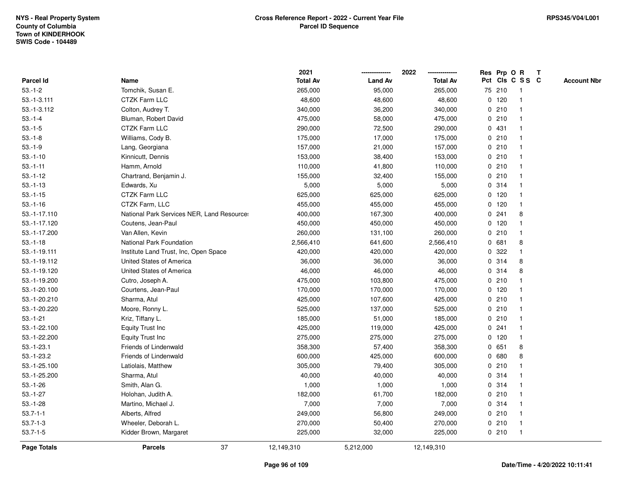|                |                                            | 2021            |                | 2022            | Res Prp O R     |         |                | $\mathbf{T}$ |                    |
|----------------|--------------------------------------------|-----------------|----------------|-----------------|-----------------|---------|----------------|--------------|--------------------|
| Parcel Id      | Name                                       | <b>Total Av</b> | <b>Land Av</b> | <b>Total Av</b> | Pct Cls C S S C |         |                |              | <b>Account Nbr</b> |
| $53.-1-2$      | Tomchik, Susan E.                          | 265,000         | 95,000         | 265,000         |                 | 75 210  | -1             |              |                    |
| $53.-1-3.111$  | <b>CTZK Farm LLC</b>                       | 48,600          | 48,600         | 48,600          |                 | $0$ 120 |                |              |                    |
| $53.-1-3.112$  | Colton, Audrey T.                          | 340,000         | 36,200         | 340,000         |                 | 0210    |                |              |                    |
| $53.-1-4$      | Bluman, Robert David                       | 475,000         | 58,000         | 475,000         | 0               | 210     | -1             |              |                    |
| $53.-1-5$      | <b>CTZK Farm LLC</b>                       | 290,000         | 72,500         | 290,000         |                 | 0 431   |                |              |                    |
| $53.-1-8$      | Williams, Cody B.                          | 175,000         | 17,000         | 175,000         |                 | 0210    |                |              |                    |
| $53.-1-9$      | Lang, Georgiana                            | 157,000         | 21,000         | 157,000         |                 | 0210    |                |              |                    |
| $53.-1-10$     | Kinnicutt, Dennis                          | 153,000         | 38,400         | 153,000         |                 | 0210    |                |              |                    |
| $53.-1-11$     | Hamm, Arnold                               | 110,000         | 41,800         | 110,000         |                 | 0210    |                |              |                    |
| $53.-1-12$     | Chartrand, Benjamin J.                     | 155,000         | 32,400         | 155,000         |                 | 0210    |                |              |                    |
| $53.-1-13$     | Edwards, Xu                                | 5,000           | 5,000          | 5,000           |                 | 0.314   | $\mathbf 1$    |              |                    |
| $53.-1-15$     | CTZK Farm LLC                              | 625,000         | 625,000        | 625,000         |                 | $0$ 120 |                |              |                    |
| $53.-1-16$     | CTZK Farm, LLC                             | 455,000         | 455,000        | 455,000         |                 | $0$ 120 |                |              |                    |
| 53.-1-17.110   | National Park Services NER, Land Resource: | 400,000         | 167,300        | 400,000         |                 | 0.241   | 8              |              |                    |
| 53.-1-17.120   | Coutens, Jean-Paul                         | 450,000         | 450,000        | 450,000         |                 | $0$ 120 |                |              |                    |
| 53.-1-17.200   | Van Allen, Kevin                           | 260,000         | 131,100        | 260,000         |                 | 0210    |                |              |                    |
| $53.-1-18$     | National Park Foundation                   | 2,566,410       | 641,600        | 2,566,410       | 0               | 681     | 8              |              |                    |
| 53.-1-19.111   | Institute Land Trust, Inc, Open Space      | 420,000         | 420,000        | 420,000         | 0               | 322     |                |              |                    |
| 53.-1-19.112   | United States of America                   | 36,000          | 36,000         | 36,000          |                 | 0.314   | 8              |              |                    |
| 53.-1-19.120   | United States of America                   | 46,000          | 46,000         | 46,000          |                 | 0.314   | 8              |              |                    |
| 53.-1-19.200   | Cutro, Joseph A.                           | 475,000         | 103,800        | 475,000         |                 | 0210    |                |              |                    |
| 53.-1-20.100   | Courtens, Jean-Paul                        | 170,000         | 170,000        | 170,000         |                 | $0$ 120 |                |              |                    |
| 53.-1-20.210   | Sharma, Atul                               | 425,000         | 107,600        | 425,000         |                 | 0210    |                |              |                    |
| 53.-1-20.220   | Moore, Ronny L.                            | 525,000         | 137,000        | 525,000         |                 | 0210    |                |              |                    |
| $53.-1-21$     | Kriz, Tiffany L.                           | 185,000         | 51,000         | 185,000         |                 | 0210    |                |              |                    |
| 53.-1-22.100   | <b>Equity Trust Inc</b>                    | 425,000         | 119,000        | 425,000         |                 | 0.241   | -1             |              |                    |
| 53.-1-22.200   | <b>Equity Trust Inc</b>                    | 275,000         | 275,000        | 275,000         |                 | $0$ 120 |                |              |                    |
| $53.-1-23.1$   | Friends of Lindenwald                      | 358,300         | 57,400         | 358,300         |                 | 0 651   | 8              |              |                    |
| $53.-1-23.2$   | Friends of Lindenwald                      | 600,000         | 425,000        | 600,000         |                 | 0680    | 8              |              |                    |
| 53.-1-25.100   | Latiolais, Matthew                         | 305,000         | 79,400         | 305,000         |                 | 0210    |                |              |                    |
| 53.-1-25.200   | Sharma, Atul                               | 40,000          | 40,000         | 40,000          | 0               | 314     |                |              |                    |
| $53.-1-26$     | Smith, Alan G.                             | 1,000           | 1,000          | 1,000           |                 | 0 314   |                |              |                    |
| $53.-1-27$     | Holohan, Judith A.                         | 182,000         | 61,700         | 182,000         |                 | 0210    |                |              |                    |
| $53.-1-28$     | Martino, Michael J.                        | 7,000           | 7,000          | 7,000           |                 | 0 314   |                |              |                    |
| $53.7 - 1 - 1$ | Alberts, Alfred                            | 249,000         | 56,800         | 249,000         |                 | 0210    |                |              |                    |
| $53.7 - 1 - 3$ | Wheeler, Deborah L.                        | 270,000         | 50,400         | 270,000         |                 | 0210    | $\overline{1}$ |              |                    |
| $53.7 - 1 - 5$ | Kidder Brown, Margaret                     | 225,000         | 32,000         | 225,000         |                 | 0210    | $\overline{1}$ |              |                    |
| Page Totals    | 37<br><b>Parcels</b>                       | 12,149,310      | 5,212,000      | 12,149,310      |                 |         |                |              |                    |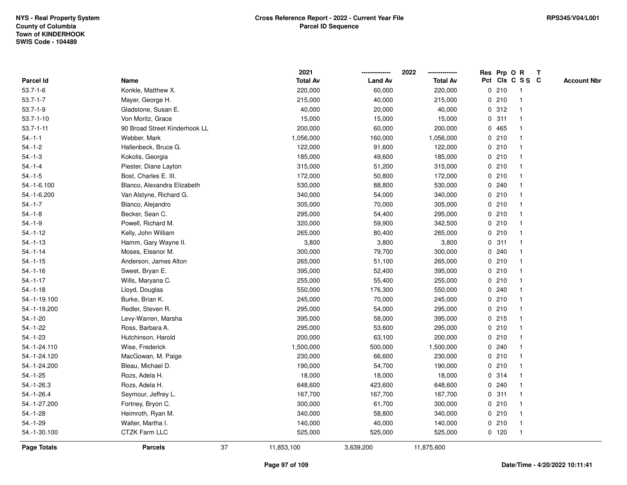|                 |                               |    | 2021            |                | 2022            |             |         | Res Prp O R             | T |                    |
|-----------------|-------------------------------|----|-----------------|----------------|-----------------|-------------|---------|-------------------------|---|--------------------|
| Parcel Id       | Name                          |    | <b>Total Av</b> | <b>Land Av</b> | <b>Total Av</b> |             |         | Pct Cls C S S C         |   | <b>Account Nbr</b> |
| $53.7 - 1 - 6$  | Konkle, Matthew X.            |    | 220,000         | 60,000         | 220,000         | 0           | 210     | $\mathbf{1}$            |   |                    |
| $53.7 - 1 - 7$  | Mayer, George H.              |    | 215,000         | 40,000         | 215,000         | 0           | 210     | $\overline{\mathbf{1}}$ |   |                    |
| $53.7 - 1 - 9$  | Gladstone, Susan E.           |    | 40,000          | 20,000         | 40,000          |             | 0.312   | $\mathbf{1}$            |   |                    |
| $53.7 - 1 - 10$ | Von Moritz, Grace             |    | 15,000          | 15,000         | 15,000          |             | 0.311   |                         |   |                    |
| $53.7 - 1 - 11$ | 90 Broad Street Kinderhook LL |    | 200,000         | 60,000         | 200,000         |             | 0 465   |                         |   |                    |
| $54 - 1 - 1$    | Webber, Mark                  |    | 1,056,000       | 160,000        | 1,056,000       |             | 0210    |                         |   |                    |
| $54.-1-2$       | Hallenbeck, Bruce G.          |    | 122,000         | 91,600         | 122,000         |             | 0210    |                         |   |                    |
| $54.-1-3$       | Kokolis, Georgia              |    | 185,000         | 49,600         | 185,000         | 0           | 210     |                         |   |                    |
| $54 - 1 - 4$    | Piester, Diane Layton         |    | 315,000         | 51,200         | 315,000         |             | 0210    | -1                      |   |                    |
| $54.-1-5$       | Bost, Charles E. III.         |    | 172,000         | 50,800         | 172,000         |             | 0210    | -1                      |   |                    |
| 54.-1-6.100     | Blanco, Alexandra Elizabeth   |    | 530,000         | 88,800         | 530,000         |             | 0.240   |                         |   |                    |
| 54.-1-6.200     | Van Alstyne, Richard G.       |    | 340,000         | 54,000         | 340,000         |             | 0210    |                         |   |                    |
| $54.-1-7$       | Blanco, Alejandro             |    | 305,000         | 70,000         | 305,000         |             | 0210    |                         |   |                    |
| $54.-1-8$       | Becker, Sean C.               |    | 295,000         | 54,400         | 295,000         |             | 0210    |                         |   |                    |
| $54.-1-9$       | Powell, Richard M.            |    | 320,000         | 59,900         | 342,500         | $\mathbf 0$ | 210     |                         |   |                    |
| $54.-1-12$      | Kelly, John William           |    | 265,000         | 80,400         | 265,000         | $\mathbf 0$ | 210     | $\mathbf{1}$            |   |                    |
| $54.-1-13$      | Hamm, Gary Wayne II.          |    | 3,800           | 3,800          | 3,800           | 0           | 311     | $\mathbf{1}$            |   |                    |
| $54.-1-14$      | Moses, Eleanor M.             |    | 300,000         | 79,700         | 300,000         |             | 0.240   |                         |   |                    |
| $54.-1-15$      | Anderson, James Alton         |    | 265,000         | 51,100         | 265,000         |             | 0210    |                         |   |                    |
| $54.-1-16$      | Sweet, Bryan E.               |    | 395,000         | 52,400         | 395,000         |             | 0210    |                         |   |                    |
| $54.-1-17$      | Wills, Maryana C.             |    | 255,000         | 55,400         | 255,000         |             | 0210    |                         |   |                    |
| $54.-1-18$      | Lloyd, Douglas                |    | 550,000         | 176,300        | 550,000         |             | 0.240   |                         |   |                    |
| 54.-1-19.100    | Burke, Brian K.               |    | 245,000         | 70,000         | 245,000         |             | 0210    | -1                      |   |                    |
| 54.-1-19.200    | Redler, Steven R.             |    | 295,000         | 54,000         | 295,000         |             | 0210    | $\overline{\mathbf{1}}$ |   |                    |
| $54.-1-20$      | Levy-Warren, Marsha           |    | 395,000         | 58,000         | 395,000         |             | 0.215   |                         |   |                    |
| $54 - 1 - 22$   | Ross, Barbara A.              |    | 295,000         | 53,600         | 295,000         |             | 0210    |                         |   |                    |
| $54.-1-23$      | Hutchinson, Harold            |    | 200,000         | 63,100         | 200,000         |             | 0210    |                         |   |                    |
| 54.-1-24.110    | Wise, Frederick               |    | 1,500,000       | 500,000        | 1,500,000       |             | 0.240   |                         |   |                    |
| 54.-1-24.120    | MacGowan, M. Paige            |    | 230,000         | 66,600         | 230,000         |             | 0210    |                         |   |                    |
| 54.-1-24.200    | Bleau, Michael D.             |    | 190,000         | 54,700         | 190,000         | 0           | 210     |                         |   |                    |
| $54.-1-25$      | Rozs, Adela H.                |    | 18,000          | 18,000         | 18,000          |             | 0 314   | -1                      |   |                    |
| $54.-1-26.3$    | Rozs, Adela H.                |    | 648,600         | 423,600        | 648,600         |             | 0.240   | -1                      |   |                    |
| 54.-1-26.4      | Seymour, Jeffrey L.           |    | 167,700         | 167,700        | 167,700         |             | 0.311   |                         |   |                    |
| 54.-1-27.200    | Fortney, Bryon C.             |    | 300,000         | 61,700         | 300,000         |             | 0210    |                         |   |                    |
| $54 - 1 - 28$   | Heimroth, Ryan M.             |    | 340,000         | 58,800         | 340,000         |             | 0210    | -1                      |   |                    |
| $54.-1-29$      | Walter, Martha I.             |    | 140,000         | 40,000         | 140,000         |             | 0210    | -1                      |   |                    |
| 54.-1-30.100    | <b>CTZK Farm LLC</b>          |    | 525,000         | 525,000        | 525,000         |             | $0$ 120 | $\mathbf{1}$            |   |                    |
| Page Totals     | <b>Parcels</b>                | 37 | 11,853,100      | 3,639,200      | 11,875,600      |             |         |                         |   |                    |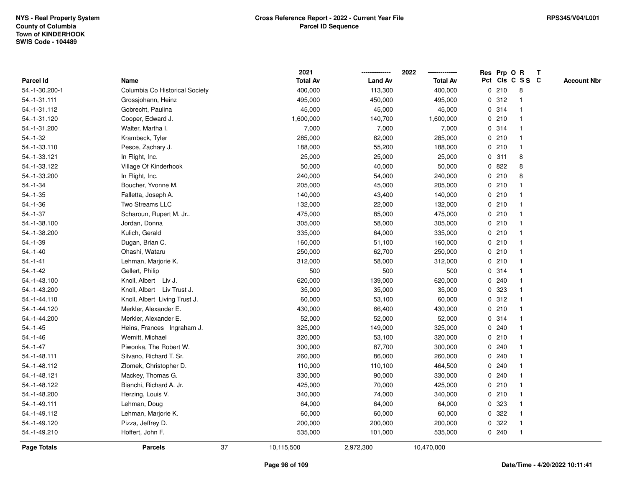|                    |                                |    | 2021            |                | 2022            |             | Res Prp O R |                 | Т |                    |
|--------------------|--------------------------------|----|-----------------|----------------|-----------------|-------------|-------------|-----------------|---|--------------------|
| Parcel Id          | Name                           |    | <b>Total Av</b> | <b>Land Av</b> | <b>Total Av</b> |             |             | Pct Cls C S S C |   | <b>Account Nbr</b> |
| 54.-1-30.200-1     | Columbia Co Historical Society |    | 400,000         | 113,300        | 400,000         |             | 0210        | 8               |   |                    |
| 54.-1-31.111       | Grossjohann, Heinz             |    | 495,000         | 450,000        | 495,000         |             | 0.312       | $\mathbf 1$     |   |                    |
| 54.-1-31.112       | Gobrecht, Paulina              |    | 45,000          | 45,000         | 45,000          |             | 0.314       | $\mathbf 1$     |   |                    |
| 54.-1-31.120       | Cooper, Edward J.              |    | 1,600,000       | 140,700        | 1,600,000       |             | 0210        |                 |   |                    |
| 54.-1-31.200       | Walter, Martha I.              |    | 7,000           | 7,000          | 7,000           |             | 0.314       |                 |   |                    |
| $54 - 1 - 32$      | Krambeck, Tyler                |    | 285,000         | 62,000         | 285,000         |             | 0210        |                 |   |                    |
| 54.-1-33.110       | Pesce, Zachary J.              |    | 188,000         | 55,200         | 188,000         |             | 0210        | $\mathbf 1$     |   |                    |
| 54.-1-33.121       | In Flight, Inc.                |    | 25,000          | 25,000         | 25,000          |             | 0.311       | 8               |   |                    |
| 54.-1-33.122       | Village Of Kinderhook          |    | 50,000          | 40,000         | 50,000          |             | 0822        | 8               |   |                    |
| 54.-1-33.200       | In Flight, Inc.                |    | 240,000         | 54,000         | 240,000         |             | 0210        | 8               |   |                    |
| $54.-1-34$         | Boucher, Yvonne M.             |    | 205,000         | 45,000         | 205,000         |             | 0210        |                 |   |                    |
| $54.-1-35$         | Falletta, Joseph A.            |    | 140,000         | 43,400         | 140,000         |             | 0210        |                 |   |                    |
| $54.-1-36$         | Two Streams LLC                |    | 132,000         | 22,000         | 132,000         |             | 0210        |                 |   |                    |
| $54.-1-37$         | Scharoun, Rupert M. Jr         |    | 475,000         | 85,000         | 475,000         |             | 0210        | -1              |   |                    |
| 54.-1-38.100       | Jordan, Donna                  |    | 305,000         | 58,000         | 305,000         |             | 0210        | -1              |   |                    |
| 54.-1-38.200       | Kulich, Gerald                 |    | 335,000         | 64,000         | 335,000         |             | 0210        | -1              |   |                    |
| $54.-1-39$         | Dugan, Brian C.                |    | 160,000         | 51,100         | 160,000         |             | 0210        | $\mathbf{1}$    |   |                    |
| $54.-1-40$         | Ohashi, Wataru                 |    | 250,000         | 62,700         | 250,000         |             | 0210        |                 |   |                    |
| $54.-1-41$         | Lehman, Marjorie K.            |    | 312,000         | 58,000         | 312,000         |             | 0210        |                 |   |                    |
| $54. - 1 - 42$     | Gellert, Philip                |    | 500             | 500            | 500             |             | 0.314       |                 |   |                    |
| 54.-1-43.100       | Knoll, Albert Liv J.           |    | 620,000         | 139,000        | 620,000         |             | 0.240       |                 |   |                    |
| 54.-1-43.200       | Knoll, Albert Liv Trust J.     |    | 35,000          | 35,000         | 35,000          |             | 0 323       |                 |   |                    |
| 54.-1-44.110       | Knoll, Albert Living Trust J.  |    | 60,000          | 53,100         | 60,000          |             | 0.312       | -1              |   |                    |
| 54.-1-44.120       | Merkler, Alexander E.          |    | 430,000         | 66,400         | 430,000         |             | 0210        | -1              |   |                    |
| 54.-1-44.200       | Merkler, Alexander E.          |    | 52,000          | 52,000         | 52,000          |             | 0.314       | -1              |   |                    |
| $54.-1-45$         | Heins, Frances Ingraham J.     |    | 325,000         | 149,000        | 325,000         |             | 0.240       |                 |   |                    |
| $54.-1-46$         | Wemitt, Michael                |    | 320,000         | 53,100         | 320,000         |             | 0210        |                 |   |                    |
| $54. - 1 - 47$     | Piwonka, The Robert W.         |    | 300,000         | 87,700         | 300,000         |             | 0.240       |                 |   |                    |
| 54.-1-48.111       | Silvano, Richard T. Sr.        |    | 260,000         | 86,000         | 260,000         |             | 0.240       |                 |   |                    |
| 54.-1-48.112       | Zlomek, Christopher D.         |    | 110,000         | 110,100        | 464,500         | $\mathbf 0$ | 240         | -1              |   |                    |
| 54.-1-48.121       | Mackey, Thomas G.              |    | 330,000         | 90,000         | 330,000         |             | 0.240       | -1              |   |                    |
| 54.-1-48.122       | Bianchi, Richard A. Jr.        |    | 425,000         | 70,000         | 425,000         |             | 0210        | -1              |   |                    |
| 54.-1-48.200       | Herzing, Louis V.              |    | 340,000         | 74,000         | 340,000         |             | 0210        |                 |   |                    |
| 54.-1-49.111       | Lehman, Doug                   |    | 64,000          | 64,000         | 64,000          |             | 0 323       |                 |   |                    |
| 54.-1-49.112       | Lehman, Marjorie K.            |    | 60,000          | 60,000         | 60,000          |             | 0.322       |                 |   |                    |
| 54.-1-49.120       | Pizza, Jeffrey D.              |    | 200,000         | 200,000        | 200,000         | 0           | 322         | -1              |   |                    |
| 54.-1-49.210       | Hoffert, John F.               |    | 535,000         | 101,000        | 535,000         |             | 0.240       | $\mathbf{1}$    |   |                    |
| <b>Page Totals</b> | <b>Parcels</b>                 | 37 | 10,115,500      | 2,972,300      | 10,470,000      |             |             |                 |   |                    |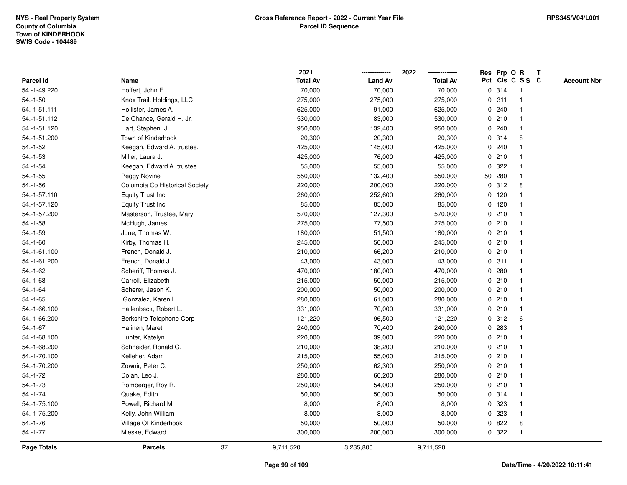|                    |                                |    | 2021            |                | 2022            |              |        | Res Prp O R     | $\mathbf{T}$ |                    |
|--------------------|--------------------------------|----|-----------------|----------------|-----------------|--------------|--------|-----------------|--------------|--------------------|
| Parcel Id          | Name                           |    | <b>Total Av</b> | <b>Land Av</b> | <b>Total Av</b> |              |        | Pct Cls C S S C |              | <b>Account Nbr</b> |
| 54.-1-49.220       | Hoffert, John F.               |    | 70,000          | 70,000         | 70,000          |              | 0.314  | -1              |              |                    |
| $54.-1-50$         | Knox Trail, Holdings, LLC      |    | 275,000         | 275,000        | 275,000         |              | 0.311  |                 |              |                    |
| 54.-1-51.111       | Hollister, James A.            |    | 625,000         | 91,000         | 625,000         |              | 0.240  | $\mathbf 1$     |              |                    |
| 54.-1-51.112       | De Chance, Gerald H. Jr.       |    | 530,000         | 83,000         | 530,000         |              | 0210   | $\mathbf{1}$    |              |                    |
| 54.-1-51.120       | Hart, Stephen J.               |    | 950,000         | 132,400        | 950,000         |              | 0.240  | $\mathbf{1}$    |              |                    |
| 54.-1-51.200       | Town of Kinderhook             |    | 20,300          | 20,300         | 20,300          |              | 0.314  | 8               |              |                    |
| $54.-1-52$         | Keegan, Edward A. trustee.     |    | 425,000         | 145,000        | 425,000         |              | 0.240  | $\mathbf 1$     |              |                    |
| $54.-1-53$         | Miller, Laura J.               |    | 425,000         | 76,000         | 425,000         |              | 0210   |                 |              |                    |
| $54.-1-54$         | Keegan, Edward A. trustee.     |    | 55,000          | 55,000         | 55,000          | 0            | 322    | $\mathbf{1}$    |              |                    |
| $54.-1-55$         | Peggy Novine                   |    | 550,000         | 132,400        | 550,000         |              | 50 280 | $\mathbf{1}$    |              |                    |
| $54.-1-56$         | Columbia Co Historical Society |    | 220,000         | 200,000        | 220,000         | 0            | 312    | 8               |              |                    |
| 54.-1-57.110       | Equity Trust Inc               |    | 260,000         | 252,600        | 260,000         | $\mathbf{0}$ | 120    | $\mathbf{1}$    |              |                    |
| 54.-1-57.120       | <b>Equity Trust Inc</b>        |    | 85,000          | 85,000         | 85,000          |              | 0, 120 | $\mathbf{1}$    |              |                    |
| 54.-1-57.200       | Masterson, Trustee, Mary       |    | 570,000         | 127,300        | 570,000         |              | 0210   | 1               |              |                    |
| $54.-1-58$         | McHugh, James                  |    | 275,000         | 77,500         | 275,000         |              | 0210   |                 |              |                    |
| $54.-1-59$         | June, Thomas W.                |    | 180,000         | 51,500         | 180,000         |              | 0210   | $\mathbf 1$     |              |                    |
| $54.-1-60$         | Kirby, Thomas H.               |    | 245,000         | 50,000         | 245,000         |              | 0210   | $\mathbf{1}$    |              |                    |
| 54.-1-61.100       | French, Donald J.              |    | 210,000         | 66,200         | 210,000         |              | 0210   | $\mathbf{1}$    |              |                    |
| 54.-1-61.200       | French, Donald J.              |    | 43,000          | 43,000         | 43,000          |              | 0.311  | $\mathbf{1}$    |              |                    |
| $54.-1-62$         | Scheriff, Thomas J.            |    | 470,000         | 180,000        | 470,000         |              | 0.280  | -1              |              |                    |
| $54. - 1 - 63$     | Carroll, Elizabeth             |    | 215,000         | 50,000         | 215,000         |              | 0210   |                 |              |                    |
| $54.-1-64$         | Scherer, Jason K.              |    | 200,000         | 50,000         | 200,000         |              | 0210   | $\mathbf{1}$    |              |                    |
| $54.-1-65$         | Gonzalez, Karen L.             |    | 280,000         | 61,000         | 280,000         |              | 0210   | $\mathbf 1$     |              |                    |
| 54.-1-66.100       | Hallenbeck, Robert L.          |    | 331,000         | 70,000         | 331,000         |              | 0210   | $\mathbf{1}$    |              |                    |
| 54.-1-66.200       | Berkshire Telephone Corp       |    | 121,220         | 96,500         | 121,220         |              | 0.312  | 6               |              |                    |
| $54.-1-67$         | Halinen, Maret                 |    | 240,000         | 70,400         | 240,000         |              | 0.283  | $\mathbf 1$     |              |                    |
| 54.-1-68.100       | Hunter, Katelyn                |    | 220,000         | 39,000         | 220,000         |              | 0210   | -1              |              |                    |
| 54.-1-68.200       | Schneider, Ronald G.           |    | 210,000         | 38,200         | 210,000         |              | 0210   |                 |              |                    |
| 54.-1-70.100       | Kelleher, Adam                 |    | 215,000         | 55,000         | 215,000         |              | 0210   | $\mathbf{1}$    |              |                    |
| 54.-1-70.200       | Zownir, Peter C.               |    | 250,000         | 62,300         | 250,000         |              | 0210   | $\mathbf 1$     |              |                    |
| $54.-1-72$         | Dolan, Leo J.                  |    | 280,000         | 60,200         | 280,000         |              | 0210   | $\mathbf{1}$    |              |                    |
| 54.-1-73           | Romberger, Roy R.              |    | 250,000         | 54,000         | 250,000         |              | 0210   | $\mathbf{1}$    |              |                    |
| $54. - 1 - 74$     | Quake, Edith                   |    | 50,000          | 50,000         | 50,000          |              | 0.314  | $\mathbf{1}$    |              |                    |
| 54.-1-75.100       | Powell, Richard M.             |    | 8,000           | 8,000          | 8,000           |              | 0 323  | -1              |              |                    |
| 54.-1-75.200       | Kelly, John William            |    | 8,000           | 8,000          | 8,000           |              | 0 323  | $\mathbf 1$     |              |                    |
| $54.-1-76$         | Village Of Kinderhook          |    | 50,000          | 50,000         | 50,000          |              | 0822   | 8               |              |                    |
| $54.-1-77$         | Mieske, Edward                 |    | 300,000         | 200,000        | 300,000         |              | 0.322  | $\mathbf{1}$    |              |                    |
| <b>Page Totals</b> | <b>Parcels</b>                 | 37 | 9,711,520       | 3,235,800      | 9,711,520       |              |        |                 |              |                    |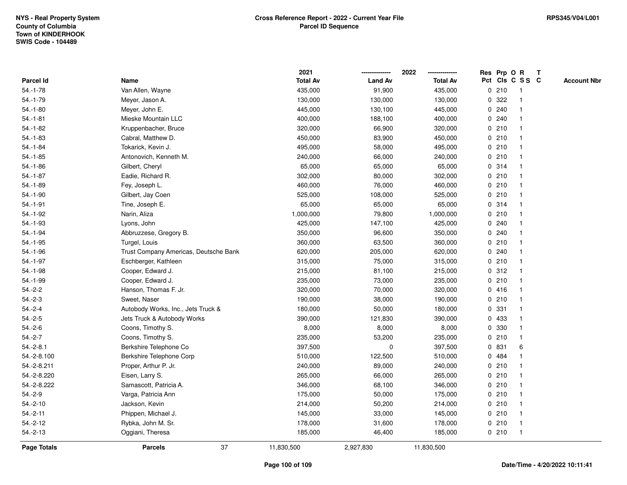|                  |                                       | 2021            |                | 2022            | Res Prp O   |       | $\mathbf R$     | $\mathbf{T}$       |
|------------------|---------------------------------------|-----------------|----------------|-----------------|-------------|-------|-----------------|--------------------|
| <b>Parcel Id</b> | Name                                  | <b>Total Av</b> | <b>Land Av</b> | <b>Total Av</b> |             |       | Pct Cls C S S C | <b>Account Nbr</b> |
| $54.-1-78$       | Van Allen, Wayne                      | 435,000         | 91,900         | 435,000         |             | 0210  |                 |                    |
| $54.-1-79$       | Meyer, Jason A.                       | 130,000         | 130,000        | 130,000         | 0           | 322   |                 |                    |
| $54.-1-80$       | Meyer, John E.                        | 445,000         | 130,100        | 445,000         |             | 0.240 |                 |                    |
| $54.-1-81$       | Mieske Mountain LLC                   | 400,000         | 188,100        | 400,000         | 0           | 240   |                 |                    |
| $54.-1-82$       | Kruppenbacher, Bruce                  | 320,000         | 66,900         | 320,000         |             | 0210  |                 |                    |
| $54.-1-83$       | Cabral, Matthew D.                    | 450,000         | 83,900         | 450,000         |             | 0210  |                 |                    |
| $54.-1-84$       | Tokarick, Kevin J.                    | 495,000         | 58,000         | 495,000         |             | 0210  |                 |                    |
| $54.-1-85$       | Antonovich, Kenneth M.                | 240,000         | 66,000         | 240,000         |             | 0210  |                 |                    |
| $54.-1-86$       | Gilbert, Cheryl                       | 65,000          | 65,000         | 65,000          |             | 0 314 |                 |                    |
| $54.-1-87$       | Eadie, Richard R.                     | 302,000         | 80,000         | 302,000         |             | 0210  |                 |                    |
| $54.-1-89$       | Fey, Joseph L.                        | 460,000         | 76,000         | 460,000         |             | 0210  |                 |                    |
| $54.-1-90$       | Gilbert, Jay Coen                     | 525,000         | 108,000        | 525,000         |             | 0210  |                 |                    |
| $54.-1-91$       | Tine, Joseph E.                       | 65,000          | 65,000         | 65,000          |             | 0 314 |                 |                    |
| $54.-1-92$       | Narin, Aliza                          | 1,000,000       | 79,800         | 1,000,000       |             | 0210  |                 |                    |
| 54.-1-93         | Lyons, John                           | 425,000         | 147,100        | 425,000         |             | 0.240 |                 |                    |
| $54.-1-94$       | Abbruzzese, Gregory B.                | 350,000         | 96,600         | 350,000         |             | 0.240 |                 |                    |
| $54.-1-95$       | Turgel, Louis                         | 360,000         | 63,500         | 360,000         | 0           | 210   |                 |                    |
| $54.-1-96$       | Trust Company Americas, Deutsche Bank | 620,000         | 205,000        | 620,000         | 0           | 240   |                 |                    |
| $54.-1-97$       | Eschberger, Kathleen                  | 315,000         | 75,000         | 315,000         |             | 0210  |                 |                    |
| $54.-1-98$       | Cooper, Edward J.                     | 215,000         | 81,100         | 215,000         |             | 0.312 |                 |                    |
| 54.-1-99         | Cooper, Edward J.                     | 235,000         | 73,000         | 235,000         |             | 0210  |                 |                    |
| $54.-2-2$        | Hanson, Thomas F. Jr.                 | 320,000         | 70,000         | 320,000         |             | 0416  |                 |                    |
| $54.-2-3$        | Sweet, Naser                          | 190,000         | 38,000         | 190,000         |             | 0210  |                 |                    |
| $54.-2-4$        | Autobody Works, Inc., Jets Truck &    | 180,000         | 50,000         | 180,000         | $\mathbf 0$ | 331   |                 |                    |
| $54.-2-5$        | Jets Truck & Autobody Works           | 390,000         | 121,830        | 390,000         | 0           | 433   |                 |                    |
| $54.-2-6$        | Coons, Timothy S.                     | 8,000           | 8,000          | 8,000           |             | 0 330 |                 |                    |
| $54.-2-7$        | Coons, Timothy S.                     | 235,000         | 53,200         | 235,000         |             | 0210  |                 |                    |
| $54.-2-8.1$      | Berkshire Telephone Co                | 397,500         | 0              | 397,500         |             | 0 831 | 6               |                    |
| 54.-2-8.100      | Berkshire Telephone Corp              | 510,000         | 122,500        | 510,000         | 0           | 484   |                 |                    |
| 54.-2-8.211      | Proper, Arthur P. Jr.                 | 240,000         | 89,000         | 240,000         |             | 0210  |                 |                    |
| 54.-2-8.220      | Eisen, Larry S.                       | 265,000         | 66,000         | 265,000         |             | 0210  |                 |                    |
| 54.-2-8.222      | Samascott, Patricia A.                | 346,000         | 68,100         | 346,000         |             | 0210  |                 |                    |
| $54.-2-9$        | Varga, Patricia Ann                   | 175,000         | 50,000         | 175,000         |             | 0210  |                 |                    |
| $54.-2-10$       | Jackson, Kevin                        | 214,000         | 50,200         | 214,000         |             | 0210  |                 |                    |
| $54.-2-11$       | Phippen, Michael J.                   | 145,000         | 33,000         | 145,000         |             | 0210  |                 |                    |
| $54.-2-12$       | Rybka, John M. Sr.                    | 178,000         | 31,600         | 178,000         |             | 0210  | $\mathbf 1$     |                    |
| $54.-2-13$       | Oggiani, Theresa                      | 185,000         | 46,400         | 185,000         |             | 0210  | -1              |                    |
| Page Totals      | 37<br><b>Parcels</b>                  | 11,830,500      | 2,927,830      | 11,830,500      |             |       |                 |                    |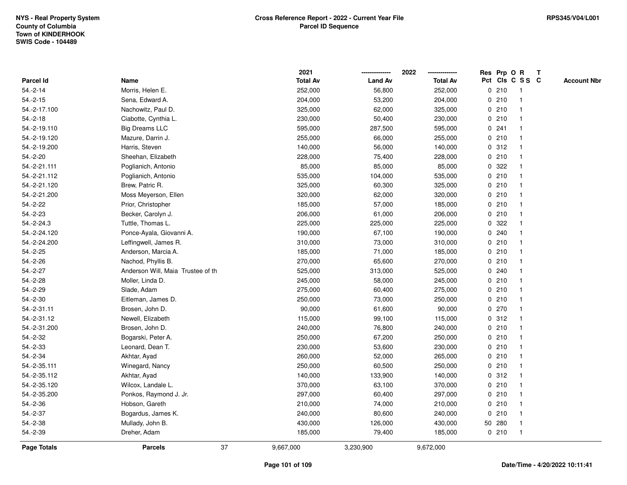|                    |                                   |    | 2021            |                | 2022            |             | Res Prp O R |                 | T |                    |
|--------------------|-----------------------------------|----|-----------------|----------------|-----------------|-------------|-------------|-----------------|---|--------------------|
| <b>Parcel Id</b>   | Name                              |    | <b>Total Av</b> | <b>Land Av</b> | <b>Total Av</b> |             |             | Pct Cls C S S C |   | <b>Account Nbr</b> |
| $54.-2-14$         | Morris, Helen E.                  |    | 252,000         | 56,800         | 252,000         |             | 0210        | -1              |   |                    |
| $54.-2-15$         | Sena, Edward A.                   |    | 204,000         | 53,200         | 204,000         | 0           | 210         | $\mathbf{1}$    |   |                    |
| 54.-2-17.100       | Nachowitz, Paul D.                |    | 325,000         | 62,000         | 325,000         |             | 0210        | $\mathbf{1}$    |   |                    |
| $54.-2-18$         | Ciabotte, Cynthia L.              |    | 230,000         | 50,400         | 230,000         |             | 0210        |                 |   |                    |
| 54.-2-19.110       | <b>Big Dreams LLC</b>             |    | 595,000         | 287,500        | 595,000         |             | 0.241       |                 |   |                    |
| 54.-2-19.120       | Mazure, Darrin J.                 |    | 255,000         | 66,000         | 255,000         |             | 0210        |                 |   |                    |
| 54.-2-19.200       | Harris, Steven                    |    | 140,000         | 56,000         | 140,000         |             | 0.312       |                 |   |                    |
| $54.-2-20$         | Sheehan, Elizabeth                |    | 228,000         | 75,400         | 228,000         |             | 0210        |                 |   |                    |
| 54.-2-21.111       | Poglianich, Antonio               |    | 85,000          | 85,000         | 85,000          | 0           | 322         |                 |   |                    |
| 54.-2-21.112       | Poglianich, Antonio               |    | 535,000         | 104,000        | 535,000         |             | 0210        | -1              |   |                    |
| 54.-2-21.120       | Brew, Patric R.                   |    | 325,000         | 60,300         | 325,000         |             | 0210        |                 |   |                    |
| 54.-2-21.200       | Moss Meyerson, Ellen              |    | 320,000         | 62,000         | 320,000         |             | 0210        |                 |   |                    |
| 54.-2-22           | Prior, Christopher                |    | 185,000         | 57,000         | 185,000         |             | 0210        |                 |   |                    |
| $54.-2-23$         | Becker, Carolyn J.                |    | 206,000         | 61,000         | 206,000         |             | 0210        |                 |   |                    |
| 54.-2-24.3         | Tuttle, Thomas L.                 |    | 225,000         | 225,000        | 225,000         | 0           | 322         |                 |   |                    |
| 54.-2-24.120       | Ponce-Ayala, Giovanni A.          |    | 190,000         | 67,100         | 190,000         | $\mathbf 0$ | 240         | $\overline{1}$  |   |                    |
| 54.-2-24.200       | Leffingwell, James R.             |    | 310,000         | 73,000         | 310,000         |             | 0210        | $\mathbf{1}$    |   |                    |
| $54.-2-25$         | Anderson, Marcia A.               |    | 185,000         | 71,000         | 185,000         |             | 0210        |                 |   |                    |
| $54.-2-26$         | Nachod, Phyllis B.                |    | 270,000         | 65,600         | 270,000         |             | 0210        |                 |   |                    |
| $54.-2-27$         | Anderson Will, Maia Trustee of th |    | 525,000         | 313,000        | 525,000         |             | 0.240       |                 |   |                    |
| $54.-2-28$         | Moller, Linda D.                  |    | 245,000         | 58,000         | 245,000         |             | 0210        |                 |   |                    |
| $54.-2-29$         | Slade, Adam                       |    | 275,000         | 60,400         | 275,000         |             | 0210        |                 |   |                    |
| $54.-2-30$         | Eitleman, James D.                |    | 250,000         | 73,000         | 250,000         |             | 0210        | $\overline{1}$  |   |                    |
| 54.-2-31.11        | Brosen, John D.                   |    | 90,000          | 61,600         | 90,000          |             | 0 270       |                 |   |                    |
| 54.-2-31.12        | Newell, Elizabeth                 |    | 115,000         | 99,100         | 115,000         |             | 0.312       |                 |   |                    |
| 54.-2-31.200       | Brosen, John D.                   |    | 240,000         | 76,800         | 240,000         |             | 0210        |                 |   |                    |
| 54.-2-32           | Bogarski, Peter A.                |    | 250,000         | 67,200         | 250,000         |             | 0210        |                 |   |                    |
| $54.-2-33$         | Leonard, Dean T.                  |    | 230,000         | 53,600         | 230,000         |             | 0210        |                 |   |                    |
| 54.-2-34           | Akhtar, Ayad                      |    | 260,000         | 52,000         | 265,000         |             | 0210        |                 |   |                    |
| 54.-2-35.111       | Winegard, Nancy                   |    | 250,000         | 60,500         | 250,000         | $\mathbf 0$ | 210         | -1              |   |                    |
| 54.-2-35.112       | Akhtar, Ayad                      |    | 140,000         | 133,900        | 140,000         |             | 0.312       | -1              |   |                    |
| 54.-2-35.120       | Wilcox, Landale L.                |    | 370,000         | 63,100         | 370,000         |             | 0210        | -1              |   |                    |
| 54.-2-35.200       | Ponkos, Raymond J. Jr.            |    | 297,000         | 60,400         | 297,000         |             | 0210        |                 |   |                    |
| 54.-2-36           | Hobson, Gareth                    |    | 210,000         | 74,000         | 210,000         |             | 0210        |                 |   |                    |
| 54.-2-37           | Bogardus, James K.                |    | 240,000         | 80,600         | 240,000         |             | 0210        |                 |   |                    |
| $54.-2-38$         | Mullady, John B.                  |    | 430,000         | 126,000        | 430,000         |             | 50 280      |                 |   |                    |
| 54.-2-39           | Dreher, Adam                      |    | 185,000         | 79,400         | 185,000         |             | 0210        | $\mathbf{1}$    |   |                    |
| <b>Page Totals</b> | <b>Parcels</b>                    | 37 | 9,667,000       | 3,230,900      | 9,672,000       |             |             |                 |   |                    |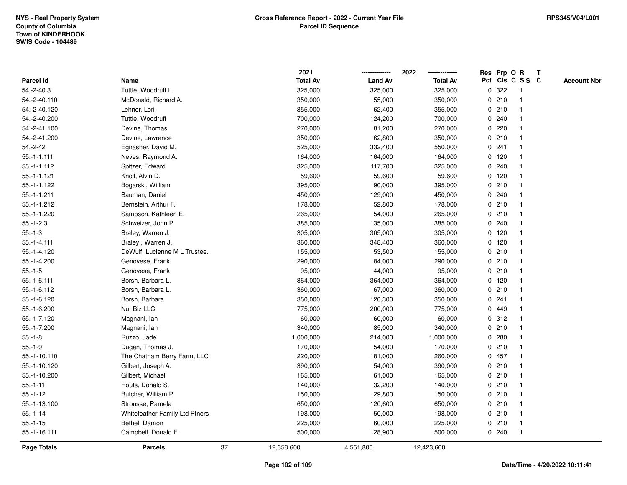|                    |                                |    | 2021            |                | 2022            |   | Res Prp O R |                         | Т |                    |
|--------------------|--------------------------------|----|-----------------|----------------|-----------------|---|-------------|-------------------------|---|--------------------|
| Parcel Id          | Name                           |    | <b>Total Av</b> | <b>Land Av</b> | <b>Total Av</b> |   |             | Pct Cls C S S C         |   | <b>Account Nbr</b> |
| $54.-2-40.3$       | Tuttle, Woodruff L.            |    | 325,000         | 325,000        | 325,000         | 0 | 322         | -1                      |   |                    |
| 54.-2-40.110       | McDonald, Richard A.           |    | 350,000         | 55,000         | 350,000         |   | 0210        | $\mathbf 1$             |   |                    |
| 54.-2-40.120       | Lehner, Lori                   |    | 355,000         | 62,400         | 355,000         |   | 0210        | $\mathbf 1$             |   |                    |
| 54.-2-40.200       | Tuttle, Woodruff               |    | 700,000         | 124,200        | 700,000         |   | 0.240       |                         |   |                    |
| 54.-2-41.100       | Devine, Thomas                 |    | 270,000         | 81,200         | 270,000         |   | 0220        |                         |   |                    |
| 54.-2-41.200       | Devine, Lawrence               |    | 350,000         | 62,800         | 350,000         |   | 0210        |                         |   |                    |
| 54.-2-42           | Egnasher, David M.             |    | 525,000         | 332,400        | 550,000         |   | 0.241       |                         |   |                    |
| $55.-1-1.111$      | Neves, Raymond A.              |    | 164,000         | 164,000        | 164,000         |   | $0$ 120     |                         |   |                    |
| $55.-1-1.112$      | Spitzer, Edward                |    | 325,000         | 117,700        | 325,000         |   | 0.240       | -1                      |   |                    |
| $55.-1-1.121$      | Knoll, Alvin D.                |    | 59,600          | 59,600         | 59,600          |   | $0$ 120     | $\mathbf 1$             |   |                    |
| 55.-1-1.122        | Bogarski, William              |    | 395,000         | 90,000         | 395,000         |   | 0210        |                         |   |                    |
| $55.-1-1.211$      | Bauman, Daniel                 |    | 450,000         | 129,000        | 450,000         |   | 0.240       |                         |   |                    |
| 55.-1-1.212        | Bernstein, Arthur F.           |    | 178,000         | 52,800         | 178,000         |   | 0210        |                         |   |                    |
| 55.-1-1.220        | Sampson, Kathleen E.           |    | 265,000         | 54,000         | 265,000         |   | 0210        |                         |   |                    |
| $55.-1-2.3$        | Schweizer, John P.             |    | 385,000         | 135,000        | 385,000         |   | 0.240       |                         |   |                    |
| $55.-1-3$          | Braley, Warren J.              |    | 305,000         | 305,000        | 305,000         |   | $0$ 120     | -1                      |   |                    |
| $55.-1-4.111$      | Braley, Warren J.              |    | 360,000         | 348,400        | 360,000         |   | $0$ 120     | $\overline{\mathbf{1}}$ |   |                    |
| 55.-1-4.120        | DeWulf, Lucienne M L Trustee.  |    | 155,000         | 53,500         | 155,000         |   | 0210        |                         |   |                    |
| 55.-1-4.200        | Genovese, Frank                |    | 290,000         | 84,000         | 290,000         |   | 0210        |                         |   |                    |
| $55.-1-5$          | Genovese, Frank                |    | 95,000          | 44,000         | 95,000          |   | 0210        |                         |   |                    |
| $55.-1-6.111$      | Borsh, Barbara L.              |    | 364,000         | 364,000        | 364,000         |   | $0$ 120     |                         |   |                    |
| 55.-1-6.112        | Borsh, Barbara L.              |    | 360,000         | 67,000         | 360,000         |   | 0210        |                         |   |                    |
| 55.-1-6.120        | Borsh, Barbara                 |    | 350,000         | 120,300        | 350,000         |   | 0.241       |                         |   |                    |
| 55.-1-6.200        | Nut Biz LLC                    |    | 775,000         | 200,000        | 775,000         |   | 0 449       |                         |   |                    |
| 55.-1-7.120        | Magnani, lan                   |    | 60,000          | 60,000         | 60,000          |   | 0.312       | -1                      |   |                    |
| 55.-1-7.200        | Magnani, lan                   |    | 340,000         | 85,000         | 340,000         |   | 0210        |                         |   |                    |
| $55.-1-8$          | Ruzzo, Jade                    |    | 1,000,000       | 214,000        | 1,000,000       |   | 0.280       |                         |   |                    |
| $55.-1-9$          | Dugan, Thomas J.               |    | 170,000         | 54,000         | 170,000         |   | 0210        |                         |   |                    |
| 55.-1-10.110       | The Chatham Berry Farm, LLC    |    | 220,000         | 181,000        | 260,000         |   | 0457        | $\overline{\mathbf{1}}$ |   |                    |
| 55.-1-10.120       | Gilbert, Joseph A.             |    | 390,000         | 54,000         | 390,000         |   | 0210        | -1                      |   |                    |
| 55.-1-10.200       | Gilbert, Michael               |    | 165,000         | 61,000         | 165,000         |   | 0210        | -1                      |   |                    |
| $55.-1-11$         | Houts, Donald S.               |    | 140,000         | 32,200         | 140,000         |   | 0210        | -1                      |   |                    |
| $55.-1-12$         | Butcher, William P.            |    | 150,000         | 29,800         | 150,000         |   | 0210        |                         |   |                    |
| 55.-1-13.100       | Strousse, Pamela               |    | 650,000         | 120,600        | 650,000         |   | 0210        |                         |   |                    |
| $55 - 1 - 14$      | Whitefeather Family Ltd Ptners |    | 198,000         | 50,000         | 198,000         |   | 0210        | -1                      |   |                    |
| $55.-1-15$         | Bethel, Damon                  |    | 225,000         | 60,000         | 225,000         |   | 0210        | $\mathbf 1$             |   |                    |
| 55.-1-16.111       | Campbell, Donald E.            |    | 500,000         | 128,900        | 500,000         |   | 0.240       | $\mathbf{1}$            |   |                    |
| <b>Page Totals</b> | <b>Parcels</b>                 | 37 | 12,358,600      | 4,561,800      | 12,423,600      |   |             |                         |   |                    |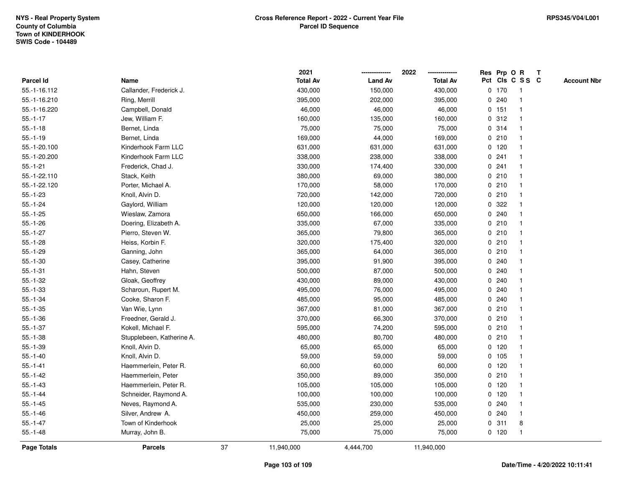|                |                           |    | 2021            |                | 2022            |             |         | Res Prp O R             | T |                    |
|----------------|---------------------------|----|-----------------|----------------|-----------------|-------------|---------|-------------------------|---|--------------------|
| Parcel Id      | Name                      |    | <b>Total Av</b> | <b>Land Av</b> | <b>Total Av</b> |             |         | Pct Cls C S S C         |   | <b>Account Nbr</b> |
| 55.-1-16.112   | Callander, Frederick J.   |    | 430,000         | 150,000        | 430,000         |             | $0$ 170 | $\mathbf{1}$            |   |                    |
| 55.-1-16.210   | Ring, Merrill             |    | 395,000         | 202,000        | 395,000         | 0           | 240     | $\overline{\mathbf{1}}$ |   |                    |
| 55.-1-16.220   | Campbell, Donald          |    | 46,000          | 46,000         | 46,000          |             | $0$ 151 | $\mathbf 1$             |   |                    |
| $55.-1-17$     | Jew, William F.           |    | 160,000         | 135,000        | 160,000         |             | 0.312   |                         |   |                    |
| $55.-1-18$     | Bernet, Linda             |    | 75,000          | 75,000         | 75,000          |             | 0 314   |                         |   |                    |
| $55.-1-19$     | Bernet, Linda             |    | 169,000         | 44,000         | 169,000         |             | 0210    |                         |   |                    |
| 55.-1-20.100   | Kinderhook Farm LLC       |    | 631,000         | 631,000        | 631,000         |             | 0, 120  |                         |   |                    |
| 55.-1-20.200   | Kinderhook Farm LLC       |    | 338,000         | 238,000        | 338,000         | 0           | 241     |                         |   |                    |
| $55.-1-21$     | Frederick, Chad J.        |    | 330,000         | 174,400        | 330,000         | 0           | 241     | -1                      |   |                    |
| 55.-1-22.110   | Stack, Keith              |    | 380,000         | 69,000         | 380,000         |             | 0210    | -1                      |   |                    |
| 55.-1-22.120   | Porter, Michael A.        |    | 170,000         | 58,000         | 170,000         |             | 0210    |                         |   |                    |
| $55.-1-23$     | Knoll, Alvin D.           |    | 720,000         | 142,000        | 720,000         |             | 0210    |                         |   |                    |
| $55.-1-24$     | Gaylord, William          |    | 120,000         | 120,000        | 120,000         | 0           | 322     |                         |   |                    |
| $55.-1-25$     | Wieslaw, Zamora           |    | 650,000         | 166,000        | 650,000         |             | 0.240   |                         |   |                    |
| $55.-1-26$     | Doering, Elizabeth A.     |    | 335,000         | 67,000         | 335,000         | 0           | 210     |                         |   |                    |
| $55.-1-27$     | Pierro, Steven W.         |    | 365,000         | 79,800         | 365,000         | 0           | 210     | $\overline{\mathbf{1}}$ |   |                    |
| $55.-1-28$     | Heiss, Korbin F.          |    | 320,000         | 175,400        | 320,000         | $\mathbf 0$ | 210     | $\mathbf{1}$            |   |                    |
| $55.-1-29$     | Ganning, John             |    | 365,000         | 64,000         | 365,000         |             | 0210    |                         |   |                    |
| $55.-1-30$     | Casey, Catherine          |    | 395,000         | 91,900         | 395,000         |             | 0.240   |                         |   |                    |
| $55. - 1 - 31$ | Hahn, Steven              |    | 500,000         | 87,000         | 500,000         |             | 0.240   |                         |   |                    |
| $55.-1-32$     | Gloak, Geoffrey           |    | 430,000         | 89,000         | 430,000         |             | 0.240   |                         |   |                    |
| $55.-1-33$     | Scharoun, Rupert M.       |    | 495,000         | 76,000         | 495,000         |             | 0.240   |                         |   |                    |
| $55.-1-34$     | Cooke, Sharon F.          |    | 485,000         | 95,000         | 485,000         | 0           | 240     |                         |   |                    |
| $55.-1-35$     | Van Wie, Lynn             |    | 367,000         | 81,000         | 367,000         | $\mathbf 0$ | 210     | $\mathbf{1}$            |   |                    |
| $55.-1-36$     | Freedner, Gerald J.       |    | 370,000         | 66,300         | 370,000         |             | 0210    |                         |   |                    |
| $55.-1-37$     | Kokell, Michael F.        |    | 595,000         | 74,200         | 595,000         |             | 0210    |                         |   |                    |
| $55.-1-38$     | Stupplebeen, Katherine A. |    | 480,000         | 80,700         | 480,000         |             | 0210    |                         |   |                    |
| $55.-1-39$     | Knoll, Alvin D.           |    | 65,000          | 65,000         | 65,000          |             | $0$ 120 |                         |   |                    |
| $55.-1-40$     | Knoll, Alvin D.           |    | 59,000          | 59,000         | 59,000          |             | 0 105   |                         |   |                    |
| $55.-1-41$     | Haemmerlein, Peter R.     |    | 60,000          | 60,000         | 60,000          |             | $0$ 120 |                         |   |                    |
| $55.-1-42$     | Haemmerlein, Peter        |    | 350,000         | 89,000         | 350,000         | 0           | 210     | -1                      |   |                    |
| $55.-1-43$     | Haemmerlein, Peter R.     |    | 105,000         | 105,000        | 105,000         |             | 0, 120  | $\mathbf 1$             |   |                    |
| $55.-1-44$     | Schneider, Raymond A.     |    | 100,000         | 100,000        | 100,000         |             | $0$ 120 |                         |   |                    |
| $55.-1-45$     | Neves, Raymond A.         |    | 535,000         | 230,000        | 535,000         |             | 0.240   |                         |   |                    |
| $55.-1-46$     | Silver, Andrew A.         |    | 450,000         | 259,000        | 450,000         | 0           | 240     | -1                      |   |                    |
| $55.-1-47$     | Town of Kinderhook        |    | 25,000          | 25,000         | 25,000          | 0           | 311     | 8                       |   |                    |
| $55.-1-48$     | Murray, John B.           |    | 75,000          | 75,000         | 75,000          |             | $0$ 120 | $\mathbf{1}$            |   |                    |
| Page Totals    | <b>Parcels</b>            | 37 | 11,940,000      | 4,444,700      | 11,940,000      |             |         |                         |   |                    |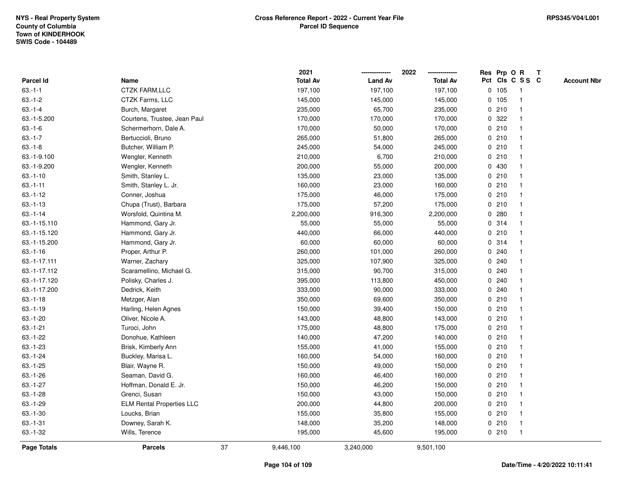|               |                                  |    | 2021            |                | 2022            |             |       | Res Prp O R             | T |                    |
|---------------|----------------------------------|----|-----------------|----------------|-----------------|-------------|-------|-------------------------|---|--------------------|
| Parcel Id     | Name                             |    | <b>Total Av</b> | <b>Land Av</b> | <b>Total Av</b> |             |       | Pct Cls C S S C         |   | <b>Account Nbr</b> |
| $63.-1-1$     | <b>CTZK FARM,LLC</b>             |    | 197,100         | 197,100        | 197,100         | 0           | 105   | $\mathbf{1}$            |   |                    |
| $63.-1-2$     | CTZK Farms, LLC                  |    | 145,000         | 145,000        | 145,000         |             | 0 105 | $\overline{\mathbf{1}}$ |   |                    |
| $63.-1-4$     | Burch, Margaret                  |    | 235,000         | 65,700         | 235,000         |             | 0210  | $\mathbf{1}$            |   |                    |
| 63.-1-5.200   | Courtens, Trustee, Jean Paul     |    | 170,000         | 170,000        | 170,000         |             | 0 322 |                         |   |                    |
| $63.-1-6$     | Schermerhorn, Dale A.            |    | 170,000         | 50,000         | 170,000         |             | 0210  |                         |   |                    |
| $63.-1-7$     | Bertuccioli, Bruno               |    | 265,000         | 51,800         | 265,000         |             | 0210  |                         |   |                    |
| $63.-1-8$     | Butcher, William P.              |    | 245,000         | 54,000         | 245,000         |             | 0210  | -1                      |   |                    |
| 63.-1-9.100   | Wengler, Kenneth                 |    | 210,000         | 6,700          | 210,000         | 0           | 210   |                         |   |                    |
| 63.-1-9.200   | Wengler, Kenneth                 |    | 200,000         | 55,000         | 200,000         |             | 0 430 | -1                      |   |                    |
| $63.-1-10$    | Smith, Stanley L.                |    | 135,000         | 23,000         | 135,000         |             | 0210  | -1                      |   |                    |
| $63.-1-11$    | Smith, Stanley L. Jr.            |    | 160,000         | 23,000         | 160,000         |             | 0210  |                         |   |                    |
| $63.-1-12$    | Conner, Joshua                   |    | 175,000         | 46,000         | 175,000         |             | 0210  |                         |   |                    |
| $63.-1-13$    | Chupa (Trust), Barbara           |    | 175,000         | 57,200         | 175,000         |             | 0210  |                         |   |                    |
| $63.-1-14$    | Worsfold, Quintina M.            |    | 2,200,000       | 916,300        | 2,200,000       |             | 0.280 |                         |   |                    |
| 63.-1-15.110  | Hammond, Gary Jr.                |    | 55,000          | 55,000         | 55,000          | $\mathbf 0$ | 314   |                         |   |                    |
| 63.-1-15.120  | Hammond, Gary Jr.                |    | 440,000         | 66,000         | 440,000         | $\mathbf 0$ | 210   | $\overline{\mathbf{1}}$ |   |                    |
| 63.-1-15.200  | Hammond, Gary Jr.                |    | 60,000          | 60,000         | 60,000          |             | 0 314 | $\mathbf{1}$            |   |                    |
| $63.-1-16$    | Proper, Arthur P.                |    | 260,000         | 101,000        | 260,000         |             | 0.240 |                         |   |                    |
| 63.-1-17.111  | Warner, Zachary                  |    | 325,000         | 107,900        | 325,000         |             | 0.240 |                         |   |                    |
| 63.-1-17.112  | Scaramellino, Michael G.         |    | 315,000         | 90,700         | 315,000         |             | 0.240 |                         |   |                    |
| 63.-1-17.120  | Polisky, Charles J.              |    | 395,000         | 113,800        | 450,000         |             | 0.240 |                         |   |                    |
| 63.-1-17.200  | Dedrick, Keith                   |    | 333,000         | 90,000         | 333,000         |             | 0.240 |                         |   |                    |
| $63.-1-18$    | Metzger, Alan                    |    | 350,000         | 69,600         | 350,000         | 0           | 210   | -1                      |   |                    |
| $63.-1-19$    | Harling, Helen Agnes             |    | 150,000         | 39,400         | 150,000         | $\mathbf 0$ | 210   | $\overline{\mathbf{1}}$ |   |                    |
| $63.-1-20$    | Oliver, Nicole A.                |    | 143,000         | 48,800         | 143,000         |             | 0210  |                         |   |                    |
| $63.-1-21$    | Turoci, John                     |    | 175,000         | 48,800         | 175,000         |             | 0210  |                         |   |                    |
| $63.-1-22$    | Donohue, Kathleen                |    | 140,000         | 47,200         | 140,000         |             | 0210  |                         |   |                    |
| $63.-1-23$    | Brisk, Kimberly Ann              |    | 155,000         | 41,000         | 155,000         |             | 0210  |                         |   |                    |
| $63.-1-24$    | Buckley, Marisa L.               |    | 160,000         | 54,000         | 160,000         |             | 0210  |                         |   |                    |
| $63.-1-25$    | Blair, Wayne R.                  |    | 150,000         | 49,000         | 150,000         | 0           | 210   | -1                      |   |                    |
| $63.-1-26$    | Seaman, David G.                 |    | 160,000         | 46,400         | 160,000         | 0           | 210   | -1                      |   |                    |
| $63.-1-27$    | Hoffman, Donald E. Jr.           |    | 150,000         | 46,200         | 150,000         |             | 0210  | $\mathbf 1$             |   |                    |
| $63.-1-28$    | Grenci, Susan                    |    | 150,000         | 43,000         | 150,000         |             | 0210  |                         |   |                    |
| $63.-1-29$    | <b>ELM Rental Properties LLC</b> |    | 200,000         | 44,800         | 200,000         |             | 0210  |                         |   |                    |
| $63.-1-30$    | Loucks, Brian                    |    | 155,000         | 35,800         | 155,000         |             | 0210  | -1                      |   |                    |
| $63.-1-31$    | Downey, Sarah K.                 |    | 148,000         | 35,200         | 148,000         |             | 0210  | -1                      |   |                    |
| $63 - 1 - 32$ | Wills, Terence                   |    | 195,000         | 45,600         | 195,000         |             | 0210  | $\mathbf{1}$            |   |                    |
| Page Totals   | <b>Parcels</b>                   | 37 | 9,446,100       | 3,240,000      | 9,501,100       |             |       |                         |   |                    |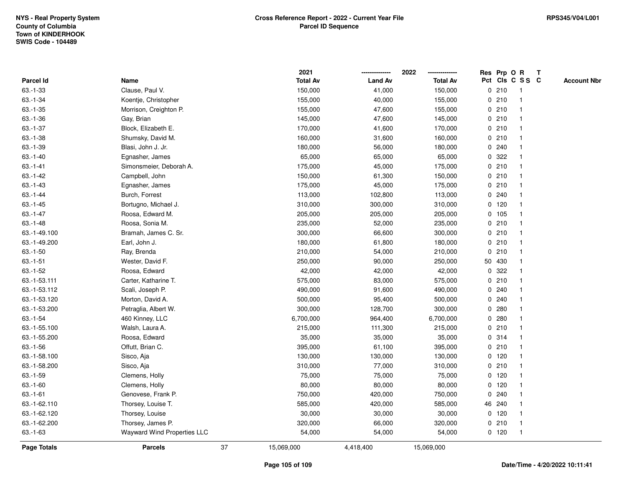|               |                             |    | 2021            |                | 2022            |   | Res Prp O R |                         | Т |                    |
|---------------|-----------------------------|----|-----------------|----------------|-----------------|---|-------------|-------------------------|---|--------------------|
| Parcel Id     | Name                        |    | <b>Total Av</b> | <b>Land Av</b> | <b>Total Av</b> |   |             | Pct Cls C S S C         |   | <b>Account Nbr</b> |
| $63 - 1 - 33$ | Clause, Paul V.             |    | 150,000         | 41,000         | 150,000         |   | 0210        | $\overline{\mathbf{1}}$ |   |                    |
| $63.-1-34$    | Koentje, Christopher        |    | 155,000         | 40,000         | 155,000         |   | 0210        | $\overline{1}$          |   |                    |
| $63.-1-35$    | Morrison, Creighton P.      |    | 155,000         | 47,600         | 155,000         |   | 0210        | 1                       |   |                    |
| $63.-1-36$    | Gay, Brian                  |    | 145,000         | 47,600         | 145,000         |   | 0210        |                         |   |                    |
| $63.-1-37$    | Block, Elizabeth E.         |    | 170,000         | 41,600         | 170,000         |   | 0210        |                         |   |                    |
| $63.-1-38$    | Shumsky, David M.           |    | 160,000         | 31,600         | 160,000         |   | 0210        |                         |   |                    |
| $63.-1-39$    | Blasi, John J. Jr.          |    | 180,000         | 56,000         | 180,000         |   | 0.240       |                         |   |                    |
| $63.-1-40$    | Egnasher, James             |    | 65,000          | 65,000         | 65,000          | 0 | 322         | -1                      |   |                    |
| $63.-1-41$    | Simonsmeier, Deborah A.     |    | 175,000         | 45,000         | 175,000         |   | 0210        | $\overline{\mathbf{1}}$ |   |                    |
| $63.-1-42$    | Campbell, John              |    | 150,000         | 61,300         | 150,000         |   | 0210        | -1                      |   |                    |
| $63.-1-43$    | Egnasher, James             |    | 175,000         | 45,000         | 175,000         |   | 0210        |                         |   |                    |
| $63.-1-44$    | Burch, Forrest              |    | 113,000         | 102,800        | 113,000         |   | 0.240       |                         |   |                    |
| $63.-1-45$    | Bortugno, Michael J.        |    | 310,000         | 300,000        | 310,000         |   | $0$ 120     |                         |   |                    |
| $63.-1-47$    | Roosa, Edward M.            |    | 205,000         | 205,000        | 205,000         |   | 0, 105      | -1                      |   |                    |
| $63.-1-48$    | Roosa, Sonia M.             |    | 235,000         | 52,000         | 235,000         |   | 0210        | $\overline{1}$          |   |                    |
| 63.-1-49.100  | Bramah, James C. Sr.        |    | 300,000         | 66,600         | 300,000         |   | 0210        | $\overline{\mathbf{1}}$ |   |                    |
| 63.-1-49.200  | Earl, John J.               |    | 180,000         | 61,800         | 180,000         |   | 0210        | -1                      |   |                    |
| $63.-1-50$    | Ray, Brenda                 |    | 210,000         | 54,000         | 210,000         |   | 0210        |                         |   |                    |
| $63.-1-51$    | Wester, David F.            |    | 250,000         | 90,000         | 250,000         |   | 50 430      |                         |   |                    |
| $63.-1-52$    | Roosa, Edward               |    | 42,000          | 42,000         | 42,000          |   | 0.322       |                         |   |                    |
| 63.-1-53.111  | Carter, Katharine T.        |    | 575,000         | 83,000         | 575,000         |   | 0210        |                         |   |                    |
| 63.-1-53.112  | Scali, Joseph P.            |    | 490,000         | 91,600         | 490,000         | 0 | 240         |                         |   |                    |
| 63.-1-53.120  | Morton, David A.            |    | 500,000         | 95,400         | 500,000         |   | 0.240       | $\overline{\mathbf{1}}$ |   |                    |
| 63.-1-53.200  | Petraglia, Albert W.        |    | 300,000         | 128,700        | 300,000         |   | 0.280       | $\mathbf{1}$            |   |                    |
| $63.-1-54$    | 460 Kinney, LLC             |    | 6,700,000       | 964,400        | 6,700,000       |   | 0.280       |                         |   |                    |
| 63.-1-55.100  | Walsh, Laura A.             |    | 215,000         | 111,300        | 215,000         |   | 0210        |                         |   |                    |
| 63.-1-55.200  | Roosa, Edward               |    | 35,000          | 35,000         | 35,000          |   | 0.314       |                         |   |                    |
| $63.-1-56$    | Offutt, Brian C.            |    | 395,000         | 61,100         | 395,000         |   | 0210        | -1                      |   |                    |
| 63.-1-58.100  | Sisco, Aja                  |    | 130,000         | 130,000        | 130,000         |   | $0$ 120     | -1                      |   |                    |
| 63.-1-58.200  | Sisco, Aja                  |    | 310,000         | 77,000         | 310,000         |   | 0210        | $\overline{1}$          |   |                    |
| $63.-1-59$    | Clemens, Holly              |    | 75,000          | 75,000         | 75,000          |   | $0$ 120     | -1                      |   |                    |
| $63.-1-60$    | Clemens, Holly              |    | 80,000          | 80,000         | 80,000          |   | $0$ 120     |                         |   |                    |
| $63.-1-61$    | Genovese, Frank P.          |    | 750,000         | 420,000        | 750,000         |   | 0.240       |                         |   |                    |
| 63.-1-62.110  | Thorsey, Louise T.          |    | 585,000         | 420,000        | 585,000         |   | 46 240      |                         |   |                    |
| 63.-1-62.120  | Thorsey, Louise             |    | 30,000          | 30,000         | 30,000          |   | $0$ 120     | $\overline{1}$          |   |                    |
| 63.-1-62.200  | Thorsey, James P.           |    | 320,000         | 66,000         | 320,000         | 0 | 210         | -1                      |   |                    |
| $63.-1-63$    | Wayward Wind Properties LLC |    | 54,000          | 54,000         | 54,000          |   | 0 120       | $\overline{1}$          |   |                    |
| Page Totals   | <b>Parcels</b>              | 37 | 15,069,000      | 4,418,400      | 15,069,000      |   |             |                         |   |                    |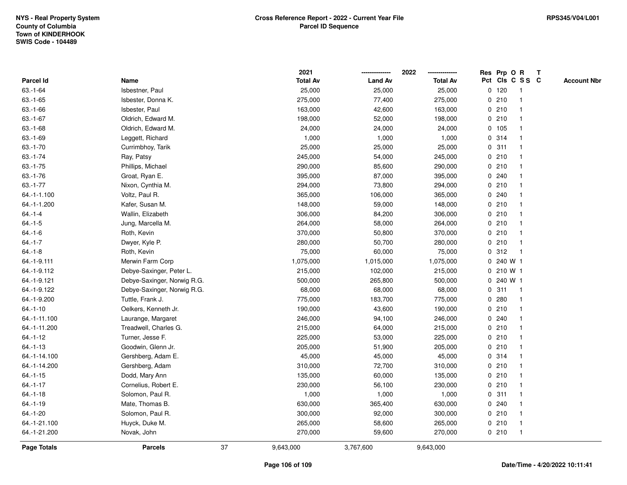|               |                             |    | 2021            |                | 2022            |       | Res Prp O R     |              | Т |                    |
|---------------|-----------------------------|----|-----------------|----------------|-----------------|-------|-----------------|--------------|---|--------------------|
| Parcel Id     | Name                        |    | <b>Total Av</b> | <b>Land Av</b> | <b>Total Av</b> |       | Pct Cls C S S C |              |   | <b>Account Nbr</b> |
| $63.-1-64$    | Isbestner, Paul             |    | 25,000          | 25,000         | 25,000          |       | $0$ 120         | $\mathbf{1}$ |   |                    |
| $63.-1-65$    | Isbester, Donna K.          |    | 275,000         | 77,400         | 275,000         | 0     | 210             | -1           |   |                    |
| $63.-1-66$    | Isbester, Paul              |    | 163,000         | 42,600         | 163,000         | 0210  |                 | $\mathbf{1}$ |   |                    |
| $63.-1-67$    | Oldrich, Edward M.          |    | 198,000         | 52,000         | 198,000         | 0210  |                 |              |   |                    |
| $63 - 1 - 68$ | Oldrich, Edward M.          |    | 24,000          | 24,000         | 24,000          | 0 105 |                 |              |   |                    |
| $63.-1-69$    | Leggett, Richard            |    | 1,000           | 1,000          | 1,000           | 0.314 |                 |              |   |                    |
| $63.-1-70$    | Currimbhoy, Tarik           |    | 25,000          | 25,000         | 25,000          | 0.311 |                 | -1           |   |                    |
| $63.-1-74$    | Ray, Patsy                  |    | 245,000         | 54,000         | 245,000         | 0210  |                 |              |   |                    |
| $63.-1-75$    | Phillips, Michael           |    | 290,000         | 85,600         | 290,000         | 0210  |                 | -1           |   |                    |
| $63.-1-76$    | Groat, Ryan E.              |    | 395,000         | 87,000         | 395,000         | 0.240 |                 | $\mathbf 1$  |   |                    |
| $63.-1-77$    | Nixon, Cynthia M.           |    | 294,000         | 73,800         | 294,000         | 0210  |                 |              |   |                    |
| 64.-1-1.100   | Voltz, Paul R.              |    | 365,000         | 106,000        | 365,000         | 0.240 |                 |              |   |                    |
| 64.-1-1.200   | Kafer, Susan M.             |    | 148,000         | 59,000         | 148,000         | 0210  |                 |              |   |                    |
| $64 - 1 - 4$  | Wallin, Elizabeth           |    | 306,000         | 84,200         | 306,000         | 0210  |                 |              |   |                    |
| $64 - 1 - 5$  | Jung, Marcella M.           |    | 264,000         | 58,000         | 264,000         | 0210  |                 |              |   |                    |
| $64 - 1 - 6$  | Roth, Kevin                 |    | 370,000         | 50,800         | 370,000         |       | 0210            | -1           |   |                    |
| $64.-1-7$     | Dwyer, Kyle P.              |    | 280,000         | 50,700         | 280,000         | 0210  |                 | $\mathbf{1}$ |   |                    |
| $64.-1-8$     | Roth, Kevin                 |    | 75,000          | 60,000         | 75,000          |       | 0.312           | -1           |   |                    |
| 64.-1-9.111   | Merwin Farm Corp            |    | 1,075,000       | 1,015,000      | 1,075,000       |       | $0, 240$ W 1    |              |   |                    |
| 64.-1-9.112   | Debye-Saxinger, Peter L.    |    | 215,000         | 102,000        | 215,000         |       | 0 210 W 1       |              |   |                    |
| 64.-1-9.121   | Debye-Saxinger, Norwig R.G. |    | 500,000         | 265,800        | 500,000         |       | 0 240 W 1       |              |   |                    |
| 64.-1-9.122   | Debye-Saxinger, Norwig R.G. |    | 68,000          | 68,000         | 68,000          | 0.311 |                 | -1           |   |                    |
| 64.-1-9.200   | Tuttle, Frank J.            |    | 775,000         | 183,700        | 775,000         | 0.280 |                 | $\mathbf{1}$ |   |                    |
| $64.-1-10$    | Oelkers, Kenneth Jr.        |    | 190,000         | 43,600         | 190,000         | 0210  |                 | $\mathbf{1}$ |   |                    |
| 64.-1-11.100  | Laurange, Margaret          |    | 246,000         | 94,100         | 246,000         | 0.240 |                 | -1           |   |                    |
| 64.-1-11.200  | Treadwell, Charles G.       |    | 215,000         | 64,000         | 215,000         | 0210  |                 |              |   |                    |
| $64.-1-12$    | Turner, Jesse F.            |    | 225,000         | 53,000         | 225,000         | 0210  |                 |              |   |                    |
| $64.-1-13$    | Goodwin, Glenn Jr.          |    | 205,000         | 51,900         | 205,000         | 0210  |                 |              |   |                    |
| 64.-1-14.100  | Gershberg, Adam E.          |    | 45,000          | 45,000         | 45,000          |       | 0.314           |              |   |                    |
| 64.-1-14.200  | Gershberg, Adam             |    | 310,000         | 72,700         | 310,000         | 0210  |                 | -1           |   |                    |
| $64.-1-15$    | Dodd, Mary Ann              |    | 135,000         | 60,000         | 135,000         | 0210  |                 | -1           |   |                    |
| $64.-1-17$    | Cornelius, Robert E.        |    | 230,000         | 56,100         | 230,000         |       | 0210            | -1           |   |                    |
| $64.-1-18$    | Solomon, Paul R.            |    | 1,000           | 1,000          | 1,000           | 0.311 |                 |              |   |                    |
| $64.-1-19$    | Mate, Thomas B.             |    | 630,000         | 365,400        | 630,000         | 0.240 |                 |              |   |                    |
| $64 - 1 - 20$ | Solomon, Paul R.            |    | 300,000         | 92,000         | 300,000         | 0210  |                 |              |   |                    |
| 64.-1-21.100  | Huyck, Duke M.              |    | 265,000         | 58,600         | 265,000         | 0210  |                 | $\mathbf 1$  |   |                    |
| 64.-1-21.200  | Novak, John                 |    | 270,000         | 59,600         | 270,000         |       | 0210            | $\mathbf{1}$ |   |                    |
| Page Totals   | <b>Parcels</b>              | 37 | 9,643,000       | 3,767,600      | 9,643,000       |       |                 |              |   |                    |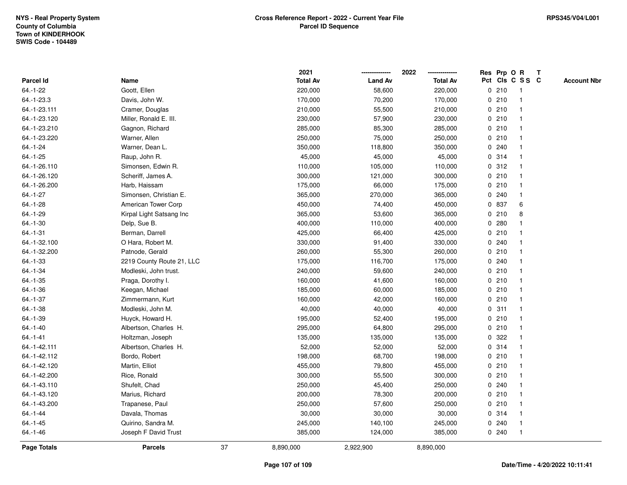|                |                           |    | 2021            |                | 2022            |             |       | Res Prp O R     | T |                    |
|----------------|---------------------------|----|-----------------|----------------|-----------------|-------------|-------|-----------------|---|--------------------|
| Parcel Id      | Name                      |    | <b>Total Av</b> | <b>Land Av</b> | <b>Total Av</b> |             |       | Pct Cls C S S C |   | <b>Account Nbr</b> |
| 64.-1-22       | Goott, Ellen              |    | 220,000         | 58,600         | 220,000         |             | 0210  | -1              |   |                    |
| 64.-1-23.3     | Davis, John W.            |    | 170,000         | 70,200         | 170,000         | 0           | 210   | -1              |   |                    |
| 64.-1-23.111   | Cramer, Douglas           |    | 210,000         | 55,500         | 210,000         |             | 0210  | $\mathbf{1}$    |   |                    |
| 64.-1-23.120   | Miller, Ronald E. III.    |    | 230,000         | 57,900         | 230,000         |             | 0210  |                 |   |                    |
| 64.-1-23.210   | Gagnon, Richard           |    | 285,000         | 85,300         | 285,000         |             | 0210  |                 |   |                    |
| 64.-1-23.220   | Warner, Allen             |    | 250,000         | 75,000         | 250,000         |             | 0210  |                 |   |                    |
| $64.-1-24$     | Warner, Dean L.           |    | 350,000         | 118,800        | 350,000         |             | 0.240 |                 |   |                    |
| $64.-1-25$     | Raup, John R.             |    | 45,000          | 45,000         | 45,000          | 0           | 314   |                 |   |                    |
| 64.-1-26.110   | Simonsen, Edwin R.        |    | 110,000         | 105,000        | 110,000         |             | 0.312 |                 |   |                    |
| 64.-1-26.120   | Scheriff, James A.        |    | 300,000         | 121,000        | 300,000         |             | 0210  | $\mathbf 1$     |   |                    |
| 64.-1-26.200   | Harb, Haissam             |    | 175,000         | 66,000         | 175,000         |             | 0210  |                 |   |                    |
| $64.-1-27$     | Simonsen, Christian E.    |    | 365,000         | 270,000        | 365,000         |             | 0.240 |                 |   |                    |
| $64.-1-28$     | American Tower Corp       |    | 450,000         | 74,400         | 450,000         |             | 0 837 | 6               |   |                    |
| 64.-1-29       | Kirpal Light Satsang Inc  |    | 365,000         | 53,600         | 365,000         |             | 0210  | 8               |   |                    |
| $64.-1-30$     | Delp, Sue B.              |    | 400,000         | 110,000        | 400,000         | $\mathbf 0$ | 280   |                 |   |                    |
| $64. - 1 - 31$ | Berman, Darrell           |    | 425,000         | 66,400         | 425,000         |             | 0210  | 1               |   |                    |
| 64.-1-32.100   | O Hara, Robert M.         |    | 330,000         | 91,400         | 330,000         |             | 0.240 |                 |   |                    |
| 64.-1-32.200   | Patnode, Gerald           |    | 260,000         | 55,300         | 260,000         |             | 0210  |                 |   |                    |
| $64 - 1 - 33$  | 2219 County Route 21, LLC |    | 175,000         | 116,700        | 175,000         |             | 0.240 |                 |   |                    |
| 64.-1-34       | Modleski, John trust.     |    | 240,000         | 59,600         | 240,000         |             | 0210  |                 |   |                    |
| $64.-1-35$     | Praga, Dorothy I.         |    | 160,000         | 41,600         | 160,000         |             | 0210  |                 |   |                    |
| 64.-1-36       | Keegan, Michael           |    | 185,000         | 60,000         | 185,000         |             | 0210  |                 |   |                    |
| $64.-1-37$     | Zimmermann, Kurt          |    | 160,000         | 42,000         | 160,000         |             | 0210  | $\mathbf{1}$    |   |                    |
| $64.-1-38$     | Modleski, John M.         |    | 40,000          | 40,000         | 40,000          | $\mathbf 0$ | 311   | 1               |   |                    |
| 64.-1-39       | Huyck, Howard H.          |    | 195,000         | 52,400         | 195,000         |             | 0210  |                 |   |                    |
| $64.-1-40$     | Albertson, Charles H.     |    | 295,000         | 64,800         | 295,000         |             | 0210  |                 |   |                    |
| $64 - 1 - 41$  | Holtzman, Joseph          |    | 135,000         | 135,000        | 135,000         |             | 0.322 |                 |   |                    |
| 64.-1-42.111   | Albertson, Charles H.     |    | 52,000          | 52,000         | 52,000          |             | 0.314 |                 |   |                    |
| 64.-1-42.112   | Bordo, Robert             |    | 198,000         | 68,700         | 198,000         |             | 0210  |                 |   |                    |
| 64.-1-42.120   | Martin, Elliot            |    | 455,000         | 79,800         | 455,000         | 0           | 210   |                 |   |                    |
| 64.-1-42.200   | Rice, Ronald              |    | 300,000         | 55,500         | 300,000         |             | 0210  | $\mathbf 1$     |   |                    |
| 64.-1-43.110   | Shufelt, Chad             |    | 250,000         | 45,400         | 250,000         |             | 0.240 |                 |   |                    |
| 64.-1-43.120   | Marius, Richard           |    | 200,000         | 78,300         | 200,000         |             | 0210  |                 |   |                    |
| 64.-1-43.200   | Trapanese, Paul           |    | 250,000         | 57,600         | 250,000         |             | 0210  |                 |   |                    |
| $64 - 1 - 44$  | Davala, Thomas            |    | 30,000          | 30,000         | 30,000          |             | 0.314 |                 |   |                    |
| $64.-1-45$     | Quirino, Sandra M.        |    | 245,000         | 140,100        | 245,000         | 0           | 240   |                 |   |                    |
| $64.-1-46$     | Joseph F David Trust      |    | 385,000         | 124,000        | 385,000         |             | 0.240 | $\overline{1}$  |   |                    |
| Page Totals    | <b>Parcels</b>            | 37 | 8,890,000       | 2,922,900      | 8,890,000       |             |       |                 |   |                    |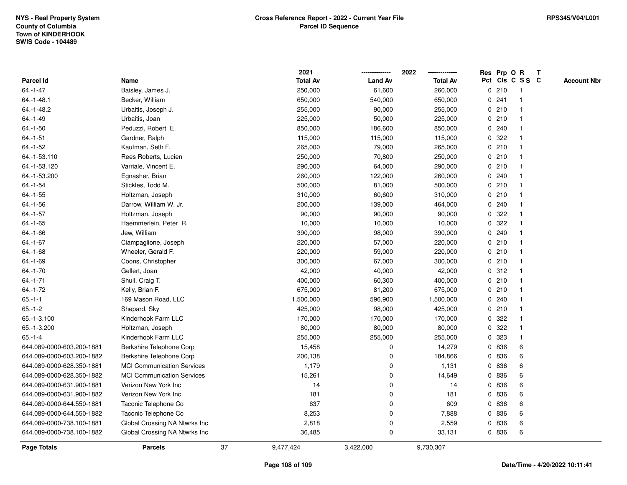|                           |                                   |    | 2021            |                | 2022            |             |       | Res Prp O R             | T |                    |
|---------------------------|-----------------------------------|----|-----------------|----------------|-----------------|-------------|-------|-------------------------|---|--------------------|
| Parcel Id                 | Name                              |    | <b>Total Av</b> | <b>Land Av</b> | <b>Total Av</b> |             |       | Pct Cls C S S C         |   | <b>Account Nbr</b> |
| $64 - 1 - 47$             | Baisley, James J.                 |    | 250,000         | 61,600         | 260,000         | 0           | 210   | $\mathbf{1}$            |   |                    |
| $64 - 1 - 48.1$           | Becker, William                   |    | 650,000         | 540,000        | 650,000         | 0           | 241   | -1                      |   |                    |
| 64.-1-48.2                | Urbaitis, Joseph J.               |    | 255,000         | 90,000         | 255,000         |             | 0210  | -1                      |   |                    |
| $64.-1-49$                | Urbaitis, Joan                    |    | 225,000         | 50,000         | 225,000         |             | 0210  |                         |   |                    |
| $64.-1-50$                | Peduzzi, Robert E.                |    | 850,000         | 186,600        | 850,000         |             | 0.240 |                         |   |                    |
| $64.-1-51$                | Gardner, Ralph                    |    | 115,000         | 115,000        | 115,000         | 0           | 322   |                         |   |                    |
| $64.-1-52$                | Kaufman, Seth F.                  |    | 265,000         | 79,000         | 265,000         |             | 0210  |                         |   |                    |
| 64.-1-53.110              | Rees Roberts, Lucien              |    | 250,000         | 70,800         | 250,000         | 0           | 210   |                         |   |                    |
| 64.-1-53.120              | Varriale, Vincent E.              |    | 290,000         | 64,000         | 290,000         | 0           | 210   | -1                      |   |                    |
| 64.-1-53.200              | Egnasher, Brian                   |    | 260,000         | 122,000        | 260,000         |             | 0.240 | -1                      |   |                    |
| $64 - 1 - 54$             | Stickles, Todd M.                 |    | 500,000         | 81,000         | 500,000         |             | 0210  |                         |   |                    |
| $64.-1-55$                | Holtzman, Joseph                  |    | 310,000         | 60,600         | 310,000         |             | 0210  |                         |   |                    |
| $64.-1-56$                | Darrow, William W. Jr.            |    | 200,000         | 139,000        | 464,000         |             | 0.240 |                         |   |                    |
| $64.-1-57$                | Holtzman, Joseph                  |    | 90,000          | 90,000         | 90,000          |             | 0.322 |                         |   |                    |
| $64.-1-65$                | Haemmerlein, Peter R.             |    | 10,000          | 10,000         | 10,000          | 0           | 322   |                         |   |                    |
| $64.-1-66$                | Jew, William                      |    | 390,000         | 98,000         | 390,000         | 0           | 240   | $\overline{\mathbf{1}}$ |   |                    |
| $64.-1-67$                | Ciampaglione, Joseph              |    | 220,000         | 57,000         | 220,000         | 0           | 210   | $\overline{\mathbf{1}}$ |   |                    |
| 64.-1-68                  | Wheeler, Gerald F.                |    | 220,000         | 59,000         | 220,000         |             | 0210  |                         |   |                    |
| 64.-1-69                  | Coons, Christopher                |    | 300,000         | 67,000         | 300,000         |             | 0210  |                         |   |                    |
| $64.-1-70$                | Gellert, Joan                     |    | 42,000          | 40,000         | 42,000          |             | 0.312 |                         |   |                    |
| $64.-1-71$                | Shull, Craig T.                   |    | 400,000         | 60,300         | 400,000         |             | 0210  |                         |   |                    |
| $64 - 1 - 72$             | Kelly, Brian F.                   |    | 675,000         | 81,200         | 675,000         |             | 0210  |                         |   |                    |
| $65.-1-1$                 | 169 Mason Road, LLC               |    | 1,500,000       | 596,900        | 1,500,000       | 0           | 240   | -1                      |   |                    |
| $65.-1-2$                 | Shepard, Sky                      |    | 425,000         | 98,000         | 425,000         | $\mathbf 0$ | 210   | $\mathbf{1}$            |   |                    |
| 65.-1-3.100               | Kinderhook Farm LLC               |    | 170,000         | 170,000        | 170,000         |             | 0 322 |                         |   |                    |
| 65.-1-3.200               | Holtzman, Joseph                  |    | 80,000          | 80,000         | 80,000          | 0           | 322   |                         |   |                    |
| $65.-1-4$                 | Kinderhook Farm LLC               |    | 255,000         | 255,000        | 255,000         | 0           | 323   |                         |   |                    |
| 644.089-0000-603.200-1881 | Berkshire Telephone Corp          |    | 15,458          | 0              | 14,279          | 0           | 836   | 6                       |   |                    |
| 644.089-0000-603.200-1882 | Berkshire Telephone Corp          |    | 200,138         | 0              | 184,866         | 0           | 836   | 6                       |   |                    |
| 644.089-0000-628.350-1881 | <b>MCI Communication Services</b> |    | 1,179           | 0              | 1,131           | 0           | 836   | 6                       |   |                    |
| 644.089-0000-628.350-1882 | <b>MCI Communication Services</b> |    | 15,261          | 0              | 14,649          | 0           | 836   | 6                       |   |                    |
| 644.089-0000-631.900-1881 | Verizon New York Inc              |    | 14              | 0              | 14              |             | 0 836 | 6                       |   |                    |
| 644.089-0000-631.900-1882 | Verizon New York Inc              |    | 181             | 0              | 181             | 0           | 836   | 6                       |   |                    |
| 644.089-0000-644.550-1881 | Taconic Telephone Co              |    | 637             | 0              | 609             | 0           | 836   | 6                       |   |                    |
| 644.089-0000-644.550-1882 | Taconic Telephone Co              |    | 8,253           | 0              | 7,888           | 0           | 836   | 6                       |   |                    |
| 644.089-0000-738.100-1881 | Global Crossing NA Ntwrks Inc     |    | 2,818           | 0              | 2,559           | 0           | 836   | 6                       |   |                    |
| 644.089-0000-738.100-1882 | Global Crossing NA Ntwrks Inc     |    | 36,485          | 0              | 33,131          |             | 0 836 | 6                       |   |                    |
| Page Totals               | <b>Parcels</b>                    | 37 | 9,477,424       | 3,422,000      | 9,730,307       |             |       |                         |   |                    |